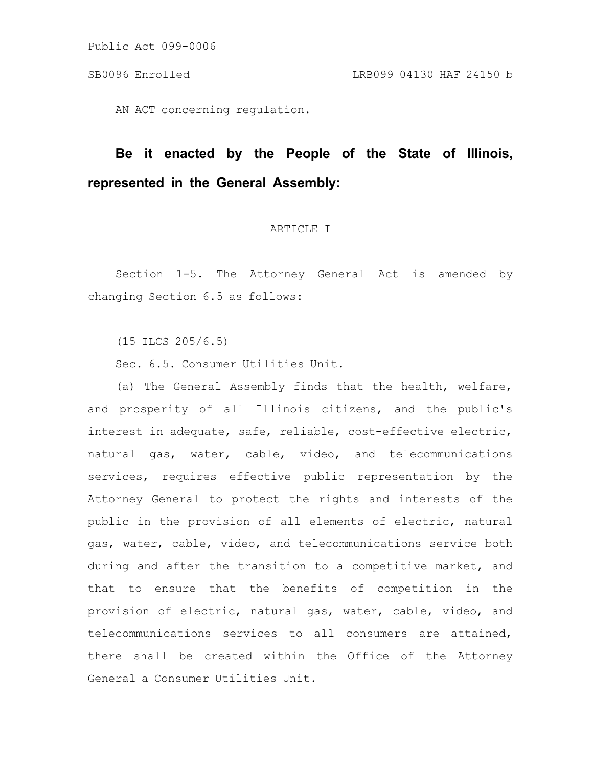AN ACT concerning regulation.

# **Be it enacted by the People of the State of Illinois, represented in the General Assembly:**

# ARTICLE I

Section 1-5. The Attorney General Act is amended by changing Section 6.5 as follows:

(15 ILCS 205/6.5)

Sec. 6.5. Consumer Utilities Unit.

(a) The General Assembly finds that the health, welfare, and prosperity of all Illinois citizens, and the public's interest in adequate, safe, reliable, cost-effective electric, natural gas, water, cable, video, and telecommunications services, requires effective public representation by the Attorney General to protect the rights and interests of the public in the provision of all elements of electric, natural gas, water, cable, video, and telecommunications service both during and after the transition to a competitive market, and that to ensure that the benefits of competition in the provision of electric, natural gas, water, cable, video, and telecommunications services to all consumers are attained, there shall be created within the Office of the Attorney General a Consumer Utilities Unit.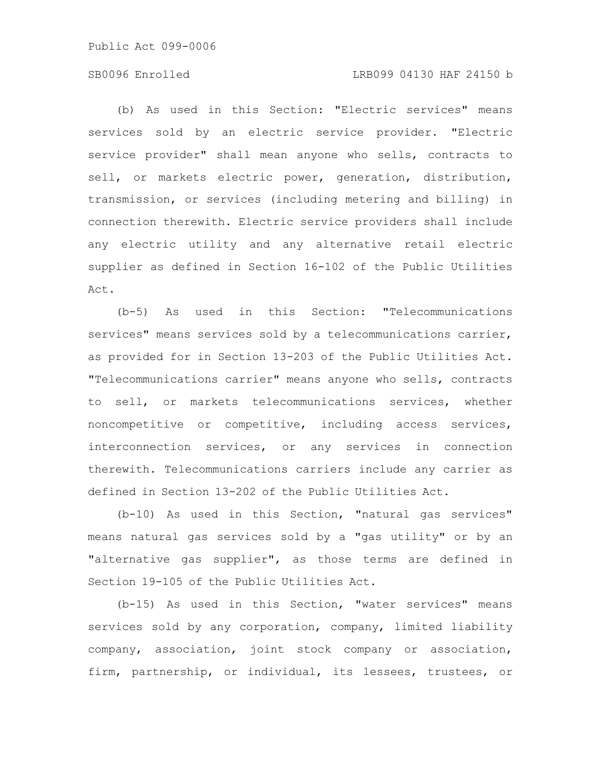### SB0096 Enrolled LRB099 04130 HAF 24150 b

(b) As used in this Section: "Electric services" means services sold by an electric service provider. "Electric service provider" shall mean anyone who sells, contracts to sell, or markets electric power, generation, distribution, transmission, or services (including metering and billing) in connection therewith. Electric service providers shall include any electric utility and any alternative retail electric supplier as defined in Section 16-102 of the Public Utilities Act.

(b-5) As used in this Section: "Telecommunications services" means services sold by a telecommunications carrier, as provided for in Section 13-203 of the Public Utilities Act. "Telecommunications carrier" means anyone who sells, contracts to sell, or markets telecommunications services, whether noncompetitive or competitive, including access services, interconnection services, or any services in connection therewith. Telecommunications carriers include any carrier as defined in Section 13-202 of the Public Utilities Act.

(b-10) As used in this Section, "natural gas services" means natural gas services sold by a "gas utility" or by an "alternative gas supplier", as those terms are defined in Section 19-105 of the Public Utilities Act.

(b-15) As used in this Section, "water services" means services sold by any corporation, company, limited liability company, association, joint stock company or association, firm, partnership, or individual, its lessees, trustees, or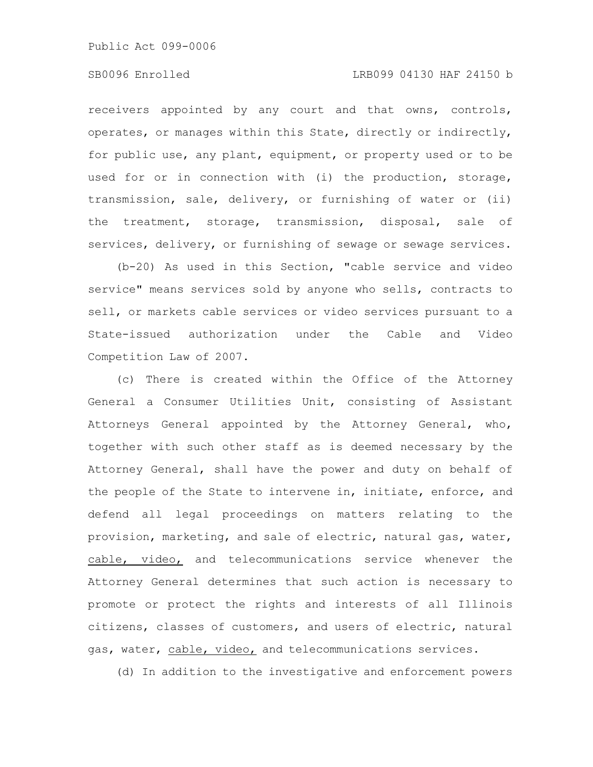### SB0096 Enrolled LRB099 04130 HAF 24150 b

receivers appointed by any court and that owns, controls, operates, or manages within this State, directly or indirectly, for public use, any plant, equipment, or property used or to be used for or in connection with (i) the production, storage, transmission, sale, delivery, or furnishing of water or (ii) the treatment, storage, transmission, disposal, sale of services, delivery, or furnishing of sewage or sewage services.

(b-20) As used in this Section, "cable service and video service" means services sold by anyone who sells, contracts to sell, or markets cable services or video services pursuant to a State-issued authorization under the Cable and Video Competition Law of 2007.

(c) There is created within the Office of the Attorney General a Consumer Utilities Unit, consisting of Assistant Attorneys General appointed by the Attorney General, who, together with such other staff as is deemed necessary by the Attorney General, shall have the power and duty on behalf of the people of the State to intervene in, initiate, enforce, and defend all legal proceedings on matters relating to the provision, marketing, and sale of electric, natural gas, water, cable, video, and telecommunications service whenever the Attorney General determines that such action is necessary to promote or protect the rights and interests of all Illinois citizens, classes of customers, and users of electric, natural gas, water, cable, video, and telecommunications services.

(d) In addition to the investigative and enforcement powers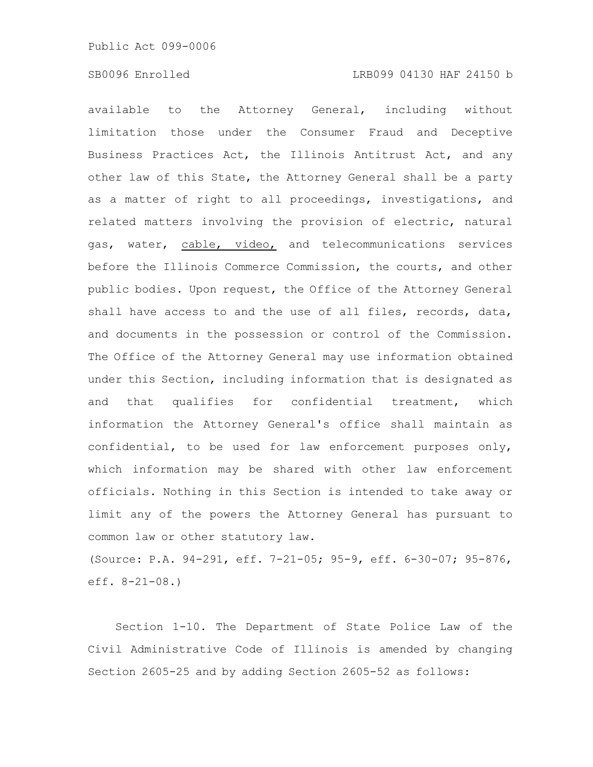available to the Attorney General, including without limitation those under the Consumer Fraud and Deceptive Business Practices Act, the Illinois Antitrust Act, and any other law of this State, the Attorney General shall be a party as a matter of right to all proceedings, investigations, and related matters involving the provision of electric, natural gas, water, cable, video, and telecommunications services before the Illinois Commerce Commission, the courts, and other public bodies. Upon request, the Office of the Attorney General shall have access to and the use of all files, records, data, and documents in the possession or control of the Commission. The Office of the Attorney General may use information obtained under this Section, including information that is designated as and that qualifies for confidential treatment, which information the Attorney General's office shall maintain as confidential, to be used for law enforcement purposes only, which information may be shared with other law enforcement officials. Nothing in this Section is intended to take away or limit any of the powers the Attorney General has pursuant to common law or other statutory law.

(Source: P.A. 94-291, eff. 7-21-05; 95-9, eff. 6-30-07; 95-876, eff. 8-21-08.)

Section 1-10. The Department of State Police Law of the Civil Administrative Code of Illinois is amended by changing Section 2605-25 and by adding Section 2605-52 as follows: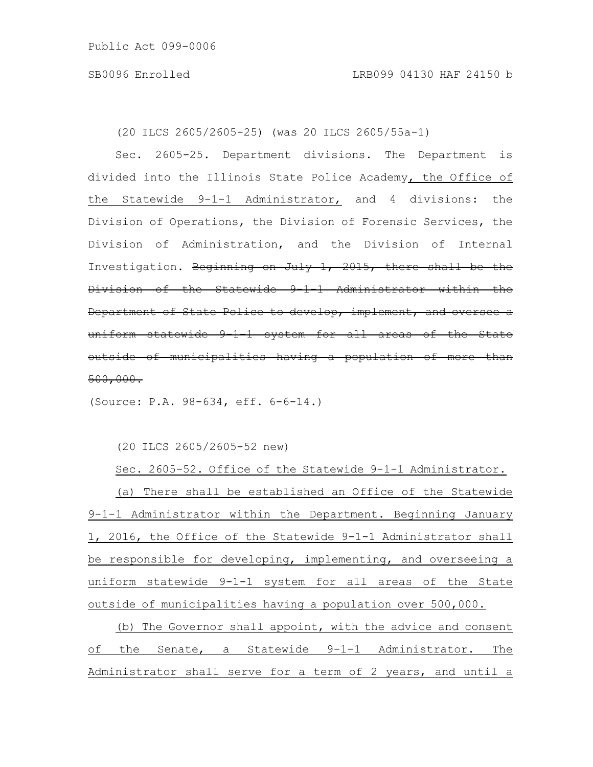(20 ILCS 2605/2605-25) (was 20 ILCS 2605/55a-1)

Sec. 2605-25. Department divisions. The Department is divided into the Illinois State Police Academy, the Office of the Statewide 9-1-1 Administrator, and 4 divisions: the Division of Operations, the Division of Forensic Services, the Division of Administration, and the Division of Internal Investigation. Beginning on July 1, 2015, there shall be the Division of the Statewide 9-1-1 Administrator within the Department of State Police to develop, implement, and oversee a uniform statewide 9-1-1 system for all areas of the State outside of municipalities having a population of more than 500,000.

(Source: P.A. 98-634, eff. 6-6-14.)

(20 ILCS 2605/2605-52 new)

Sec. 2605-52. Office of the Statewide 9-1-1 Administrator. (a) There shall be established an Office of the Statewide 9-1-1 Administrator within the Department. Beginning January 1, 2016, the Office of the Statewide 9-1-1 Administrator shall be responsible for developing, implementing, and overseeing a uniform statewide 9-1-1 system for all areas of the State outside of municipalities having a population over 500,000.

(b) The Governor shall appoint, with the advice and consent of the Senate, a Statewide 9-1-1 Administrator. The Administrator shall serve for a term of 2 years, and until a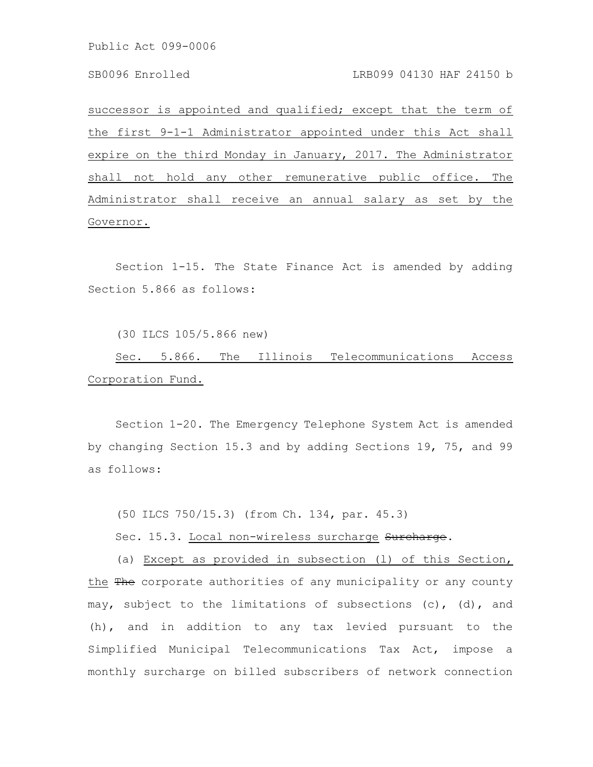successor is appointed and qualified; except that the term of the first 9-1-1 Administrator appointed under this Act shall expire on the third Monday in January, 2017. The Administrator shall not hold any other remunerative public office. The Administrator shall receive an annual salary as set by the Governor.

Section 1-15. The State Finance Act is amended by adding Section 5.866 as follows:

(30 ILCS 105/5.866 new)

Sec. 5.866. The Illinois Telecommunications Access Corporation Fund.

Section 1-20. The Emergency Telephone System Act is amended by changing Section 15.3 and by adding Sections 19, 75, and 99 as follows:

(50 ILCS 750/15.3) (from Ch. 134, par. 45.3)

Sec. 15.3. Local non-wireless surcharge Surcharge.

(a) Except as provided in subsection (l) of this Section, the The corporate authorities of any municipality or any county may, subject to the limitations of subsections (c), (d), and (h), and in addition to any tax levied pursuant to the Simplified Municipal Telecommunications Tax Act, impose a monthly surcharge on billed subscribers of network connection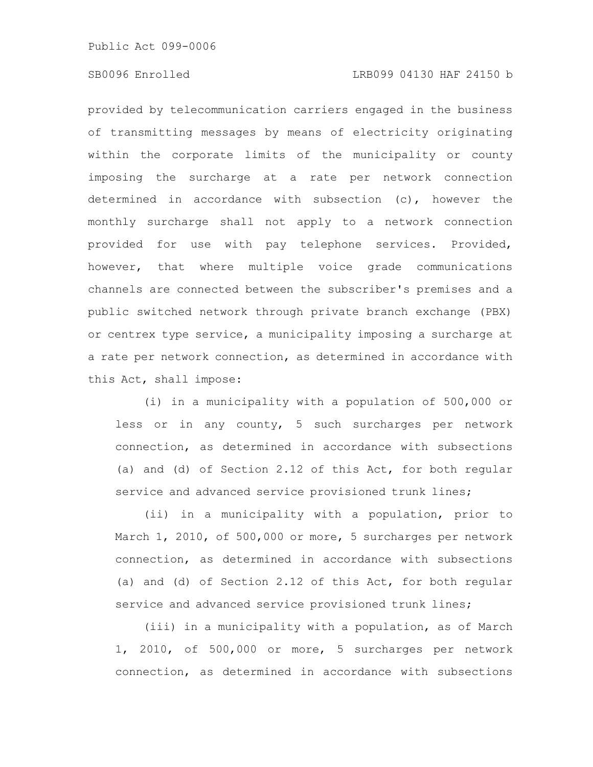## SB0096 Enrolled LRB099 04130 HAF 24150 b

provided by telecommunication carriers engaged in the business of transmitting messages by means of electricity originating within the corporate limits of the municipality or county imposing the surcharge at a rate per network connection determined in accordance with subsection (c), however the monthly surcharge shall not apply to a network connection provided for use with pay telephone services. Provided, however, that where multiple voice grade communications channels are connected between the subscriber's premises and a public switched network through private branch exchange (PBX) or centrex type service, a municipality imposing a surcharge at a rate per network connection, as determined in accordance with this Act, shall impose:

(i) in a municipality with a population of 500,000 or less or in any county, 5 such surcharges per network connection, as determined in accordance with subsections (a) and (d) of Section 2.12 of this Act, for both regular service and advanced service provisioned trunk lines;

(ii) in a municipality with a population, prior to March 1, 2010, of 500,000 or more, 5 surcharges per network connection, as determined in accordance with subsections (a) and (d) of Section 2.12 of this Act, for both regular service and advanced service provisioned trunk lines;

(iii) in a municipality with a population, as of March 1, 2010, of 500,000 or more, 5 surcharges per network connection, as determined in accordance with subsections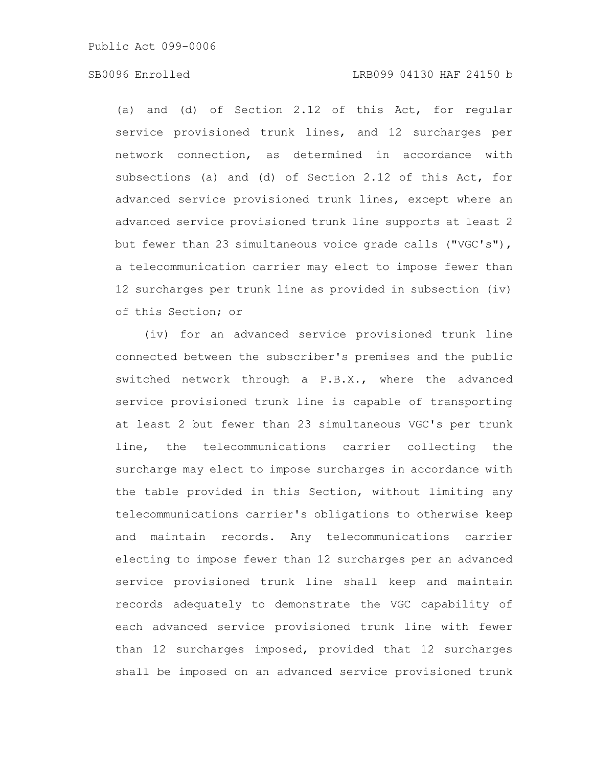### SB0096 Enrolled LRB099 04130 HAF 24150 b

(a) and (d) of Section 2.12 of this Act, for regular service provisioned trunk lines, and 12 surcharges per network connection, as determined in accordance with subsections (a) and (d) of Section 2.12 of this Act, for advanced service provisioned trunk lines, except where an advanced service provisioned trunk line supports at least 2 but fewer than 23 simultaneous voice grade calls ("VGC's"), a telecommunication carrier may elect to impose fewer than 12 surcharges per trunk line as provided in subsection (iv) of this Section; or

(iv) for an advanced service provisioned trunk line connected between the subscriber's premises and the public switched network through a P.B.X., where the advanced service provisioned trunk line is capable of transporting at least 2 but fewer than 23 simultaneous VGC's per trunk line, the telecommunications carrier collecting the surcharge may elect to impose surcharges in accordance with the table provided in this Section, without limiting any telecommunications carrier's obligations to otherwise keep and maintain records. Any telecommunications carrier electing to impose fewer than 12 surcharges per an advanced service provisioned trunk line shall keep and maintain records adequately to demonstrate the VGC capability of each advanced service provisioned trunk line with fewer than 12 surcharges imposed, provided that 12 surcharges shall be imposed on an advanced service provisioned trunk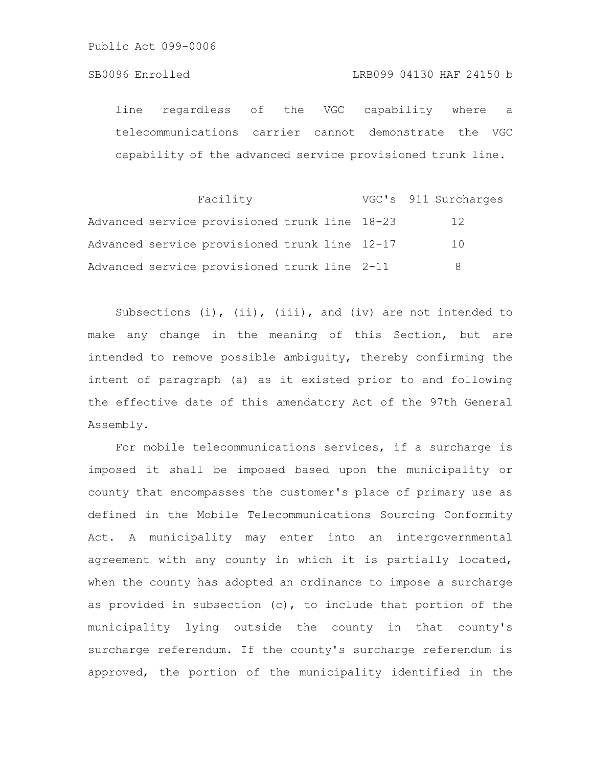### SB0096 Enrolled LRB099 04130 HAF 24150 b

line regardless of the VGC capability where a telecommunications carrier cannot demonstrate the VGC capability of the advanced service provisioned trunk line.

|  | Facility                                      |  | VGC's 911 Surcharges |
|--|-----------------------------------------------|--|----------------------|
|  | Advanced service provisioned trunk line 18-23 |  | 12                   |
|  | Advanced service provisioned trunk line 12-17 |  | 1 O                  |
|  | Advanced service provisioned trunk line 2-11  |  | 8                    |

Subsections  $(i)$ ,  $(ii)$ ,  $(iii)$ , and  $(iv)$  are not intended to make any change in the meaning of this Section, but are intended to remove possible ambiguity, thereby confirming the intent of paragraph (a) as it existed prior to and following the effective date of this amendatory Act of the 97th General Assembly.

For mobile telecommunications services, if a surcharge is imposed it shall be imposed based upon the municipality or county that encompasses the customer's place of primary use as defined in the Mobile Telecommunications Sourcing Conformity Act. A municipality may enter into an intergovernmental agreement with any county in which it is partially located, when the county has adopted an ordinance to impose a surcharge as provided in subsection (c), to include that portion of the municipality lying outside the county in that county's surcharge referendum. If the county's surcharge referendum is approved, the portion of the municipality identified in the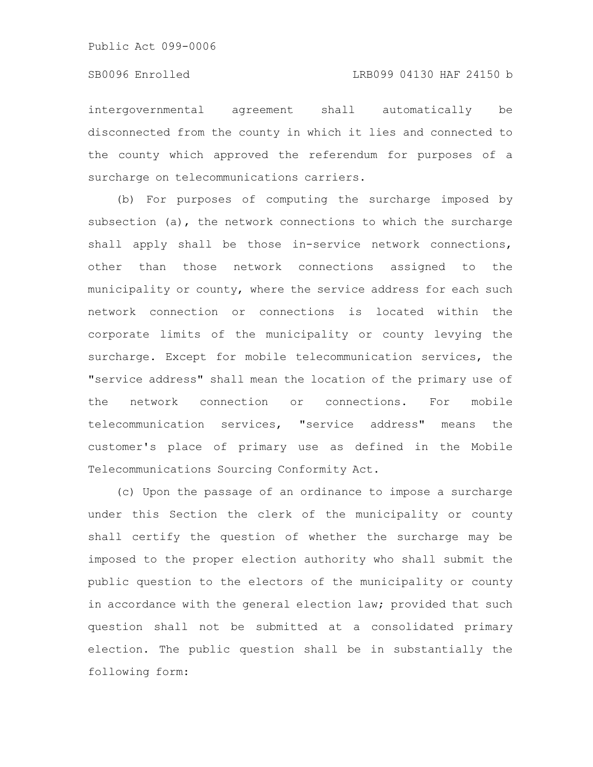intergovernmental agreement shall automatically be disconnected from the county in which it lies and connected to the county which approved the referendum for purposes of a surcharge on telecommunications carriers.

(b) For purposes of computing the surcharge imposed by subsection (a), the network connections to which the surcharge shall apply shall be those in-service network connections, other than those network connections assigned to the municipality or county, where the service address for each such network connection or connections is located within the corporate limits of the municipality or county levying the surcharge. Except for mobile telecommunication services, the "service address" shall mean the location of the primary use of the network connection or connections. For mobile telecommunication services, "service address" means the customer's place of primary use as defined in the Mobile Telecommunications Sourcing Conformity Act.

(c) Upon the passage of an ordinance to impose a surcharge under this Section the clerk of the municipality or county shall certify the question of whether the surcharge may be imposed to the proper election authority who shall submit the public question to the electors of the municipality or county in accordance with the general election law; provided that such question shall not be submitted at a consolidated primary election. The public question shall be in substantially the following form: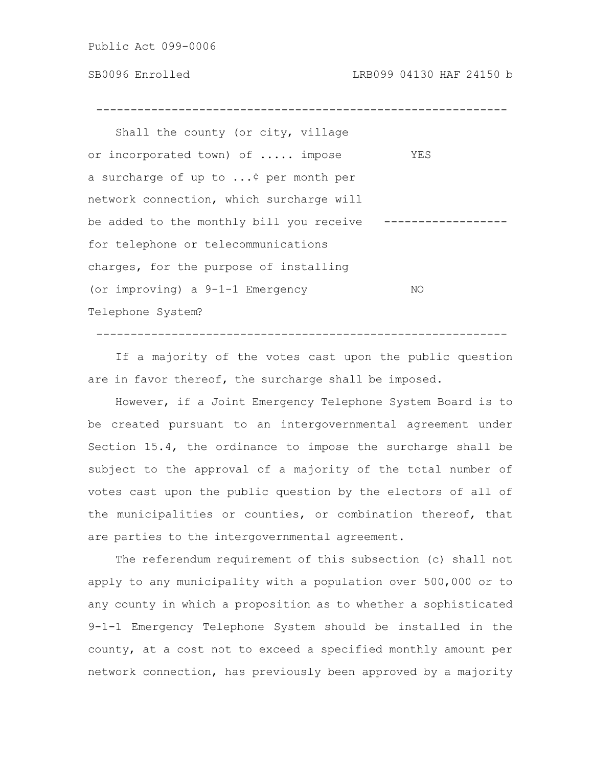------------------------------------------------------------

Shall the county (or city, village or incorporated town) of ..... impose YES a surcharge of up to ...¢ per month per network connection, which surcharge will be added to the monthly bill you receive ----------------for telephone or telecommunications charges, for the purpose of installing (or improving) a 9-1-1 Emergency NO Telephone System?

If a majority of the votes cast upon the public question are in favor thereof, the surcharge shall be imposed.

------------------------------------------------------------

However, if a Joint Emergency Telephone System Board is to be created pursuant to an intergovernmental agreement under Section 15.4, the ordinance to impose the surcharge shall be subject to the approval of a majority of the total number of votes cast upon the public question by the electors of all of the municipalities or counties, or combination thereof, that are parties to the intergovernmental agreement.

The referendum requirement of this subsection (c) shall not apply to any municipality with a population over 500,000 or to any county in which a proposition as to whether a sophisticated 9-1-1 Emergency Telephone System should be installed in the county, at a cost not to exceed a specified monthly amount per network connection, has previously been approved by a majority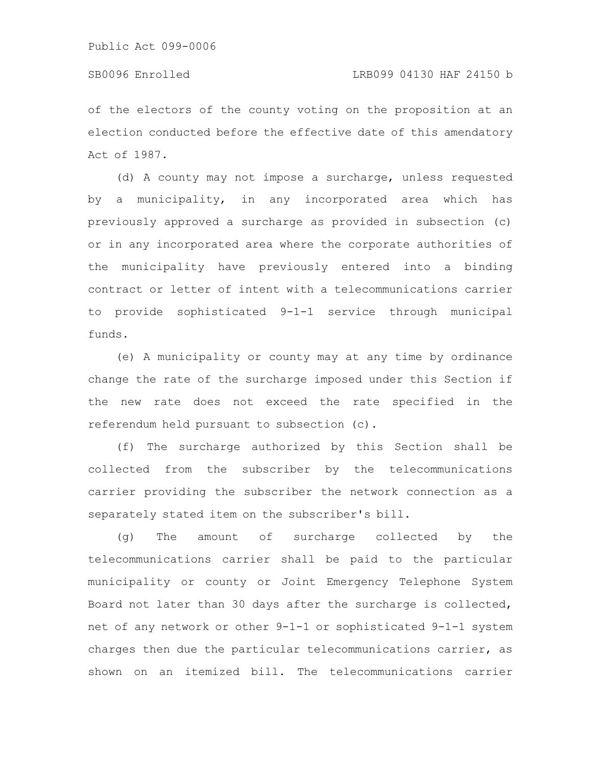of the electors of the county voting on the proposition at an election conducted before the effective date of this amendatory Act of 1987.

(d) A county may not impose a surcharge, unless requested by a municipality, in any incorporated area which has previously approved a surcharge as provided in subsection (c) or in any incorporated area where the corporate authorities of the municipality have previously entered into a binding contract or letter of intent with a telecommunications carrier to provide sophisticated 9-1-1 service through municipal funds.

(e) A municipality or county may at any time by ordinance change the rate of the surcharge imposed under this Section if the new rate does not exceed the rate specified in the referendum held pursuant to subsection (c).

(f) The surcharge authorized by this Section shall be collected from the subscriber by the telecommunications carrier providing the subscriber the network connection as a separately stated item on the subscriber's bill.

(g) The amount of surcharge collected by the telecommunications carrier shall be paid to the particular municipality or county or Joint Emergency Telephone System Board not later than 30 days after the surcharge is collected, net of any network or other 9-1-1 or sophisticated 9-1-1 system charges then due the particular telecommunications carrier, as shown on an itemized bill. The telecommunications carrier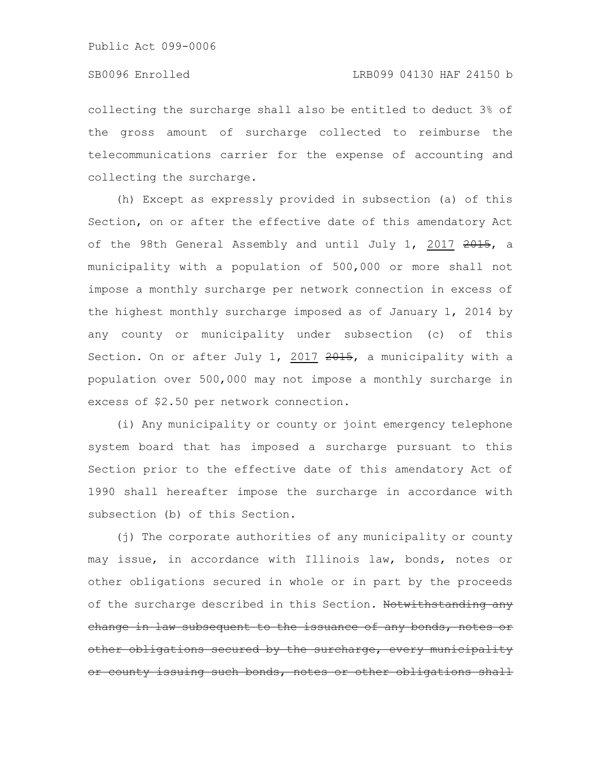collecting the surcharge shall also be entitled to deduct 3% of the gross amount of surcharge collected to reimburse the telecommunications carrier for the expense of accounting and collecting the surcharge.

(h) Except as expressly provided in subsection (a) of this Section, on or after the effective date of this amendatory Act of the 98th General Assembly and until July 1, 2017 2015, a municipality with a population of 500,000 or more shall not impose a monthly surcharge per network connection in excess of the highest monthly surcharge imposed as of January 1, 2014 by any county or municipality under subsection (c) of this Section. On or after July 1, 2017 2015, a municipality with a population over 500,000 may not impose a monthly surcharge in excess of \$2.50 per network connection.

(i) Any municipality or county or joint emergency telephone system board that has imposed a surcharge pursuant to this Section prior to the effective date of this amendatory Act of 1990 shall hereafter impose the surcharge in accordance with subsection (b) of this Section.

(j) The corporate authorities of any municipality or county may issue, in accordance with Illinois law, bonds, notes or other obligations secured in whole or in part by the proceeds of the surcharge described in this Section. Notwithstanding any change in law subsequent to the issuance of any bonds, notes other obligations secured by the surcharge, every municipality or county issuing such bonds, notes or other obligations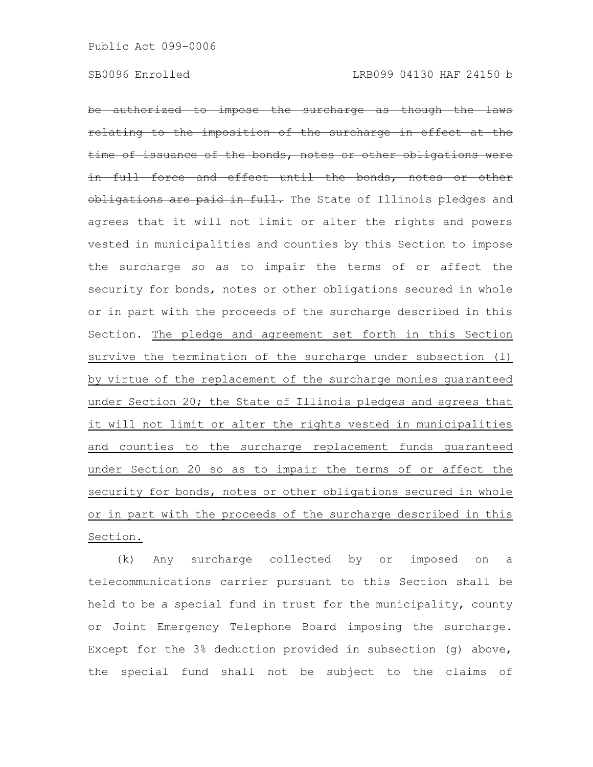be authorized to impose the surcharge as though relating to the imposition of the surcharge in effect at the issuance of the bonds, notes or other obligations were and effect until the bonds, notes obligations are paid in full. The State of Illinois pledges and agrees that it will not limit or alter the rights and powers vested in municipalities and counties by this Section to impose the surcharge so as to impair the terms of or affect the security for bonds, notes or other obligations secured in whole or in part with the proceeds of the surcharge described in this Section. The pledge and agreement set forth in this Section survive the termination of the surcharge under subsection (1) by virtue of the replacement of the surcharge monies guaranteed under Section 20; the State of Illinois pledges and agrees that it will not limit or alter the rights vested in municipalities and counties to the surcharge replacement funds guaranteed under Section 20 so as to impair the terms of or affect the security for bonds, notes or other obligations secured in whole or in part with the proceeds of the surcharge described in this Section.

(k) Any surcharge collected by or imposed on a telecommunications carrier pursuant to this Section shall be held to be a special fund in trust for the municipality, county or Joint Emergency Telephone Board imposing the surcharge. Except for the 3% deduction provided in subsection (g) above, the special fund shall not be subject to the claims of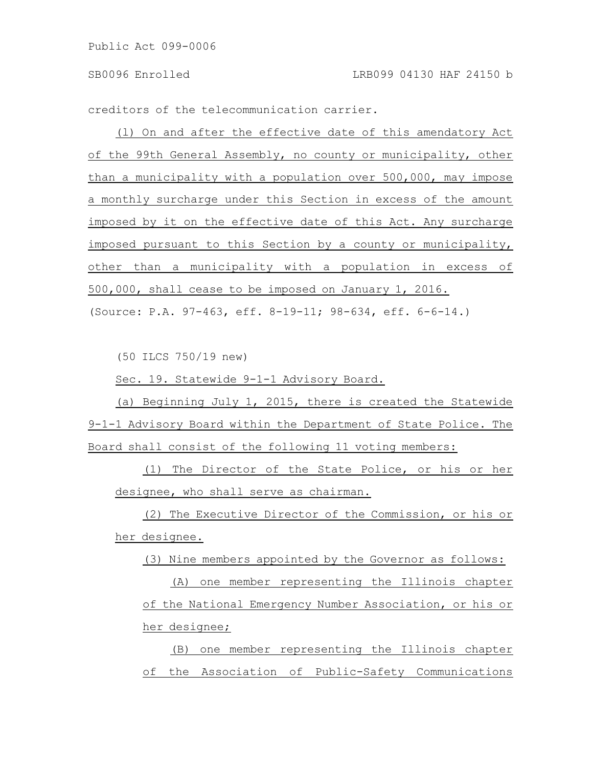creditors of the telecommunication carrier.

(l) On and after the effective date of this amendatory Act of the 99th General Assembly, no county or municipality, other than a municipality with a population over 500,000, may impose a monthly surcharge under this Section in excess of the amount imposed by it on the effective date of this Act. Any surcharge imposed pursuant to this Section by a county or municipality, other than a municipality with a population in excess of 500,000, shall cease to be imposed on January 1, 2016. (Source: P.A. 97-463, eff. 8-19-11; 98-634, eff. 6-6-14.)

(50 ILCS 750/19 new)

Sec. 19. Statewide 9-1-1 Advisory Board.

(a) Beginning July 1, 2015, there is created the Statewide 9-1-1 Advisory Board within the Department of State Police. The Board shall consist of the following 11 voting members:

(1) The Director of the State Police, or his or her designee, who shall serve as chairman.

(2) The Executive Director of the Commission, or his or her designee.

(3) Nine members appointed by the Governor as follows:

(A) one member representing the Illinois chapter of the National Emergency Number Association, or his or her designee;

(B) one member representing the Illinois chapter of the Association of Public-Safety Communications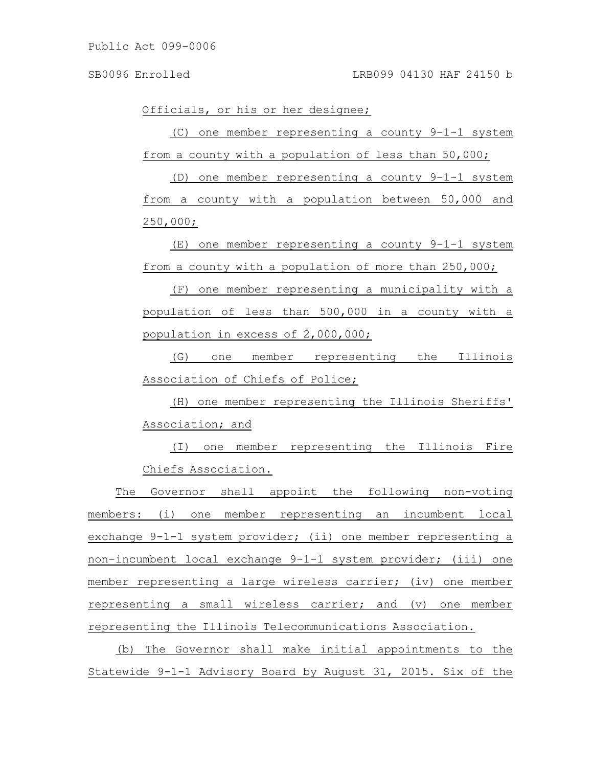Officials, or his or her designee;

(C) one member representing a county 9-1-1 system from a county with a population of less than 50,000;

(D) one member representing a county 9-1-1 system from a county with a population between 50,000 and 250,000;

(E) one member representing a county 9-1-1 system from a county with a population of more than 250,000;

(F) one member representing a municipality with a population of less than 500,000 in a county with a population in excess of 2,000,000;

(G) one member representing the Illinois Association of Chiefs of Police;

(H) one member representing the Illinois Sheriffs' Association; and

(I) one member representing the Illinois Fire Chiefs Association.

The Governor shall appoint the following non-voting members: (i) one member representing an incumbent local exchange 9-1-1 system provider; (ii) one member representing a non-incumbent local exchange 9-1-1 system provider; (iii) one member representing a large wireless carrier; (iv) one member representing a small wireless carrier; and (v) one member representing the Illinois Telecommunications Association.

(b) The Governor shall make initial appointments to the Statewide 9-1-1 Advisory Board by August 31, 2015. Six of the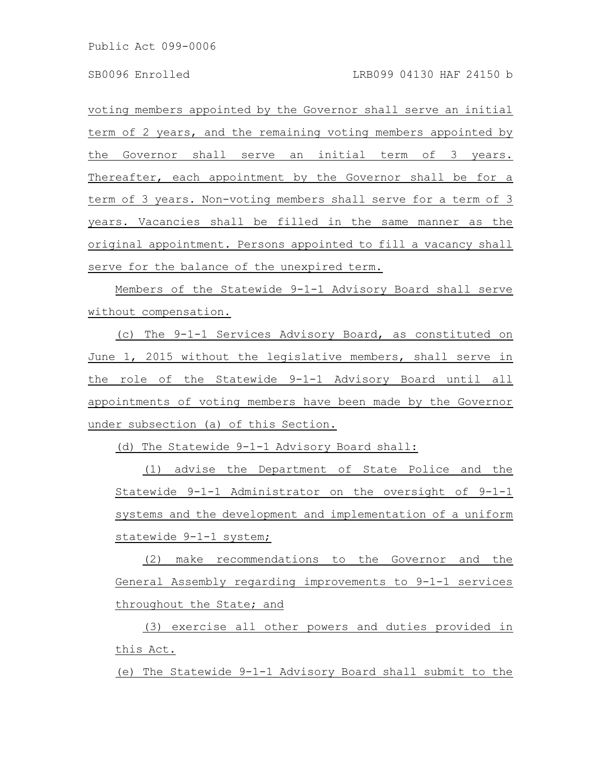voting members appointed by the Governor shall serve an initial term of 2 years, and the remaining voting members appointed by the Governor shall serve an initial term of 3 years. Thereafter, each appointment by the Governor shall be for a term of 3 years. Non-voting members shall serve for a term of 3 years. Vacancies shall be filled in the same manner as the original appointment. Persons appointed to fill a vacancy shall serve for the balance of the unexpired term.

Members of the Statewide 9-1-1 Advisory Board shall serve without compensation.

(c) The 9-1-1 Services Advisory Board, as constituted on June 1, 2015 without the legislative members, shall serve in the role of the Statewide 9-1-1 Advisory Board until all appointments of voting members have been made by the Governor under subsection (a) of this Section.

(d) The Statewide 9-1-1 Advisory Board shall:

(1) advise the Department of State Police and the Statewide 9-1-1 Administrator on the oversight of 9-1-1 systems and the development and implementation of a uniform statewide 9-1-1 system;

(2) make recommendations to the Governor and the General Assembly regarding improvements to 9-1-1 services throughout the State; and

(3) exercise all other powers and duties provided in this Act.

(e) The Statewide 9-1-1 Advisory Board shall submit to the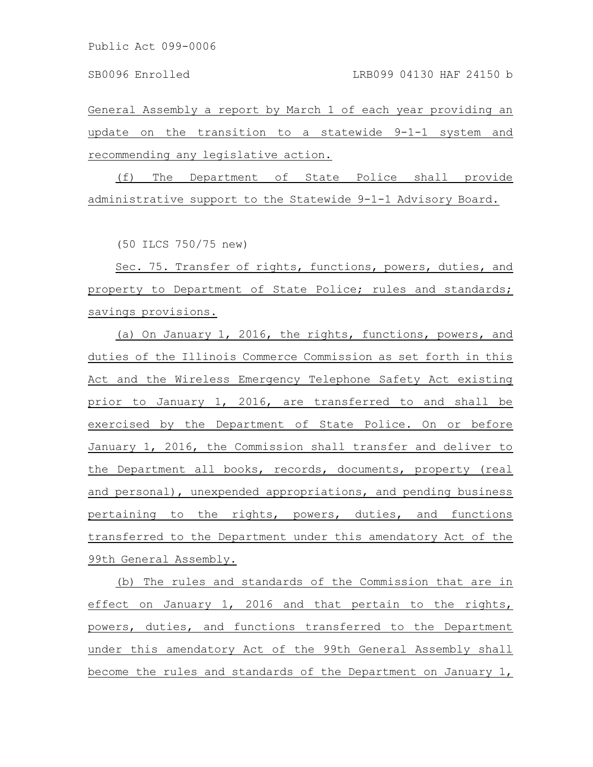General Assembly a report by March 1 of each year providing an update on the transition to a statewide 9-1-1 system and recommending any legislative action.

(f) The Department of State Police shall provide administrative support to the Statewide 9-1-1 Advisory Board.

(50 ILCS 750/75 new)

Sec. 75. Transfer of rights, functions, powers, duties, and property to Department of State Police; rules and standards; savings provisions.

(a) On January 1, 2016, the rights, functions, powers, and duties of the Illinois Commerce Commission as set forth in this Act and the Wireless Emergency Telephone Safety Act existing prior to January 1, 2016, are transferred to and shall be exercised by the Department of State Police. On or before January 1, 2016, the Commission shall transfer and deliver to the Department all books, records, documents, property (real and personal), unexpended appropriations, and pending business pertaining to the rights, powers, duties, and functions transferred to the Department under this amendatory Act of the 99th General Assembly.

(b) The rules and standards of the Commission that are in effect on January 1, 2016 and that pertain to the rights, powers, duties, and functions transferred to the Department under this amendatory Act of the 99th General Assembly shall become the rules and standards of the Department on January 1,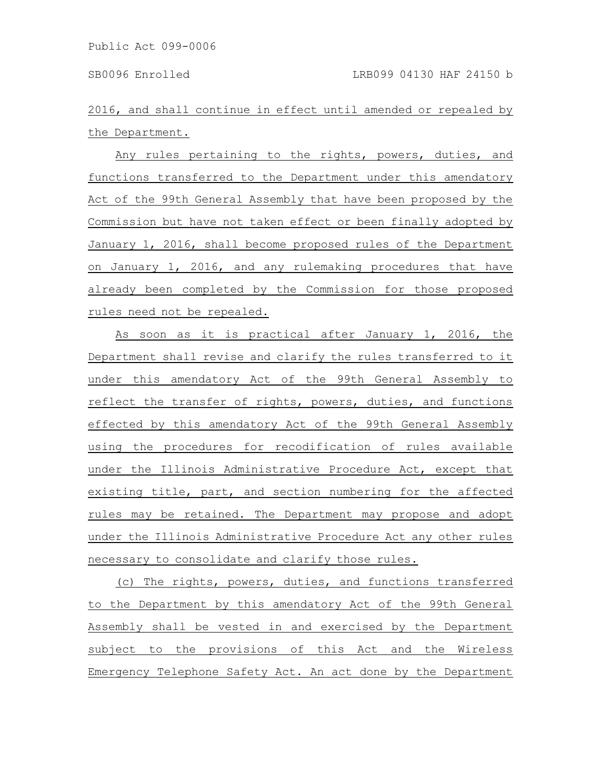2016, and shall continue in effect until amended or repealed by the Department.

Any rules pertaining to the rights, powers, duties, and functions transferred to the Department under this amendatory Act of the 99th General Assembly that have been proposed by the Commission but have not taken effect or been finally adopted by January 1, 2016, shall become proposed rules of the Department on January 1, 2016, and any rulemaking procedures that have already been completed by the Commission for those proposed rules need not be repealed.

As soon as it is practical after January 1, 2016, the Department shall revise and clarify the rules transferred to it under this amendatory Act of the 99th General Assembly to reflect the transfer of rights, powers, duties, and functions effected by this amendatory Act of the 99th General Assembly using the procedures for recodification of rules available under the Illinois Administrative Procedure Act, except that existing title, part, and section numbering for the affected rules may be retained. The Department may propose and adopt under the Illinois Administrative Procedure Act any other rules necessary to consolidate and clarify those rules.

(c) The rights, powers, duties, and functions transferred to the Department by this amendatory Act of the 99th General Assembly shall be vested in and exercised by the Department subject to the provisions of this Act and the Wireless Emergency Telephone Safety Act. An act done by the Department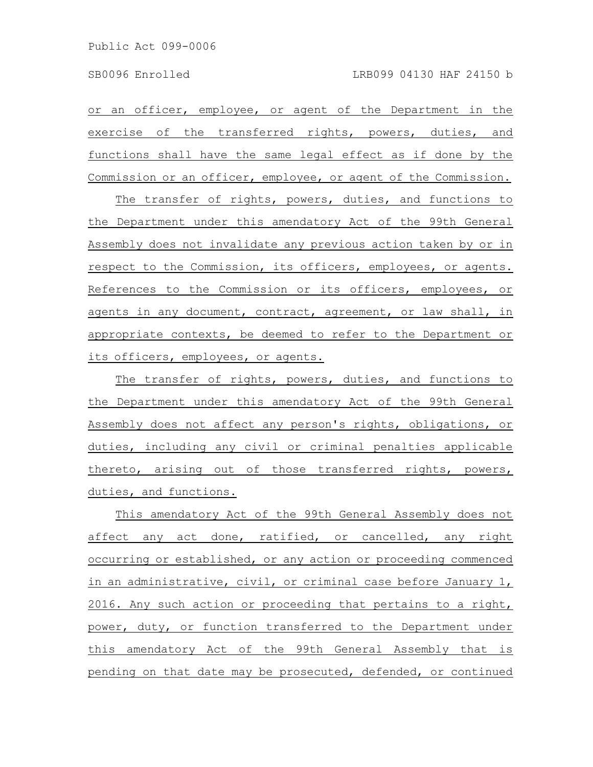or an officer, employee, or agent of the Department in the exercise of the transferred rights, powers, duties, and functions shall have the same legal effect as if done by the Commission or an officer, employee, or agent of the Commission.

The transfer of rights, powers, duties, and functions to the Department under this amendatory Act of the 99th General Assembly does not invalidate any previous action taken by or in respect to the Commission, its officers, employees, or agents. References to the Commission or its officers, employees, or agents in any document, contract, agreement, or law shall, in appropriate contexts, be deemed to refer to the Department or its officers, employees, or agents.

The transfer of rights, powers, duties, and functions to the Department under this amendatory Act of the 99th General Assembly does not affect any person's rights, obligations, or duties, including any civil or criminal penalties applicable thereto, arising out of those transferred rights, powers, duties, and functions.

This amendatory Act of the 99th General Assembly does not affect any act done, ratified, or cancelled, any right occurring or established, or any action or proceeding commenced in an administrative, civil, or criminal case before January 1, 2016. Any such action or proceeding that pertains to a right, power, duty, or function transferred to the Department under this amendatory Act of the 99th General Assembly that is pending on that date may be prosecuted, defended, or continued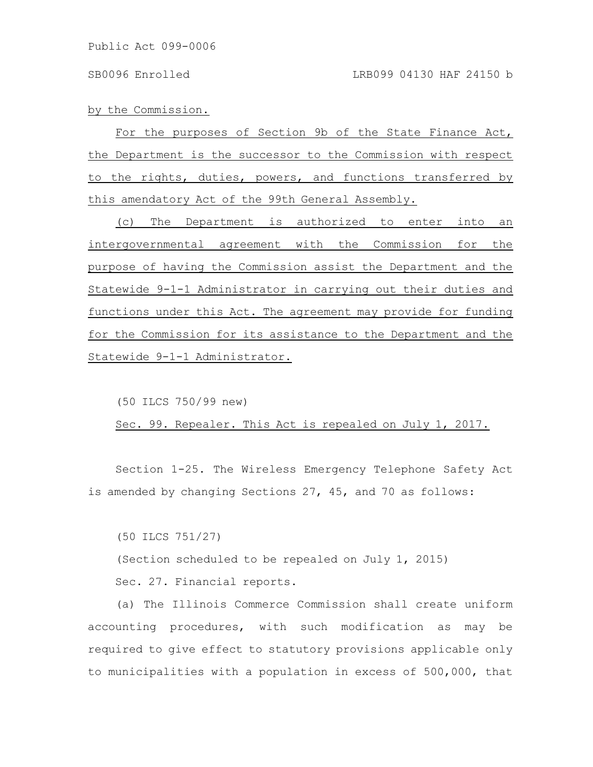by the Commission.

For the purposes of Section 9b of the State Finance Act, the Department is the successor to the Commission with respect to the rights, duties, powers, and functions transferred by this amendatory Act of the 99th General Assembly.

(c) The Department is authorized to enter into an intergovernmental agreement with the Commission for the purpose of having the Commission assist the Department and the Statewide 9-1-1 Administrator in carrying out their duties and functions under this Act. The agreement may provide for funding for the Commission for its assistance to the Department and the Statewide 9-1-1 Administrator.

(50 ILCS 750/99 new)

Sec. 99. Repealer. This Act is repealed on July 1, 2017.

Section 1-25. The Wireless Emergency Telephone Safety Act is amended by changing Sections 27, 45, and 70 as follows:

(50 ILCS 751/27) (Section scheduled to be repealed on July 1, 2015) Sec. 27. Financial reports.

(a) The Illinois Commerce Commission shall create uniform accounting procedures, with such modification as may be required to give effect to statutory provisions applicable only to municipalities with a population in excess of 500,000, that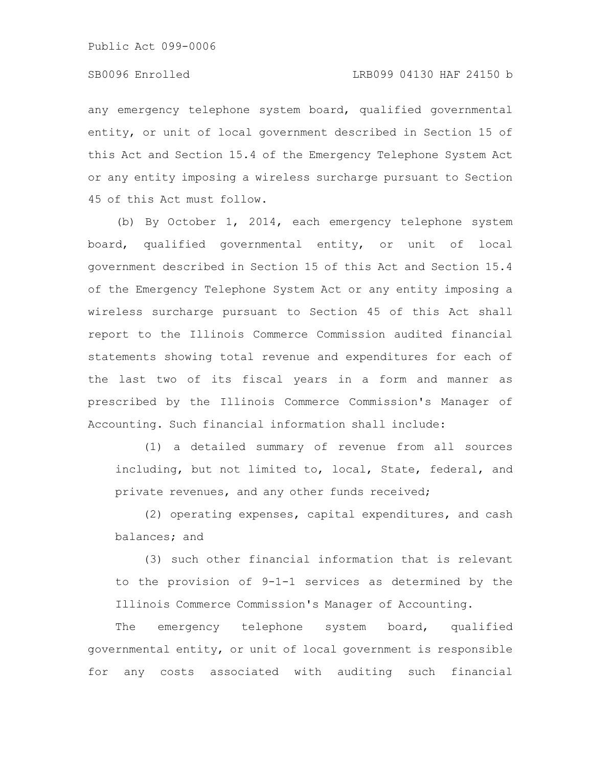## SB0096 Enrolled LRB099 04130 HAF 24150 b

any emergency telephone system board, qualified governmental entity, or unit of local government described in Section 15 of this Act and Section 15.4 of the Emergency Telephone System Act or any entity imposing a wireless surcharge pursuant to Section 45 of this Act must follow.

(b) By October 1, 2014, each emergency telephone system board, qualified governmental entity, or unit of local government described in Section 15 of this Act and Section 15.4 of the Emergency Telephone System Act or any entity imposing a wireless surcharge pursuant to Section 45 of this Act shall report to the Illinois Commerce Commission audited financial statements showing total revenue and expenditures for each of the last two of its fiscal years in a form and manner as prescribed by the Illinois Commerce Commission's Manager of Accounting. Such financial information shall include:

(1) a detailed summary of revenue from all sources including, but not limited to, local, State, federal, and private revenues, and any other funds received;

(2) operating expenses, capital expenditures, and cash balances; and

(3) such other financial information that is relevant to the provision of 9-1-1 services as determined by the Illinois Commerce Commission's Manager of Accounting.

The emergency telephone system board, qualified governmental entity, or unit of local government is responsible for any costs associated with auditing such financial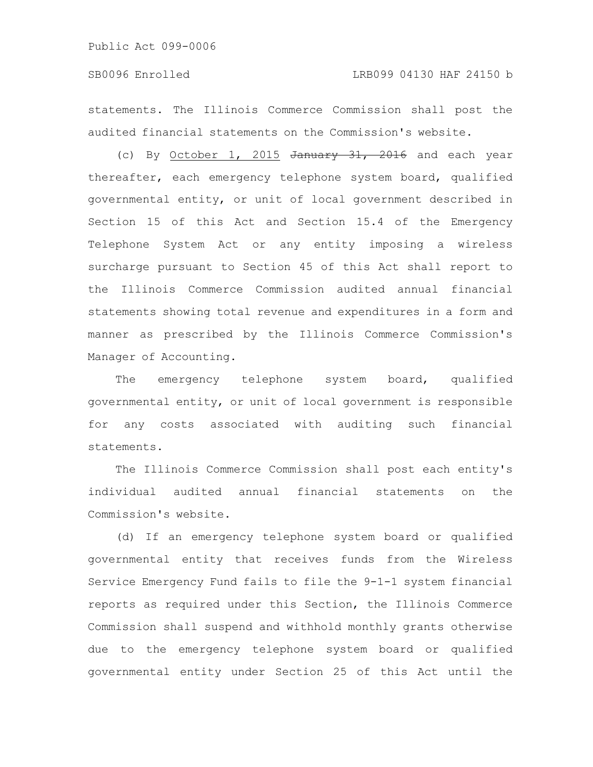statements. The Illinois Commerce Commission shall post the audited financial statements on the Commission's website.

(c) By October 1, 2015  $\frac{1}{2}$  January 31, 2016 and each year thereafter, each emergency telephone system board, qualified governmental entity, or unit of local government described in Section 15 of this Act and Section 15.4 of the Emergency Telephone System Act or any entity imposing a wireless surcharge pursuant to Section 45 of this Act shall report to the Illinois Commerce Commission audited annual financial statements showing total revenue and expenditures in a form and manner as prescribed by the Illinois Commerce Commission's Manager of Accounting.

The emergency telephone system board, qualified governmental entity, or unit of local government is responsible for any costs associated with auditing such financial statements.

The Illinois Commerce Commission shall post each entity's individual audited annual financial statements on the Commission's website.

(d) If an emergency telephone system board or qualified governmental entity that receives funds from the Wireless Service Emergency Fund fails to file the 9-1-1 system financial reports as required under this Section, the Illinois Commerce Commission shall suspend and withhold monthly grants otherwise due to the emergency telephone system board or qualified governmental entity under Section 25 of this Act until the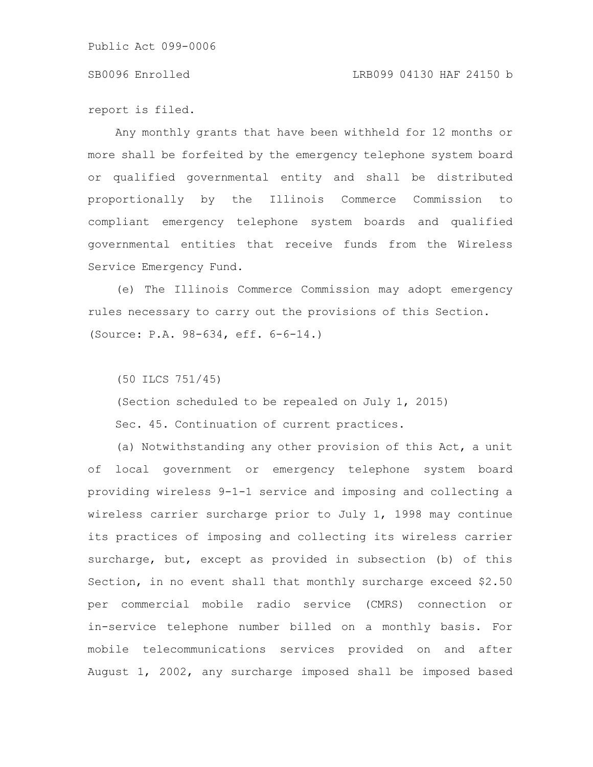report is filed.

Any monthly grants that have been withheld for 12 months or more shall be forfeited by the emergency telephone system board or qualified governmental entity and shall be distributed proportionally by the Illinois Commerce Commission to compliant emergency telephone system boards and qualified governmental entities that receive funds from the Wireless Service Emergency Fund.

(e) The Illinois Commerce Commission may adopt emergency rules necessary to carry out the provisions of this Section. (Source: P.A. 98-634, eff. 6-6-14.)

(50 ILCS 751/45)

(Section scheduled to be repealed on July 1, 2015) Sec. 45. Continuation of current practices.

(a) Notwithstanding any other provision of this Act, a unit of local government or emergency telephone system board providing wireless 9-1-1 service and imposing and collecting a wireless carrier surcharge prior to July 1, 1998 may continue its practices of imposing and collecting its wireless carrier surcharge, but, except as provided in subsection (b) of this Section, in no event shall that monthly surcharge exceed \$2.50 per commercial mobile radio service (CMRS) connection or in-service telephone number billed on a monthly basis. For mobile telecommunications services provided on and after August 1, 2002, any surcharge imposed shall be imposed based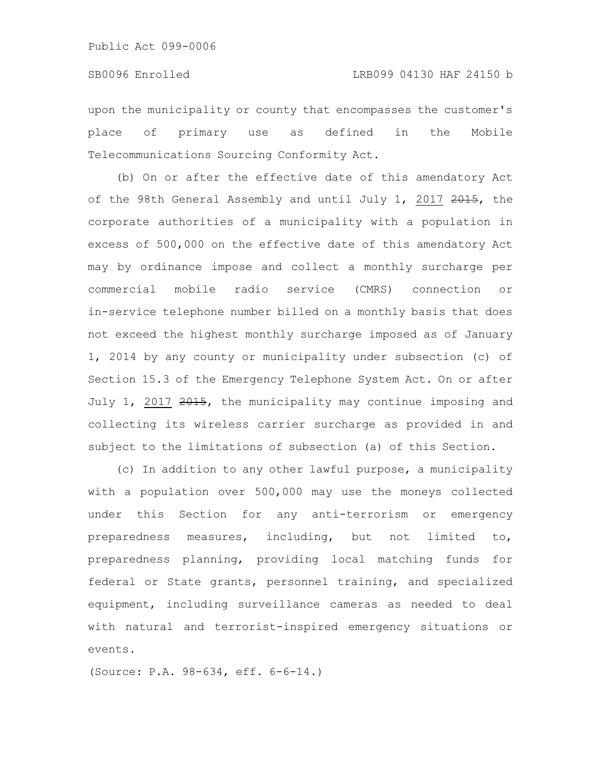upon the municipality or county that encompasses the customer's place of primary use as defined in the Mobile Telecommunications Sourcing Conformity Act.

(b) On or after the effective date of this amendatory Act of the 98th General Assembly and until July 1, 2017 2015, the corporate authorities of a municipality with a population in excess of 500,000 on the effective date of this amendatory Act may by ordinance impose and collect a monthly surcharge per commercial mobile radio service (CMRS) connection or in-service telephone number billed on a monthly basis that does not exceed the highest monthly surcharge imposed as of January 1, 2014 by any county or municipality under subsection (c) of Section 15.3 of the Emergency Telephone System Act. On or after July 1, 2017 2015, the municipality may continue imposing and collecting its wireless carrier surcharge as provided in and subject to the limitations of subsection (a) of this Section.

(c) In addition to any other lawful purpose, a municipality with a population over 500,000 may use the moneys collected under this Section for any anti-terrorism or emergency preparedness measures, including, but not limited to, preparedness planning, providing local matching funds for federal or State grants, personnel training, and specialized equipment, including surveillance cameras as needed to deal with natural and terrorist-inspired emergency situations or events.

(Source: P.A. 98-634, eff. 6-6-14.)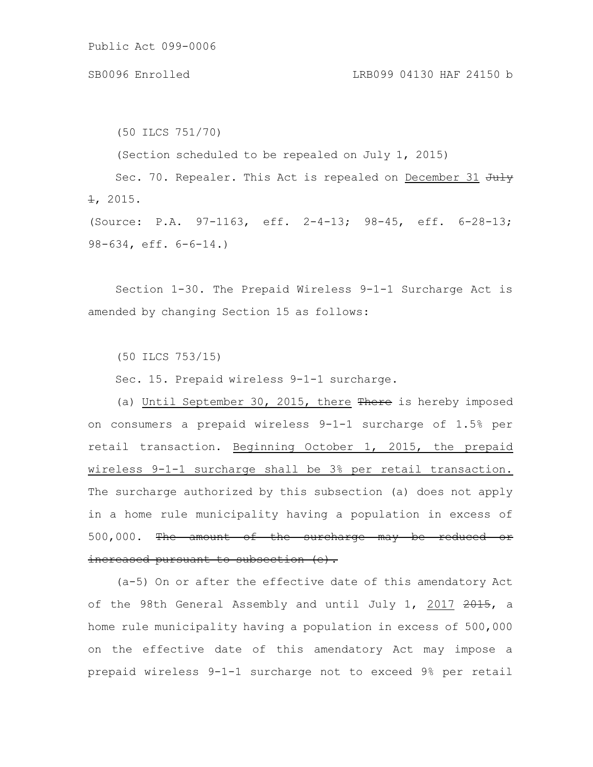(50 ILCS 751/70) (Section scheduled to be repealed on July 1, 2015) Sec. 70. Repealer. This Act is repealed on December 31 July  $\pm$ , 2015. (Source: P.A. 97-1163, eff. 2-4-13; 98-45, eff. 6-28-13; 98-634, eff. 6-6-14.)

Section 1-30. The Prepaid Wireless 9-1-1 Surcharge Act is amended by changing Section 15 as follows:

(50 ILCS 753/15)

Sec. 15. Prepaid wireless 9-1-1 surcharge.

(a) Until September 30, 2015, there There is hereby imposed on consumers a prepaid wireless 9-1-1 surcharge of 1.5% per retail transaction. Beginning October 1, 2015, the prepaid wireless 9-1-1 surcharge shall be 3% per retail transaction. The surcharge authorized by this subsection (a) does not apply in a home rule municipality having a population in excess of 500,000. The amount of the surcharge may be reduced or increased pursuant to subsection (e).

(a-5) On or after the effective date of this amendatory Act of the 98th General Assembly and until July 1, 2017 2015, a home rule municipality having a population in excess of 500,000 on the effective date of this amendatory Act may impose a prepaid wireless 9-1-1 surcharge not to exceed 9% per retail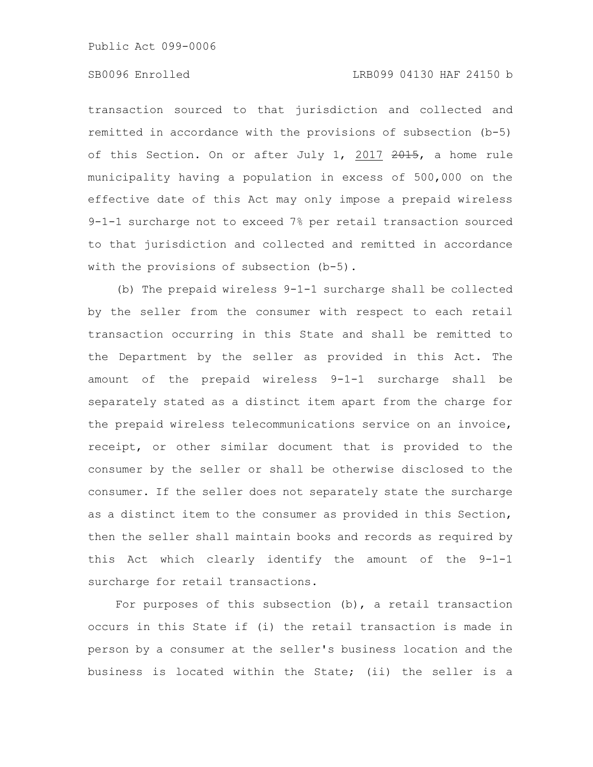## SB0096 Enrolled LRB099 04130 HAF 24150 b

transaction sourced to that jurisdiction and collected and remitted in accordance with the provisions of subsection (b-5) of this Section. On or after July 1, 2017 2015, a home rule municipality having a population in excess of 500,000 on the effective date of this Act may only impose a prepaid wireless 9-1-1 surcharge not to exceed 7% per retail transaction sourced to that jurisdiction and collected and remitted in accordance with the provisions of subsection (b-5).

(b) The prepaid wireless 9-1-1 surcharge shall be collected by the seller from the consumer with respect to each retail transaction occurring in this State and shall be remitted to the Department by the seller as provided in this Act. The amount of the prepaid wireless 9-1-1 surcharge shall be separately stated as a distinct item apart from the charge for the prepaid wireless telecommunications service on an invoice, receipt, or other similar document that is provided to the consumer by the seller or shall be otherwise disclosed to the consumer. If the seller does not separately state the surcharge as a distinct item to the consumer as provided in this Section, then the seller shall maintain books and records as required by this Act which clearly identify the amount of the 9-1-1 surcharge for retail transactions.

For purposes of this subsection  $(b)$ , a retail transaction occurs in this State if (i) the retail transaction is made in person by a consumer at the seller's business location and the business is located within the State; (ii) the seller is a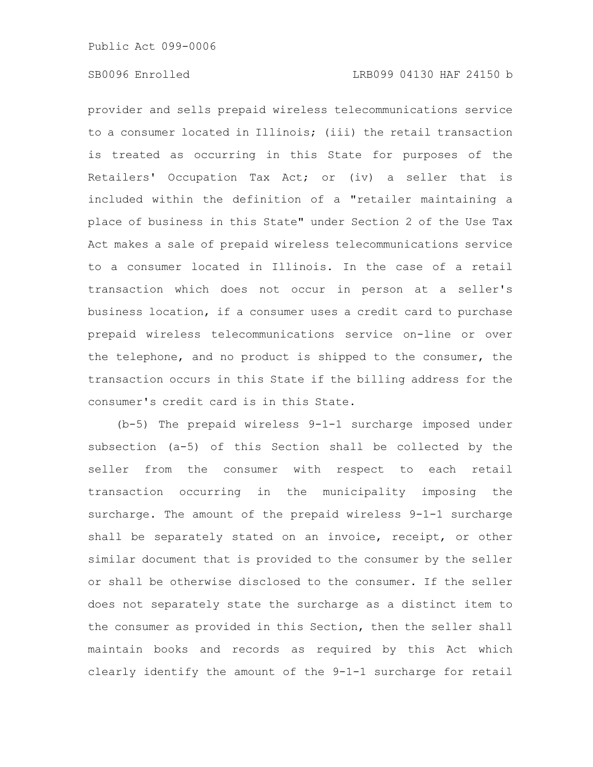provider and sells prepaid wireless telecommunications service to a consumer located in Illinois; (iii) the retail transaction is treated as occurring in this State for purposes of the Retailers' Occupation Tax Act; or (iv) a seller that is included within the definition of a "retailer maintaining a place of business in this State" under Section 2 of the Use Tax Act makes a sale of prepaid wireless telecommunications service to a consumer located in Illinois. In the case of a retail transaction which does not occur in person at a seller's business location, if a consumer uses a credit card to purchase prepaid wireless telecommunications service on-line or over the telephone, and no product is shipped to the consumer, the transaction occurs in this State if the billing address for the consumer's credit card is in this State.

(b-5) The prepaid wireless 9-1-1 surcharge imposed under subsection (a-5) of this Section shall be collected by the seller from the consumer with respect to each retail transaction occurring in the municipality imposing the surcharge. The amount of the prepaid wireless 9-1-1 surcharge shall be separately stated on an invoice, receipt, or other similar document that is provided to the consumer by the seller or shall be otherwise disclosed to the consumer. If the seller does not separately state the surcharge as a distinct item to the consumer as provided in this Section, then the seller shall maintain books and records as required by this Act which clearly identify the amount of the 9-1-1 surcharge for retail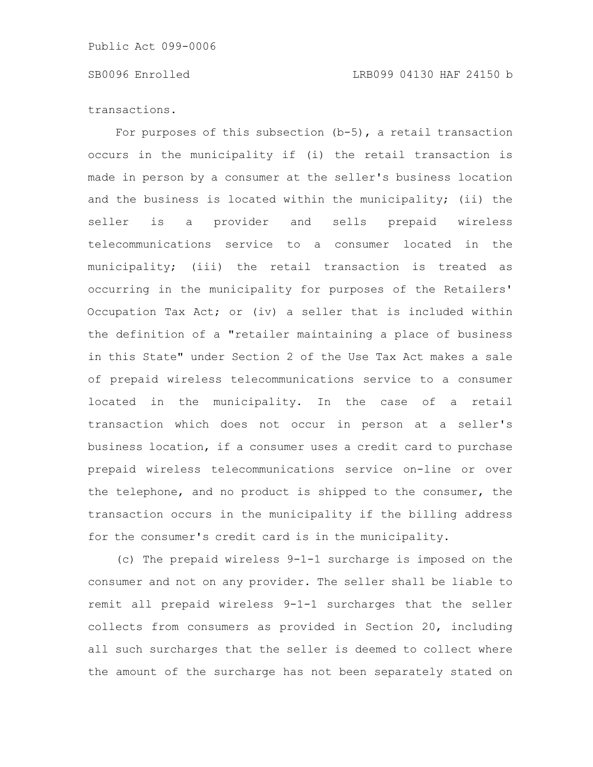transactions.

For purposes of this subsection (b-5), a retail transaction occurs in the municipality if (i) the retail transaction is made in person by a consumer at the seller's business location and the business is located within the municipality; (ii) the seller is a provider and sells prepaid wireless telecommunications service to a consumer located in the municipality; (iii) the retail transaction is treated as occurring in the municipality for purposes of the Retailers' Occupation Tax Act; or (iv) a seller that is included within the definition of a "retailer maintaining a place of business in this State" under Section 2 of the Use Tax Act makes a sale of prepaid wireless telecommunications service to a consumer located in the municipality. In the case of a retail transaction which does not occur in person at a seller's business location, if a consumer uses a credit card to purchase prepaid wireless telecommunications service on-line or over the telephone, and no product is shipped to the consumer, the transaction occurs in the municipality if the billing address for the consumer's credit card is in the municipality.

(c) The prepaid wireless 9-1-1 surcharge is imposed on the consumer and not on any provider. The seller shall be liable to remit all prepaid wireless 9-1-1 surcharges that the seller collects from consumers as provided in Section 20, including all such surcharges that the seller is deemed to collect where the amount of the surcharge has not been separately stated on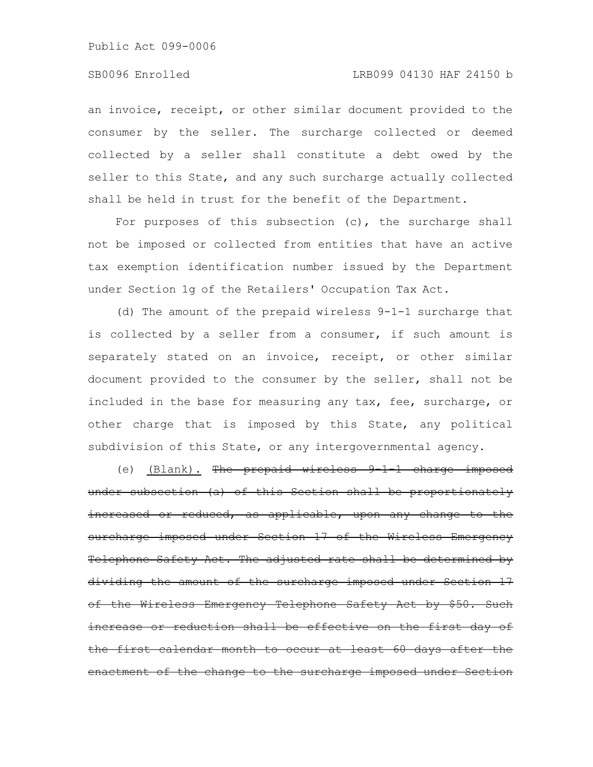## SB0096 Enrolled LRB099 04130 HAF 24150 b

an invoice, receipt, or other similar document provided to the consumer by the seller. The surcharge collected or deemed collected by a seller shall constitute a debt owed by the seller to this State, and any such surcharge actually collected shall be held in trust for the benefit of the Department.

For purposes of this subsection  $(c)$ , the surcharge shall not be imposed or collected from entities that have an active tax exemption identification number issued by the Department under Section 1g of the Retailers' Occupation Tax Act.

(d) The amount of the prepaid wireless 9-1-1 surcharge that is collected by a seller from a consumer, if such amount is separately stated on an invoice, receipt, or other similar document provided to the consumer by the seller, shall not be included in the base for measuring any tax, fee, surcharge, or other charge that is imposed by this State, any political subdivision of this State, or any intergovernmental agency.

(e) (Blank). The prepaid wireless  $9\ 1\ 1$  charge imposed under subsection (a) of this Section shall be proportionately increased or reduced, as applicable, upon any change to the surcharge imposed under Section 17 of the Wireless Emergency Telephone Safety Act. The adjusted rate shall be determined by dividing the amount of the surcharge imposed under Section 17 the Wireless Emergency Telephone Safety Act by \$50. Such reduction shall be effective on the first calendar month to occur at least 60 days after enactment of the change to the surcharge imposed under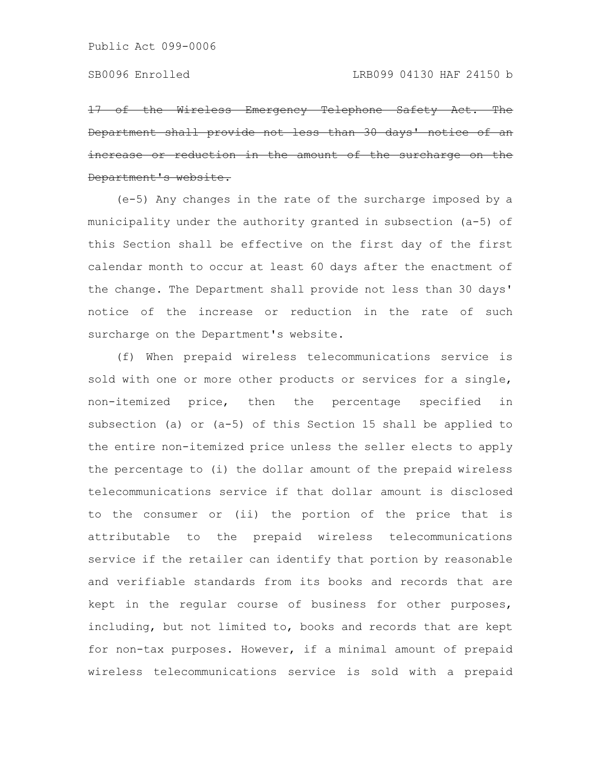17 of the Wireless Emergency Telephone Safety Act. The Department shall provide not less than 30 days' or reduction in the amount of the Department's website.

(e-5) Any changes in the rate of the surcharge imposed by a municipality under the authority granted in subsection (a-5) of this Section shall be effective on the first day of the first calendar month to occur at least 60 days after the enactment of the change. The Department shall provide not less than 30 days' notice of the increase or reduction in the rate of such surcharge on the Department's website.

(f) When prepaid wireless telecommunications service is sold with one or more other products or services for a single, non-itemized price, then the percentage specified in subsection (a) or (a-5) of this Section 15 shall be applied to the entire non-itemized price unless the seller elects to apply the percentage to (i) the dollar amount of the prepaid wireless telecommunications service if that dollar amount is disclosed to the consumer or (ii) the portion of the price that is attributable to the prepaid wireless telecommunications service if the retailer can identify that portion by reasonable and verifiable standards from its books and records that are kept in the regular course of business for other purposes, including, but not limited to, books and records that are kept for non-tax purposes. However, if a minimal amount of prepaid wireless telecommunications service is sold with a prepaid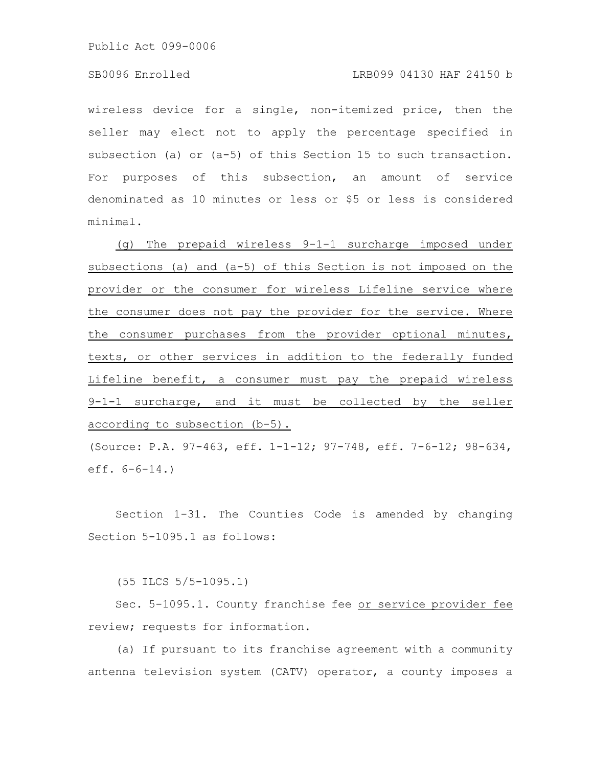## SB0096 Enrolled LRB099 04130 HAF 24150 b

wireless device for a single, non-itemized price, then the seller may elect not to apply the percentage specified in subsection (a) or (a-5) of this Section 15 to such transaction. For purposes of this subsection, an amount of service denominated as 10 minutes or less or \$5 or less is considered minimal.

(g) The prepaid wireless 9-1-1 surcharge imposed under subsections (a) and (a-5) of this Section is not imposed on the provider or the consumer for wireless Lifeline service where the consumer does not pay the provider for the service. Where the consumer purchases from the provider optional minutes, texts, or other services in addition to the federally funded Lifeline benefit, a consumer must pay the prepaid wireless 9-1-1 surcharge, and it must be collected by the seller according to subsection (b-5).

(Source: P.A. 97-463, eff. 1-1-12; 97-748, eff. 7-6-12; 98-634, eff. 6-6-14.)

Section 1-31. The Counties Code is amended by changing Section 5-1095.1 as follows:

(55 ILCS 5/5-1095.1)

Sec. 5-1095.1. County franchise fee or service provider fee review; requests for information.

(a) If pursuant to its franchise agreement with a community antenna television system (CATV) operator, a county imposes a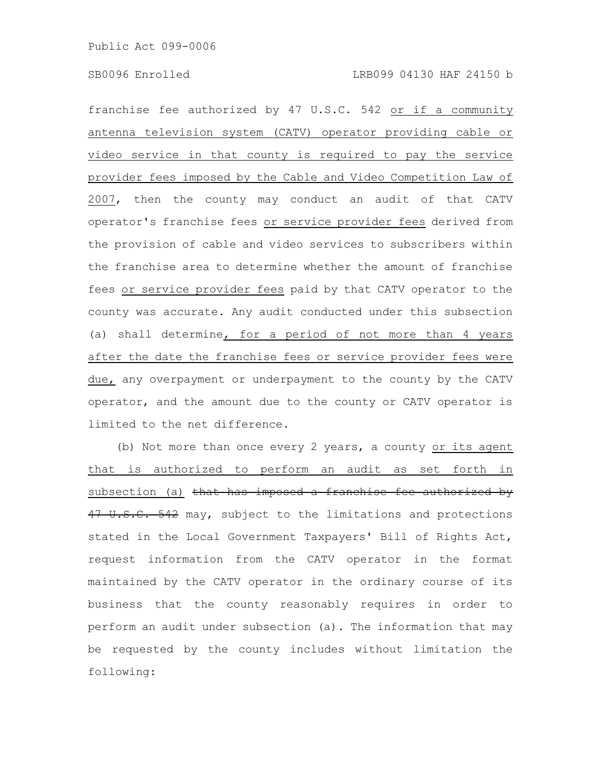franchise fee authorized by 47 U.S.C. 542 or if a community antenna television system (CATV) operator providing cable or video service in that county is required to pay the service provider fees imposed by the Cable and Video Competition Law of 2007, then the county may conduct an audit of that CATV operator's franchise fees or service provider fees derived from the provision of cable and video services to subscribers within the franchise area to determine whether the amount of franchise fees or service provider fees paid by that CATV operator to the county was accurate. Any audit conducted under this subsection (a) shall determine, for a period of not more than 4 years after the date the franchise fees or service provider fees were due, any overpayment or underpayment to the county by the CATV operator, and the amount due to the county or CATV operator is limited to the net difference.

(b) Not more than once every 2 years, a county or its agent that is authorized to perform an audit as set forth in subsection (a) that has imposed a franchise fee authorized by 47 U.S.C. 542 may, subject to the limitations and protections stated in the Local Government Taxpayers' Bill of Rights Act, request information from the CATV operator in the format maintained by the CATV operator in the ordinary course of its business that the county reasonably requires in order to perform an audit under subsection (a). The information that may be requested by the county includes without limitation the following: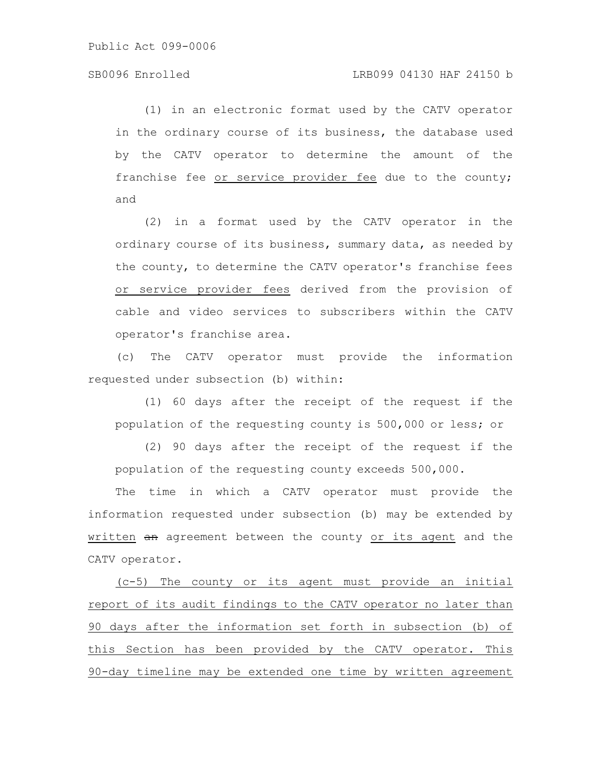(1) in an electronic format used by the CATV operator in the ordinary course of its business, the database used by the CATV operator to determine the amount of the franchise fee or service provider fee due to the county; and

(2) in a format used by the CATV operator in the ordinary course of its business, summary data, as needed by the county, to determine the CATV operator's franchise fees or service provider fees derived from the provision of cable and video services to subscribers within the CATV operator's franchise area.

(c) The CATV operator must provide the information requested under subsection (b) within:

(1) 60 days after the receipt of the request if the population of the requesting county is 500,000 or less; or

(2) 90 days after the receipt of the request if the population of the requesting county exceeds 500,000.

The time in which a CATV operator must provide the information requested under subsection (b) may be extended by written an agreement between the county or its agent and the CATV operator.

(c-5) The county or its agent must provide an initial report of its audit findings to the CATV operator no later than 90 days after the information set forth in subsection (b) of this Section has been provided by the CATV operator. This 90-day timeline may be extended one time by written agreement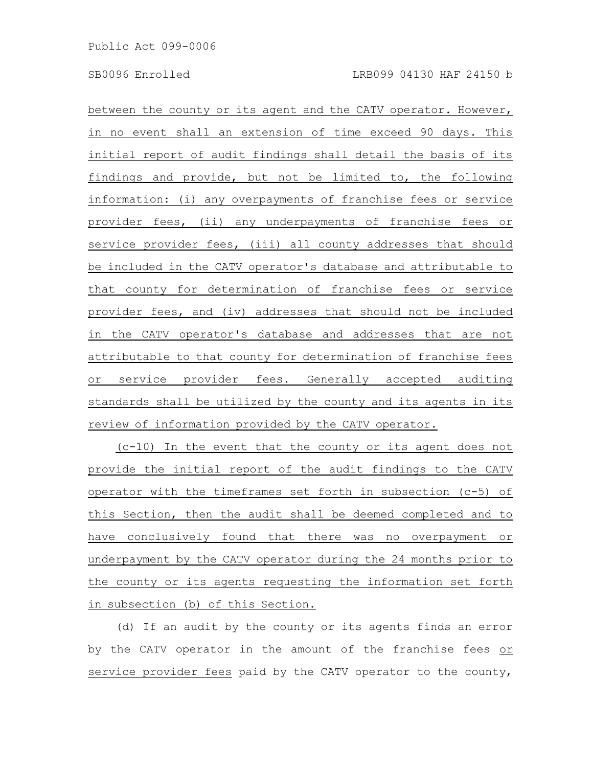between the county or its agent and the CATV operator. However, in no event shall an extension of time exceed 90 days. This initial report of audit findings shall detail the basis of its findings and provide, but not be limited to, the following information: (i) any overpayments of franchise fees or service provider fees, (ii) any underpayments of franchise fees or service provider fees, (iii) all county addresses that should be included in the CATV operator's database and attributable to that county for determination of franchise fees or service provider fees, and (iv) addresses that should not be included in the CATV operator's database and addresses that are not attributable to that county for determination of franchise fees or service provider fees. Generally accepted auditing standards shall be utilized by the county and its agents in its review of information provided by the CATV operator.

(c-10) In the event that the county or its agent does not provide the initial report of the audit findings to the CATV operator with the timeframes set forth in subsection (c-5) of this Section, then the audit shall be deemed completed and to have conclusively found that there was no overpayment or underpayment by the CATV operator during the 24 months prior to the county or its agents requesting the information set forth in subsection (b) of this Section.

(d) If an audit by the county or its agents finds an error by the CATV operator in the amount of the franchise fees or service provider fees paid by the CATV operator to the county,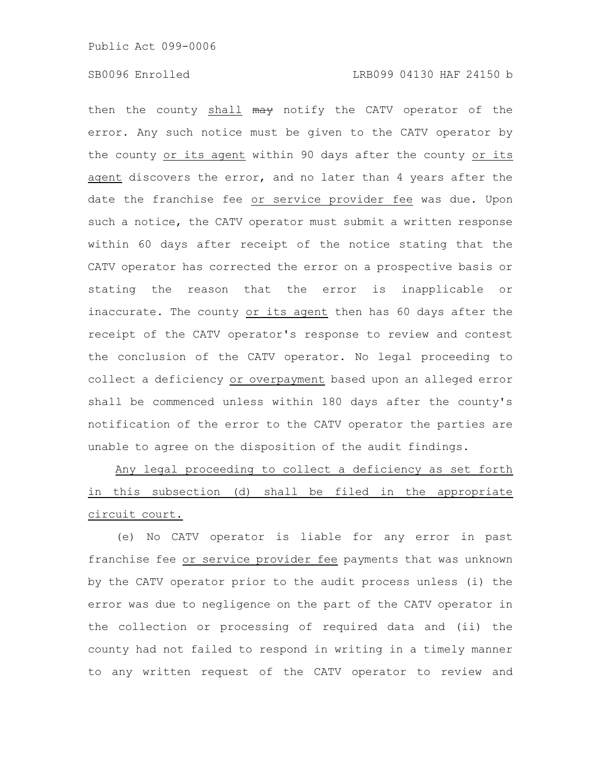then the county shall may notify the CATV operator of the error. Any such notice must be given to the CATV operator by the county or its agent within 90 days after the county or its agent discovers the error, and no later than 4 years after the date the franchise fee or service provider fee was due. Upon such a notice, the CATV operator must submit a written response within 60 days after receipt of the notice stating that the CATV operator has corrected the error on a prospective basis or stating the reason that the error is inapplicable or inaccurate. The county or its agent then has 60 days after the receipt of the CATV operator's response to review and contest the conclusion of the CATV operator. No legal proceeding to collect a deficiency or overpayment based upon an alleged error shall be commenced unless within 180 days after the county's notification of the error to the CATV operator the parties are unable to agree on the disposition of the audit findings.

Any legal proceeding to collect a deficiency as set forth in this subsection (d) shall be filed in the appropriate circuit court.

(e) No CATV operator is liable for any error in past franchise fee or service provider fee payments that was unknown by the CATV operator prior to the audit process unless (i) the error was due to negligence on the part of the CATV operator in the collection or processing of required data and (ii) the county had not failed to respond in writing in a timely manner to any written request of the CATV operator to review and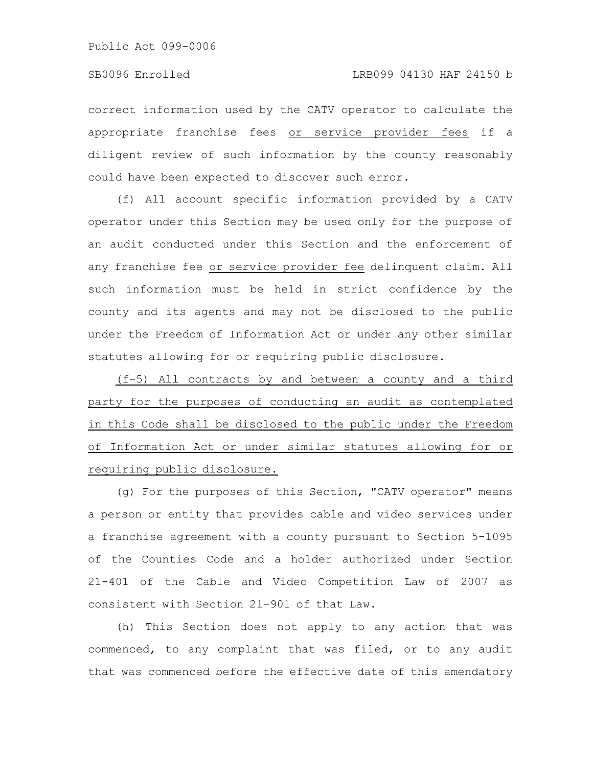correct information used by the CATV operator to calculate the appropriate franchise fees or service provider fees if a diligent review of such information by the county reasonably could have been expected to discover such error.

(f) All account specific information provided by a CATV operator under this Section may be used only for the purpose of an audit conducted under this Section and the enforcement of any franchise fee or service provider fee delinquent claim. All such information must be held in strict confidence by the county and its agents and may not be disclosed to the public under the Freedom of Information Act or under any other similar statutes allowing for or requiring public disclosure.

(f-5) All contracts by and between a county and a third party for the purposes of conducting an audit as contemplated in this Code shall be disclosed to the public under the Freedom of Information Act or under similar statutes allowing for or requiring public disclosure.

(g) For the purposes of this Section, "CATV operator" means a person or entity that provides cable and video services under a franchise agreement with a county pursuant to Section 5-1095 of the Counties Code and a holder authorized under Section 21-401 of the Cable and Video Competition Law of 2007 as consistent with Section 21-901 of that Law.

(h) This Section does not apply to any action that was commenced, to any complaint that was filed, or to any audit that was commenced before the effective date of this amendatory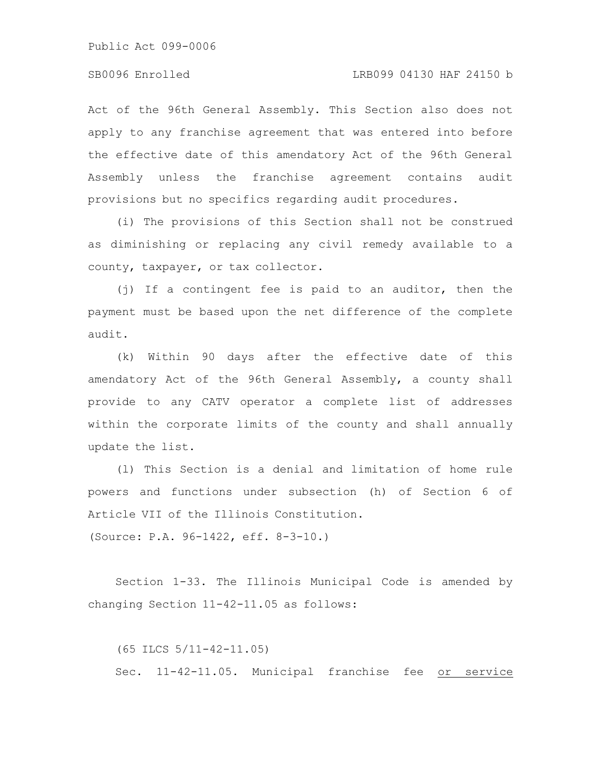Act of the 96th General Assembly. This Section also does not apply to any franchise agreement that was entered into before the effective date of this amendatory Act of the 96th General Assembly unless the franchise agreement contains audit provisions but no specifics regarding audit procedures.

(i) The provisions of this Section shall not be construed as diminishing or replacing any civil remedy available to a county, taxpayer, or tax collector.

(j) If a contingent fee is paid to an auditor, then the payment must be based upon the net difference of the complete audit.

(k) Within 90 days after the effective date of this amendatory Act of the 96th General Assembly, a county shall provide to any CATV operator a complete list of addresses within the corporate limits of the county and shall annually update the list.

(l) This Section is a denial and limitation of home rule powers and functions under subsection (h) of Section 6 of Article VII of the Illinois Constitution.

(Source: P.A. 96-1422, eff. 8-3-10.)

Section 1-33. The Illinois Municipal Code is amended by changing Section 11-42-11.05 as follows:

(65 ILCS 5/11-42-11.05) Sec. 11-42-11.05. Municipal franchise fee or service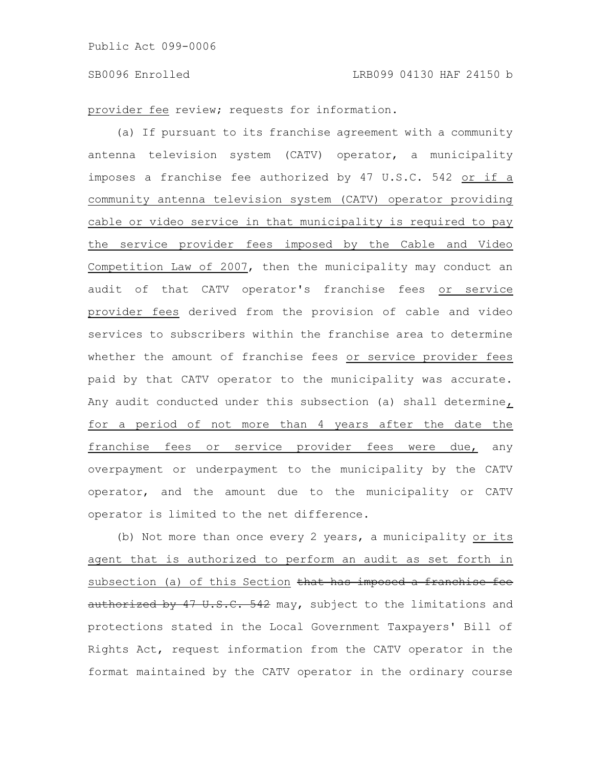provider fee review; requests for information.

(a) If pursuant to its franchise agreement with a community antenna television system (CATV) operator, a municipality imposes a franchise fee authorized by 47 U.S.C. 542 or if a community antenna television system (CATV) operator providing cable or video service in that municipality is required to pay the service provider fees imposed by the Cable and Video Competition Law of 2007, then the municipality may conduct an audit of that CATV operator's franchise fees or service provider fees derived from the provision of cable and video services to subscribers within the franchise area to determine whether the amount of franchise fees or service provider fees paid by that CATV operator to the municipality was accurate. Any audit conducted under this subsection (a) shall determine, for a period of not more than 4 years after the date the franchise fees or service provider fees were due, any overpayment or underpayment to the municipality by the CATV operator, and the amount due to the municipality or CATV operator is limited to the net difference.

(b) Not more than once every 2 years, a municipality or its agent that is authorized to perform an audit as set forth in subsection (a) of this Section that has imposed a franchise fee authorized by 47 U.S.C. 542 may, subject to the limitations and protections stated in the Local Government Taxpayers' Bill of Rights Act, request information from the CATV operator in the format maintained by the CATV operator in the ordinary course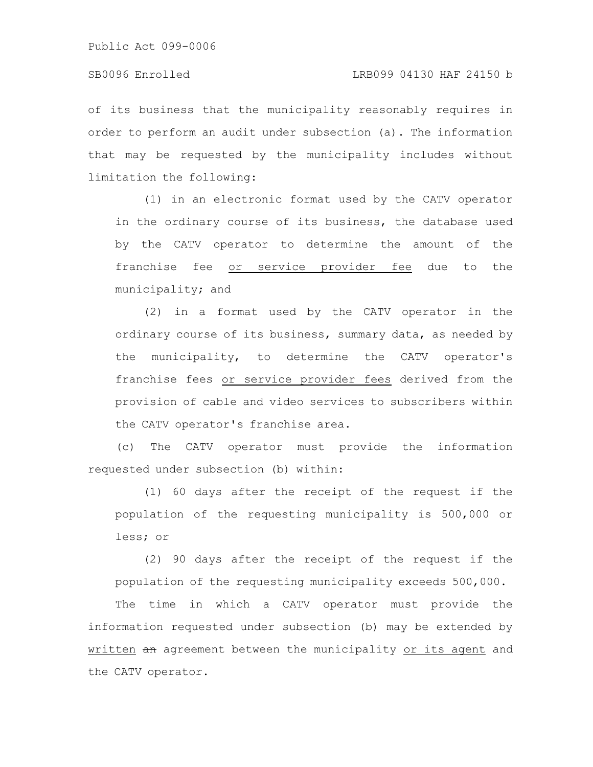of its business that the municipality reasonably requires in order to perform an audit under subsection (a). The information that may be requested by the municipality includes without limitation the following:

(1) in an electronic format used by the CATV operator in the ordinary course of its business, the database used by the CATV operator to determine the amount of the franchise fee or service provider fee due to the municipality; and

(2) in a format used by the CATV operator in the ordinary course of its business, summary data, as needed by the municipality, to determine the CATV operator's franchise fees or service provider fees derived from the provision of cable and video services to subscribers within the CATV operator's franchise area.

(c) The CATV operator must provide the information requested under subsection (b) within:

(1) 60 days after the receipt of the request if the population of the requesting municipality is 500,000 or less; or

(2) 90 days after the receipt of the request if the population of the requesting municipality exceeds 500,000.

The time in which a CATV operator must provide the information requested under subsection (b) may be extended by written an agreement between the municipality or its agent and the CATV operator.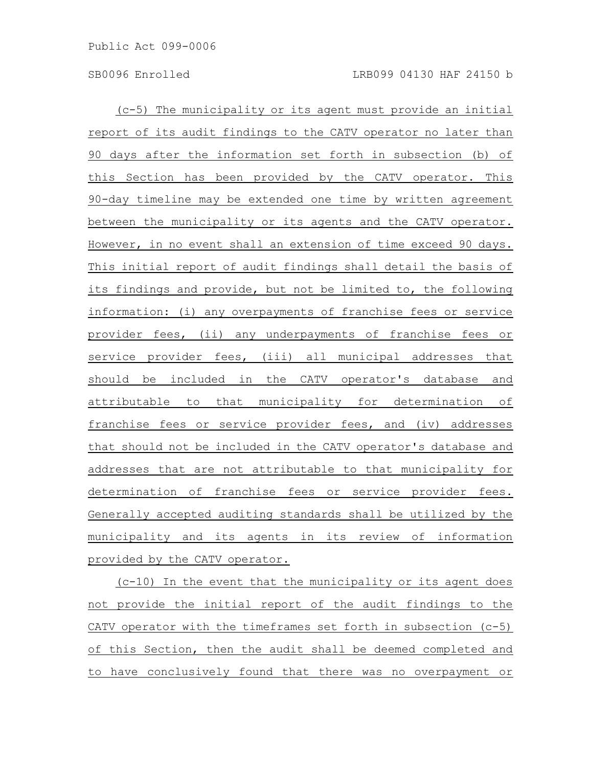(c-5) The municipality or its agent must provide an initial report of its audit findings to the CATV operator no later than 90 days after the information set forth in subsection (b) of this Section has been provided by the CATV operator. This 90-day timeline may be extended one time by written agreement between the municipality or its agents and the CATV operator. However, in no event shall an extension of time exceed 90 days. This initial report of audit findings shall detail the basis of its findings and provide, but not be limited to, the following information: (i) any overpayments of franchise fees or service provider fees, (ii) any underpayments of franchise fees or service provider fees, (iii) all municipal addresses that should be included in the CATV operator's database and attributable to that municipality for determination of franchise fees or service provider fees, and (iv) addresses that should not be included in the CATV operator's database and addresses that are not attributable to that municipality for determination of franchise fees or service provider fees. Generally accepted auditing standards shall be utilized by the municipality and its agents in its review of information provided by the CATV operator.

(c-10) In the event that the municipality or its agent does not provide the initial report of the audit findings to the CATV operator with the timeframes set forth in subsection (c-5) of this Section, then the audit shall be deemed completed and to have conclusively found that there was no overpayment or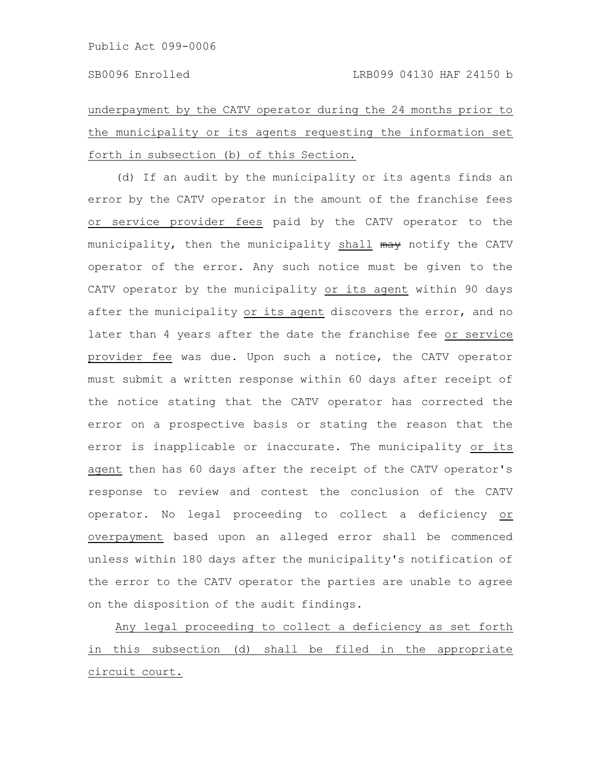underpayment by the CATV operator during the 24 months prior to the municipality or its agents requesting the information set forth in subsection (b) of this Section.

(d) If an audit by the municipality or its agents finds an error by the CATV operator in the amount of the franchise fees or service provider fees paid by the CATV operator to the municipality, then the municipality shall may notify the CATV operator of the error. Any such notice must be given to the CATV operator by the municipality or its agent within 90 days after the municipality or its agent discovers the error, and no later than 4 years after the date the franchise fee or service provider fee was due. Upon such a notice, the CATV operator must submit a written response within 60 days after receipt of the notice stating that the CATV operator has corrected the error on a prospective basis or stating the reason that the error is inapplicable or inaccurate. The municipality or its agent then has 60 days after the receipt of the CATV operator's response to review and contest the conclusion of the CATV operator. No legal proceeding to collect a deficiency or overpayment based upon an alleged error shall be commenced unless within 180 days after the municipality's notification of the error to the CATV operator the parties are unable to agree on the disposition of the audit findings.

Any legal proceeding to collect a deficiency as set forth in this subsection (d) shall be filed in the appropriate circuit court.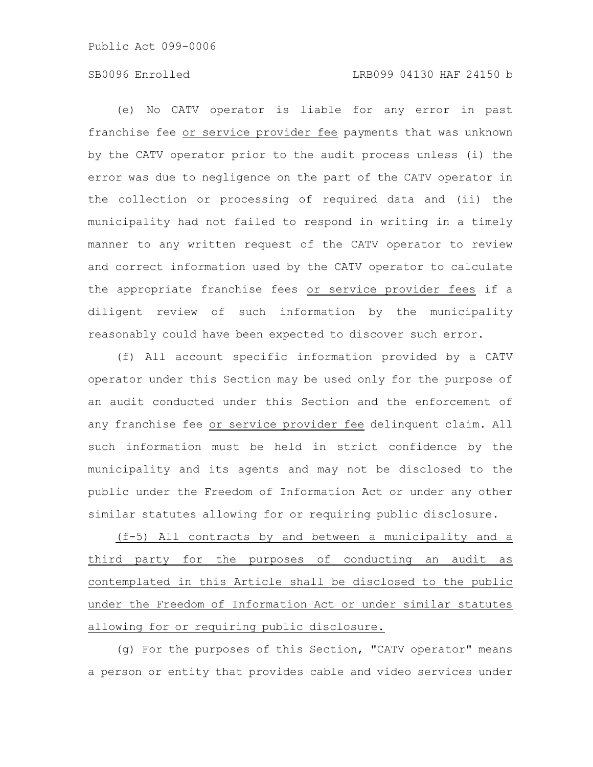# SB0096 Enrolled LRB099 04130 HAF 24150 b

(e) No CATV operator is liable for any error in past franchise fee or service provider fee payments that was unknown by the CATV operator prior to the audit process unless (i) the error was due to negligence on the part of the CATV operator in the collection or processing of required data and (ii) the municipality had not failed to respond in writing in a timely manner to any written request of the CATV operator to review and correct information used by the CATV operator to calculate the appropriate franchise fees or service provider fees if a diligent review of such information by the municipality reasonably could have been expected to discover such error.

(f) All account specific information provided by a CATV operator under this Section may be used only for the purpose of an audit conducted under this Section and the enforcement of any franchise fee or service provider fee delinquent claim. All such information must be held in strict confidence by the municipality and its agents and may not be disclosed to the public under the Freedom of Information Act or under any other similar statutes allowing for or requiring public disclosure.

(f-5) All contracts by and between a municipality and a third party for the purposes of conducting an audit as contemplated in this Article shall be disclosed to the public under the Freedom of Information Act or under similar statutes allowing for or requiring public disclosure.

(g) For the purposes of this Section, "CATV operator" means a person or entity that provides cable and video services under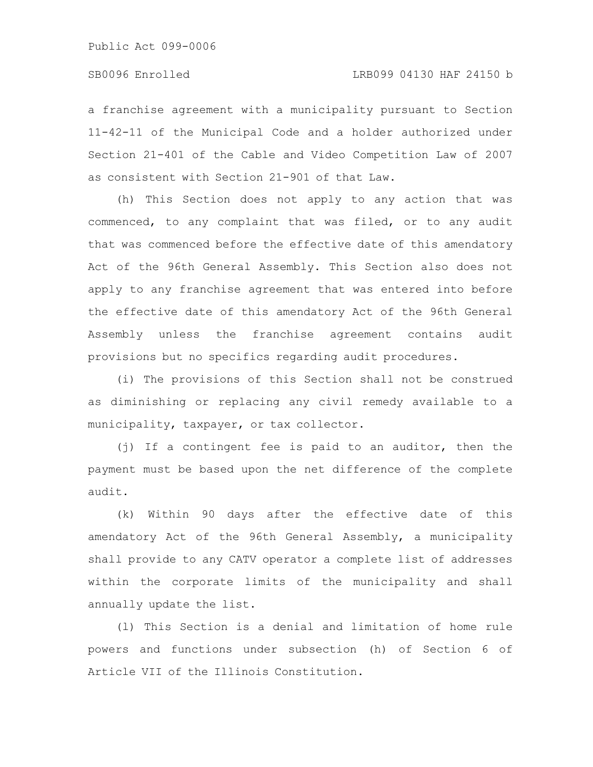a franchise agreement with a municipality pursuant to Section 11-42-11 of the Municipal Code and a holder authorized under Section 21-401 of the Cable and Video Competition Law of 2007 as consistent with Section 21-901 of that Law.

(h) This Section does not apply to any action that was commenced, to any complaint that was filed, or to any audit that was commenced before the effective date of this amendatory Act of the 96th General Assembly. This Section also does not apply to any franchise agreement that was entered into before the effective date of this amendatory Act of the 96th General Assembly unless the franchise agreement contains audit provisions but no specifics regarding audit procedures.

(i) The provisions of this Section shall not be construed as diminishing or replacing any civil remedy available to a municipality, taxpayer, or tax collector.

(j) If a contingent fee is paid to an auditor, then the payment must be based upon the net difference of the complete audit.

(k) Within 90 days after the effective date of this amendatory Act of the 96th General Assembly, a municipality shall provide to any CATV operator a complete list of addresses within the corporate limits of the municipality and shall annually update the list.

(l) This Section is a denial and limitation of home rule powers and functions under subsection (h) of Section 6 of Article VII of the Illinois Constitution.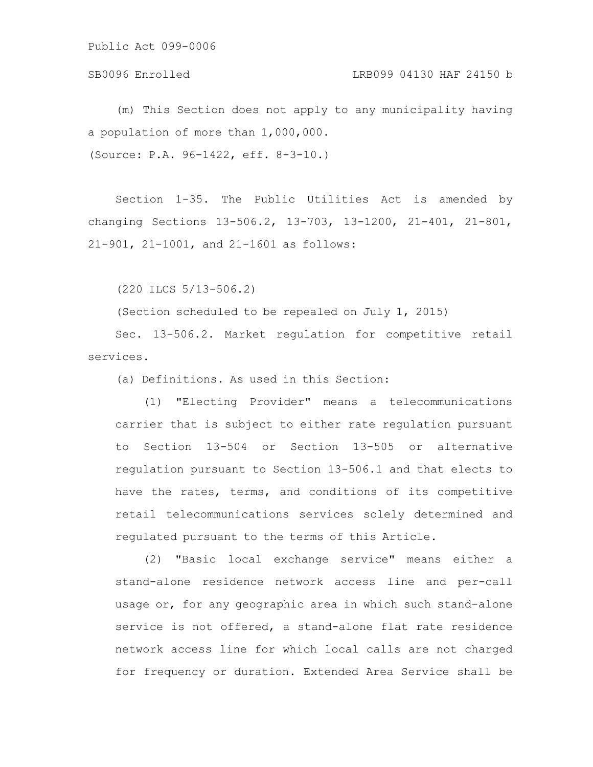## SB0096 Enrolled LRB099 04130 HAF 24150 b

(m) This Section does not apply to any municipality having a population of more than 1,000,000. (Source: P.A. 96-1422, eff. 8-3-10.)

Section 1-35. The Public Utilities Act is amended by changing Sections 13-506.2, 13-703, 13-1200, 21-401, 21-801, 21-901, 21-1001, and 21-1601 as follows:

(220 ILCS 5/13-506.2)

(Section scheduled to be repealed on July 1, 2015)

Sec. 13-506.2. Market regulation for competitive retail services.

(a) Definitions. As used in this Section:

(1) "Electing Provider" means a telecommunications carrier that is subject to either rate regulation pursuant to Section 13-504 or Section 13-505 or alternative regulation pursuant to Section 13-506.1 and that elects to have the rates, terms, and conditions of its competitive retail telecommunications services solely determined and regulated pursuant to the terms of this Article.

(2) "Basic local exchange service" means either a stand-alone residence network access line and per-call usage or, for any geographic area in which such stand-alone service is not offered, a stand-alone flat rate residence network access line for which local calls are not charged for frequency or duration. Extended Area Service shall be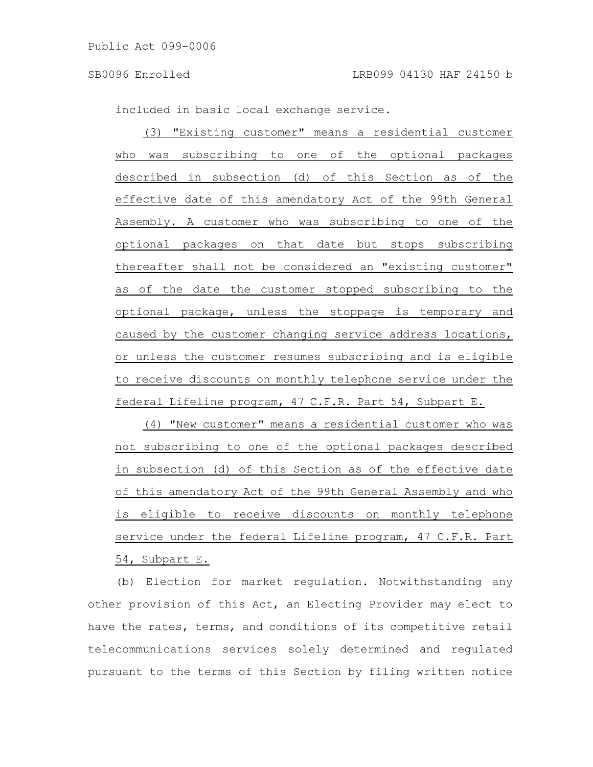included in basic local exchange service.

(3) "Existing customer" means a residential customer who was subscribing to one of the optional packages described in subsection (d) of this Section as of the effective date of this amendatory Act of the 99th General Assembly. A customer who was subscribing to one of the optional packages on that date but stops subscribing thereafter shall not be considered an "existing customer" as of the date the customer stopped subscribing to the optional package, unless the stoppage is temporary and caused by the customer changing service address locations, or unless the customer resumes subscribing and is eligible to receive discounts on monthly telephone service under the federal Lifeline program, 47 C.F.R. Part 54, Subpart E.

(4) "New customer" means a residential customer who was not subscribing to one of the optional packages described in subsection (d) of this Section as of the effective date of this amendatory Act of the 99th General Assembly and who is eligible to receive discounts on monthly telephone service under the federal Lifeline program, 47 C.F.R. Part 54, Subpart E.

(b) Election for market regulation. Notwithstanding any other provision of this Act, an Electing Provider may elect to have the rates, terms, and conditions of its competitive retail telecommunications services solely determined and regulated pursuant to the terms of this Section by filing written notice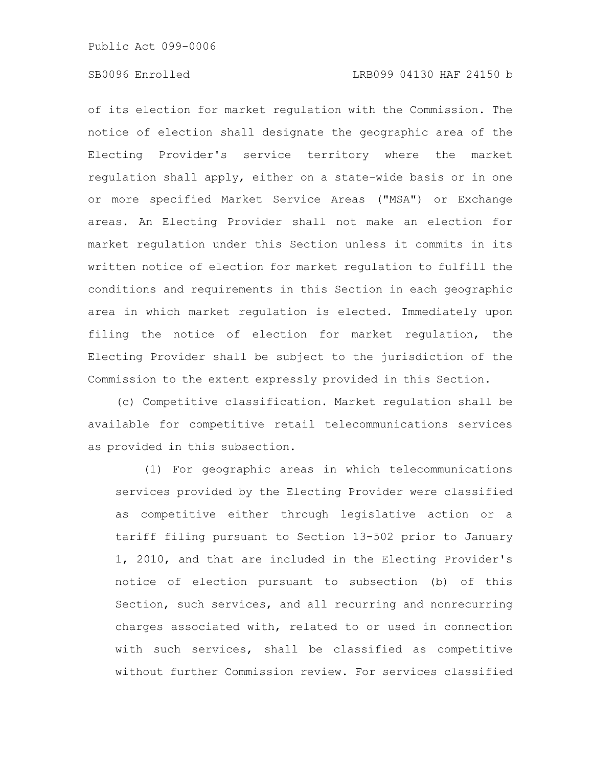of its election for market regulation with the Commission. The notice of election shall designate the geographic area of the Electing Provider's service territory where the market regulation shall apply, either on a state-wide basis or in one or more specified Market Service Areas ("MSA") or Exchange areas. An Electing Provider shall not make an election for market regulation under this Section unless it commits in its written notice of election for market regulation to fulfill the conditions and requirements in this Section in each geographic area in which market regulation is elected. Immediately upon filing the notice of election for market regulation, the Electing Provider shall be subject to the jurisdiction of the Commission to the extent expressly provided in this Section.

(c) Competitive classification. Market regulation shall be available for competitive retail telecommunications services as provided in this subsection.

(1) For geographic areas in which telecommunications services provided by the Electing Provider were classified as competitive either through legislative action or a tariff filing pursuant to Section 13-502 prior to January 1, 2010, and that are included in the Electing Provider's notice of election pursuant to subsection (b) of this Section, such services, and all recurring and nonrecurring charges associated with, related to or used in connection with such services, shall be classified as competitive without further Commission review. For services classified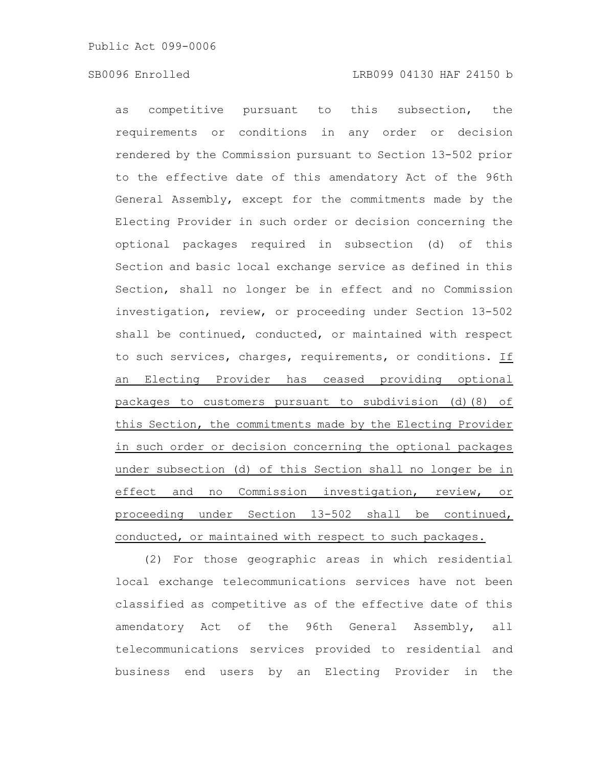# SB0096 Enrolled LRB099 04130 HAF 24150 b

as competitive pursuant to this subsection, the requirements or conditions in any order or decision rendered by the Commission pursuant to Section 13-502 prior to the effective date of this amendatory Act of the 96th General Assembly, except for the commitments made by the Electing Provider in such order or decision concerning the optional packages required in subsection (d) of this Section and basic local exchange service as defined in this Section, shall no longer be in effect and no Commission investigation, review, or proceeding under Section 13-502 shall be continued, conducted, or maintained with respect to such services, charges, requirements, or conditions. If an Electing Provider has ceased providing optional packages to customers pursuant to subdivision (d)(8) of this Section, the commitments made by the Electing Provider in such order or decision concerning the optional packages under subsection (d) of this Section shall no longer be in effect and no Commission investigation, review, or proceeding under Section 13-502 shall be continued, conducted, or maintained with respect to such packages.

(2) For those geographic areas in which residential local exchange telecommunications services have not been classified as competitive as of the effective date of this amendatory Act of the 96th General Assembly, all telecommunications services provided to residential and business end users by an Electing Provider in the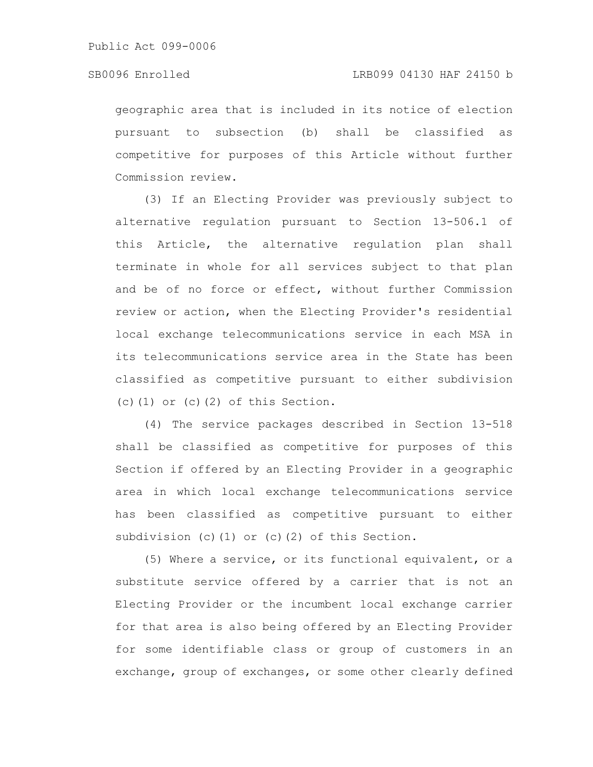geographic area that is included in its notice of election pursuant to subsection (b) shall be classified as competitive for purposes of this Article without further Commission review.

(3) If an Electing Provider was previously subject to alternative regulation pursuant to Section 13-506.1 of this Article, the alternative regulation plan shall terminate in whole for all services subject to that plan and be of no force or effect, without further Commission review or action, when the Electing Provider's residential local exchange telecommunications service in each MSA in its telecommunications service area in the State has been classified as competitive pursuant to either subdivision  $(c)$  (1) or  $(c)$  (2) of this Section.

(4) The service packages described in Section 13-518 shall be classified as competitive for purposes of this Section if offered by an Electing Provider in a geographic area in which local exchange telecommunications service has been classified as competitive pursuant to either subdivision (c)(1) or (c)(2) of this Section.

(5) Where a service, or its functional equivalent, or a substitute service offered by a carrier that is not an Electing Provider or the incumbent local exchange carrier for that area is also being offered by an Electing Provider for some identifiable class or group of customers in an exchange, group of exchanges, or some other clearly defined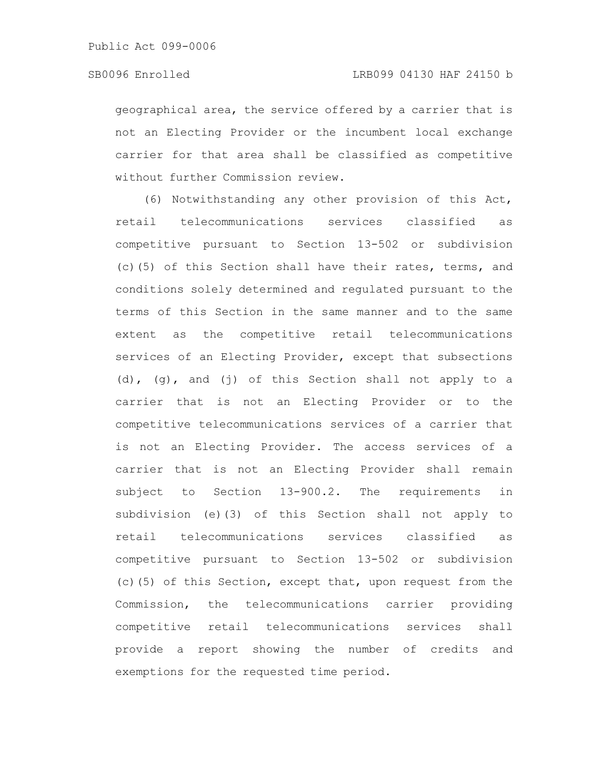geographical area, the service offered by a carrier that is not an Electing Provider or the incumbent local exchange carrier for that area shall be classified as competitive without further Commission review.

(6) Notwithstanding any other provision of this Act, retail telecommunications services classified as competitive pursuant to Section 13-502 or subdivision (c)(5) of this Section shall have their rates, terms, and conditions solely determined and regulated pursuant to the terms of this Section in the same manner and to the same extent as the competitive retail telecommunications services of an Electing Provider, except that subsections (d), (g), and (j) of this Section shall not apply to a carrier that is not an Electing Provider or to the competitive telecommunications services of a carrier that is not an Electing Provider. The access services of a carrier that is not an Electing Provider shall remain subject to Section 13-900.2. The requirements in subdivision (e)(3) of this Section shall not apply to retail telecommunications services classified as competitive pursuant to Section 13-502 or subdivision (c)(5) of this Section, except that, upon request from the Commission, the telecommunications carrier providing competitive retail telecommunications services shall provide a report showing the number of credits and exemptions for the requested time period.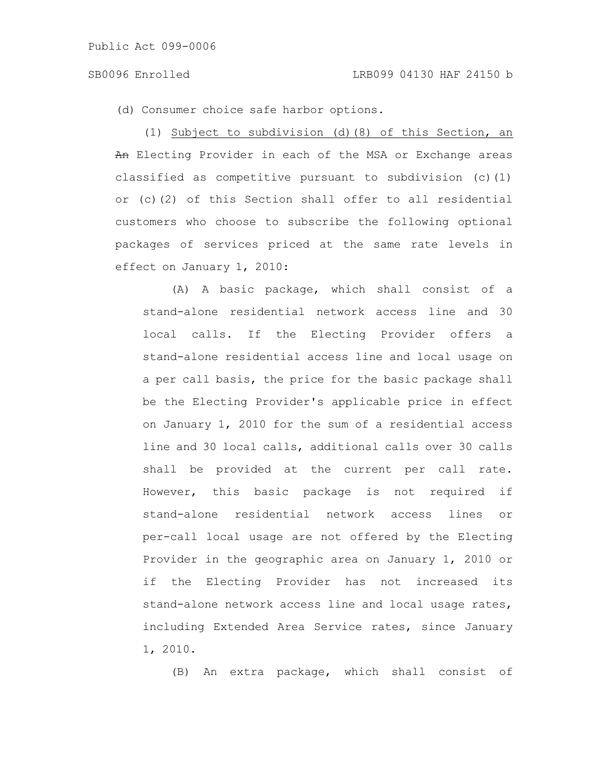(d) Consumer choice safe harbor options.

(1) Subject to subdivision (d)(8) of this Section, an An Electing Provider in each of the MSA or Exchange areas classified as competitive pursuant to subdivision (c)(1) or (c)(2) of this Section shall offer to all residential customers who choose to subscribe the following optional packages of services priced at the same rate levels in effect on January 1, 2010:

(A) A basic package, which shall consist of a stand-alone residential network access line and 30 local calls. If the Electing Provider offers a stand-alone residential access line and local usage on a per call basis, the price for the basic package shall be the Electing Provider's applicable price in effect on January 1, 2010 for the sum of a residential access line and 30 local calls, additional calls over 30 calls shall be provided at the current per call rate. However, this basic package is not required if stand-alone residential network access lines or per-call local usage are not offered by the Electing Provider in the geographic area on January 1, 2010 or if the Electing Provider has not increased its stand-alone network access line and local usage rates, including Extended Area Service rates, since January 1, 2010.

(B) An extra package, which shall consist of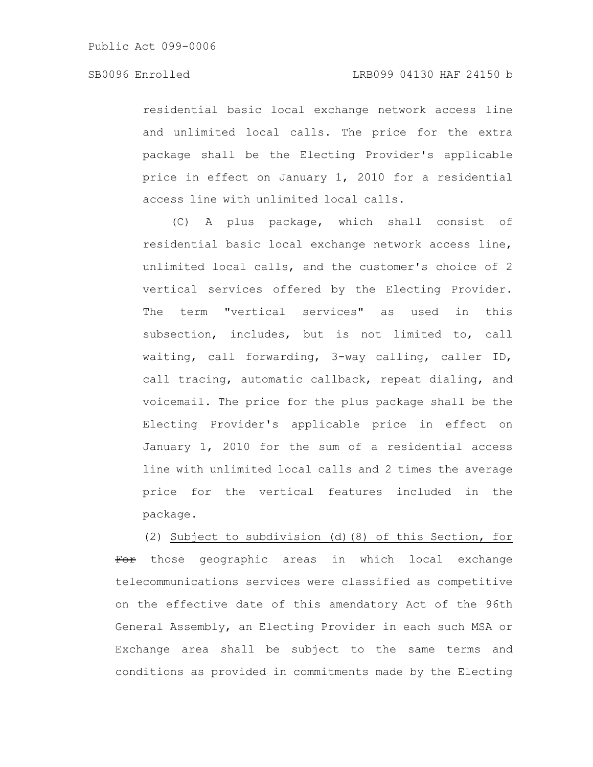residential basic local exchange network access line and unlimited local calls. The price for the extra package shall be the Electing Provider's applicable price in effect on January 1, 2010 for a residential access line with unlimited local calls.

(C) A plus package, which shall consist of residential basic local exchange network access line, unlimited local calls, and the customer's choice of 2 vertical services offered by the Electing Provider. The term "vertical services" as used in this subsection, includes, but is not limited to, call waiting, call forwarding, 3-way calling, caller ID, call tracing, automatic callback, repeat dialing, and voicemail. The price for the plus package shall be the Electing Provider's applicable price in effect on January 1, 2010 for the sum of a residential access line with unlimited local calls and 2 times the average price for the vertical features included in the package.

(2) Subject to subdivision (d)(8) of this Section, for For those geographic areas in which local exchange telecommunications services were classified as competitive on the effective date of this amendatory Act of the 96th General Assembly, an Electing Provider in each such MSA or Exchange area shall be subject to the same terms and conditions as provided in commitments made by the Electing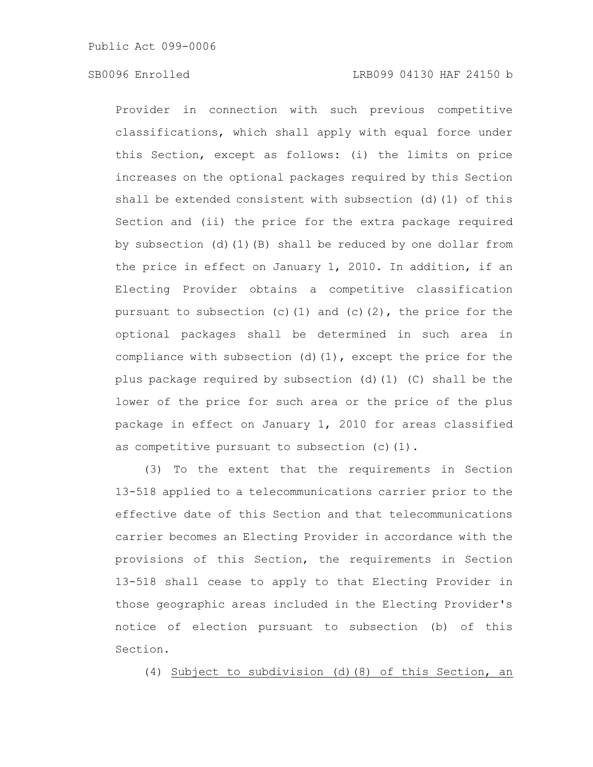Provider in connection with such previous competitive classifications, which shall apply with equal force under this Section, except as follows: (i) the limits on price increases on the optional packages required by this Section shall be extended consistent with subsection (d)(1) of this Section and (ii) the price for the extra package required by subsection (d)(1)(B) shall be reduced by one dollar from the price in effect on January 1, 2010. In addition, if an Electing Provider obtains a competitive classification pursuant to subsection (c)(1) and (c)(2), the price for the optional packages shall be determined in such area in compliance with subsection (d)(1), except the price for the plus package required by subsection (d)(1) (C) shall be the lower of the price for such area or the price of the plus package in effect on January 1, 2010 for areas classified as competitive pursuant to subsection (c)(1).

(3) To the extent that the requirements in Section 13-518 applied to a telecommunications carrier prior to the effective date of this Section and that telecommunications carrier becomes an Electing Provider in accordance with the provisions of this Section, the requirements in Section 13-518 shall cease to apply to that Electing Provider in those geographic areas included in the Electing Provider's notice of election pursuant to subsection (b) of this Section.

(4) Subject to subdivision (d)(8) of this Section, an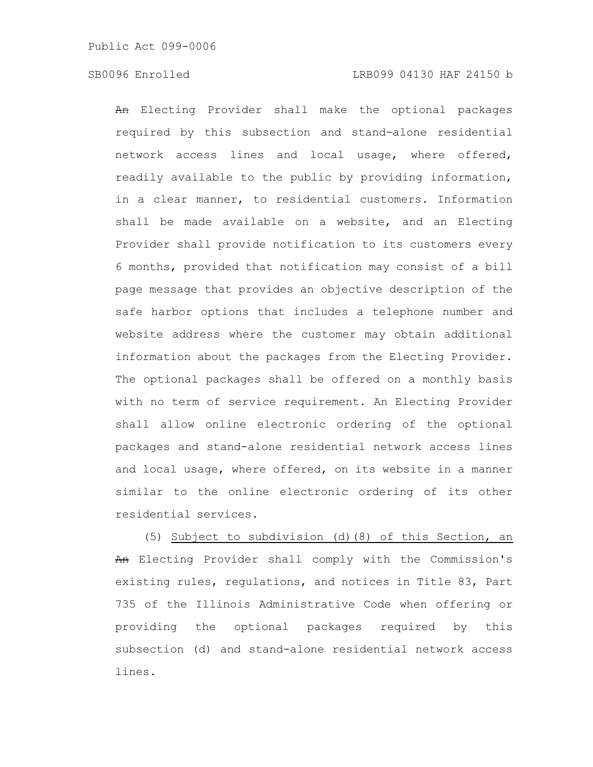An Electing Provider shall make the optional packages required by this subsection and stand-alone residential network access lines and local usage, where offered, readily available to the public by providing information, in a clear manner, to residential customers. Information shall be made available on a website, and an Electing Provider shall provide notification to its customers every 6 months, provided that notification may consist of a bill page message that provides an objective description of the safe harbor options that includes a telephone number and website address where the customer may obtain additional information about the packages from the Electing Provider. The optional packages shall be offered on a monthly basis with no term of service requirement. An Electing Provider shall allow online electronic ordering of the optional packages and stand-alone residential network access lines and local usage, where offered, on its website in a manner similar to the online electronic ordering of its other residential services.

(5) Subject to subdivision (d)(8) of this Section, an An Electing Provider shall comply with the Commission's existing rules, regulations, and notices in Title 83, Part 735 of the Illinois Administrative Code when offering or providing the optional packages required by this subsection (d) and stand-alone residential network access lines.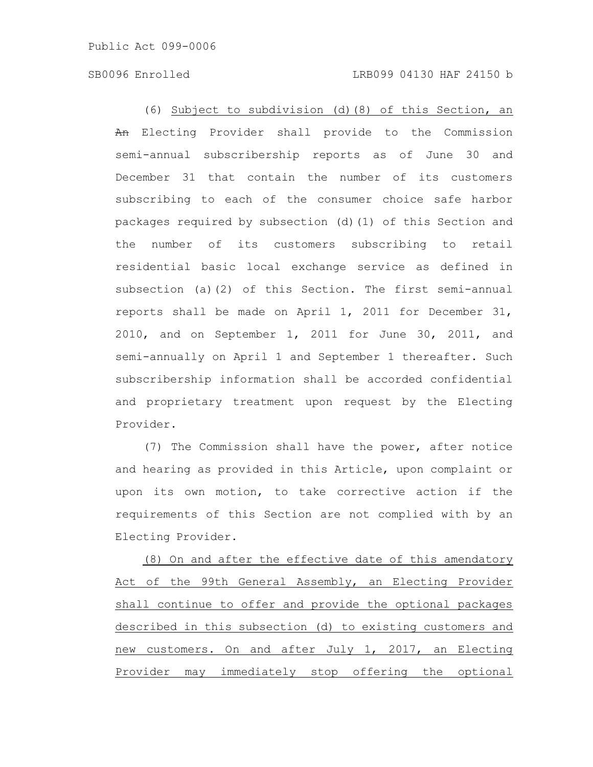(6) Subject to subdivision (d)(8) of this Section, an An Electing Provider shall provide to the Commission semi-annual subscribership reports as of June 30 and December 31 that contain the number of its customers subscribing to each of the consumer choice safe harbor packages required by subsection (d)(1) of this Section and the number of its customers subscribing to retail residential basic local exchange service as defined in subsection (a)(2) of this Section. The first semi-annual reports shall be made on April 1, 2011 for December 31, 2010, and on September 1, 2011 for June 30, 2011, and semi-annually on April 1 and September 1 thereafter. Such subscribership information shall be accorded confidential and proprietary treatment upon request by the Electing Provider.

(7) The Commission shall have the power, after notice and hearing as provided in this Article, upon complaint or upon its own motion, to take corrective action if the requirements of this Section are not complied with by an Electing Provider.

(8) On and after the effective date of this amendatory Act of the 99th General Assembly, an Electing Provider shall continue to offer and provide the optional packages described in this subsection (d) to existing customers and new customers. On and after July 1, 2017, an Electing Provider may immediately stop offering the optional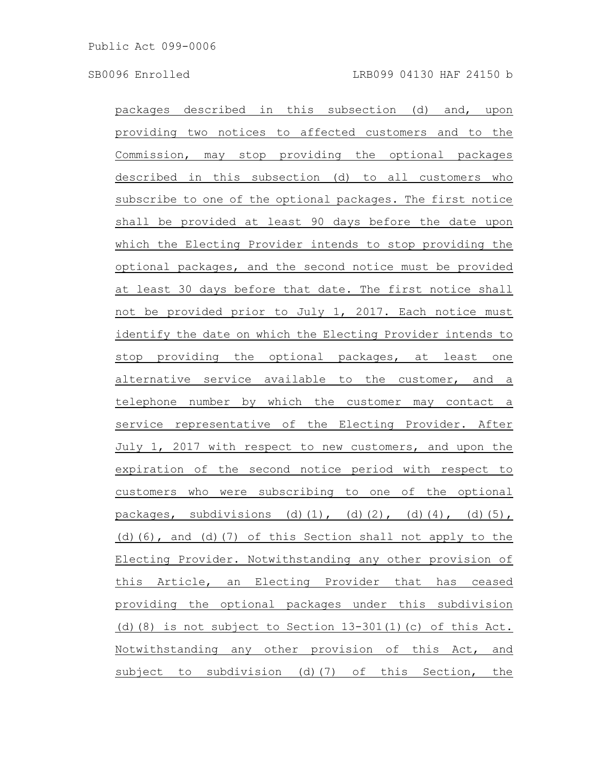packages described in this subsection (d) and, upon providing two notices to affected customers and to the Commission, may stop providing the optional packages described in this subsection (d) to all customers who subscribe to one of the optional packages. The first notice shall be provided at least 90 days before the date upon which the Electing Provider intends to stop providing the optional packages, and the second notice must be provided at least 30 days before that date. The first notice shall not be provided prior to July 1, 2017. Each notice must identify the date on which the Electing Provider intends to stop providing the optional packages, at least one alternative service available to the customer, and a telephone number by which the customer may contact a service representative of the Electing Provider. After July 1, 2017 with respect to new customers, and upon the expiration of the second notice period with respect to customers who were subscribing to one of the optional packages, subdivisions (d)(1), (d)(2), (d)(4), (d)(5), (d)(6), and (d)(7) of this Section shall not apply to the Electing Provider. Notwithstanding any other provision of this Article, an Electing Provider that has ceased providing the optional packages under this subdivision (d)(8) is not subject to Section  $13-301(1)$  (c) of this Act. Notwithstanding any other provision of this Act, and subject to subdivision (d)(7) of this Section, the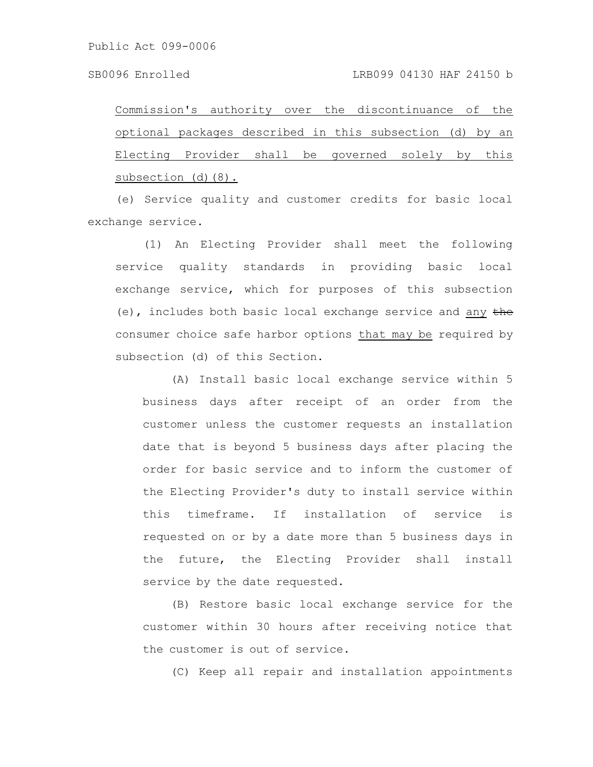Commission's authority over the discontinuance of the optional packages described in this subsection (d) by an Electing Provider shall be governed solely by this subsection (d)(8).

(e) Service quality and customer credits for basic local exchange service.

(1) An Electing Provider shall meet the following service quality standards in providing basic local exchange service, which for purposes of this subsection (e), includes both basic local exchange service and any  $the$ consumer choice safe harbor options that may be required by subsection (d) of this Section.

(A) Install basic local exchange service within 5 business days after receipt of an order from the customer unless the customer requests an installation date that is beyond 5 business days after placing the order for basic service and to inform the customer of the Electing Provider's duty to install service within this timeframe. If installation of service is requested on or by a date more than 5 business days in the future, the Electing Provider shall install service by the date requested.

(B) Restore basic local exchange service for the customer within 30 hours after receiving notice that the customer is out of service.

(C) Keep all repair and installation appointments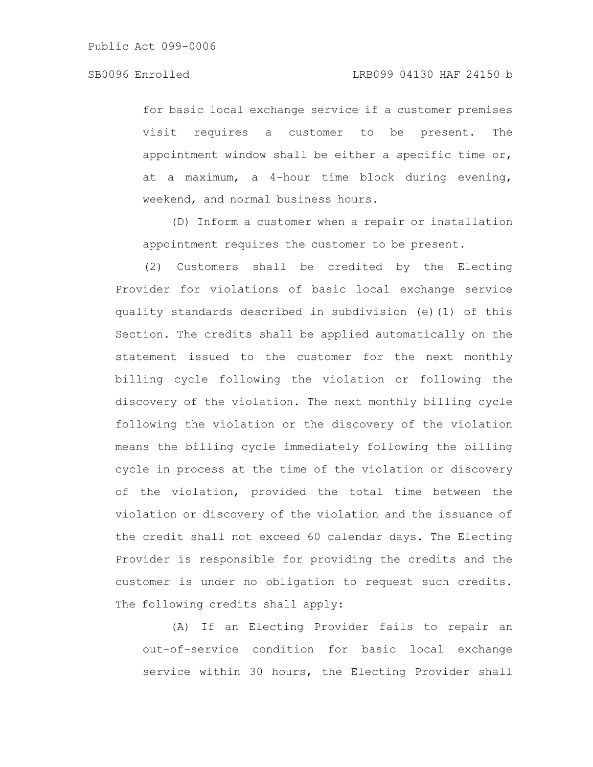for basic local exchange service if a customer premises visit requires a customer to be present. The appointment window shall be either a specific time or, at a maximum, a 4-hour time block during evening, weekend, and normal business hours.

(D) Inform a customer when a repair or installation appointment requires the customer to be present.

(2) Customers shall be credited by the Electing Provider for violations of basic local exchange service quality standards described in subdivision (e)(1) of this Section. The credits shall be applied automatically on the statement issued to the customer for the next monthly billing cycle following the violation or following the discovery of the violation. The next monthly billing cycle following the violation or the discovery of the violation means the billing cycle immediately following the billing cycle in process at the time of the violation or discovery of the violation, provided the total time between the violation or discovery of the violation and the issuance of the credit shall not exceed 60 calendar days. The Electing Provider is responsible for providing the credits and the customer is under no obligation to request such credits. The following credits shall apply:

(A) If an Electing Provider fails to repair an out-of-service condition for basic local exchange service within 30 hours, the Electing Provider shall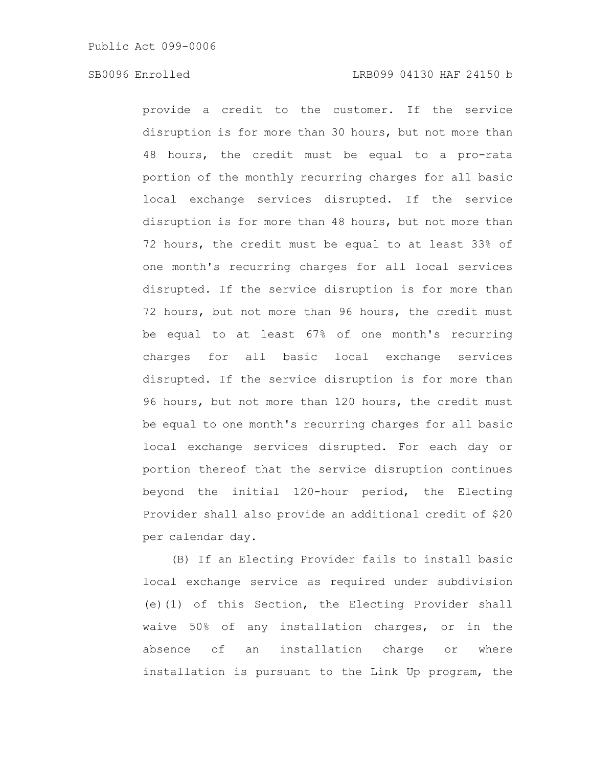provide a credit to the customer. If the service disruption is for more than 30 hours, but not more than 48 hours, the credit must be equal to a pro-rata portion of the monthly recurring charges for all basic local exchange services disrupted. If the service disruption is for more than 48 hours, but not more than 72 hours, the credit must be equal to at least 33% of one month's recurring charges for all local services disrupted. If the service disruption is for more than 72 hours, but not more than 96 hours, the credit must be equal to at least 67% of one month's recurring charges for all basic local exchange services disrupted. If the service disruption is for more than 96 hours, but not more than 120 hours, the credit must be equal to one month's recurring charges for all basic local exchange services disrupted. For each day or portion thereof that the service disruption continues beyond the initial 120-hour period, the Electing Provider shall also provide an additional credit of \$20 per calendar day.

(B) If an Electing Provider fails to install basic local exchange service as required under subdivision (e)(1) of this Section, the Electing Provider shall waive 50% of any installation charges, or in the absence of an installation charge or where installation is pursuant to the Link Up program, the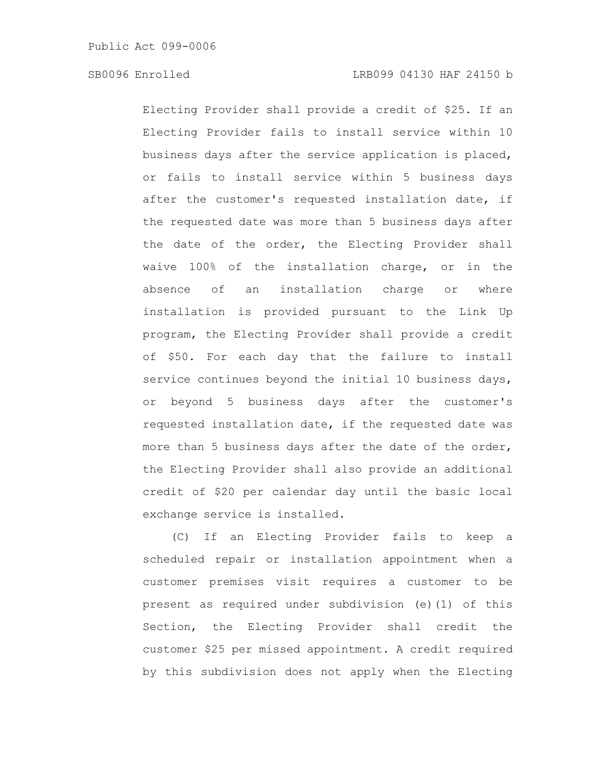Electing Provider shall provide a credit of \$25. If an Electing Provider fails to install service within 10 business days after the service application is placed, or fails to install service within 5 business days after the customer's requested installation date, if the requested date was more than 5 business days after the date of the order, the Electing Provider shall waive 100% of the installation charge, or in the absence of an installation charge or where installation is provided pursuant to the Link Up program, the Electing Provider shall provide a credit of \$50. For each day that the failure to install service continues beyond the initial 10 business days, or beyond 5 business days after the customer's requested installation date, if the requested date was more than 5 business days after the date of the order, the Electing Provider shall also provide an additional credit of \$20 per calendar day until the basic local exchange service is installed.

(C) If an Electing Provider fails to keep a scheduled repair or installation appointment when a customer premises visit requires a customer to be present as required under subdivision (e)(1) of this Section, the Electing Provider shall credit the customer \$25 per missed appointment. A credit required by this subdivision does not apply when the Electing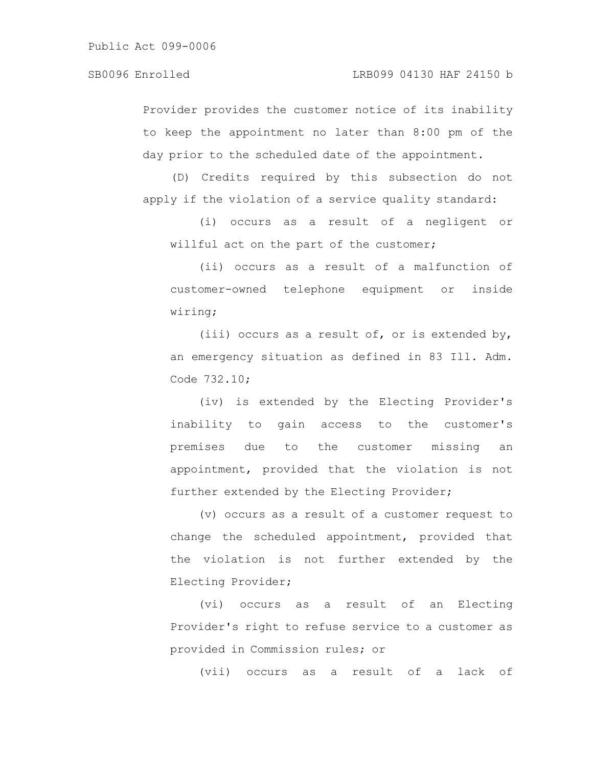# SB0096 Enrolled LRB099 04130 HAF 24150 b

Provider provides the customer notice of its inability to keep the appointment no later than 8:00 pm of the day prior to the scheduled date of the appointment.

(D) Credits required by this subsection do not apply if the violation of a service quality standard:

(i) occurs as a result of a negligent or willful act on the part of the customer;

(ii) occurs as a result of a malfunction of customer-owned telephone equipment or inside wiring;

(iii) occurs as a result of, or is extended by, an emergency situation as defined in 83 Ill. Adm. Code 732.10;

(iv) is extended by the Electing Provider's inability to gain access to the customer's premises due to the customer missing an appointment, provided that the violation is not further extended by the Electing Provider;

(v) occurs as a result of a customer request to change the scheduled appointment, provided that the violation is not further extended by the Electing Provider;

(vi) occurs as a result of an Electing Provider's right to refuse service to a customer as provided in Commission rules; or

(vii) occurs as a result of a lack of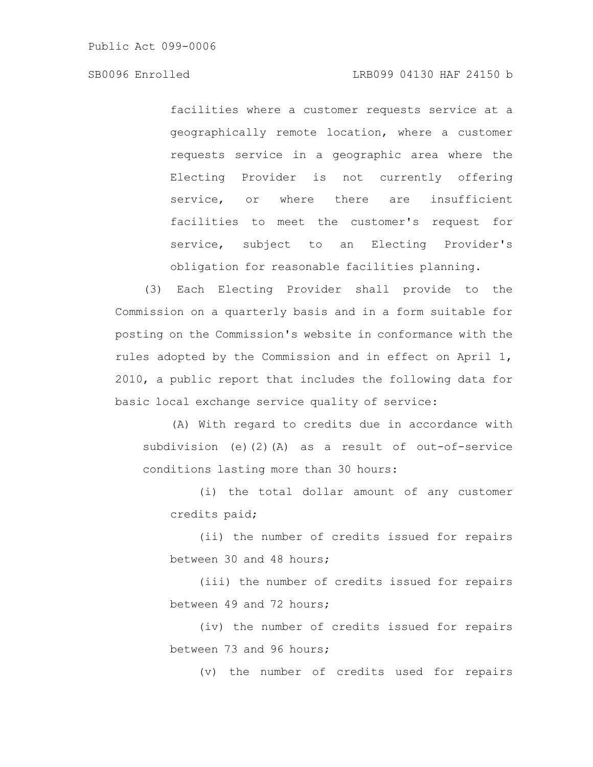# SB0096 Enrolled LRB099 04130 HAF 24150 b

facilities where a customer requests service at a geographically remote location, where a customer requests service in a geographic area where the Electing Provider is not currently offering service, or where there are insufficient facilities to meet the customer's request for service, subject to an Electing Provider's obligation for reasonable facilities planning.

(3) Each Electing Provider shall provide to the Commission on a quarterly basis and in a form suitable for posting on the Commission's website in conformance with the rules adopted by the Commission and in effect on April 1, 2010, a public report that includes the following data for basic local exchange service quality of service:

(A) With regard to credits due in accordance with subdivision (e)(2)(A) as a result of out-of-service conditions lasting more than 30 hours:

(i) the total dollar amount of any customer credits paid;

(ii) the number of credits issued for repairs between 30 and 48 hours;

(iii) the number of credits issued for repairs between 49 and 72 hours;

(iv) the number of credits issued for repairs between 73 and 96 hours;

(v) the number of credits used for repairs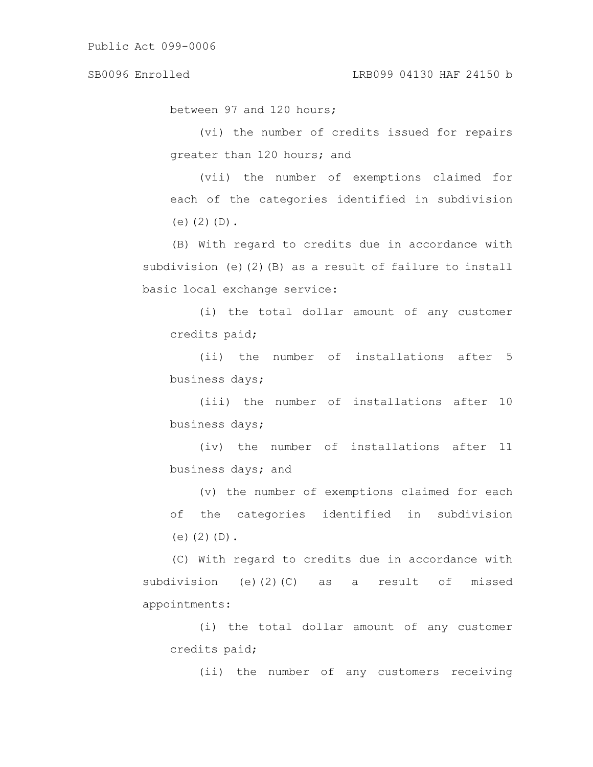between 97 and 120 hours;

(vi) the number of credits issued for repairs greater than 120 hours; and

(vii) the number of exemptions claimed for each of the categories identified in subdivision  $(e)$  $(2)$  $(D)$ .

(B) With regard to credits due in accordance with subdivision (e)(2)(B) as a result of failure to install basic local exchange service:

(i) the total dollar amount of any customer credits paid;

(ii) the number of installations after 5 business days;

(iii) the number of installations after 10 business days;

(iv) the number of installations after 11 business days; and

(v) the number of exemptions claimed for each of the categories identified in subdivision (e) $(2)(D)$ .

(C) With regard to credits due in accordance with subdivision (e)(2)(C) as a result of missed appointments:

(i) the total dollar amount of any customer credits paid;

(ii) the number of any customers receiving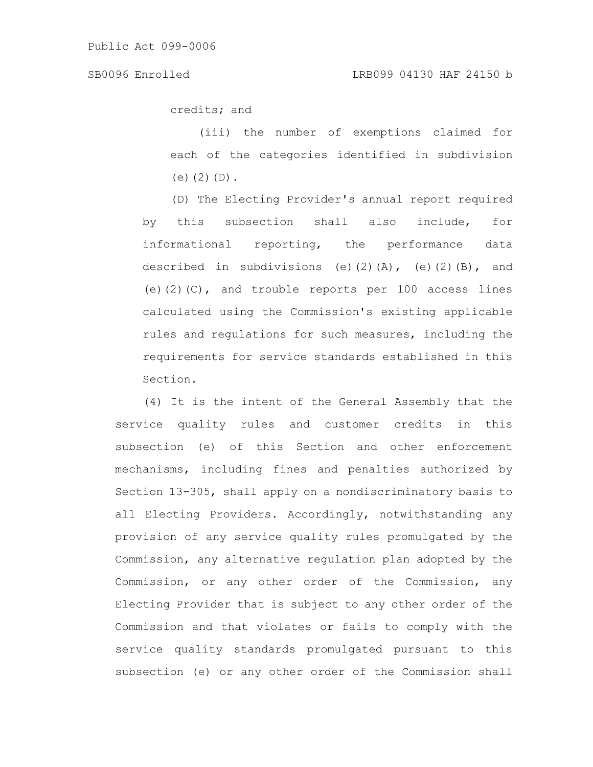credits; and

(iii) the number of exemptions claimed for each of the categories identified in subdivision (e) $(2)(D)$ .

(D) The Electing Provider's annual report required by this subsection shall also include, for informational reporting, the performance data described in subdivisions (e)(2)(A), (e)(2)(B), and (e) $(2)(C)$ , and trouble reports per 100 access lines calculated using the Commission's existing applicable rules and regulations for such measures, including the requirements for service standards established in this Section.

(4) It is the intent of the General Assembly that the service quality rules and customer credits in this subsection (e) of this Section and other enforcement mechanisms, including fines and penalties authorized by Section 13-305, shall apply on a nondiscriminatory basis to all Electing Providers. Accordingly, notwithstanding any provision of any service quality rules promulgated by the Commission, any alternative regulation plan adopted by the Commission, or any other order of the Commission, any Electing Provider that is subject to any other order of the Commission and that violates or fails to comply with the service quality standards promulgated pursuant to this subsection (e) or any other order of the Commission shall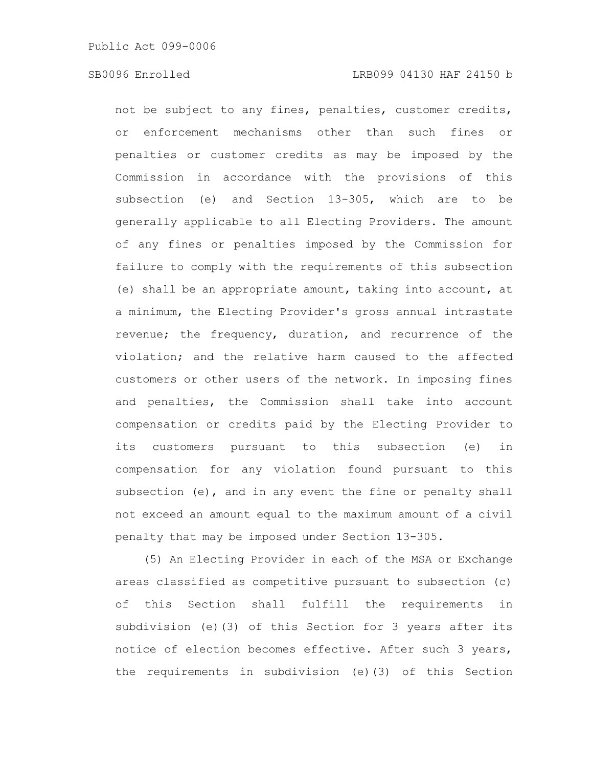not be subject to any fines, penalties, customer credits, or enforcement mechanisms other than such fines or penalties or customer credits as may be imposed by the Commission in accordance with the provisions of this subsection (e) and Section 13-305, which are to be generally applicable to all Electing Providers. The amount of any fines or penalties imposed by the Commission for failure to comply with the requirements of this subsection (e) shall be an appropriate amount, taking into account, at a minimum, the Electing Provider's gross annual intrastate revenue; the frequency, duration, and recurrence of the violation; and the relative harm caused to the affected customers or other users of the network. In imposing fines and penalties, the Commission shall take into account compensation or credits paid by the Electing Provider to its customers pursuant to this subsection (e) in compensation for any violation found pursuant to this subsection (e), and in any event the fine or penalty shall not exceed an amount equal to the maximum amount of a civil penalty that may be imposed under Section 13-305.

(5) An Electing Provider in each of the MSA or Exchange areas classified as competitive pursuant to subsection (c) of this Section shall fulfill the requirements in subdivision (e)(3) of this Section for 3 years after its notice of election becomes effective. After such 3 years, the requirements in subdivision (e)(3) of this Section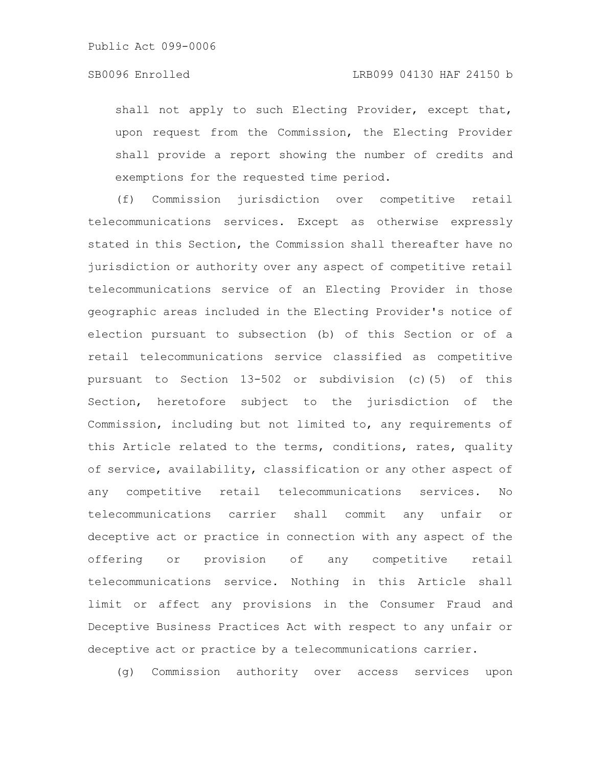shall not apply to such Electing Provider, except that, upon request from the Commission, the Electing Provider shall provide a report showing the number of credits and exemptions for the requested time period.

(f) Commission jurisdiction over competitive retail telecommunications services. Except as otherwise expressly stated in this Section, the Commission shall thereafter have no jurisdiction or authority over any aspect of competitive retail telecommunications service of an Electing Provider in those geographic areas included in the Electing Provider's notice of election pursuant to subsection (b) of this Section or of a retail telecommunications service classified as competitive pursuant to Section 13-502 or subdivision (c)(5) of this Section, heretofore subject to the jurisdiction of the Commission, including but not limited to, any requirements of this Article related to the terms, conditions, rates, quality of service, availability, classification or any other aspect of any competitive retail telecommunications services. No telecommunications carrier shall commit any unfair or deceptive act or practice in connection with any aspect of the offering or provision of any competitive retail telecommunications service. Nothing in this Article shall limit or affect any provisions in the Consumer Fraud and Deceptive Business Practices Act with respect to any unfair or deceptive act or practice by a telecommunications carrier.

(g) Commission authority over access services upon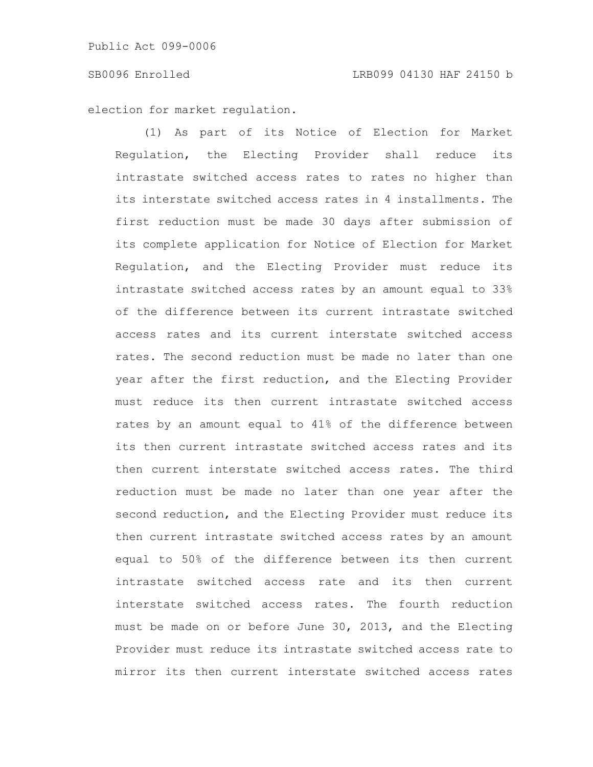election for market regulation.

(1) As part of its Notice of Election for Market Regulation, the Electing Provider shall reduce its intrastate switched access rates to rates no higher than its interstate switched access rates in 4 installments. The first reduction must be made 30 days after submission of its complete application for Notice of Election for Market Regulation, and the Electing Provider must reduce its intrastate switched access rates by an amount equal to 33% of the difference between its current intrastate switched access rates and its current interstate switched access rates. The second reduction must be made no later than one year after the first reduction, and the Electing Provider must reduce its then current intrastate switched access rates by an amount equal to 41% of the difference between its then current intrastate switched access rates and its then current interstate switched access rates. The third reduction must be made no later than one year after the second reduction, and the Electing Provider must reduce its then current intrastate switched access rates by an amount equal to 50% of the difference between its then current intrastate switched access rate and its then current interstate switched access rates. The fourth reduction must be made on or before June 30, 2013, and the Electing Provider must reduce its intrastate switched access rate to mirror its then current interstate switched access rates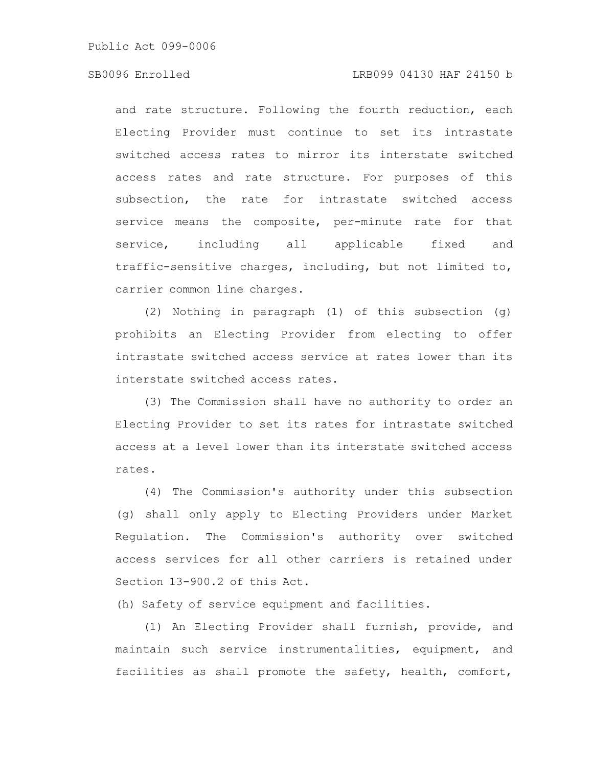# SB0096 Enrolled LRB099 04130 HAF 24150 b

and rate structure. Following the fourth reduction, each Electing Provider must continue to set its intrastate switched access rates to mirror its interstate switched access rates and rate structure. For purposes of this subsection, the rate for intrastate switched access service means the composite, per-minute rate for that service, including all applicable fixed and traffic-sensitive charges, including, but not limited to, carrier common line charges.

(2) Nothing in paragraph (1) of this subsection (g) prohibits an Electing Provider from electing to offer intrastate switched access service at rates lower than its interstate switched access rates.

(3) The Commission shall have no authority to order an Electing Provider to set its rates for intrastate switched access at a level lower than its interstate switched access rates.

(4) The Commission's authority under this subsection (g) shall only apply to Electing Providers under Market Regulation. The Commission's authority over switched access services for all other carriers is retained under Section 13-900.2 of this Act.

(h) Safety of service equipment and facilities.

(1) An Electing Provider shall furnish, provide, and maintain such service instrumentalities, equipment, and facilities as shall promote the safety, health, comfort,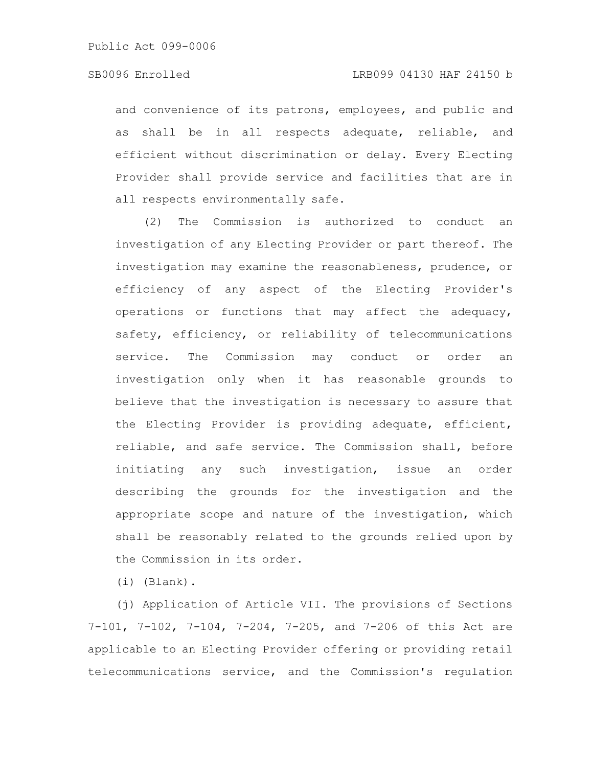and convenience of its patrons, employees, and public and as shall be in all respects adequate, reliable, and efficient without discrimination or delay. Every Electing Provider shall provide service and facilities that are in all respects environmentally safe.

(2) The Commission is authorized to conduct an investigation of any Electing Provider or part thereof. The investigation may examine the reasonableness, prudence, or efficiency of any aspect of the Electing Provider's operations or functions that may affect the adequacy, safety, efficiency, or reliability of telecommunications service. The Commission may conduct or order an investigation only when it has reasonable grounds to believe that the investigation is necessary to assure that the Electing Provider is providing adequate, efficient, reliable, and safe service. The Commission shall, before initiating any such investigation, issue an order describing the grounds for the investigation and the appropriate scope and nature of the investigation, which shall be reasonably related to the grounds relied upon by the Commission in its order.

(i) (Blank).

(j) Application of Article VII. The provisions of Sections 7-101, 7-102, 7-104, 7-204, 7-205, and 7-206 of this Act are applicable to an Electing Provider offering or providing retail telecommunications service, and the Commission's regulation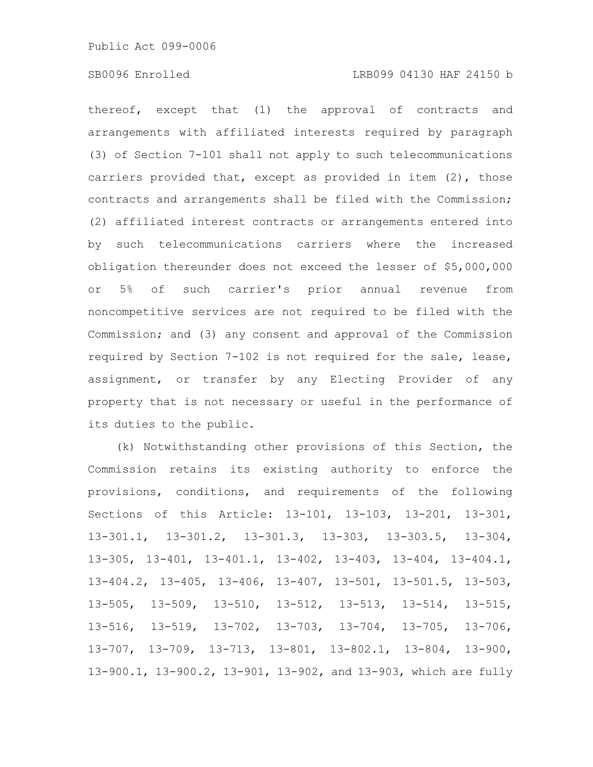# SB0096 Enrolled LRB099 04130 HAF 24150 b

thereof, except that (1) the approval of contracts and arrangements with affiliated interests required by paragraph (3) of Section 7-101 shall not apply to such telecommunications carriers provided that, except as provided in item (2), those contracts and arrangements shall be filed with the Commission; (2) affiliated interest contracts or arrangements entered into by such telecommunications carriers where the increased obligation thereunder does not exceed the lesser of \$5,000,000 or 5% of such carrier's prior annual revenue from noncompetitive services are not required to be filed with the Commission; and (3) any consent and approval of the Commission required by Section 7-102 is not required for the sale, lease, assignment, or transfer by any Electing Provider of any property that is not necessary or useful in the performance of its duties to the public.

(k) Notwithstanding other provisions of this Section, the Commission retains its existing authority to enforce the provisions, conditions, and requirements of the following Sections of this Article: 13-101, 13-103, 13-201, 13-301, 13-301.1, 13-301.2, 13-301.3, 13-303, 13-303.5, 13-304, 13-305, 13-401, 13-401.1, 13-402, 13-403, 13-404, 13-404.1, 13-404.2, 13-405, 13-406, 13-407, 13-501, 13-501.5, 13-503, 13-505, 13-509, 13-510, 13-512, 13-513, 13-514, 13-515, 13-516, 13-519, 13-702, 13-703, 13-704, 13-705, 13-706, 13-707, 13-709, 13-713, 13-801, 13-802.1, 13-804, 13-900, 13-900.1, 13-900.2, 13-901, 13-902, and 13-903, which are fully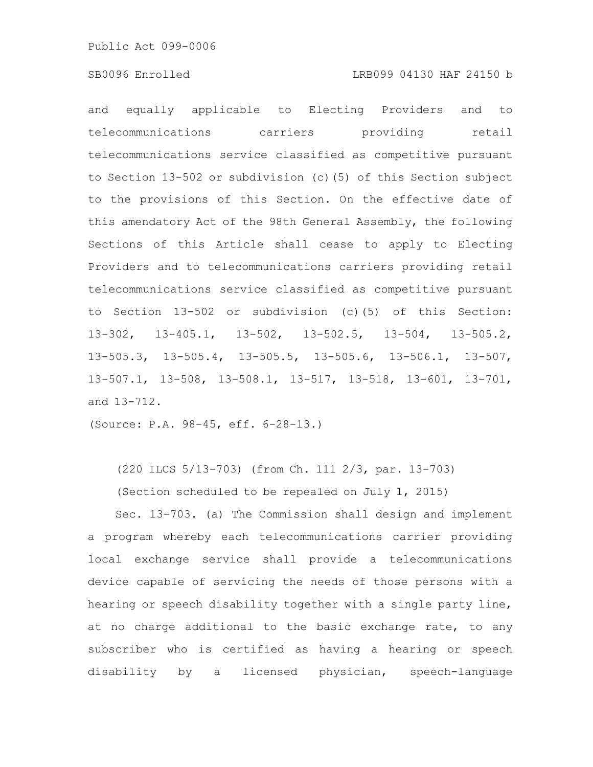### SB0096 Enrolled LRB099 04130 HAF 24150 b

and equally applicable to Electing Providers and to telecommunications carriers providing retail telecommunications service classified as competitive pursuant to Section 13-502 or subdivision (c)(5) of this Section subject to the provisions of this Section. On the effective date of this amendatory Act of the 98th General Assembly, the following Sections of this Article shall cease to apply to Electing Providers and to telecommunications carriers providing retail telecommunications service classified as competitive pursuant to Section 13-502 or subdivision (c)(5) of this Section: 13-302, 13-405.1, 13-502, 13-502.5, 13-504, 13-505.2, 13-505.3, 13-505.4, 13-505.5, 13-505.6, 13-506.1, 13-507, 13-507.1, 13-508, 13-508.1, 13-517, 13-518, 13-601, 13-701, and 13-712.

(Source: P.A. 98-45, eff. 6-28-13.)

(220 ILCS 5/13-703) (from Ch. 111 2/3, par. 13-703)

(Section scheduled to be repealed on July 1, 2015)

Sec. 13-703. (a) The Commission shall design and implement a program whereby each telecommunications carrier providing local exchange service shall provide a telecommunications device capable of servicing the needs of those persons with a hearing or speech disability together with a single party line, at no charge additional to the basic exchange rate, to any subscriber who is certified as having a hearing or speech disability by a licensed physician, speech-language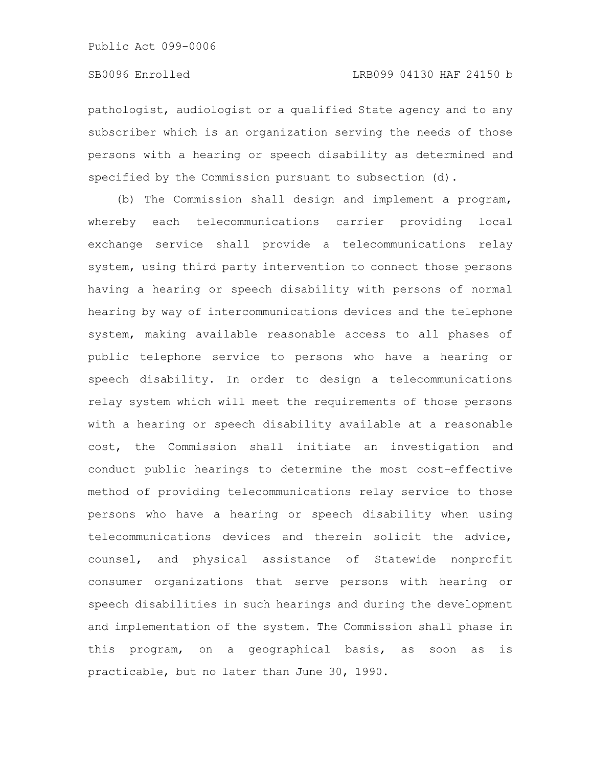pathologist, audiologist or a qualified State agency and to any subscriber which is an organization serving the needs of those persons with a hearing or speech disability as determined and specified by the Commission pursuant to subsection (d).

(b) The Commission shall design and implement a program, whereby each telecommunications carrier providing local exchange service shall provide a telecommunications relay system, using third party intervention to connect those persons having a hearing or speech disability with persons of normal hearing by way of intercommunications devices and the telephone system, making available reasonable access to all phases of public telephone service to persons who have a hearing or speech disability. In order to design a telecommunications relay system which will meet the requirements of those persons with a hearing or speech disability available at a reasonable cost, the Commission shall initiate an investigation and conduct public hearings to determine the most cost-effective method of providing telecommunications relay service to those persons who have a hearing or speech disability when using telecommunications devices and therein solicit the advice, counsel, and physical assistance of Statewide nonprofit consumer organizations that serve persons with hearing or speech disabilities in such hearings and during the development and implementation of the system. The Commission shall phase in this program, on a geographical basis, as soon as is practicable, but no later than June 30, 1990.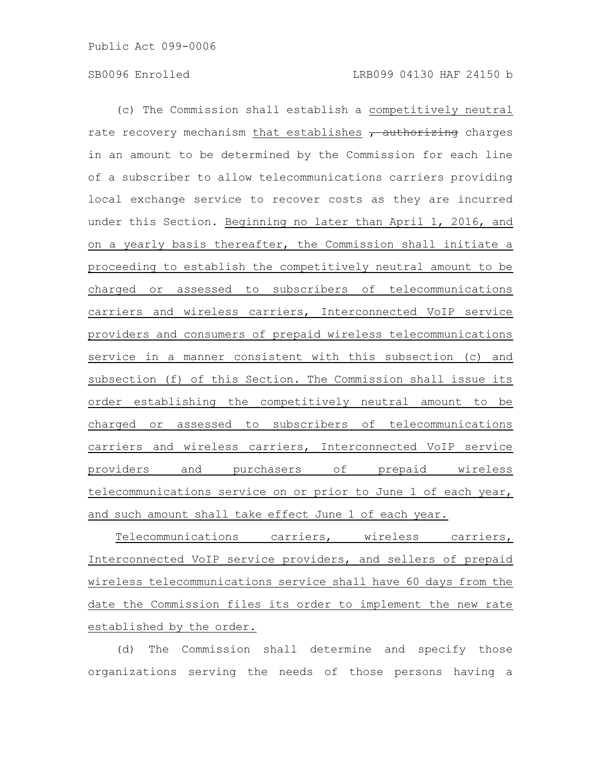(c) The Commission shall establish a competitively neutral rate recovery mechanism that establishes  $\tau$  authorizing charges in an amount to be determined by the Commission for each line of a subscriber to allow telecommunications carriers providing local exchange service to recover costs as they are incurred under this Section. Beginning no later than April 1, 2016, and on a yearly basis thereafter, the Commission shall initiate a proceeding to establish the competitively neutral amount to be charged or assessed to subscribers of telecommunications carriers and wireless carriers, Interconnected VoIP service providers and consumers of prepaid wireless telecommunications service in a manner consistent with this subsection (c) and subsection (f) of this Section. The Commission shall issue its order establishing the competitively neutral amount to be charged or assessed to subscribers of telecommunications carriers and wireless carriers, Interconnected VoIP service providers and purchasers of prepaid wireless telecommunications service on or prior to June 1 of each year, and such amount shall take effect June 1 of each year.

Telecommunications carriers, wireless carriers, Interconnected VoIP service providers, and sellers of prepaid wireless telecommunications service shall have 60 days from the date the Commission files its order to implement the new rate established by the order.

(d) The Commission shall determine and specify those organizations serving the needs of those persons having a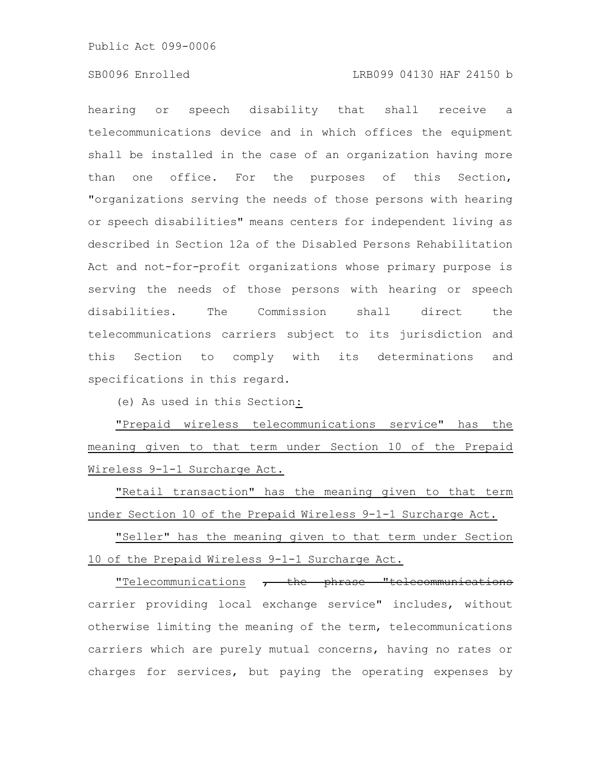#### SB0096 Enrolled LRB099 04130 HAF 24150 b

hearing or speech disability that shall receive a telecommunications device and in which offices the equipment shall be installed in the case of an organization having more than one office. For the purposes of this Section, "organizations serving the needs of those persons with hearing or speech disabilities" means centers for independent living as described in Section 12a of the Disabled Persons Rehabilitation Act and not-for-profit organizations whose primary purpose is serving the needs of those persons with hearing or speech disabilities. The Commission shall direct the telecommunications carriers subject to its jurisdiction and this Section to comply with its determinations and specifications in this regard.

(e) As used in this Section:

"Prepaid wireless telecommunications service" has the meaning given to that term under Section 10 of the Prepaid Wireless 9-1-1 Surcharge Act.

"Retail transaction" has the meaning given to that term under Section 10 of the Prepaid Wireless 9-1-1 Surcharge Act.

"Seller" has the meaning given to that term under Section 10 of the Prepaid Wireless 9-1-1 Surcharge Act.

"Telecommunications , the phrase "telecommunications carrier providing local exchange service" includes, without otherwise limiting the meaning of the term, telecommunications carriers which are purely mutual concerns, having no rates or charges for services, but paying the operating expenses by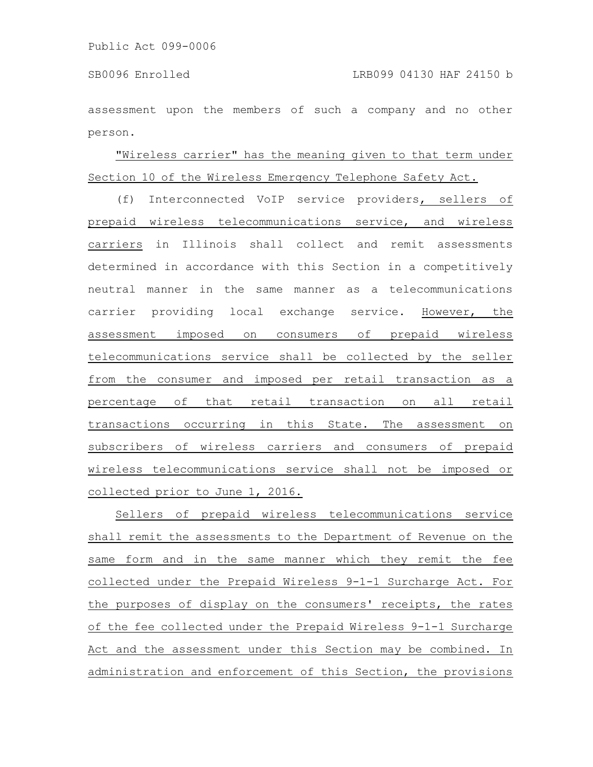assessment upon the members of such a company and no other person.

# "Wireless carrier" has the meaning given to that term under Section 10 of the Wireless Emergency Telephone Safety Act.

(f) Interconnected VoIP service providers, sellers of prepaid wireless telecommunications service, and wireless carriers in Illinois shall collect and remit assessments determined in accordance with this Section in a competitively neutral manner in the same manner as a telecommunications carrier providing local exchange service. However, the assessment imposed on consumers of prepaid wireless telecommunications service shall be collected by the seller from the consumer and imposed per retail transaction as a percentage of that retail transaction on all retail transactions occurring in this State. The assessment on subscribers of wireless carriers and consumers of prepaid wireless telecommunications service shall not be imposed or collected prior to June 1, 2016.

Sellers of prepaid wireless telecommunications service shall remit the assessments to the Department of Revenue on the same form and in the same manner which they remit the fee collected under the Prepaid Wireless 9-1-1 Surcharge Act. For the purposes of display on the consumers' receipts, the rates of the fee collected under the Prepaid Wireless 9-1-1 Surcharge Act and the assessment under this Section may be combined. In administration and enforcement of this Section, the provisions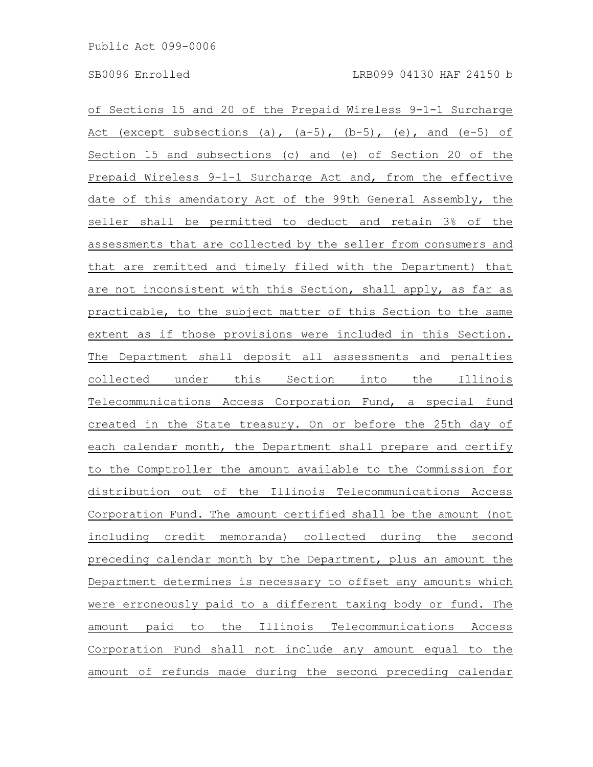of Sections 15 and 20 of the Prepaid Wireless 9-1-1 Surcharge Act (except subsections (a),  $(a-5)$ ,  $(b-5)$ , (e), and (e-5) of Section 15 and subsections (c) and (e) of Section 20 of the Prepaid Wireless 9-1-1 Surcharge Act and, from the effective date of this amendatory Act of the 99th General Assembly, the seller shall be permitted to deduct and retain 3% of the assessments that are collected by the seller from consumers and that are remitted and timely filed with the Department) that are not inconsistent with this Section, shall apply, as far as practicable, to the subject matter of this Section to the same extent as if those provisions were included in this Section. The Department shall deposit all assessments and penalties collected under this Section into the Illinois Telecommunications Access Corporation Fund, a special fund created in the State treasury. On or before the 25th day of each calendar month, the Department shall prepare and certify to the Comptroller the amount available to the Commission for distribution out of the Illinois Telecommunications Access Corporation Fund. The amount certified shall be the amount (not including credit memoranda) collected during the second preceding calendar month by the Department, plus an amount the Department determines is necessary to offset any amounts which were erroneously paid to a different taxing body or fund. The amount paid to the Illinois Telecommunications Access Corporation Fund shall not include any amount equal to the amount of refunds made during the second preceding calendar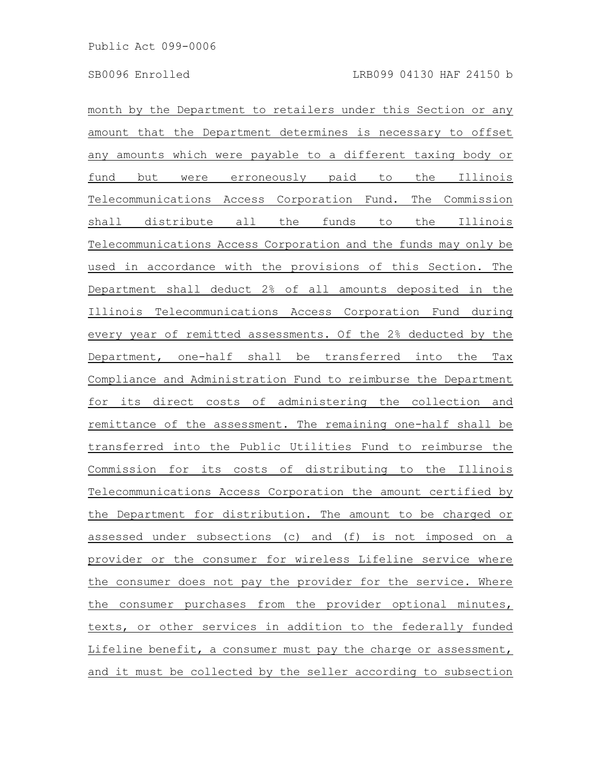month by the Department to retailers under this Section or any amount that the Department determines is necessary to offset any amounts which were payable to a different taxing body or fund but were erroneously paid to the Illinois Telecommunications Access Corporation Fund. The Commission shall distribute all the funds to the Illinois Telecommunications Access Corporation and the funds may only be used in accordance with the provisions of this Section. The Department shall deduct 2% of all amounts deposited in the Illinois Telecommunications Access Corporation Fund during every year of remitted assessments. Of the 2% deducted by the Department, one-half shall be transferred into the Tax Compliance and Administration Fund to reimburse the Department for its direct costs of administering the collection and remittance of the assessment. The remaining one-half shall be transferred into the Public Utilities Fund to reimburse the Commission for its costs of distributing to the Illinois Telecommunications Access Corporation the amount certified by the Department for distribution. The amount to be charged or assessed under subsections (c) and (f) is not imposed on a provider or the consumer for wireless Lifeline service where the consumer does not pay the provider for the service. Where the consumer purchases from the provider optional minutes, texts, or other services in addition to the federally funded Lifeline benefit, a consumer must pay the charge or assessment, and it must be collected by the seller according to subsection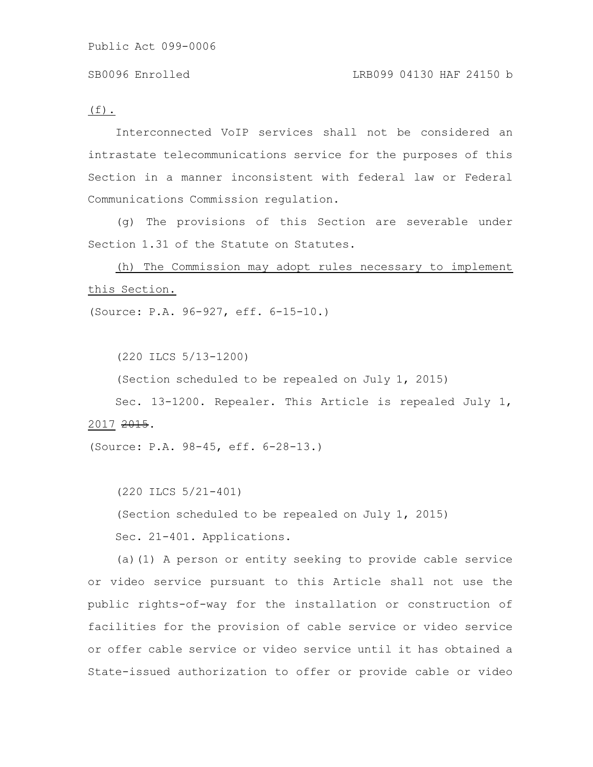$(f)$ .

Interconnected VoIP services shall not be considered an intrastate telecommunications service for the purposes of this Section in a manner inconsistent with federal law or Federal Communications Commission regulation.

(g) The provisions of this Section are severable under Section 1.31 of the Statute on Statutes.

(h) The Commission may adopt rules necessary to implement this Section.

(Source: P.A. 96-927, eff. 6-15-10.)

(220 ILCS 5/13-1200)

(Section scheduled to be repealed on July 1, 2015)

Sec. 13-1200. Repealer. This Article is repealed July 1, 2017 2015.

(Source: P.A. 98-45, eff. 6-28-13.)

(220 ILCS 5/21-401) (Section scheduled to be repealed on July 1, 2015) Sec. 21-401. Applications.

(a)(1) A person or entity seeking to provide cable service or video service pursuant to this Article shall not use the public rights-of-way for the installation or construction of facilities for the provision of cable service or video service or offer cable service or video service until it has obtained a State-issued authorization to offer or provide cable or video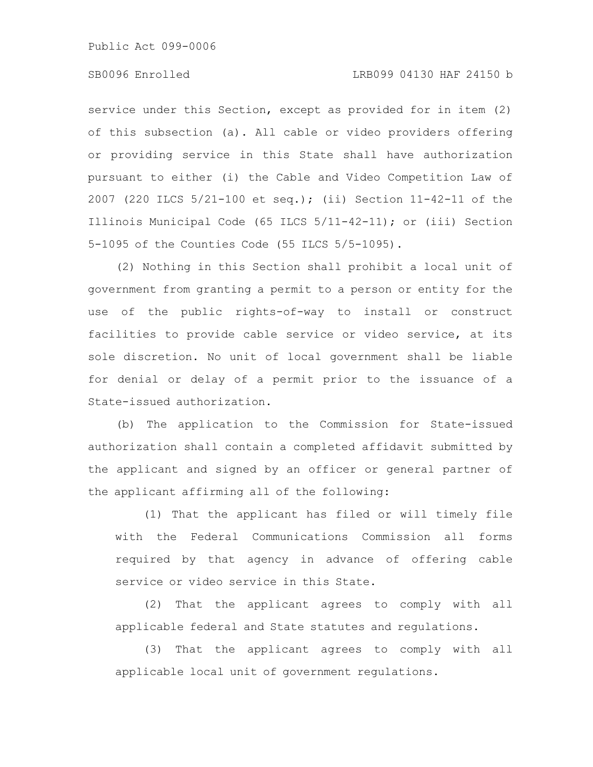### SB0096 Enrolled LRB099 04130 HAF 24150 b

service under this Section, except as provided for in item (2) of this subsection (a). All cable or video providers offering or providing service in this State shall have authorization pursuant to either (i) the Cable and Video Competition Law of 2007 (220 ILCS 5/21-100 et seq.); (ii) Section 11-42-11 of the Illinois Municipal Code (65 ILCS 5/11-42-11); or (iii) Section 5-1095 of the Counties Code (55 ILCS 5/5-1095).

(2) Nothing in this Section shall prohibit a local unit of government from granting a permit to a person or entity for the use of the public rights-of-way to install or construct facilities to provide cable service or video service, at its sole discretion. No unit of local government shall be liable for denial or delay of a permit prior to the issuance of a State-issued authorization.

(b) The application to the Commission for State-issued authorization shall contain a completed affidavit submitted by the applicant and signed by an officer or general partner of the applicant affirming all of the following:

(1) That the applicant has filed or will timely file with the Federal Communications Commission all forms required by that agency in advance of offering cable service or video service in this State.

(2) That the applicant agrees to comply with all applicable federal and State statutes and regulations.

(3) That the applicant agrees to comply with all applicable local unit of government regulations.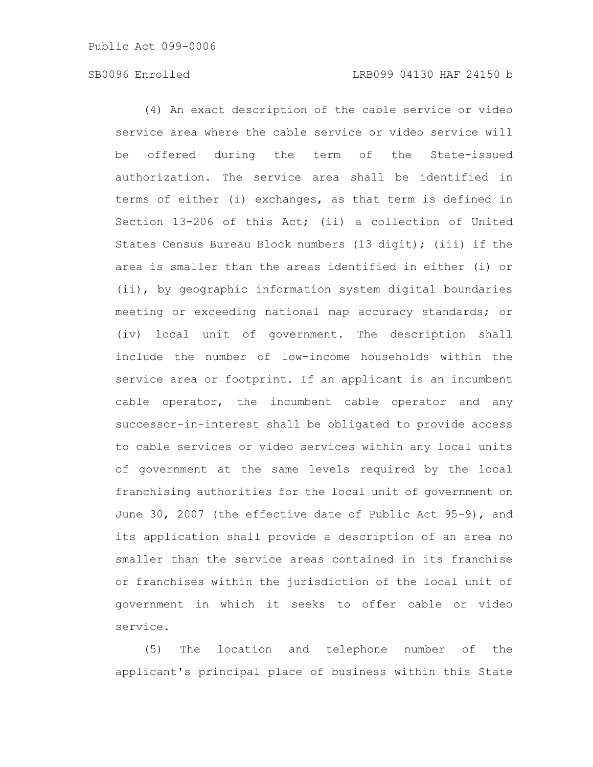### SB0096 Enrolled LRB099 04130 HAF 24150 b

(4) An exact description of the cable service or video service area where the cable service or video service will be offered during the term of the State-issued authorization. The service area shall be identified in terms of either (i) exchanges, as that term is defined in Section 13-206 of this Act; (ii) a collection of United States Census Bureau Block numbers (13 digit); (iii) if the area is smaller than the areas identified in either (i) or (ii), by geographic information system digital boundaries meeting or exceeding national map accuracy standards; or (iv) local unit of government. The description shall include the number of low-income households within the service area or footprint. If an applicant is an incumbent cable operator, the incumbent cable operator and any successor-in-interest shall be obligated to provide access to cable services or video services within any local units of government at the same levels required by the local franchising authorities for the local unit of government on June 30, 2007 (the effective date of Public Act 95-9), and its application shall provide a description of an area no smaller than the service areas contained in its franchise or franchises within the jurisdiction of the local unit of government in which it seeks to offer cable or video service.

(5) The location and telephone number of the applicant's principal place of business within this State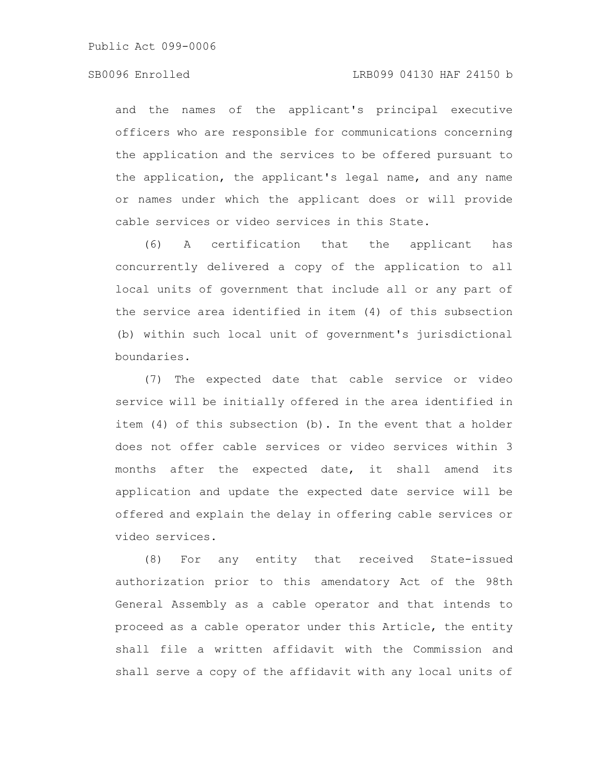and the names of the applicant's principal executive officers who are responsible for communications concerning the application and the services to be offered pursuant to the application, the applicant's legal name, and any name or names under which the applicant does or will provide cable services or video services in this State.

(6) A certification that the applicant has concurrently delivered a copy of the application to all local units of government that include all or any part of the service area identified in item (4) of this subsection (b) within such local unit of government's jurisdictional boundaries.

(7) The expected date that cable service or video service will be initially offered in the area identified in item (4) of this subsection (b). In the event that a holder does not offer cable services or video services within 3 months after the expected date, it shall amend its application and update the expected date service will be offered and explain the delay in offering cable services or video services.

(8) For any entity that received State-issued authorization prior to this amendatory Act of the 98th General Assembly as a cable operator and that intends to proceed as a cable operator under this Article, the entity shall file a written affidavit with the Commission and shall serve a copy of the affidavit with any local units of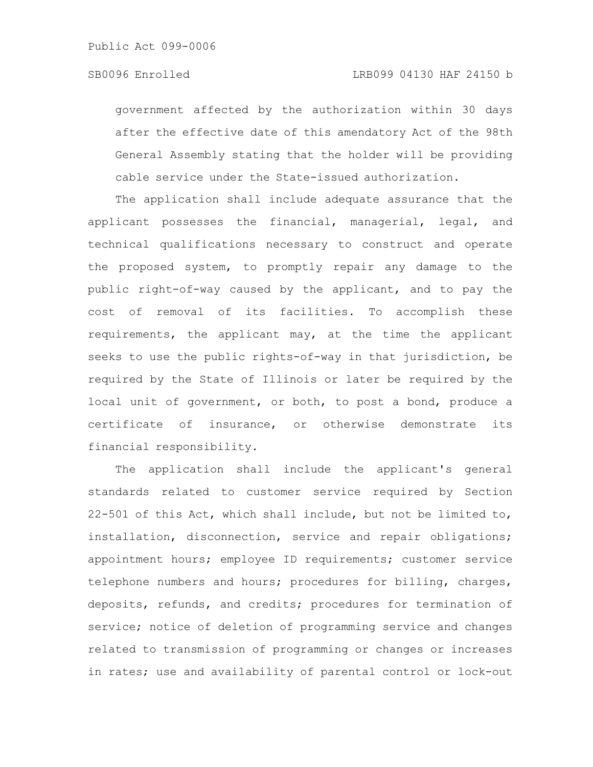government affected by the authorization within 30 days after the effective date of this amendatory Act of the 98th General Assembly stating that the holder will be providing cable service under the State-issued authorization.

The application shall include adequate assurance that the applicant possesses the financial, managerial, legal, and technical qualifications necessary to construct and operate the proposed system, to promptly repair any damage to the public right-of-way caused by the applicant, and to pay the cost of removal of its facilities. To accomplish these requirements, the applicant may, at the time the applicant seeks to use the public rights-of-way in that jurisdiction, be required by the State of Illinois or later be required by the local unit of government, or both, to post a bond, produce a certificate of insurance, or otherwise demonstrate its financial responsibility.

The application shall include the applicant's general standards related to customer service required by Section 22-501 of this Act, which shall include, but not be limited to, installation, disconnection, service and repair obligations; appointment hours; employee ID requirements; customer service telephone numbers and hours; procedures for billing, charges, deposits, refunds, and credits; procedures for termination of service; notice of deletion of programming service and changes related to transmission of programming or changes or increases in rates; use and availability of parental control or lock-out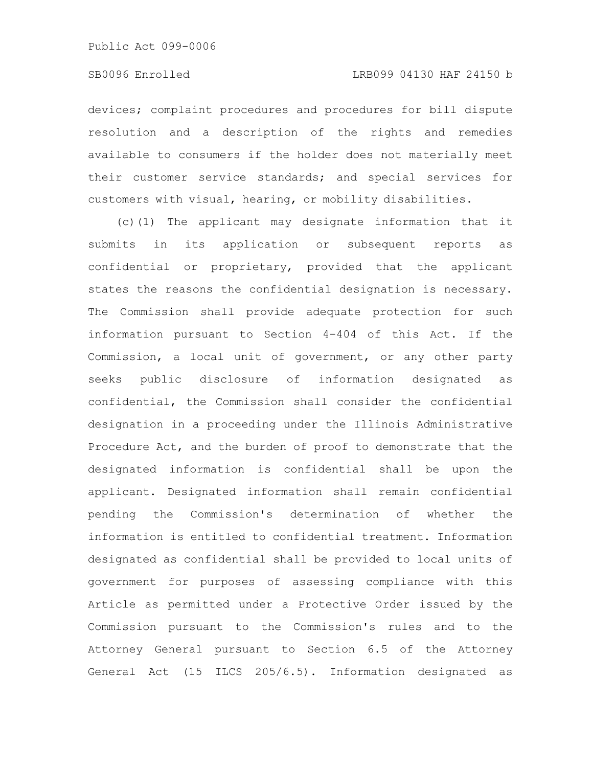### SB0096 Enrolled LRB099 04130 HAF 24150 b

devices; complaint procedures and procedures for bill dispute resolution and a description of the rights and remedies available to consumers if the holder does not materially meet their customer service standards; and special services for customers with visual, hearing, or mobility disabilities.

(c)(1) The applicant may designate information that it submits in its application or subsequent reports as confidential or proprietary, provided that the applicant states the reasons the confidential designation is necessary. The Commission shall provide adequate protection for such information pursuant to Section 4-404 of this Act. If the Commission, a local unit of government, or any other party seeks public disclosure of information designated as confidential, the Commission shall consider the confidential designation in a proceeding under the Illinois Administrative Procedure Act, and the burden of proof to demonstrate that the designated information is confidential shall be upon the applicant. Designated information shall remain confidential pending the Commission's determination of whether the information is entitled to confidential treatment. Information designated as confidential shall be provided to local units of government for purposes of assessing compliance with this Article as permitted under a Protective Order issued by the Commission pursuant to the Commission's rules and to the Attorney General pursuant to Section 6.5 of the Attorney General Act (15 ILCS 205/6.5). Information designated as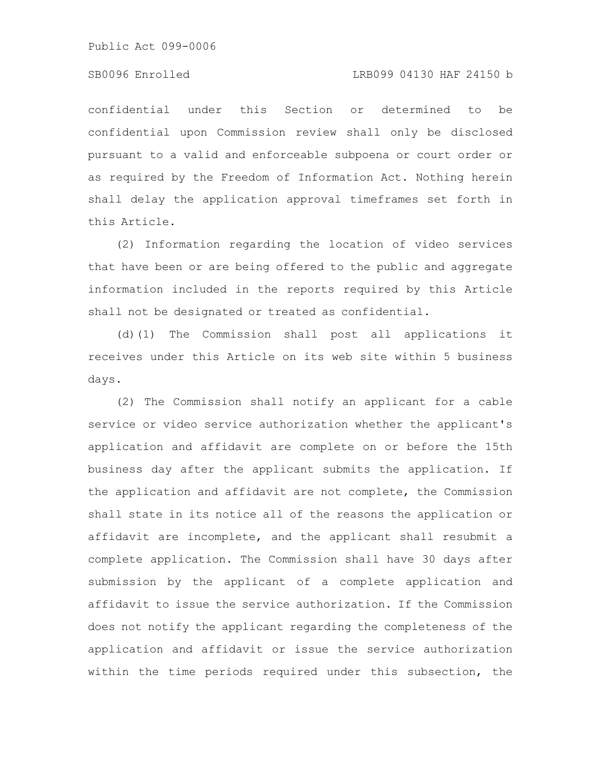#### SB0096 Enrolled LRB099 04130 HAF 24150 b

confidential under this Section or determined to be confidential upon Commission review shall only be disclosed pursuant to a valid and enforceable subpoena or court order or as required by the Freedom of Information Act. Nothing herein shall delay the application approval timeframes set forth in this Article.

(2) Information regarding the location of video services that have been or are being offered to the public and aggregate information included in the reports required by this Article shall not be designated or treated as confidential.

(d)(1) The Commission shall post all applications it receives under this Article on its web site within 5 business days.

(2) The Commission shall notify an applicant for a cable service or video service authorization whether the applicant's application and affidavit are complete on or before the 15th business day after the applicant submits the application. If the application and affidavit are not complete, the Commission shall state in its notice all of the reasons the application or affidavit are incomplete, and the applicant shall resubmit a complete application. The Commission shall have 30 days after submission by the applicant of a complete application and affidavit to issue the service authorization. If the Commission does not notify the applicant regarding the completeness of the application and affidavit or issue the service authorization within the time periods required under this subsection, the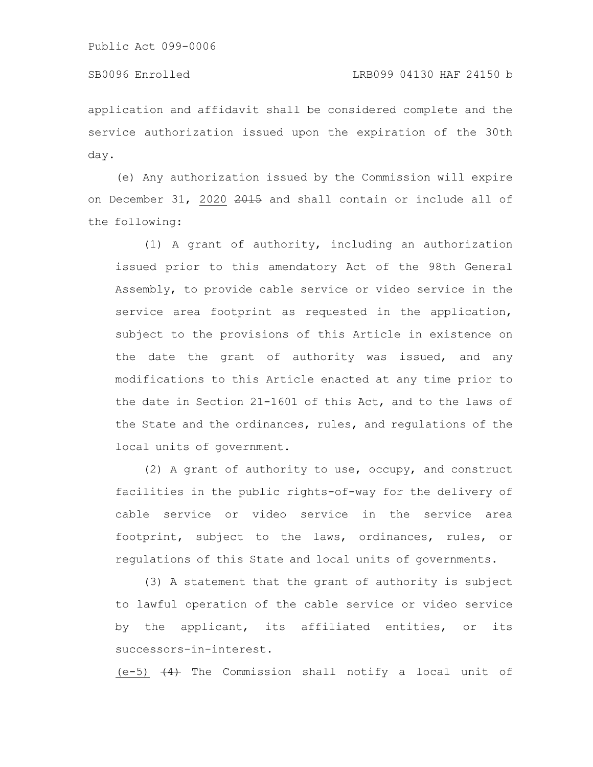### SB0096 Enrolled LRB099 04130 HAF 24150 b

application and affidavit shall be considered complete and the service authorization issued upon the expiration of the 30th day.

(e) Any authorization issued by the Commission will expire on December 31, 2020  $2015$  and shall contain or include all of the following:

(1) A grant of authority, including an authorization issued prior to this amendatory Act of the 98th General Assembly, to provide cable service or video service in the service area footprint as requested in the application, subject to the provisions of this Article in existence on the date the grant of authority was issued, and any modifications to this Article enacted at any time prior to the date in Section 21-1601 of this Act, and to the laws of the State and the ordinances, rules, and regulations of the local units of government.

(2) A grant of authority to use, occupy, and construct facilities in the public rights-of-way for the delivery of cable service or video service in the service area footprint, subject to the laws, ordinances, rules, or regulations of this State and local units of governments.

(3) A statement that the grant of authority is subject to lawful operation of the cable service or video service by the applicant, its affiliated entities, or its successors-in-interest.

 $(e-5)$   $(4)$  The Commission shall notify a local unit of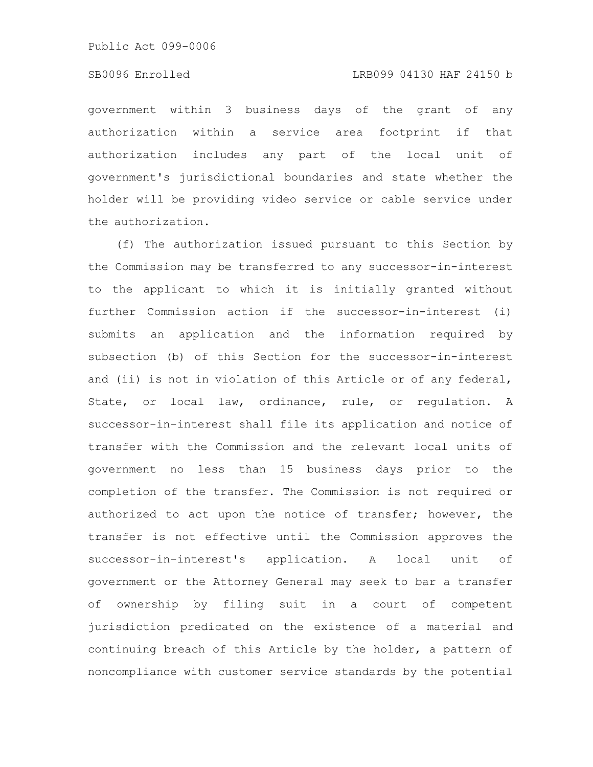### SB0096 Enrolled LRB099 04130 HAF 24150 b

government within 3 business days of the grant of any authorization within a service area footprint if that authorization includes any part of the local unit of government's jurisdictional boundaries and state whether the holder will be providing video service or cable service under the authorization.

(f) The authorization issued pursuant to this Section by the Commission may be transferred to any successor-in-interest to the applicant to which it is initially granted without further Commission action if the successor-in-interest (i) submits an application and the information required by subsection (b) of this Section for the successor-in-interest and (ii) is not in violation of this Article or of any federal, State, or local law, ordinance, rule, or regulation. A successor-in-interest shall file its application and notice of transfer with the Commission and the relevant local units of government no less than 15 business days prior to the completion of the transfer. The Commission is not required or authorized to act upon the notice of transfer; however, the transfer is not effective until the Commission approves the successor-in-interest's application. A local unit of government or the Attorney General may seek to bar a transfer of ownership by filing suit in a court of competent jurisdiction predicated on the existence of a material and continuing breach of this Article by the holder, a pattern of noncompliance with customer service standards by the potential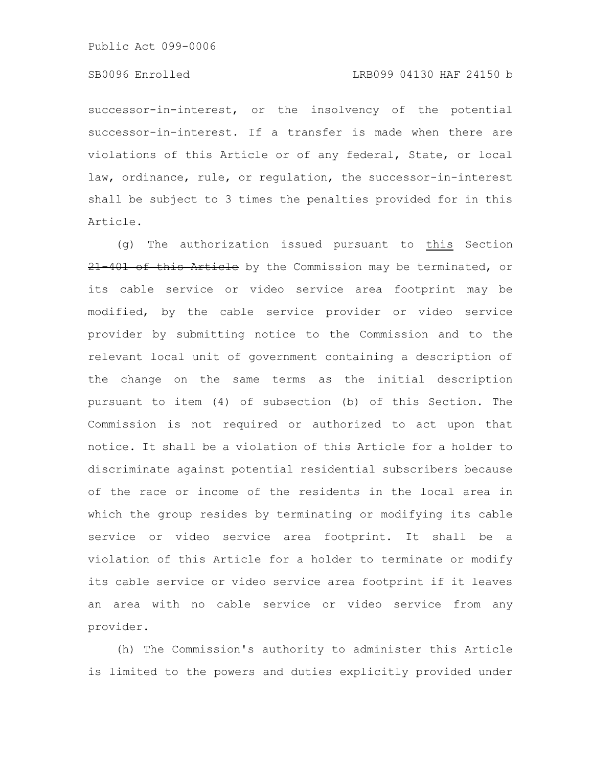#### SB0096 Enrolled LRB099 04130 HAF 24150 b

successor-in-interest, or the insolvency of the potential successor-in-interest. If a transfer is made when there are violations of this Article or of any federal, State, or local law, ordinance, rule, or regulation, the successor-in-interest shall be subject to 3 times the penalties provided for in this Article.

(g) The authorization issued pursuant to this Section 21 401 of this Article by the Commission may be terminated, or its cable service or video service area footprint may be modified, by the cable service provider or video service provider by submitting notice to the Commission and to the relevant local unit of government containing a description of the change on the same terms as the initial description pursuant to item (4) of subsection (b) of this Section. The Commission is not required or authorized to act upon that notice. It shall be a violation of this Article for a holder to discriminate against potential residential subscribers because of the race or income of the residents in the local area in which the group resides by terminating or modifying its cable service or video service area footprint. It shall be a violation of this Article for a holder to terminate or modify its cable service or video service area footprint if it leaves an area with no cable service or video service from any provider.

(h) The Commission's authority to administer this Article is limited to the powers and duties explicitly provided under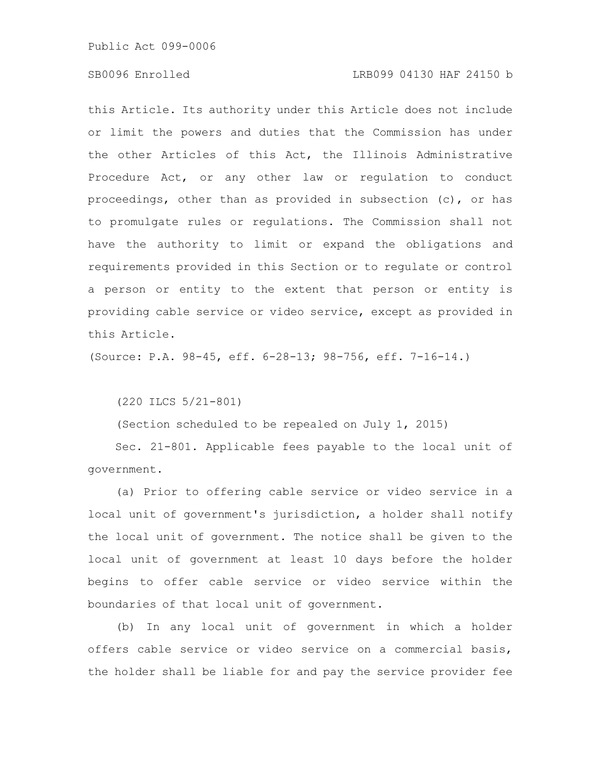### SB0096 Enrolled LRB099 04130 HAF 24150 b

this Article. Its authority under this Article does not include or limit the powers and duties that the Commission has under the other Articles of this Act, the Illinois Administrative Procedure Act, or any other law or regulation to conduct proceedings, other than as provided in subsection (c), or has to promulgate rules or regulations. The Commission shall not have the authority to limit or expand the obligations and requirements provided in this Section or to regulate or control a person or entity to the extent that person or entity is providing cable service or video service, except as provided in this Article.

(Source: P.A. 98-45, eff. 6-28-13; 98-756, eff. 7-16-14.)

(220 ILCS 5/21-801)

(Section scheduled to be repealed on July 1, 2015)

Sec. 21-801. Applicable fees payable to the local unit of government.

(a) Prior to offering cable service or video service in a local unit of government's jurisdiction, a holder shall notify the local unit of government. The notice shall be given to the local unit of government at least 10 days before the holder begins to offer cable service or video service within the boundaries of that local unit of government.

(b) In any local unit of government in which a holder offers cable service or video service on a commercial basis, the holder shall be liable for and pay the service provider fee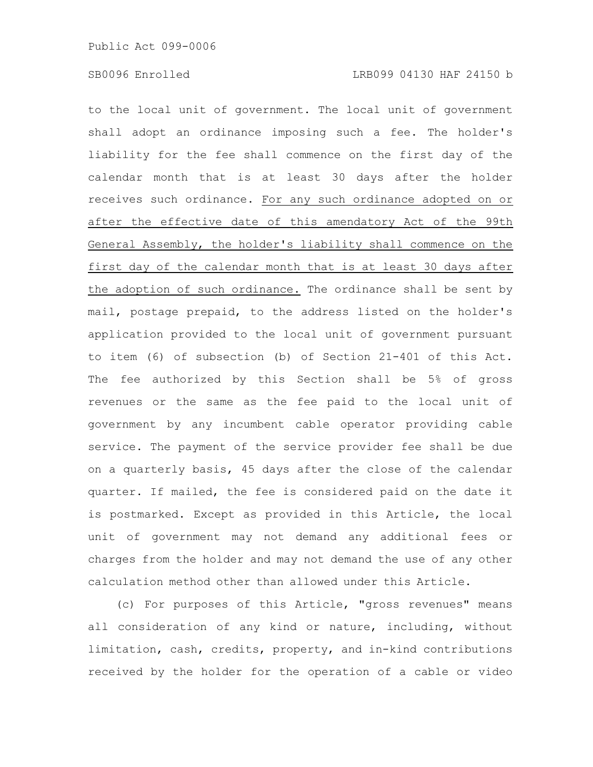to the local unit of government. The local unit of government shall adopt an ordinance imposing such a fee. The holder's liability for the fee shall commence on the first day of the calendar month that is at least 30 days after the holder receives such ordinance. For any such ordinance adopted on or after the effective date of this amendatory Act of the 99th General Assembly, the holder's liability shall commence on the first day of the calendar month that is at least 30 days after the adoption of such ordinance. The ordinance shall be sent by mail, postage prepaid, to the address listed on the holder's application provided to the local unit of government pursuant to item (6) of subsection (b) of Section 21-401 of this Act. The fee authorized by this Section shall be 5% of gross revenues or the same as the fee paid to the local unit of government by any incumbent cable operator providing cable service. The payment of the service provider fee shall be due on a quarterly basis, 45 days after the close of the calendar quarter. If mailed, the fee is considered paid on the date it is postmarked. Except as provided in this Article, the local unit of government may not demand any additional fees or charges from the holder and may not demand the use of any other calculation method other than allowed under this Article.

(c) For purposes of this Article, "gross revenues" means all consideration of any kind or nature, including, without limitation, cash, credits, property, and in-kind contributions received by the holder for the operation of a cable or video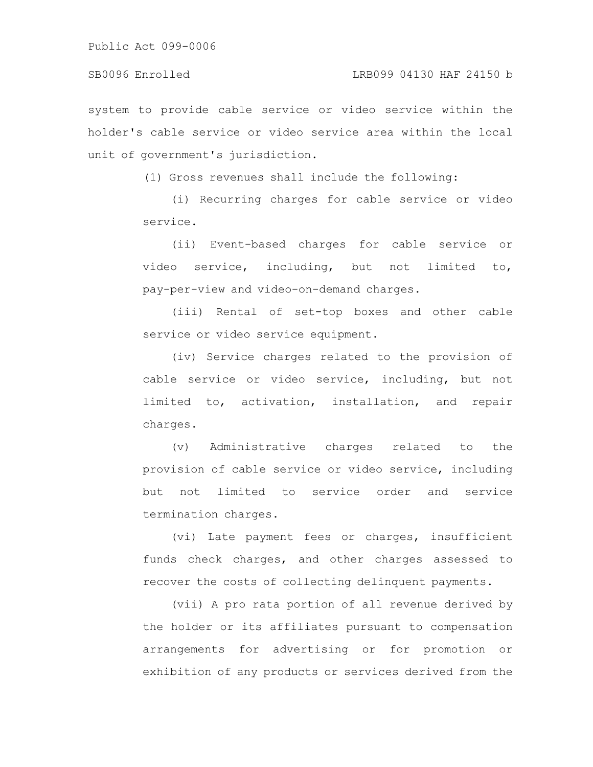system to provide cable service or video service within the holder's cable service or video service area within the local unit of government's jurisdiction.

(1) Gross revenues shall include the following:

(i) Recurring charges for cable service or video service.

(ii) Event-based charges for cable service or video service, including, but not limited to, pay-per-view and video-on-demand charges.

(iii) Rental of set-top boxes and other cable service or video service equipment.

(iv) Service charges related to the provision of cable service or video service, including, but not limited to, activation, installation, and repair charges.

(v) Administrative charges related to the provision of cable service or video service, including but not limited to service order and service termination charges.

(vi) Late payment fees or charges, insufficient funds check charges, and other charges assessed to recover the costs of collecting delinquent payments.

(vii) A pro rata portion of all revenue derived by the holder or its affiliates pursuant to compensation arrangements for advertising or for promotion or exhibition of any products or services derived from the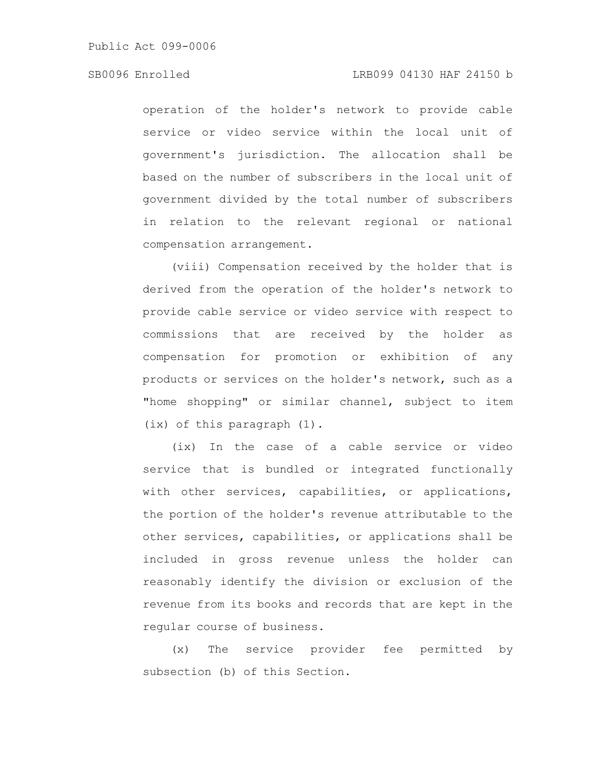### SB0096 Enrolled LRB099 04130 HAF 24150 b

operation of the holder's network to provide cable service or video service within the local unit of government's jurisdiction. The allocation shall be based on the number of subscribers in the local unit of government divided by the total number of subscribers in relation to the relevant regional or national compensation arrangement.

(viii) Compensation received by the holder that is derived from the operation of the holder's network to provide cable service or video service with respect to commissions that are received by the holder as compensation for promotion or exhibition of any products or services on the holder's network, such as a "home shopping" or similar channel, subject to item (ix) of this paragraph (1).

(ix) In the case of a cable service or video service that is bundled or integrated functionally with other services, capabilities, or applications, the portion of the holder's revenue attributable to the other services, capabilities, or applications shall be included in gross revenue unless the holder can reasonably identify the division or exclusion of the revenue from its books and records that are kept in the regular course of business.

(x) The service provider fee permitted by subsection (b) of this Section.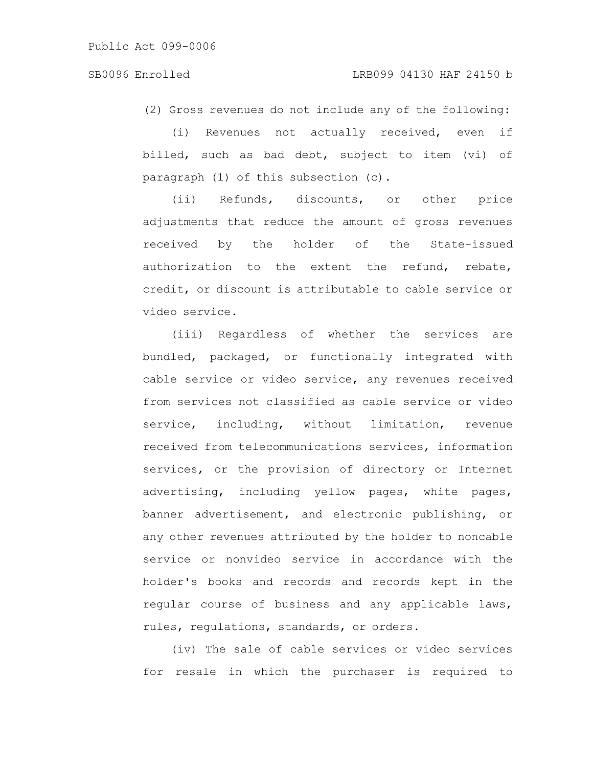(2) Gross revenues do not include any of the following:

(i) Revenues not actually received, even if billed, such as bad debt, subject to item (vi) of paragraph (1) of this subsection (c).

(ii) Refunds, discounts, or other price adjustments that reduce the amount of gross revenues received by the holder of the State-issued authorization to the extent the refund, rebate, credit, or discount is attributable to cable service or video service.

(iii) Regardless of whether the services are bundled, packaged, or functionally integrated with cable service or video service, any revenues received from services not classified as cable service or video service, including, without limitation, revenue received from telecommunications services, information services, or the provision of directory or Internet advertising, including yellow pages, white pages, banner advertisement, and electronic publishing, or any other revenues attributed by the holder to noncable service or nonvideo service in accordance with the holder's books and records and records kept in the regular course of business and any applicable laws, rules, regulations, standards, or orders.

(iv) The sale of cable services or video services for resale in which the purchaser is required to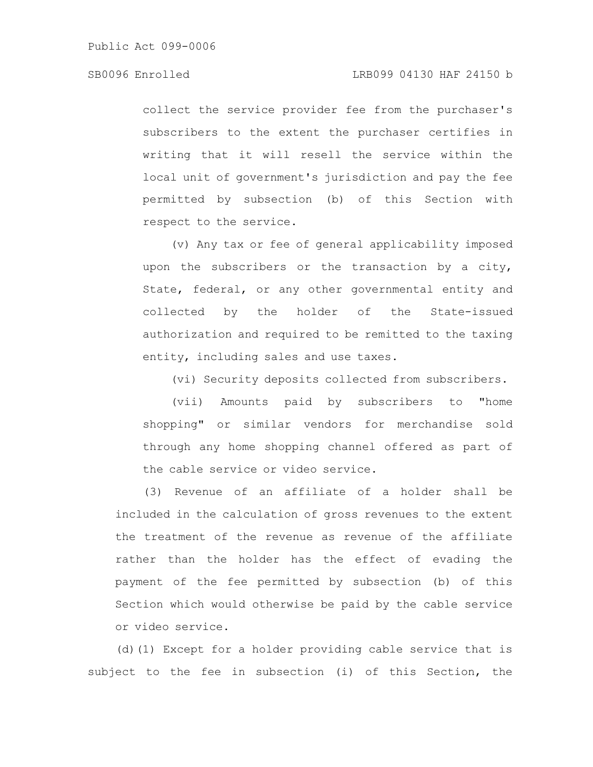collect the service provider fee from the purchaser's subscribers to the extent the purchaser certifies in writing that it will resell the service within the local unit of government's jurisdiction and pay the fee permitted by subsection (b) of this Section with respect to the service.

(v) Any tax or fee of general applicability imposed upon the subscribers or the transaction by a city, State, federal, or any other governmental entity and collected by the holder of the State-issued authorization and required to be remitted to the taxing entity, including sales and use taxes.

(vi) Security deposits collected from subscribers.

(vii) Amounts paid by subscribers to "home shopping" or similar vendors for merchandise sold through any home shopping channel offered as part of the cable service or video service.

(3) Revenue of an affiliate of a holder shall be included in the calculation of gross revenues to the extent the treatment of the revenue as revenue of the affiliate rather than the holder has the effect of evading the payment of the fee permitted by subsection (b) of this Section which would otherwise be paid by the cable service or video service.

(d)(1) Except for a holder providing cable service that is subject to the fee in subsection (i) of this Section, the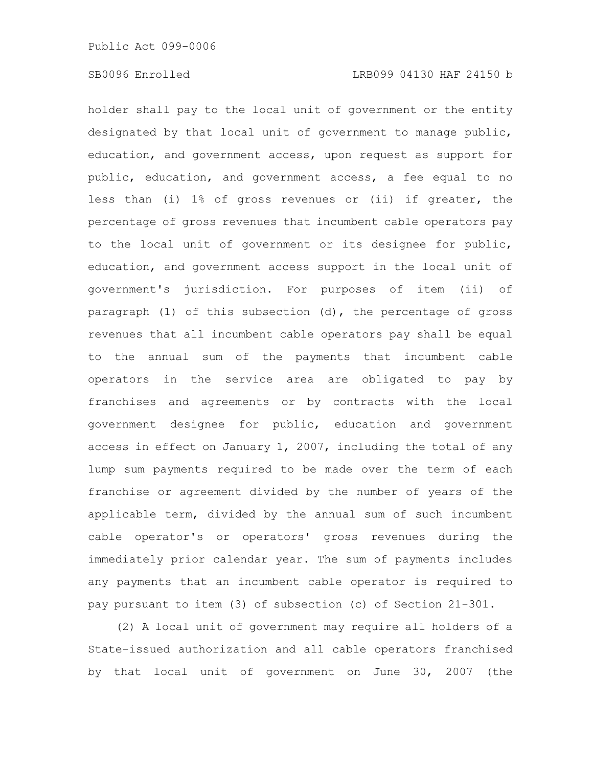holder shall pay to the local unit of government or the entity designated by that local unit of government to manage public, education, and government access, upon request as support for public, education, and government access, a fee equal to no less than (i) 1% of gross revenues or (ii) if greater, the percentage of gross revenues that incumbent cable operators pay to the local unit of government or its designee for public, education, and government access support in the local unit of government's jurisdiction. For purposes of item (ii) of paragraph (1) of this subsection  $(d)$ , the percentage of gross revenues that all incumbent cable operators pay shall be equal to the annual sum of the payments that incumbent cable operators in the service area are obligated to pay by franchises and agreements or by contracts with the local government designee for public, education and government access in effect on January 1, 2007, including the total of any lump sum payments required to be made over the term of each franchise or agreement divided by the number of years of the applicable term, divided by the annual sum of such incumbent cable operator's or operators' gross revenues during the immediately prior calendar year. The sum of payments includes any payments that an incumbent cable operator is required to pay pursuant to item (3) of subsection (c) of Section 21-301.

(2) A local unit of government may require all holders of a State-issued authorization and all cable operators franchised by that local unit of government on June 30, 2007 (the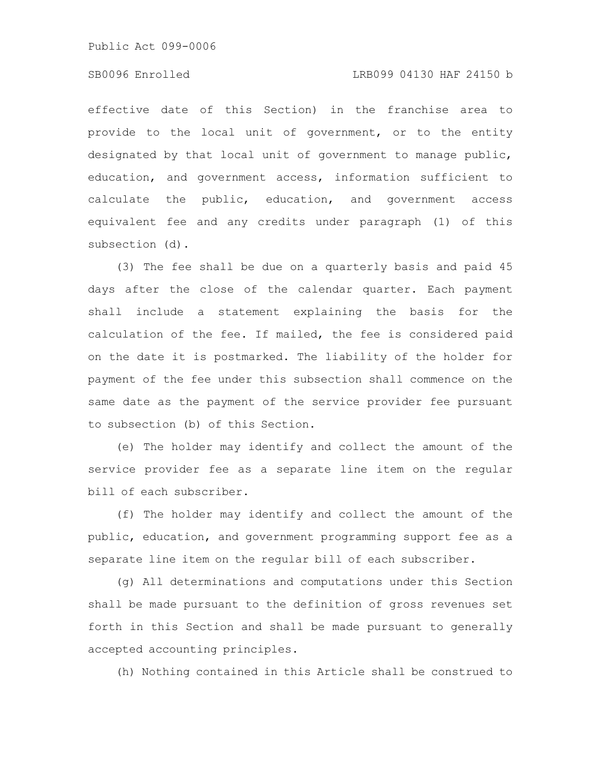#### SB0096 Enrolled LRB099 04130 HAF 24150 b

effective date of this Section) in the franchise area to provide to the local unit of government, or to the entity designated by that local unit of government to manage public, education, and government access, information sufficient to calculate the public, education, and government access equivalent fee and any credits under paragraph (1) of this subsection (d).

(3) The fee shall be due on a quarterly basis and paid 45 days after the close of the calendar quarter. Each payment shall include a statement explaining the basis for the calculation of the fee. If mailed, the fee is considered paid on the date it is postmarked. The liability of the holder for payment of the fee under this subsection shall commence on the same date as the payment of the service provider fee pursuant to subsection (b) of this Section.

(e) The holder may identify and collect the amount of the service provider fee as a separate line item on the regular bill of each subscriber.

(f) The holder may identify and collect the amount of the public, education, and government programming support fee as a separate line item on the regular bill of each subscriber.

(g) All determinations and computations under this Section shall be made pursuant to the definition of gross revenues set forth in this Section and shall be made pursuant to generally accepted accounting principles.

(h) Nothing contained in this Article shall be construed to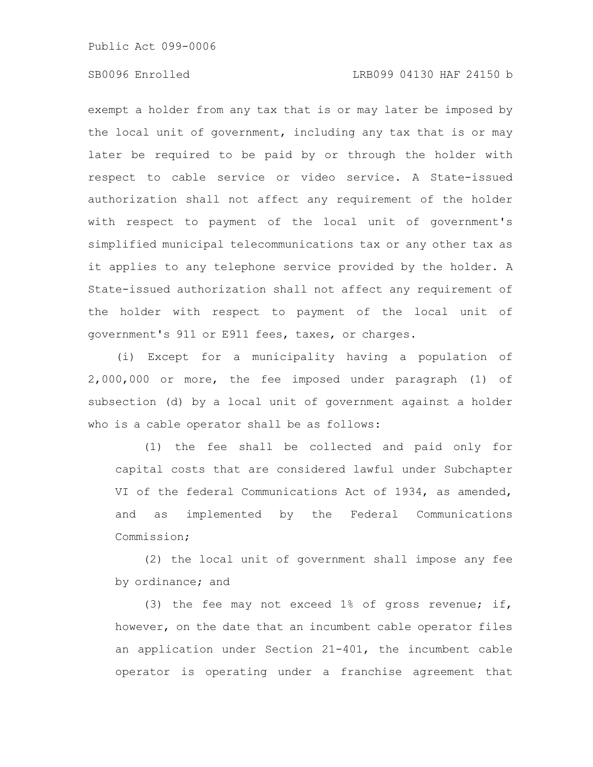### SB0096 Enrolled LRB099 04130 HAF 24150 b

exempt a holder from any tax that is or may later be imposed by the local unit of government, including any tax that is or may later be required to be paid by or through the holder with respect to cable service or video service. A State-issued authorization shall not affect any requirement of the holder with respect to payment of the local unit of government's simplified municipal telecommunications tax or any other tax as it applies to any telephone service provided by the holder. A State-issued authorization shall not affect any requirement of the holder with respect to payment of the local unit of government's 911 or E911 fees, taxes, or charges.

(i) Except for a municipality having a population of 2,000,000 or more, the fee imposed under paragraph (1) of subsection (d) by a local unit of government against a holder who is a cable operator shall be as follows:

(1) the fee shall be collected and paid only for capital costs that are considered lawful under Subchapter VI of the federal Communications Act of 1934, as amended, and as implemented by the Federal Communications Commission;

(2) the local unit of government shall impose any fee by ordinance; and

(3) the fee may not exceed 1% of gross revenue; if, however, on the date that an incumbent cable operator files an application under Section 21-401, the incumbent cable operator is operating under a franchise agreement that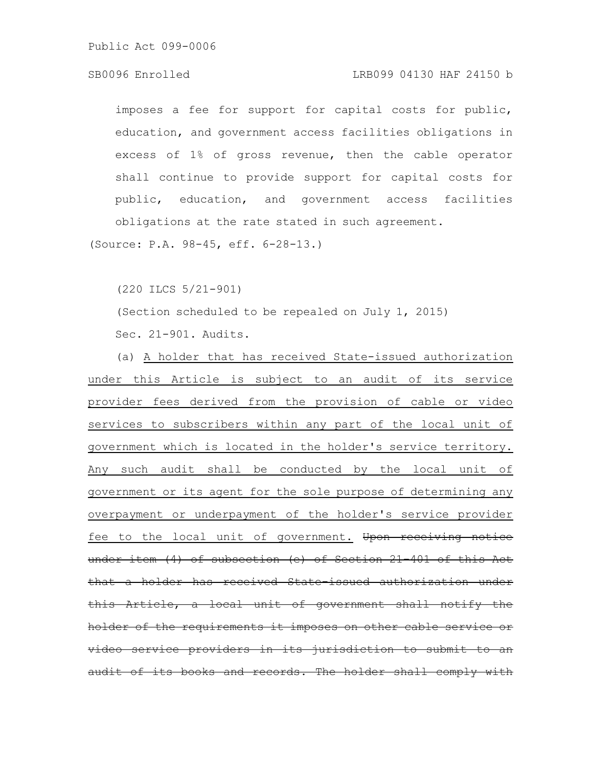#### SB0096 Enrolled LRB099 04130 HAF 24150 b

imposes a fee for support for capital costs for public, education, and government access facilities obligations in excess of 1% of gross revenue, then the cable operator shall continue to provide support for capital costs for public, education, and government access facilities obligations at the rate stated in such agreement.

(Source: P.A. 98-45, eff. 6-28-13.)

(220 ILCS 5/21-901)

(Section scheduled to be repealed on July 1, 2015)

Sec. 21-901. Audits.

(a) A holder that has received State-issued authorization under this Article is subject to an audit of its service provider fees derived from the provision of cable or video services to subscribers within any part of the local unit of government which is located in the holder's service territory. Any such audit shall be conducted by the local unit of government or its agent for the sole purpose of determining any overpayment or underpayment of the holder's service provider fee to the local unit of government. Upon receiving notice under item (4) of subsection (e) of Section 21-401 of this Act that a holder has received State-issued authorization under this Article, a local unit of government shall notify holder of the requirements it imposes on other cable servi video service providers in its jurisdiction to submit to an udit of its books and records. The holder shall comply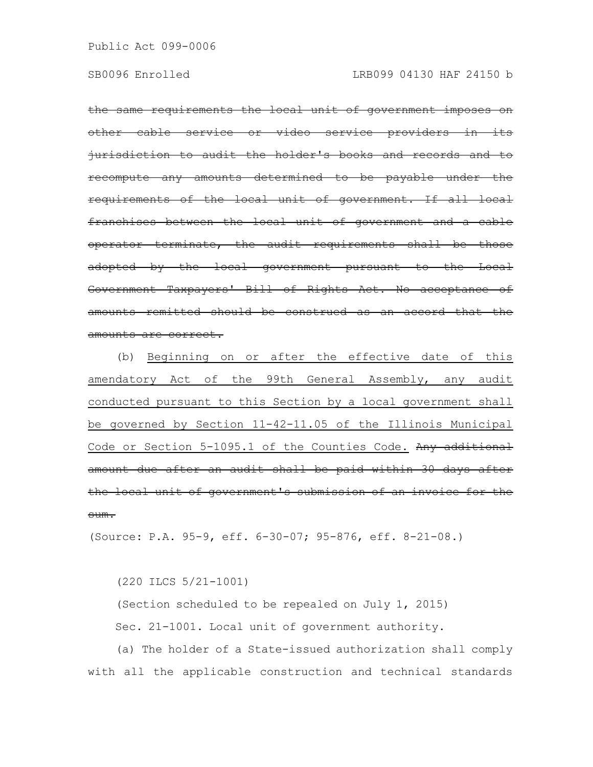the same requirements the local unit of government imposes on other cable service or video service providers in jurisdiction to audit the holder's books and records and to recompute any amounts determined to be payable requirements of the local unit of government. If all local franchises between the local unit of government and a cable operator terminate, the audit requirements shall be those adopted by the local government pursuant to the Local Government Taxpayers' Bill of Rights Act. No acceptance of amounts remitted should be construed as an accord that the amounts are correct.

(b) Beginning on or after the effective date of this amendatory Act of the 99th General Assembly, any audit conducted pursuant to this Section by a local government shall be governed by Section 11-42-11.05 of the Illinois Municipal Code or Section 5-1095.1 of the Counties Code. Any additional amount due after an audit shall be paid within 30 days after the local unit of government's submission of an invoice for sum.

(Source: P.A. 95-9, eff. 6-30-07; 95-876, eff. 8-21-08.)

(220 ILCS 5/21-1001)

(Section scheduled to be repealed on July 1, 2015) Sec. 21-1001. Local unit of government authority.

(a) The holder of a State-issued authorization shall comply with all the applicable construction and technical standards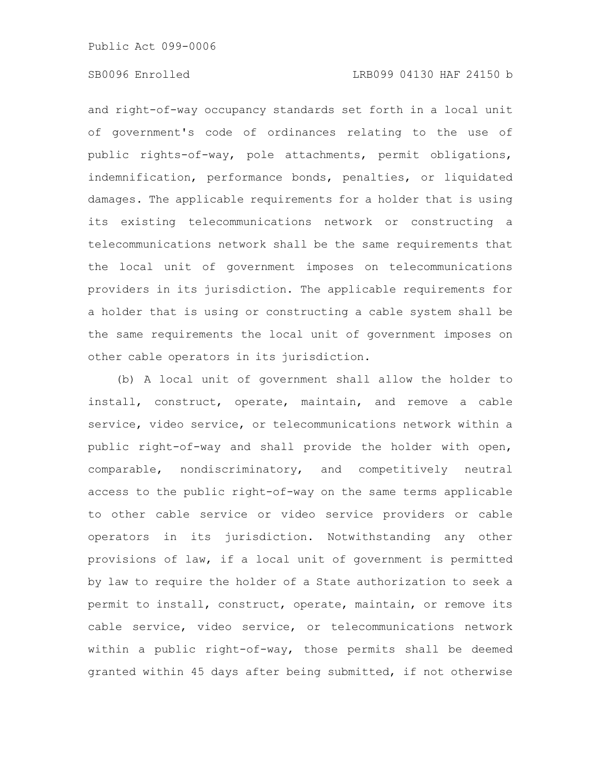### SB0096 Enrolled LRB099 04130 HAF 24150 b

and right-of-way occupancy standards set forth in a local unit of government's code of ordinances relating to the use of public rights-of-way, pole attachments, permit obligations, indemnification, performance bonds, penalties, or liquidated damages. The applicable requirements for a holder that is using its existing telecommunications network or constructing a telecommunications network shall be the same requirements that the local unit of government imposes on telecommunications providers in its jurisdiction. The applicable requirements for a holder that is using or constructing a cable system shall be the same requirements the local unit of government imposes on other cable operators in its jurisdiction.

(b) A local unit of government shall allow the holder to install, construct, operate, maintain, and remove a cable service, video service, or telecommunications network within a public right-of-way and shall provide the holder with open, comparable, nondiscriminatory, and competitively neutral access to the public right-of-way on the same terms applicable to other cable service or video service providers or cable operators in its jurisdiction. Notwithstanding any other provisions of law, if a local unit of government is permitted by law to require the holder of a State authorization to seek a permit to install, construct, operate, maintain, or remove its cable service, video service, or telecommunications network within a public right-of-way, those permits shall be deemed granted within 45 days after being submitted, if not otherwise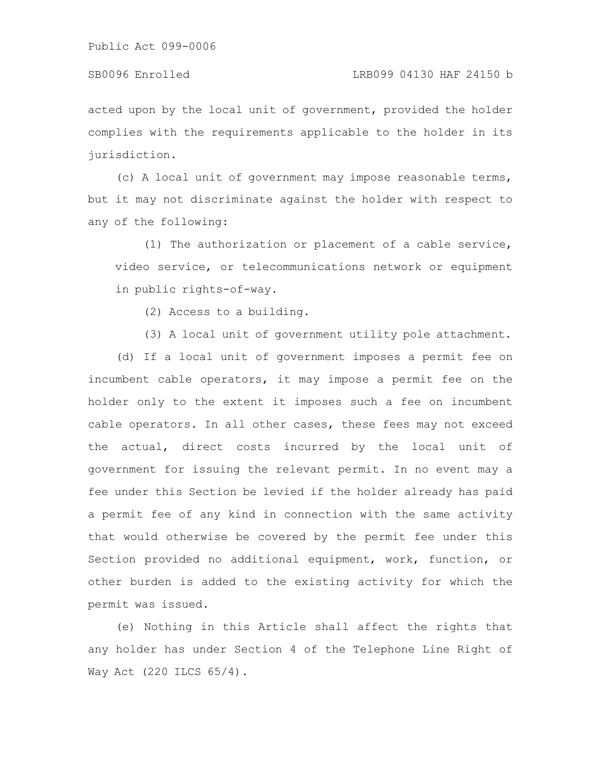#### SB0096 Enrolled LRB099 04130 HAF 24150 b

acted upon by the local unit of government, provided the holder complies with the requirements applicable to the holder in its jurisdiction.

(c) A local unit of government may impose reasonable terms, but it may not discriminate against the holder with respect to any of the following:

(1) The authorization or placement of a cable service, video service, or telecommunications network or equipment in public rights-of-way.

(2) Access to a building.

(3) A local unit of government utility pole attachment.

(d) If a local unit of government imposes a permit fee on incumbent cable operators, it may impose a permit fee on the holder only to the extent it imposes such a fee on incumbent cable operators. In all other cases, these fees may not exceed the actual, direct costs incurred by the local unit of government for issuing the relevant permit. In no event may a fee under this Section be levied if the holder already has paid a permit fee of any kind in connection with the same activity that would otherwise be covered by the permit fee under this Section provided no additional equipment, work, function, or other burden is added to the existing activity for which the permit was issued.

(e) Nothing in this Article shall affect the rights that any holder has under Section 4 of the Telephone Line Right of Way Act (220 ILCS 65/4).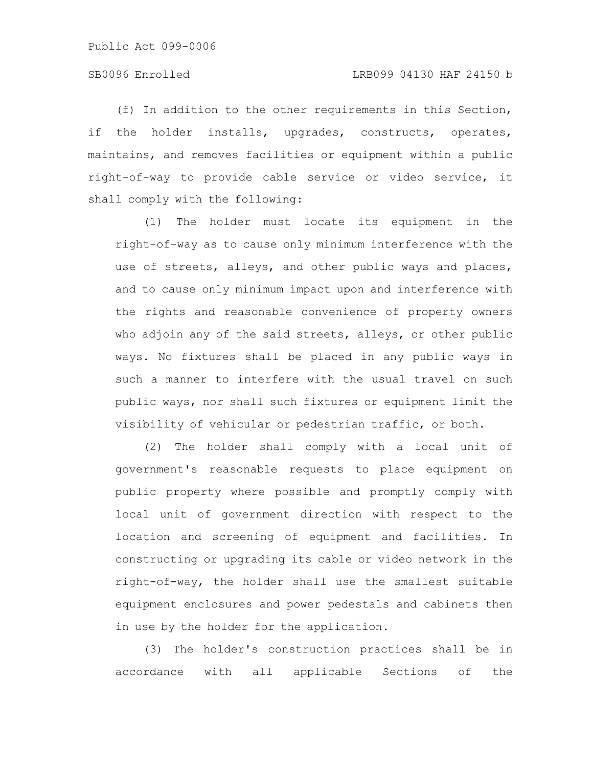(f) In addition to the other requirements in this Section, if the holder installs, upgrades, constructs, operates, maintains, and removes facilities or equipment within a public right-of-way to provide cable service or video service, it shall comply with the following:

(1) The holder must locate its equipment in the right-of-way as to cause only minimum interference with the use of streets, alleys, and other public ways and places, and to cause only minimum impact upon and interference with the rights and reasonable convenience of property owners who adjoin any of the said streets, alleys, or other public ways. No fixtures shall be placed in any public ways in such a manner to interfere with the usual travel on such public ways, nor shall such fixtures or equipment limit the visibility of vehicular or pedestrian traffic, or both.

(2) The holder shall comply with a local unit of government's reasonable requests to place equipment on public property where possible and promptly comply with local unit of government direction with respect to the location and screening of equipment and facilities. In constructing or upgrading its cable or video network in the right-of-way, the holder shall use the smallest suitable equipment enclosures and power pedestals and cabinets then in use by the holder for the application.

(3) The holder's construction practices shall be in accordance with all applicable Sections of the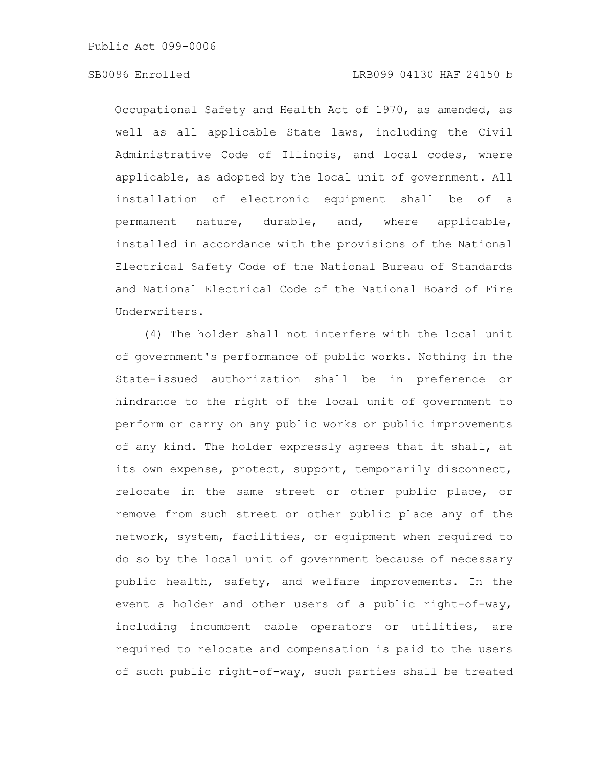### SB0096 Enrolled LRB099 04130 HAF 24150 b

Occupational Safety and Health Act of 1970, as amended, as well as all applicable State laws, including the Civil Administrative Code of Illinois, and local codes, where applicable, as adopted by the local unit of government. All installation of electronic equipment shall be of a permanent nature, durable, and, where applicable, installed in accordance with the provisions of the National Electrical Safety Code of the National Bureau of Standards and National Electrical Code of the National Board of Fire Underwriters.

(4) The holder shall not interfere with the local unit of government's performance of public works. Nothing in the State-issued authorization shall be in preference or hindrance to the right of the local unit of government to perform or carry on any public works or public improvements of any kind. The holder expressly agrees that it shall, at its own expense, protect, support, temporarily disconnect, relocate in the same street or other public place, or remove from such street or other public place any of the network, system, facilities, or equipment when required to do so by the local unit of government because of necessary public health, safety, and welfare improvements. In the event a holder and other users of a public right-of-way, including incumbent cable operators or utilities, are required to relocate and compensation is paid to the users of such public right-of-way, such parties shall be treated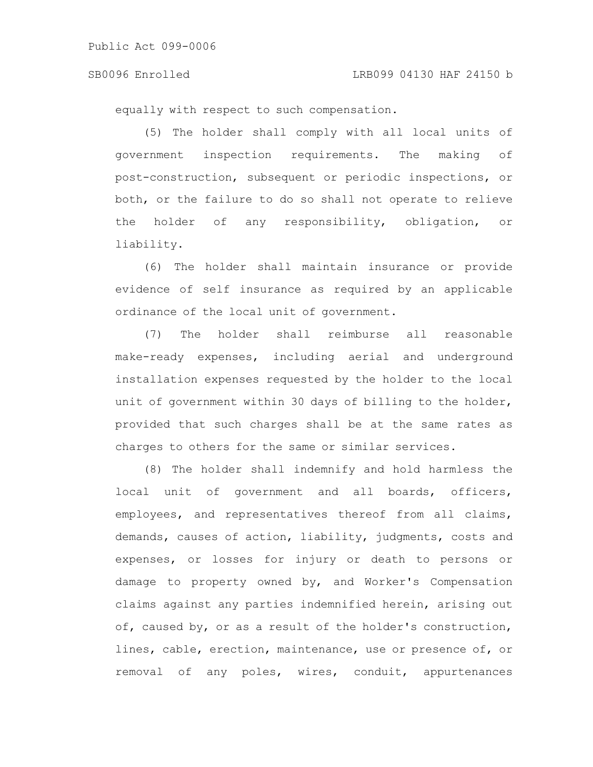#### SB0096 Enrolled LRB099 04130 HAF 24150 b

equally with respect to such compensation.

(5) The holder shall comply with all local units of government inspection requirements. The making of post-construction, subsequent or periodic inspections, or both, or the failure to do so shall not operate to relieve the holder of any responsibility, obligation, or liability.

(6) The holder shall maintain insurance or provide evidence of self insurance as required by an applicable ordinance of the local unit of government.

(7) The holder shall reimburse all reasonable make-ready expenses, including aerial and underground installation expenses requested by the holder to the local unit of government within 30 days of billing to the holder, provided that such charges shall be at the same rates as charges to others for the same or similar services.

(8) The holder shall indemnify and hold harmless the local unit of government and all boards, officers, employees, and representatives thereof from all claims, demands, causes of action, liability, judgments, costs and expenses, or losses for injury or death to persons or damage to property owned by, and Worker's Compensation claims against any parties indemnified herein, arising out of, caused by, or as a result of the holder's construction, lines, cable, erection, maintenance, use or presence of, or removal of any poles, wires, conduit, appurtenances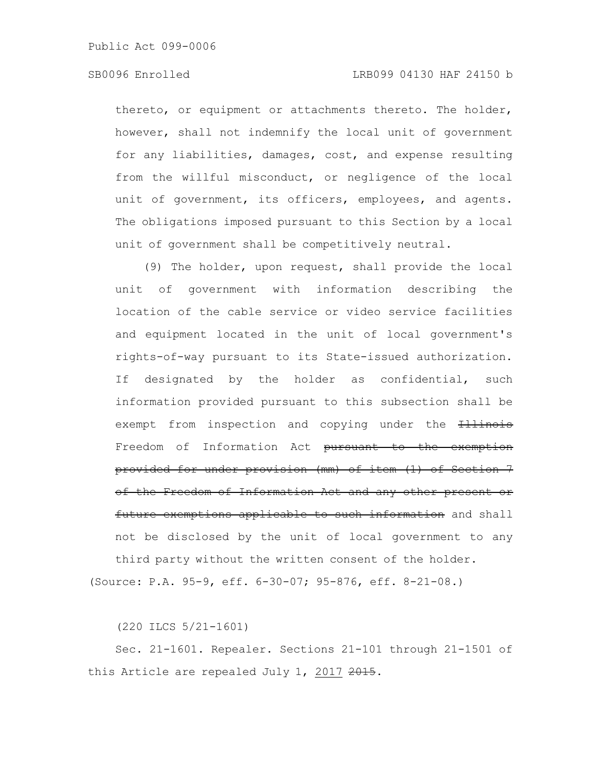### SB0096 Enrolled LRB099 04130 HAF 24150 b

thereto, or equipment or attachments thereto. The holder, however, shall not indemnify the local unit of government for any liabilities, damages, cost, and expense resulting from the willful misconduct, or negligence of the local unit of government, its officers, employees, and agents. The obligations imposed pursuant to this Section by a local unit of government shall be competitively neutral.

(9) The holder, upon request, shall provide the local unit of government with information describing the location of the cable service or video service facilities and equipment located in the unit of local government's rights-of-way pursuant to its State-issued authorization. If designated by the holder as confidential, such information provided pursuant to this subsection shall be exempt from inspection and copying under the **Illinois** Freedom of Information Act pursuant to the exemption provided for under provision (mm) of item (1) of Section 7 of the Freedom of Information Act and any other present or future exemptions applicable to such information and shall not be disclosed by the unit of local government to any third party without the written consent of the holder.

(Source: P.A. 95-9, eff. 6-30-07; 95-876, eff. 8-21-08.)

(220 ILCS 5/21-1601)

Sec. 21-1601. Repealer. Sections 21-101 through 21-1501 of this Article are repealed July 1, 2017 2015.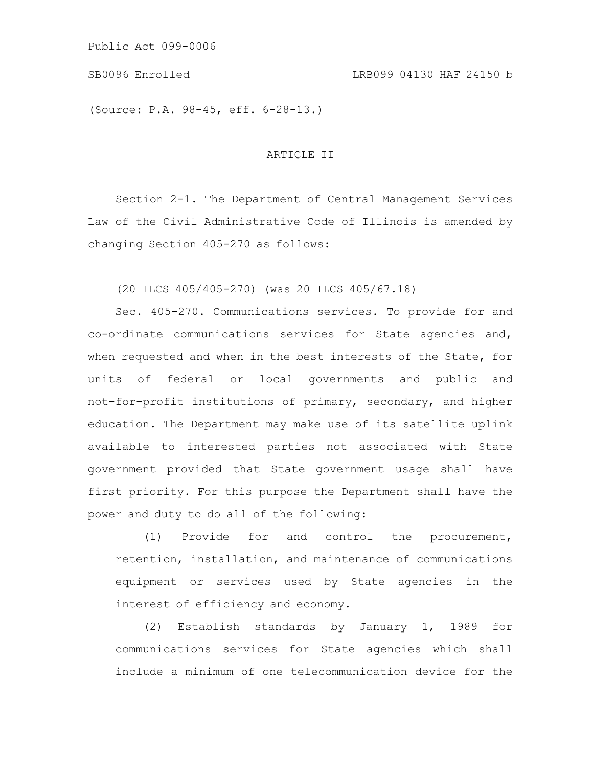(Source: P.A. 98-45, eff. 6-28-13.)

## ARTICLE II

Section 2-1. The Department of Central Management Services Law of the Civil Administrative Code of Illinois is amended by changing Section 405-270 as follows:

(20 ILCS 405/405-270) (was 20 ILCS 405/67.18)

Sec. 405-270. Communications services. To provide for and co-ordinate communications services for State agencies and, when requested and when in the best interests of the State, for units of federal or local governments and public and not-for-profit institutions of primary, secondary, and higher education. The Department may make use of its satellite uplink available to interested parties not associated with State government provided that State government usage shall have first priority. For this purpose the Department shall have the power and duty to do all of the following:

(1) Provide for and control the procurement, retention, installation, and maintenance of communications equipment or services used by State agencies in the interest of efficiency and economy.

(2) Establish standards by January 1, 1989 for communications services for State agencies which shall include a minimum of one telecommunication device for the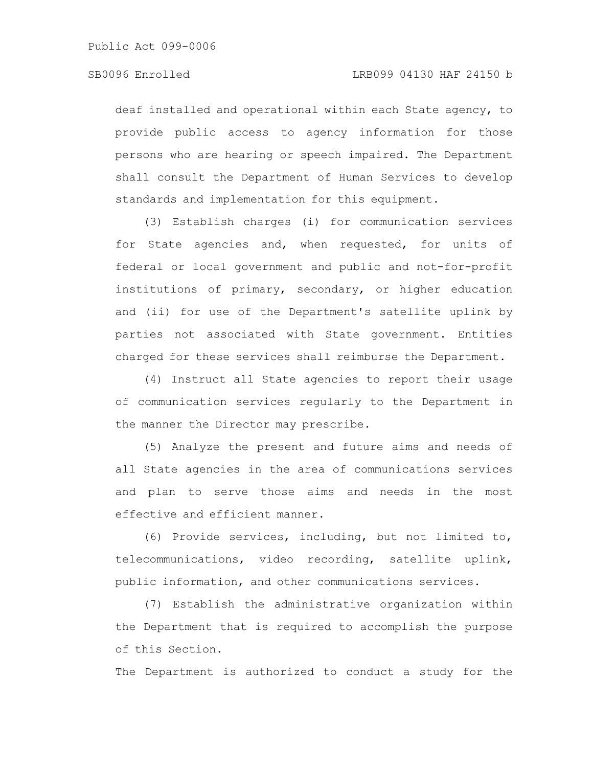deaf installed and operational within each State agency, to provide public access to agency information for those persons who are hearing or speech impaired. The Department shall consult the Department of Human Services to develop standards and implementation for this equipment.

(3) Establish charges (i) for communication services for State agencies and, when requested, for units of federal or local government and public and not-for-profit institutions of primary, secondary, or higher education and (ii) for use of the Department's satellite uplink by parties not associated with State government. Entities charged for these services shall reimburse the Department.

(4) Instruct all State agencies to report their usage of communication services regularly to the Department in the manner the Director may prescribe.

(5) Analyze the present and future aims and needs of all State agencies in the area of communications services and plan to serve those aims and needs in the most effective and efficient manner.

(6) Provide services, including, but not limited to, telecommunications, video recording, satellite uplink, public information, and other communications services.

(7) Establish the administrative organization within the Department that is required to accomplish the purpose of this Section.

The Department is authorized to conduct a study for the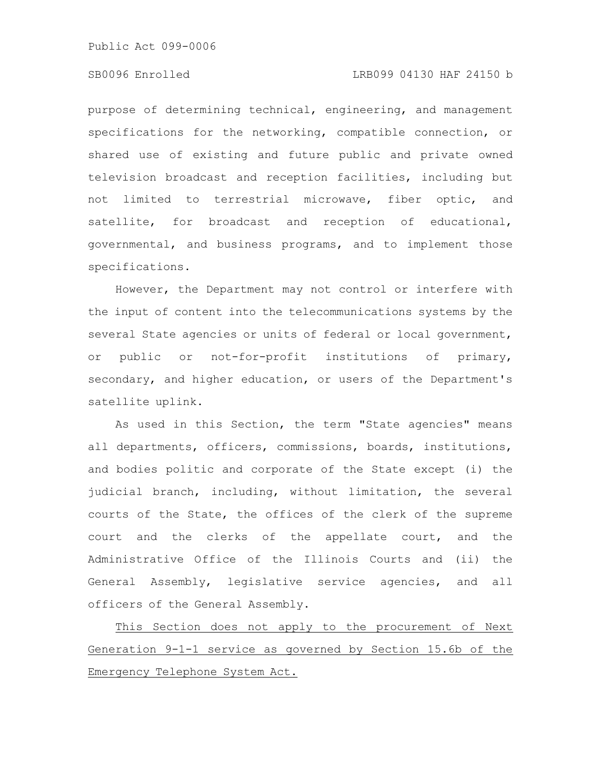#### SB0096 Enrolled LRB099 04130 HAF 24150 b

purpose of determining technical, engineering, and management specifications for the networking, compatible connection, or shared use of existing and future public and private owned television broadcast and reception facilities, including but not limited to terrestrial microwave, fiber optic, and satellite, for broadcast and reception of educational, governmental, and business programs, and to implement those specifications.

However, the Department may not control or interfere with the input of content into the telecommunications systems by the several State agencies or units of federal or local government, or public or not-for-profit institutions of primary, secondary, and higher education, or users of the Department's satellite uplink.

As used in this Section, the term "State agencies" means all departments, officers, commissions, boards, institutions, and bodies politic and corporate of the State except (i) the judicial branch, including, without limitation, the several courts of the State, the offices of the clerk of the supreme court and the clerks of the appellate court, and the Administrative Office of the Illinois Courts and (ii) the General Assembly, legislative service agencies, and all officers of the General Assembly.

This Section does not apply to the procurement of Next Generation 9-1-1 service as governed by Section 15.6b of the Emergency Telephone System Act.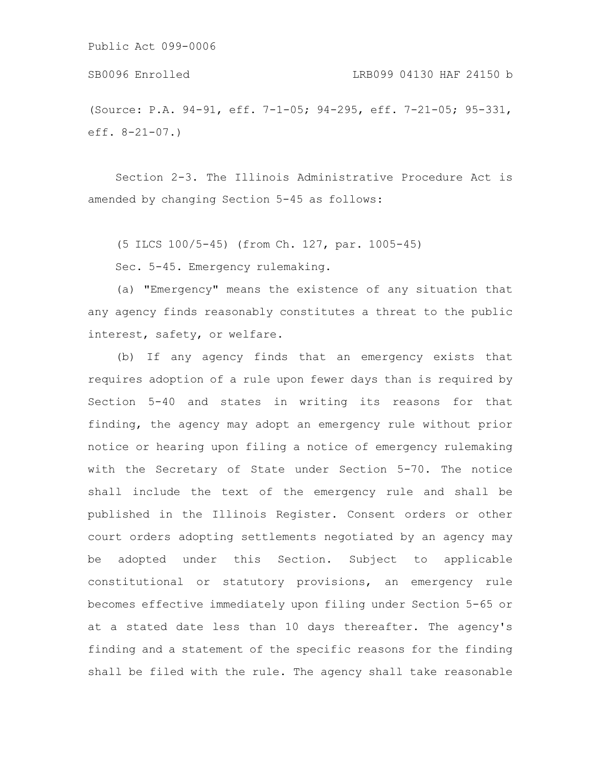SB0096 Enrolled LRB099 04130 HAF 24150 b

(Source: P.A. 94-91, eff. 7-1-05; 94-295, eff. 7-21-05; 95-331, eff. 8-21-07.)

Section 2-3. The Illinois Administrative Procedure Act is amended by changing Section 5-45 as follows:

(5 ILCS 100/5-45) (from Ch. 127, par. 1005-45)

Sec. 5-45. Emergency rulemaking.

(a) "Emergency" means the existence of any situation that any agency finds reasonably constitutes a threat to the public interest, safety, or welfare.

(b) If any agency finds that an emergency exists that requires adoption of a rule upon fewer days than is required by Section 5-40 and states in writing its reasons for that finding, the agency may adopt an emergency rule without prior notice or hearing upon filing a notice of emergency rulemaking with the Secretary of State under Section 5-70. The notice shall include the text of the emergency rule and shall be published in the Illinois Register. Consent orders or other court orders adopting settlements negotiated by an agency may be adopted under this Section. Subject to applicable constitutional or statutory provisions, an emergency rule becomes effective immediately upon filing under Section 5-65 or at a stated date less than 10 days thereafter. The agency's finding and a statement of the specific reasons for the finding shall be filed with the rule. The agency shall take reasonable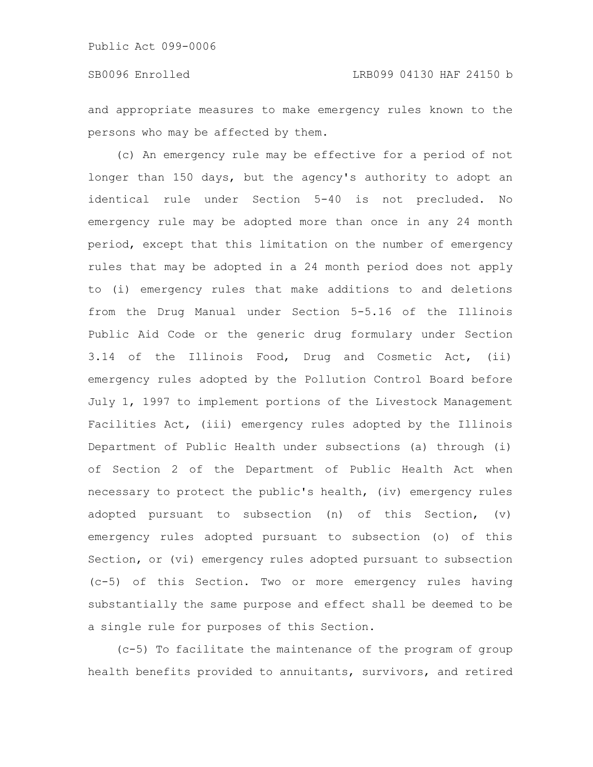### SB0096 Enrolled LRB099 04130 HAF 24150 b

and appropriate measures to make emergency rules known to the persons who may be affected by them.

(c) An emergency rule may be effective for a period of not longer than 150 days, but the agency's authority to adopt an identical rule under Section 5-40 is not precluded. No emergency rule may be adopted more than once in any 24 month period, except that this limitation on the number of emergency rules that may be adopted in a 24 month period does not apply to (i) emergency rules that make additions to and deletions from the Drug Manual under Section 5-5.16 of the Illinois Public Aid Code or the generic drug formulary under Section 3.14 of the Illinois Food, Drug and Cosmetic Act, (ii) emergency rules adopted by the Pollution Control Board before July 1, 1997 to implement portions of the Livestock Management Facilities Act, (iii) emergency rules adopted by the Illinois Department of Public Health under subsections (a) through (i) of Section 2 of the Department of Public Health Act when necessary to protect the public's health, (iv) emergency rules adopted pursuant to subsection (n) of this Section, (v) emergency rules adopted pursuant to subsection (o) of this Section, or (vi) emergency rules adopted pursuant to subsection (c-5) of this Section. Two or more emergency rules having substantially the same purpose and effect shall be deemed to be a single rule for purposes of this Section.

(c-5) To facilitate the maintenance of the program of group health benefits provided to annuitants, survivors, and retired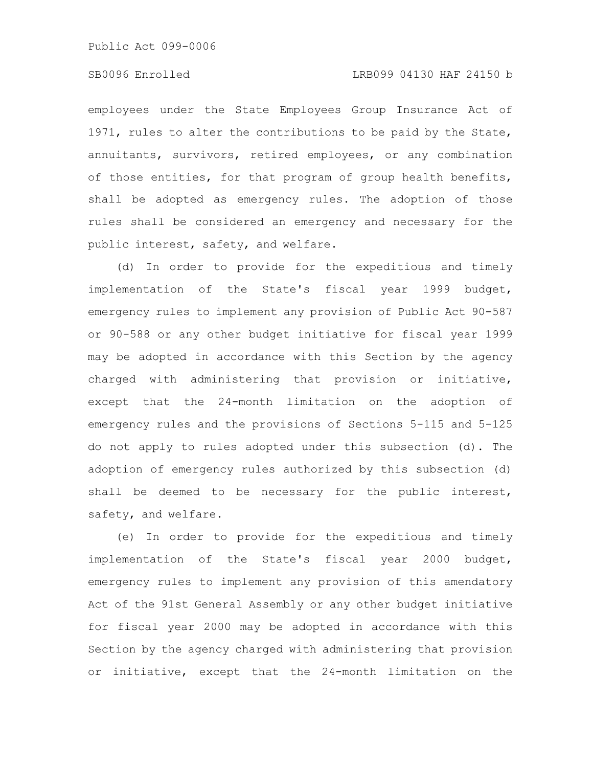## SB0096 Enrolled LRB099 04130 HAF 24150 b

employees under the State Employees Group Insurance Act of 1971, rules to alter the contributions to be paid by the State, annuitants, survivors, retired employees, or any combination of those entities, for that program of group health benefits, shall be adopted as emergency rules. The adoption of those rules shall be considered an emergency and necessary for the public interest, safety, and welfare.

(d) In order to provide for the expeditious and timely implementation of the State's fiscal year 1999 budget, emergency rules to implement any provision of Public Act 90-587 or 90-588 or any other budget initiative for fiscal year 1999 may be adopted in accordance with this Section by the agency charged with administering that provision or initiative, except that the 24-month limitation on the adoption of emergency rules and the provisions of Sections 5-115 and 5-125 do not apply to rules adopted under this subsection (d). The adoption of emergency rules authorized by this subsection (d) shall be deemed to be necessary for the public interest, safety, and welfare.

(e) In order to provide for the expeditious and timely implementation of the State's fiscal year 2000 budget, emergency rules to implement any provision of this amendatory Act of the 91st General Assembly or any other budget initiative for fiscal year 2000 may be adopted in accordance with this Section by the agency charged with administering that provision or initiative, except that the 24-month limitation on the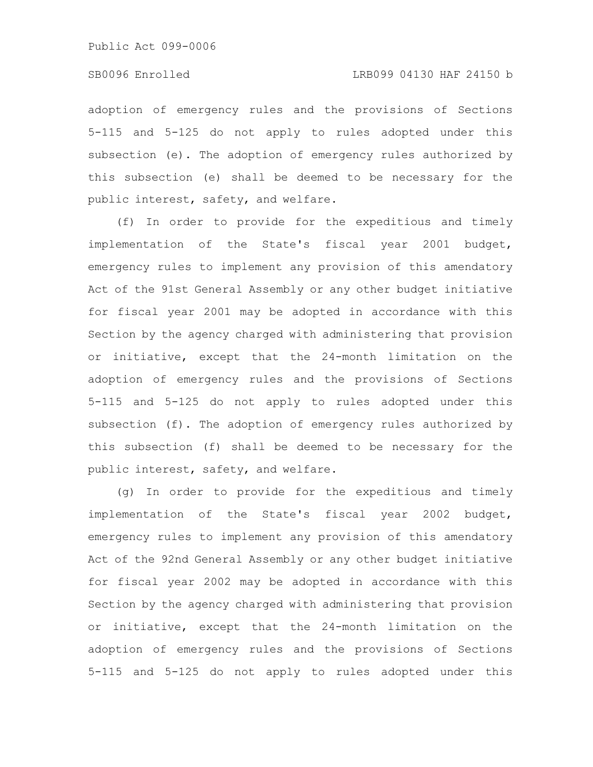### SB0096 Enrolled LRB099 04130 HAF 24150 b

adoption of emergency rules and the provisions of Sections 5-115 and 5-125 do not apply to rules adopted under this subsection (e). The adoption of emergency rules authorized by this subsection (e) shall be deemed to be necessary for the public interest, safety, and welfare.

(f) In order to provide for the expeditious and timely implementation of the State's fiscal year 2001 budget, emergency rules to implement any provision of this amendatory Act of the 91st General Assembly or any other budget initiative for fiscal year 2001 may be adopted in accordance with this Section by the agency charged with administering that provision or initiative, except that the 24-month limitation on the adoption of emergency rules and the provisions of Sections 5-115 and 5-125 do not apply to rules adopted under this subsection (f). The adoption of emergency rules authorized by this subsection (f) shall be deemed to be necessary for the public interest, safety, and welfare.

(g) In order to provide for the expeditious and timely implementation of the State's fiscal year 2002 budget, emergency rules to implement any provision of this amendatory Act of the 92nd General Assembly or any other budget initiative for fiscal year 2002 may be adopted in accordance with this Section by the agency charged with administering that provision or initiative, except that the 24-month limitation on the adoption of emergency rules and the provisions of Sections 5-115 and 5-125 do not apply to rules adopted under this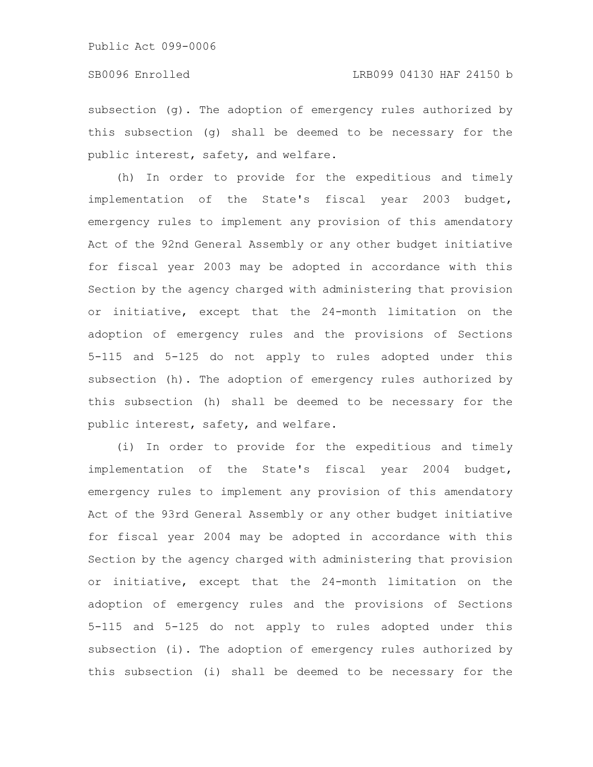subsection (g). The adoption of emergency rules authorized by this subsection (g) shall be deemed to be necessary for the public interest, safety, and welfare.

(h) In order to provide for the expeditious and timely implementation of the State's fiscal year 2003 budget, emergency rules to implement any provision of this amendatory Act of the 92nd General Assembly or any other budget initiative for fiscal year 2003 may be adopted in accordance with this Section by the agency charged with administering that provision or initiative, except that the 24-month limitation on the adoption of emergency rules and the provisions of Sections 5-115 and 5-125 do not apply to rules adopted under this subsection (h). The adoption of emergency rules authorized by this subsection (h) shall be deemed to be necessary for the public interest, safety, and welfare.

(i) In order to provide for the expeditious and timely implementation of the State's fiscal year 2004 budget, emergency rules to implement any provision of this amendatory Act of the 93rd General Assembly or any other budget initiative for fiscal year 2004 may be adopted in accordance with this Section by the agency charged with administering that provision or initiative, except that the 24-month limitation on the adoption of emergency rules and the provisions of Sections 5-115 and 5-125 do not apply to rules adopted under this subsection (i). The adoption of emergency rules authorized by this subsection (i) shall be deemed to be necessary for the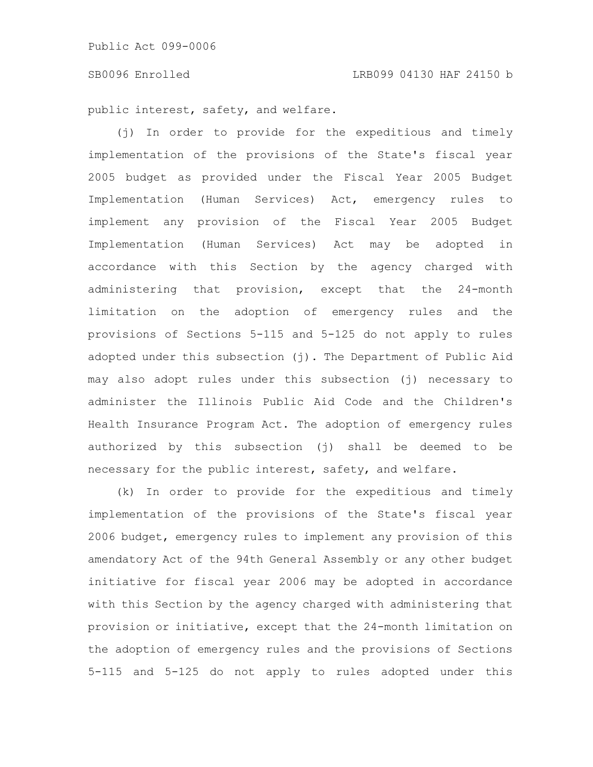#### SB0096 Enrolled LRB099 04130 HAF 24150 b

public interest, safety, and welfare.

(j) In order to provide for the expeditious and timely implementation of the provisions of the State's fiscal year 2005 budget as provided under the Fiscal Year 2005 Budget Implementation (Human Services) Act, emergency rules to implement any provision of the Fiscal Year 2005 Budget Implementation (Human Services) Act may be adopted in accordance with this Section by the agency charged with administering that provision, except that the 24-month limitation on the adoption of emergency rules and the provisions of Sections 5-115 and 5-125 do not apply to rules adopted under this subsection (j). The Department of Public Aid may also adopt rules under this subsection (j) necessary to administer the Illinois Public Aid Code and the Children's Health Insurance Program Act. The adoption of emergency rules authorized by this subsection (j) shall be deemed to be necessary for the public interest, safety, and welfare.

(k) In order to provide for the expeditious and timely implementation of the provisions of the State's fiscal year 2006 budget, emergency rules to implement any provision of this amendatory Act of the 94th General Assembly or any other budget initiative for fiscal year 2006 may be adopted in accordance with this Section by the agency charged with administering that provision or initiative, except that the 24-month limitation on the adoption of emergency rules and the provisions of Sections 5-115 and 5-125 do not apply to rules adopted under this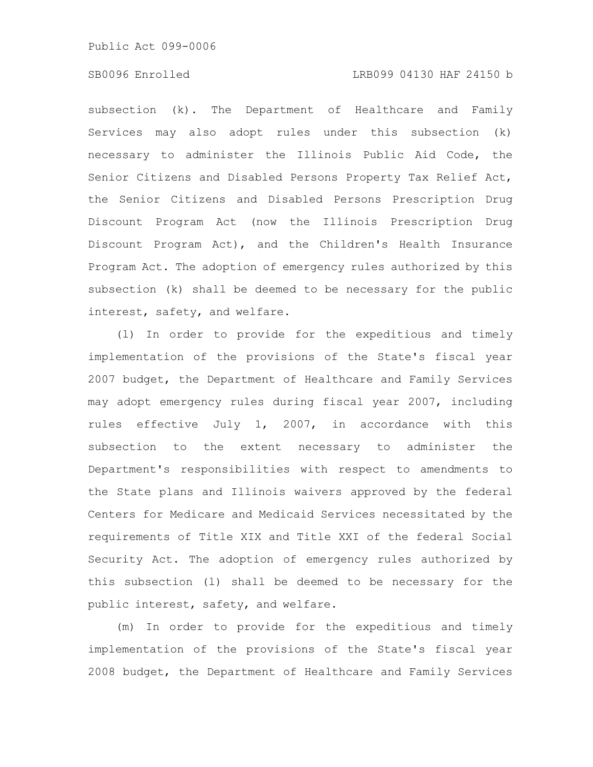#### SB0096 Enrolled LRB099 04130 HAF 24150 b

subsection (k). The Department of Healthcare and Family Services may also adopt rules under this subsection (k) necessary to administer the Illinois Public Aid Code, the Senior Citizens and Disabled Persons Property Tax Relief Act, the Senior Citizens and Disabled Persons Prescription Drug Discount Program Act (now the Illinois Prescription Drug Discount Program Act), and the Children's Health Insurance Program Act. The adoption of emergency rules authorized by this subsection (k) shall be deemed to be necessary for the public interest, safety, and welfare.

(l) In order to provide for the expeditious and timely implementation of the provisions of the State's fiscal year 2007 budget, the Department of Healthcare and Family Services may adopt emergency rules during fiscal year 2007, including rules effective July 1, 2007, in accordance with this subsection to the extent necessary to administer the Department's responsibilities with respect to amendments to the State plans and Illinois waivers approved by the federal Centers for Medicare and Medicaid Services necessitated by the requirements of Title XIX and Title XXI of the federal Social Security Act. The adoption of emergency rules authorized by this subsection (l) shall be deemed to be necessary for the public interest, safety, and welfare.

(m) In order to provide for the expeditious and timely implementation of the provisions of the State's fiscal year 2008 budget, the Department of Healthcare and Family Services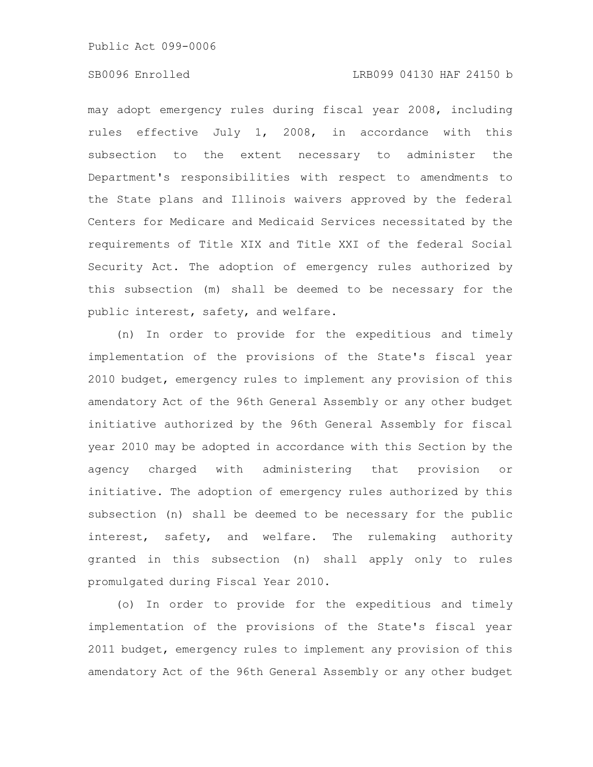## SB0096 Enrolled LRB099 04130 HAF 24150 b

may adopt emergency rules during fiscal year 2008, including rules effective July 1, 2008, in accordance with this subsection to the extent necessary to administer the Department's responsibilities with respect to amendments to the State plans and Illinois waivers approved by the federal Centers for Medicare and Medicaid Services necessitated by the requirements of Title XIX and Title XXI of the federal Social Security Act. The adoption of emergency rules authorized by this subsection (m) shall be deemed to be necessary for the public interest, safety, and welfare.

(n) In order to provide for the expeditious and timely implementation of the provisions of the State's fiscal year 2010 budget, emergency rules to implement any provision of this amendatory Act of the 96th General Assembly or any other budget initiative authorized by the 96th General Assembly for fiscal year 2010 may be adopted in accordance with this Section by the agency charged with administering that provision or initiative. The adoption of emergency rules authorized by this subsection (n) shall be deemed to be necessary for the public interest, safety, and welfare. The rulemaking authority granted in this subsection (n) shall apply only to rules promulgated during Fiscal Year 2010.

(o) In order to provide for the expeditious and timely implementation of the provisions of the State's fiscal year 2011 budget, emergency rules to implement any provision of this amendatory Act of the 96th General Assembly or any other budget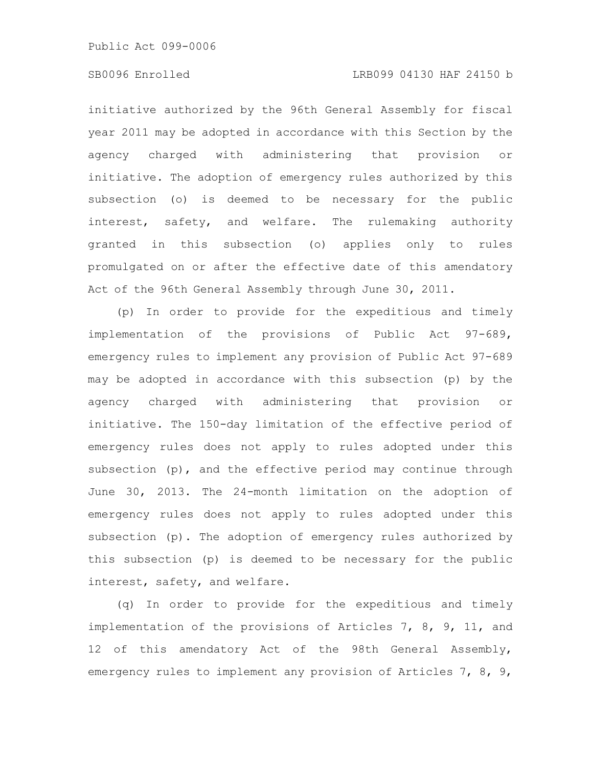# SB0096 Enrolled LRB099 04130 HAF 24150 b

initiative authorized by the 96th General Assembly for fiscal year 2011 may be adopted in accordance with this Section by the agency charged with administering that provision or initiative. The adoption of emergency rules authorized by this subsection (o) is deemed to be necessary for the public interest, safety, and welfare. The rulemaking authority granted in this subsection (o) applies only to rules promulgated on or after the effective date of this amendatory Act of the 96th General Assembly through June 30, 2011.

(p) In order to provide for the expeditious and timely implementation of the provisions of Public Act 97-689, emergency rules to implement any provision of Public Act 97-689 may be adopted in accordance with this subsection (p) by the agency charged with administering that provision or initiative. The 150-day limitation of the effective period of emergency rules does not apply to rules adopted under this subsection (p), and the effective period may continue through June 30, 2013. The 24-month limitation on the adoption of emergency rules does not apply to rules adopted under this subsection (p). The adoption of emergency rules authorized by this subsection (p) is deemed to be necessary for the public interest, safety, and welfare.

(q) In order to provide for the expeditious and timely implementation of the provisions of Articles 7, 8, 9, 11, and 12 of this amendatory Act of the 98th General Assembly, emergency rules to implement any provision of Articles 7, 8, 9,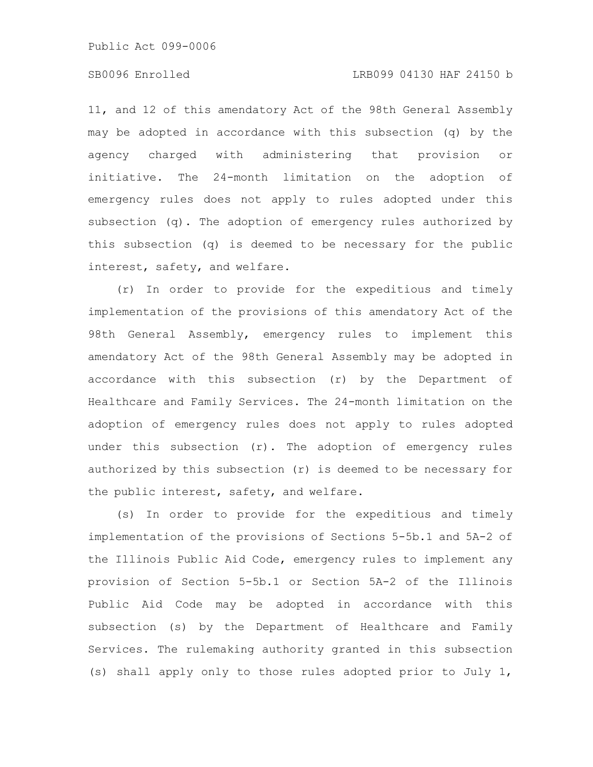### SB0096 Enrolled LRB099 04130 HAF 24150 b

11, and 12 of this amendatory Act of the 98th General Assembly may be adopted in accordance with this subsection (q) by the agency charged with administering that provision or initiative. The 24-month limitation on the adoption of emergency rules does not apply to rules adopted under this subsection (q). The adoption of emergency rules authorized by this subsection (q) is deemed to be necessary for the public interest, safety, and welfare.

(r) In order to provide for the expeditious and timely implementation of the provisions of this amendatory Act of the 98th General Assembly, emergency rules to implement this amendatory Act of the 98th General Assembly may be adopted in accordance with this subsection (r) by the Department of Healthcare and Family Services. The 24-month limitation on the adoption of emergency rules does not apply to rules adopted under this subsection (r). The adoption of emergency rules authorized by this subsection (r) is deemed to be necessary for the public interest, safety, and welfare.

(s) In order to provide for the expeditious and timely implementation of the provisions of Sections 5-5b.1 and 5A-2 of the Illinois Public Aid Code, emergency rules to implement any provision of Section 5-5b.1 or Section 5A-2 of the Illinois Public Aid Code may be adopted in accordance with this subsection (s) by the Department of Healthcare and Family Services. The rulemaking authority granted in this subsection (s) shall apply only to those rules adopted prior to July 1,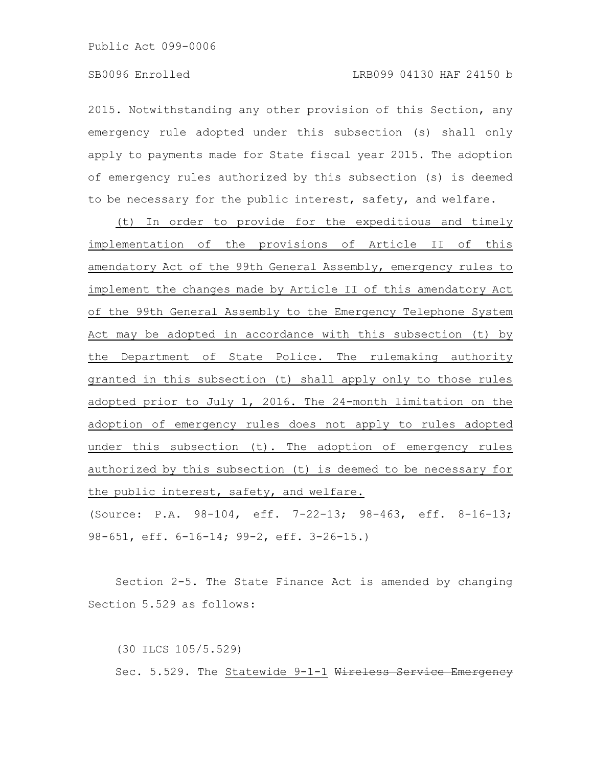2015. Notwithstanding any other provision of this Section, any emergency rule adopted under this subsection (s) shall only apply to payments made for State fiscal year 2015. The adoption of emergency rules authorized by this subsection (s) is deemed to be necessary for the public interest, safety, and welfare.

(t) In order to provide for the expeditious and timely implementation of the provisions of Article II of this amendatory Act of the 99th General Assembly, emergency rules to implement the changes made by Article II of this amendatory Act of the 99th General Assembly to the Emergency Telephone System Act may be adopted in accordance with this subsection (t) by the Department of State Police. The rulemaking authority granted in this subsection (t) shall apply only to those rules adopted prior to July 1, 2016. The 24-month limitation on the adoption of emergency rules does not apply to rules adopted under this subsection (t). The adoption of emergency rules authorized by this subsection (t) is deemed to be necessary for the public interest, safety, and welfare.

(Source: P.A. 98-104, eff. 7-22-13; 98-463, eff. 8-16-13; 98-651, eff. 6-16-14; 99-2, eff. 3-26-15.)

Section 2-5. The State Finance Act is amended by changing Section 5.529 as follows:

(30 ILCS 105/5.529) Sec. 5.529. The Statewide 9-1-1 Wireless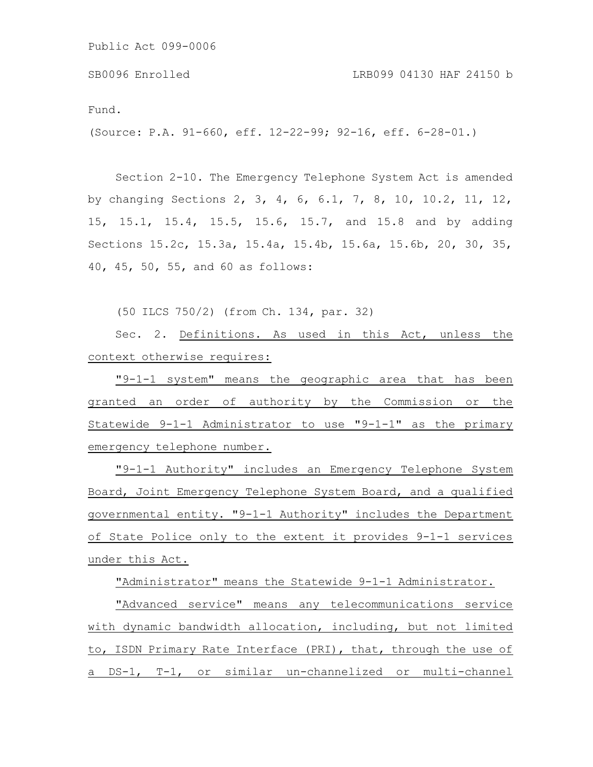Fund. (Source: P.A. 91-660, eff. 12-22-99; 92-16, eff. 6-28-01.) SB0096 Enrolled LRB099 04130 HAF 24150 b

Section 2-10. The Emergency Telephone System Act is amended by changing Sections 2, 3, 4, 6, 6.1, 7, 8, 10, 10.2, 11, 12, 15, 15.1, 15.4, 15.5, 15.6, 15.7, and 15.8 and by adding Sections 15.2c, 15.3a, 15.4a, 15.4b, 15.6a, 15.6b, 20, 30, 35, 40, 45, 50, 55, and 60 as follows:

(50 ILCS 750/2) (from Ch. 134, par. 32)

Sec. 2. Definitions. As used in this Act, unless the context otherwise requires:

"9-1-1 system" means the geographic area that has been granted an order of authority by the Commission or the Statewide 9-1-1 Administrator to use "9-1-1" as the primary emergency telephone number.

"9-1-1 Authority" includes an Emergency Telephone System Board, Joint Emergency Telephone System Board, and a qualified governmental entity. "9-1-1 Authority" includes the Department of State Police only to the extent it provides 9-1-1 services under this Act.

"Administrator" means the Statewide 9-1-1 Administrator.

"Advanced service" means any telecommunications service with dynamic bandwidth allocation, including, but not limited to, ISDN Primary Rate Interface (PRI), that, through the use of a DS-1, T-1, or similar un-channelized or multi-channel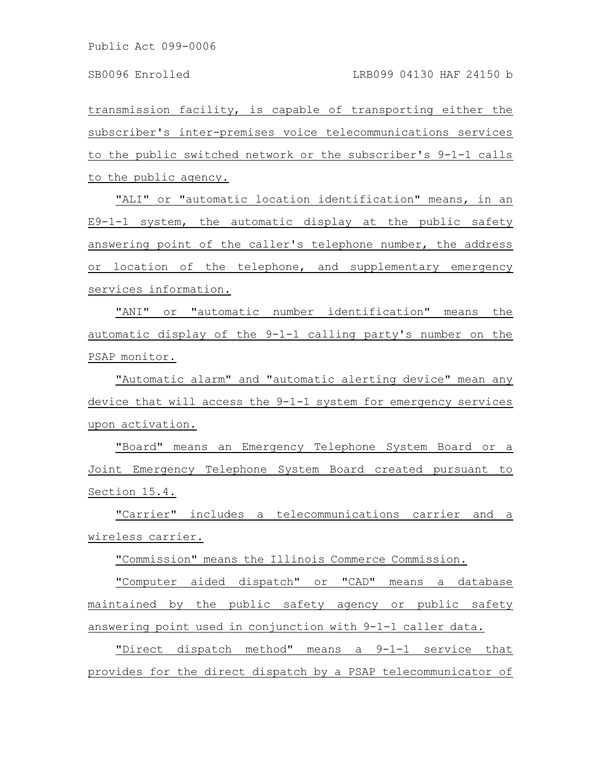transmission facility, is capable of transporting either the subscriber's inter-premises voice telecommunications services to the public switched network or the subscriber's 9-1-1 calls to the public agency.

"ALI" or "automatic location identification" means, in an E9-1-1 system, the automatic display at the public safety answering point of the caller's telephone number, the address or location of the telephone, and supplementary emergency services information.

"ANI" or "automatic number identification" means the automatic display of the 9-1-1 calling party's number on the PSAP monitor.

"Automatic alarm" and "automatic alerting device" mean any device that will access the 9-1-1 system for emergency services upon activation.

"Board" means an Emergency Telephone System Board or a Joint Emergency Telephone System Board created pursuant to Section 15.4.

"Carrier" includes a telecommunications carrier and a wireless carrier.

"Commission" means the Illinois Commerce Commission.

"Computer aided dispatch" or "CAD" means a database maintained by the public safety agency or public safety answering point used in conjunction with 9-1-1 caller data.

"Direct dispatch method" means a 9-1-1 service that provides for the direct dispatch by a PSAP telecommunicator of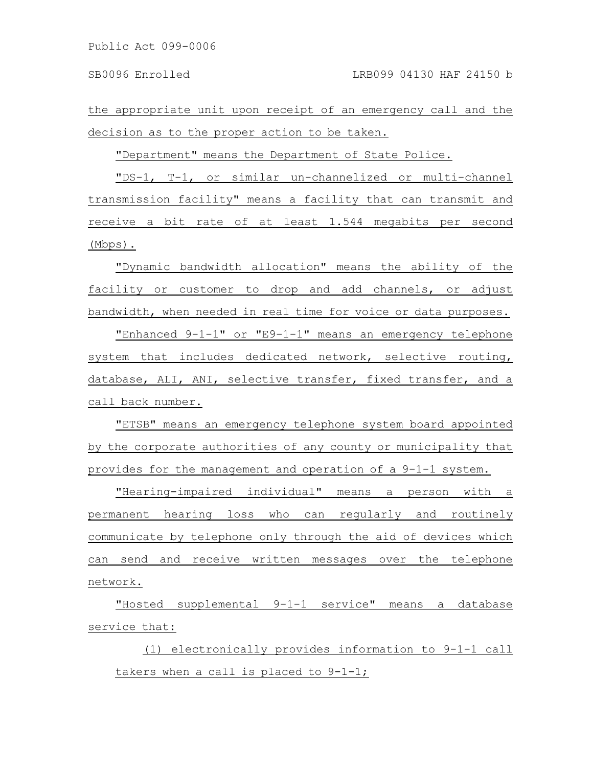the appropriate unit upon receipt of an emergency call and the decision as to the proper action to be taken.

"Department" means the Department of State Police.

"DS-1, T-1, or similar un-channelized or multi-channel transmission facility" means a facility that can transmit and receive a bit rate of at least 1.544 megabits per second (Mbps).

"Dynamic bandwidth allocation" means the ability of the facility or customer to drop and add channels, or adjust bandwidth, when needed in real time for voice or data purposes.

"Enhanced 9-1-1" or "E9-1-1" means an emergency telephone system that includes dedicated network, selective routing, database, ALI, ANI, selective transfer, fixed transfer, and a call back number.

"ETSB" means an emergency telephone system board appointed by the corporate authorities of any county or municipality that provides for the management and operation of a 9-1-1 system.

"Hearing-impaired individual" means a person with a permanent hearing loss who can regularly and routinely communicate by telephone only through the aid of devices which can send and receive written messages over the telephone network.

"Hosted supplemental 9-1-1 service" means a database service that:

(1) electronically provides information to 9-1-1 call takers when a call is placed to 9-1-1;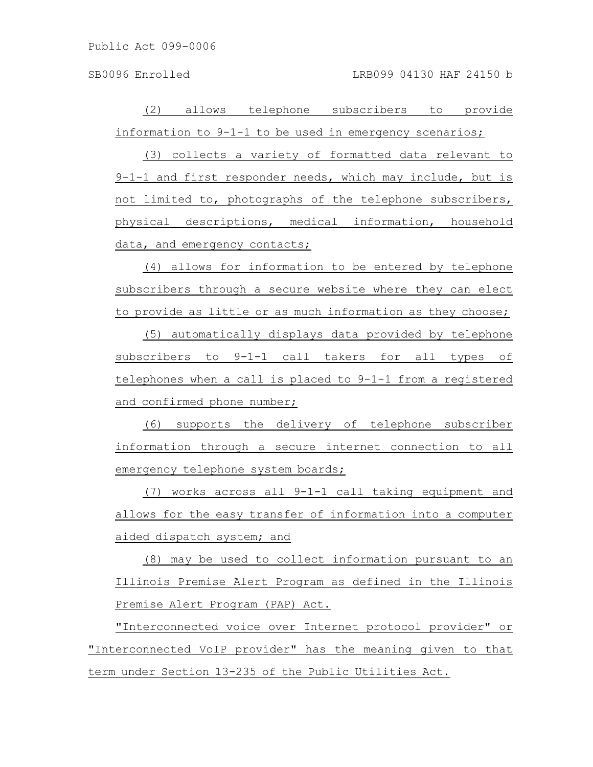(2) allows telephone subscribers to provide information to 9-1-1 to be used in emergency scenarios;

(3) collects a variety of formatted data relevant to 9-1-1 and first responder needs, which may include, but is not limited to, photographs of the telephone subscribers, physical descriptions, medical information, household data, and emergency contacts;

(4) allows for information to be entered by telephone subscribers through a secure website where they can elect to provide as little or as much information as they choose;

(5) automatically displays data provided by telephone subscribers to 9-1-1 call takers for all types of telephones when a call is placed to 9-1-1 from a registered and confirmed phone number;

(6) supports the delivery of telephone subscriber information through a secure internet connection to all emergency telephone system boards;

(7) works across all 9-1-1 call taking equipment and allows for the easy transfer of information into a computer aided dispatch system; and

(8) may be used to collect information pursuant to an Illinois Premise Alert Program as defined in the Illinois Premise Alert Program (PAP) Act.

"Interconnected voice over Internet protocol provider" or "Interconnected VoIP provider" has the meaning given to that term under Section 13-235 of the Public Utilities Act.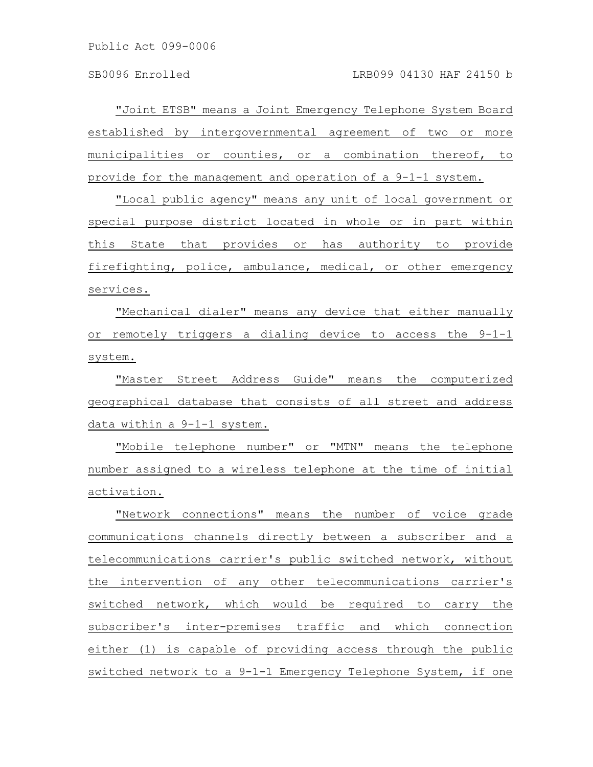"Joint ETSB" means a Joint Emergency Telephone System Board established by intergovernmental agreement of two or more municipalities or counties, or a combination thereof, to provide for the management and operation of a 9-1-1 system.

"Local public agency" means any unit of local government or special purpose district located in whole or in part within this State that provides or has authority to provide firefighting, police, ambulance, medical, or other emergency services.

"Mechanical dialer" means any device that either manually or remotely triggers a dialing device to access the 9-1-1 system.

"Master Street Address Guide" means the computerized geographical database that consists of all street and address data within a 9-1-1 system.

"Mobile telephone number" or "MTN" means the telephone number assigned to a wireless telephone at the time of initial activation.

"Network connections" means the number of voice grade communications channels directly between a subscriber and a telecommunications carrier's public switched network, without the intervention of any other telecommunications carrier's switched network, which would be required to carry the subscriber's inter-premises traffic and which connection either (1) is capable of providing access through the public switched network to a 9-1-1 Emergency Telephone System, if one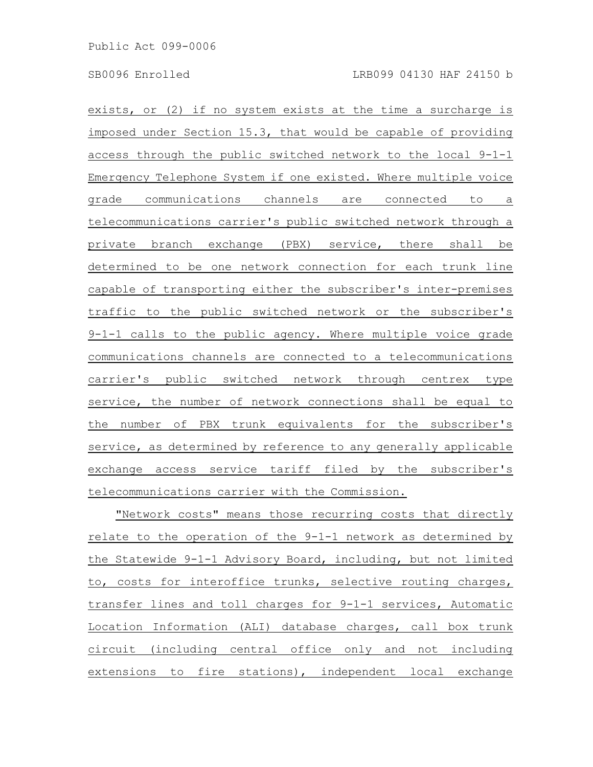exists, or (2) if no system exists at the time a surcharge is imposed under Section 15.3, that would be capable of providing access through the public switched network to the local 9-1-1 Emergency Telephone System if one existed. Where multiple voice grade communications channels are connected to a telecommunications carrier's public switched network through a private branch exchange (PBX) service, there shall be determined to be one network connection for each trunk line capable of transporting either the subscriber's inter-premises traffic to the public switched network or the subscriber's 9-1-1 calls to the public agency. Where multiple voice grade communications channels are connected to a telecommunications carrier's public switched network through centrex type service, the number of network connections shall be equal to the number of PBX trunk equivalents for the subscriber's service, as determined by reference to any generally applicable exchange access service tariff filed by the subscriber's telecommunications carrier with the Commission.

"Network costs" means those recurring costs that directly relate to the operation of the 9-1-1 network as determined by the Statewide 9-1-1 Advisory Board, including, but not limited to, costs for interoffice trunks, selective routing charges, transfer lines and toll charges for 9-1-1 services, Automatic Location Information (ALI) database charges, call box trunk circuit (including central office only and not including extensions to fire stations), independent local exchange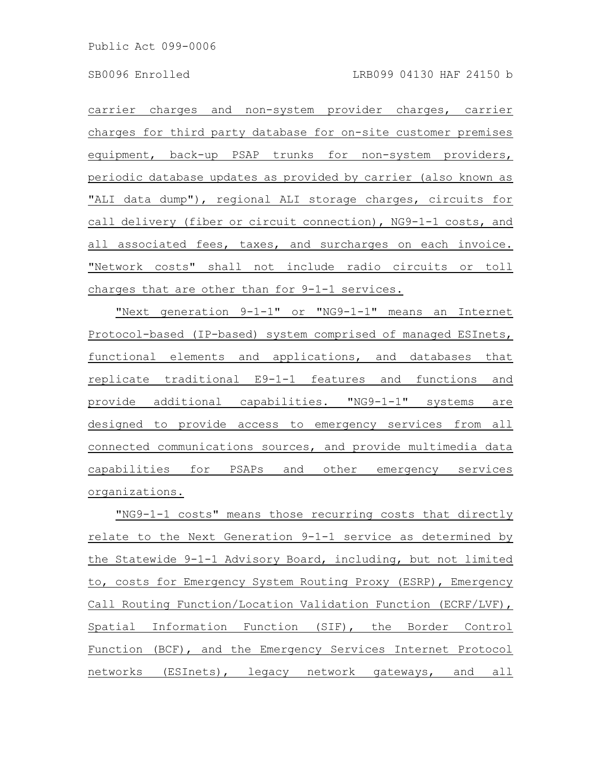carrier charges and non-system provider charges, carrier charges for third party database for on-site customer premises equipment, back-up PSAP trunks for non-system providers, periodic database updates as provided by carrier (also known as "ALI data dump"), regional ALI storage charges, circuits for call delivery (fiber or circuit connection), NG9-1-1 costs, and all associated fees, taxes, and surcharges on each invoice. "Network costs" shall not include radio circuits or toll charges that are other than for 9-1-1 services.

"Next generation 9-1-1" or "NG9-1-1" means an Internet Protocol-based (IP-based) system comprised of managed ESInets, functional elements and applications, and databases that replicate traditional E9-1-1 features and functions and provide additional capabilities. "NG9-1-1" systems are designed to provide access to emergency services from all connected communications sources, and provide multimedia data capabilities for PSAPs and other emergency services organizations.

"NG9-1-1 costs" means those recurring costs that directly relate to the Next Generation 9-1-1 service as determined by the Statewide 9-1-1 Advisory Board, including, but not limited to, costs for Emergency System Routing Proxy (ESRP), Emergency Call Routing Function/Location Validation Function (ECRF/LVF), Spatial Information Function (SIF), the Border Control Function (BCF), and the Emergency Services Internet Protocol networks (ESInets), legacy network gateways, and all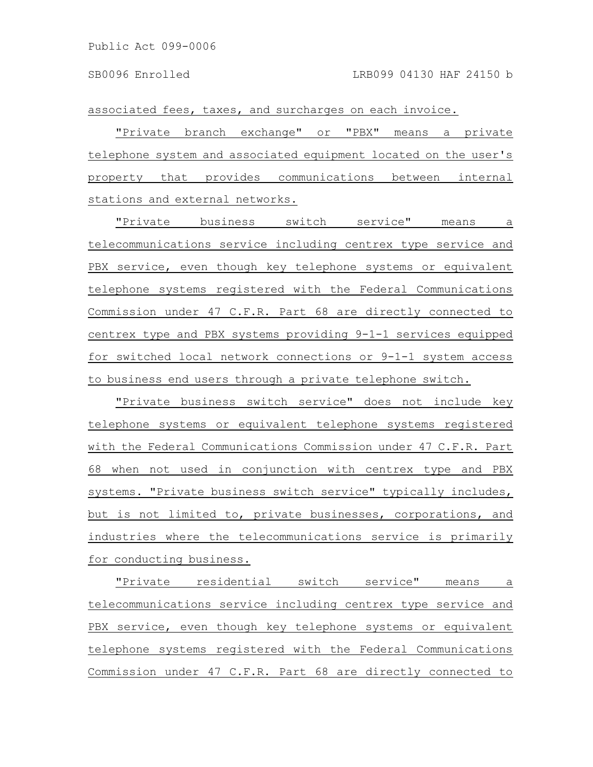associated fees, taxes, and surcharges on each invoice.

"Private branch exchange" or "PBX" means a private telephone system and associated equipment located on the user's property that provides communications between internal stations and external networks.

"Private business switch service" means a telecommunications service including centrex type service and PBX service, even though key telephone systems or equivalent telephone systems registered with the Federal Communications Commission under 47 C.F.R. Part 68 are directly connected to centrex type and PBX systems providing 9-1-1 services equipped for switched local network connections or 9-1-1 system access to business end users through a private telephone switch.

"Private business switch service" does not include key telephone systems or equivalent telephone systems registered with the Federal Communications Commission under 47 C.F.R. Part 68 when not used in conjunction with centrex type and PBX systems. "Private business switch service" typically includes, but is not limited to, private businesses, corporations, and industries where the telecommunications service is primarily for conducting business.

"Private residential switch service" means a telecommunications service including centrex type service and PBX service, even though key telephone systems or equivalent telephone systems registered with the Federal Communications Commission under 47 C.F.R. Part 68 are directly connected to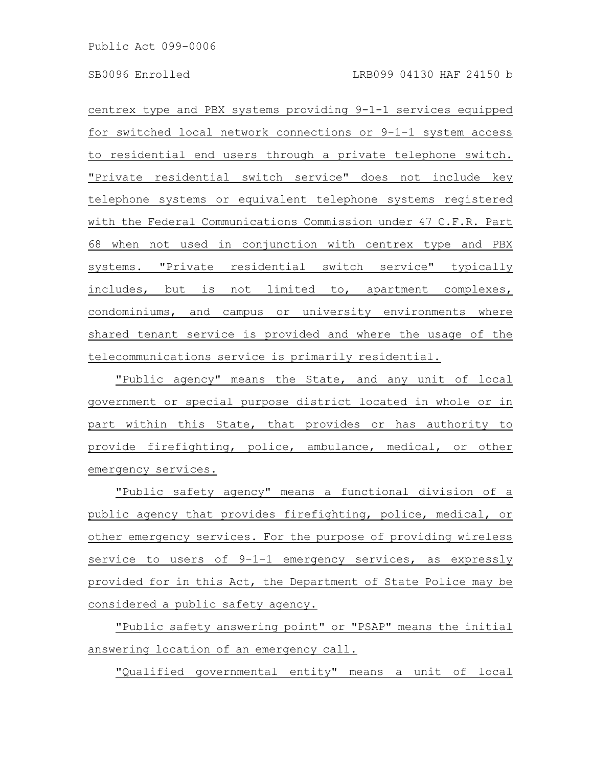centrex type and PBX systems providing 9-1-1 services equipped for switched local network connections or 9-1-1 system access to residential end users through a private telephone switch. "Private residential switch service" does not include key telephone systems or equivalent telephone systems registered with the Federal Communications Commission under 47 C.F.R. Part 68 when not used in conjunction with centrex type and PBX systems. "Private residential switch service" typically includes, but is not limited to, apartment complexes, condominiums, and campus or university environments where shared tenant service is provided and where the usage of the telecommunications service is primarily residential.

"Public agency" means the State, and any unit of local government or special purpose district located in whole or in part within this State, that provides or has authority to provide firefighting, police, ambulance, medical, or other emergency services.

"Public safety agency" means a functional division of a public agency that provides firefighting, police, medical, or other emergency services. For the purpose of providing wireless service to users of 9-1-1 emergency services, as expressly provided for in this Act, the Department of State Police may be considered a public safety agency.

"Public safety answering point" or "PSAP" means the initial answering location of an emergency call.

"Qualified governmental entity" means a unit of local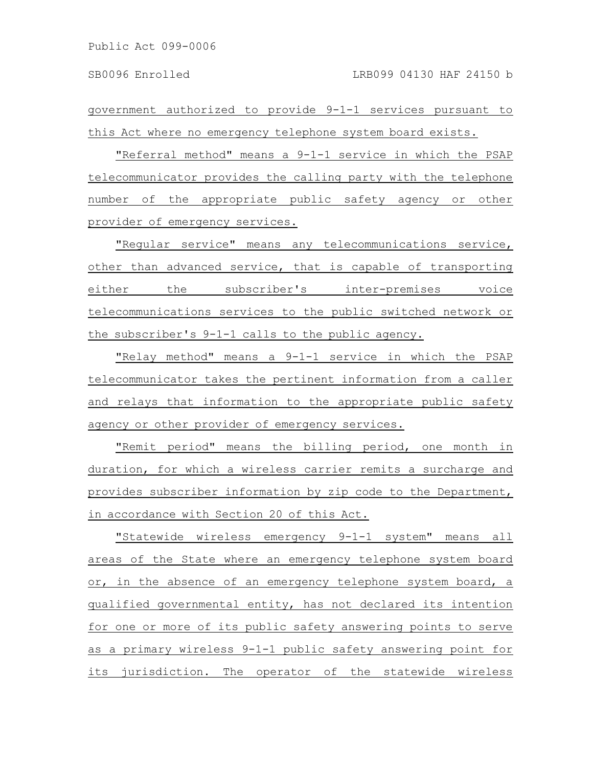government authorized to provide 9-1-1 services pursuant to this Act where no emergency telephone system board exists.

"Referral method" means a 9-1-1 service in which the PSAP telecommunicator provides the calling party with the telephone number of the appropriate public safety agency or other provider of emergency services.

"Regular service" means any telecommunications service, other than advanced service, that is capable of transporting either the subscriber's inter-premises voice telecommunications services to the public switched network or the subscriber's 9-1-1 calls to the public agency.

"Relay method" means a 9-1-1 service in which the PSAP telecommunicator takes the pertinent information from a caller and relays that information to the appropriate public safety agency or other provider of emergency services.

"Remit period" means the billing period, one month in duration, for which a wireless carrier remits a surcharge and provides subscriber information by zip code to the Department, in accordance with Section 20 of this Act.

"Statewide wireless emergency 9-1-1 system" means all areas of the State where an emergency telephone system board or, in the absence of an emergency telephone system board, a qualified governmental entity, has not declared its intention for one or more of its public safety answering points to serve as a primary wireless 9-1-1 public safety answering point for its jurisdiction. The operator of the statewide wireless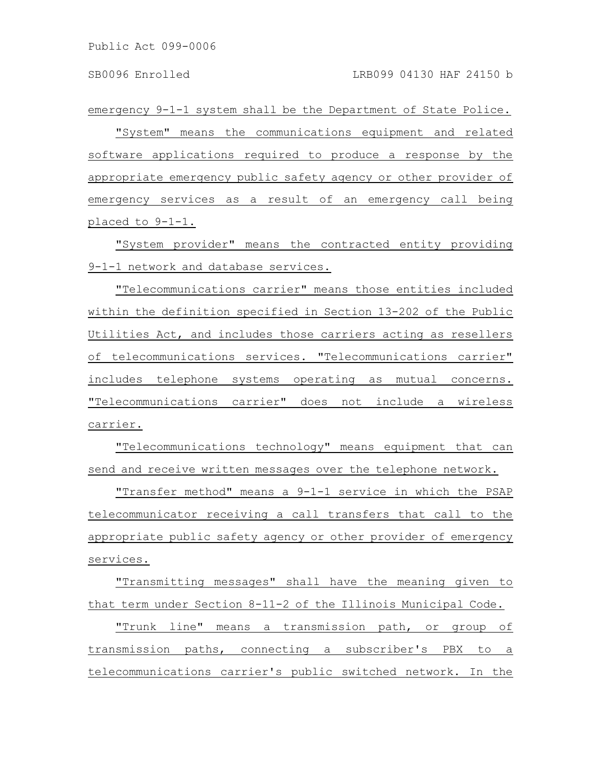emergency 9-1-1 system shall be the Department of State Police.

"System" means the communications equipment and related software applications required to produce a response by the appropriate emergency public safety agency or other provider of emergency services as a result of an emergency call being placed to 9-1-1.

"System provider" means the contracted entity providing 9-1-1 network and database services.

"Telecommunications carrier" means those entities included within the definition specified in Section 13-202 of the Public Utilities Act, and includes those carriers acting as resellers of telecommunications services. "Telecommunications carrier" includes telephone systems operating as mutual concerns. "Telecommunications carrier" does not include a wireless carrier.

"Telecommunications technology" means equipment that can send and receive written messages over the telephone network.

"Transfer method" means a 9-1-1 service in which the PSAP telecommunicator receiving a call transfers that call to the appropriate public safety agency or other provider of emergency services.

"Transmitting messages" shall have the meaning given to that term under Section 8-11-2 of the Illinois Municipal Code.

"Trunk line" means a transmission path, or group of transmission paths, connecting a subscriber's PBX to a telecommunications carrier's public switched network. In the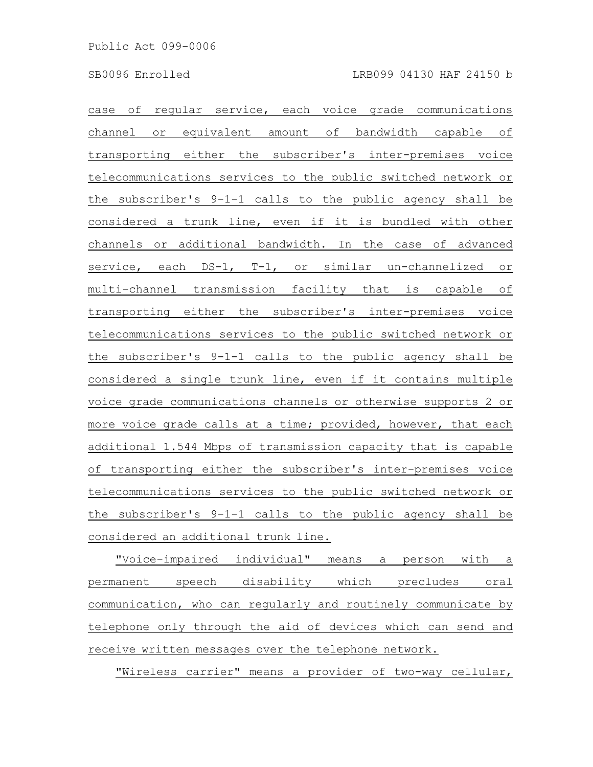case of regular service, each voice grade communications channel or equivalent amount of bandwidth capable of transporting either the subscriber's inter-premises voice telecommunications services to the public switched network or the subscriber's 9-1-1 calls to the public agency shall be considered a trunk line, even if it is bundled with other channels or additional bandwidth. In the case of advanced service, each DS-1, T-1, or similar un-channelized or multi-channel transmission facility that is capable of transporting either the subscriber's inter-premises voice telecommunications services to the public switched network or the subscriber's 9-1-1 calls to the public agency shall be considered a single trunk line, even if it contains multiple voice grade communications channels or otherwise supports 2 or more voice grade calls at a time; provided, however, that each additional 1.544 Mbps of transmission capacity that is capable of transporting either the subscriber's inter-premises voice telecommunications services to the public switched network or the subscriber's 9-1-1 calls to the public agency shall be considered an additional trunk line.

"Voice-impaired individual" means a person with a permanent speech disability which precludes oral communication, who can regularly and routinely communicate by telephone only through the aid of devices which can send and receive written messages over the telephone network.

"Wireless carrier" means a provider of two-way cellular,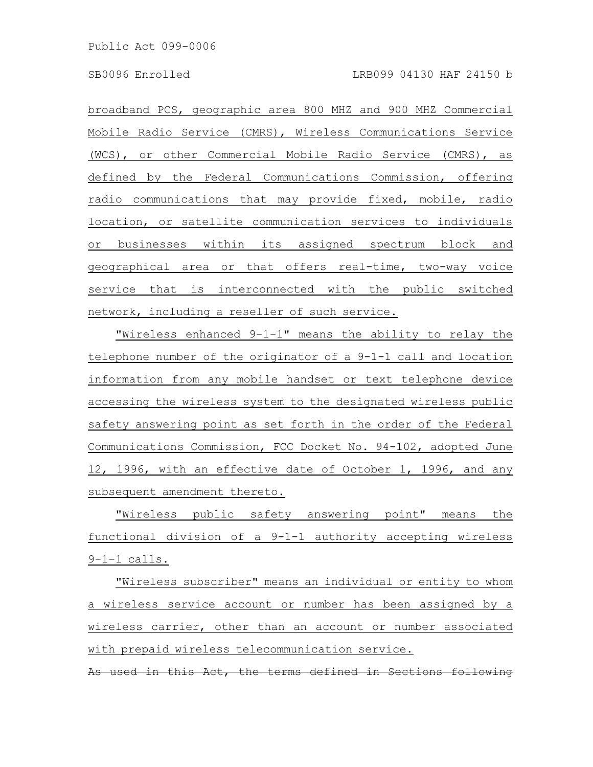broadband PCS, geographic area 800 MHZ and 900 MHZ Commercial Mobile Radio Service (CMRS), Wireless Communications Service (WCS), or other Commercial Mobile Radio Service (CMRS), as defined by the Federal Communications Commission, offering radio communications that may provide fixed, mobile, radio location, or satellite communication services to individuals or businesses within its assigned spectrum block and geographical area or that offers real-time, two-way voice service that is interconnected with the public switched network, including a reseller of such service.

"Wireless enhanced 9-1-1" means the ability to relay the telephone number of the originator of a 9-1-1 call and location information from any mobile handset or text telephone device accessing the wireless system to the designated wireless public safety answering point as set forth in the order of the Federal Communications Commission, FCC Docket No. 94-102, adopted June 12, 1996, with an effective date of October 1, 1996, and any subsequent amendment thereto.

"Wireless public safety answering point" means the functional division of a 9-1-1 authority accepting wireless 9-1-1 calls.

"Wireless subscriber" means an individual or entity to whom a wireless service account or number has been assigned by a wireless carrier, other than an account or number associated with prepaid wireless telecommunication service.

As used in this Act, the terms defined in Sections following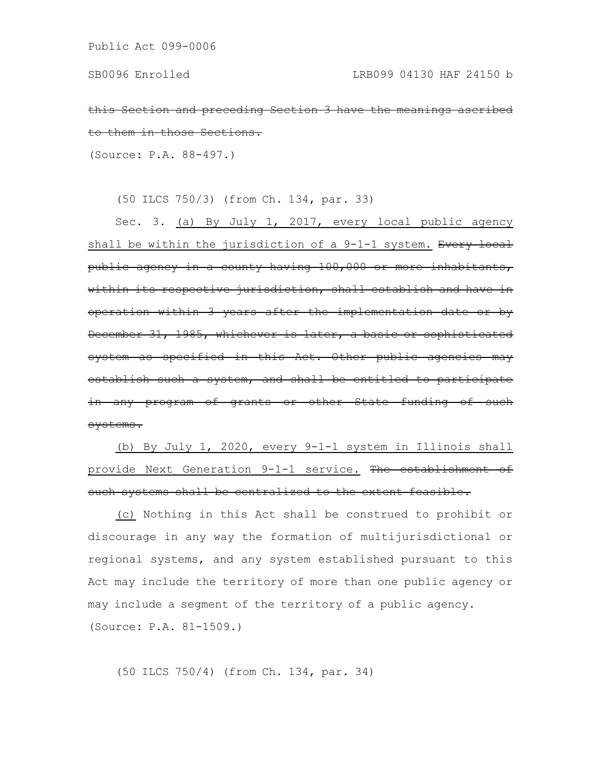this Section and preceding Section 3 have the meani them in those Sections.

(Source: P.A. 88-497.)

(50 ILCS 750/3) (from Ch. 134, par. 33)

Sec. 3. (a) By July 1, 2017, every local public agency shall be within the jurisdiction of a 9-1-1 system. Every local public agency in a county having 100,000 or more inhabitants, within its respective jurisdiction, shall establish and have in operation within 3 years after the implementation date or by December 31, 1985, whichever is later, a basic or sophisticated system as specified in this Act. Other public agencie establish such a system, and shall be entitled to parti in any program of grants or other State funding of such systems.

(b) By July 1, 2020, every 9-1-1 system in Illinois shall provide Next Generation 9-1-1 service. The establishment of such systems shall be centralized to the extent feasible.

(c) Nothing in this Act shall be construed to prohibit or discourage in any way the formation of multijurisdictional or regional systems, and any system established pursuant to this Act may include the territory of more than one public agency or may include a segment of the territory of a public agency. (Source: P.A. 81-1509.)

(50 ILCS 750/4) (from Ch. 134, par. 34)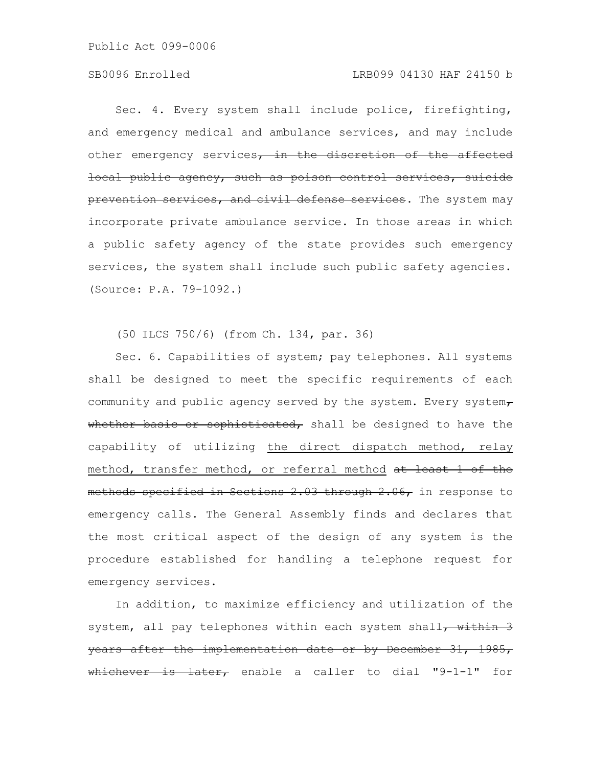Sec. 4. Every system shall include police, firefighting, and emergency medical and ambulance services, and may include other emergency services, in the discretion of the affected local public agency, such as poison control services, suicide prevention services, and civil defense services. The system may incorporate private ambulance service. In those areas in which a public safety agency of the state provides such emergency services, the system shall include such public safety agencies. (Source: P.A. 79-1092.)

(50 ILCS 750/6) (from Ch. 134, par. 36)

Sec. 6. Capabilities of system; pay telephones. All systems shall be designed to meet the specific requirements of each community and public agency served by the system. Every system $\tau$ whether basic or sophisticated, shall be designed to have the capability of utilizing the direct dispatch method, relay method, transfer method, or referral method at least 1 of the methods specified in Sections 2.03 through 2.06, in response to emergency calls. The General Assembly finds and declares that the most critical aspect of the design of any system is the procedure established for handling a telephone request for emergency services.

In addition, to maximize efficiency and utilization of the system, all pay telephones within each system shall<del>, within 3</del> years after the implementation date or by December 31, 1985, whichever is later, enable a caller to dial "9-1-1" for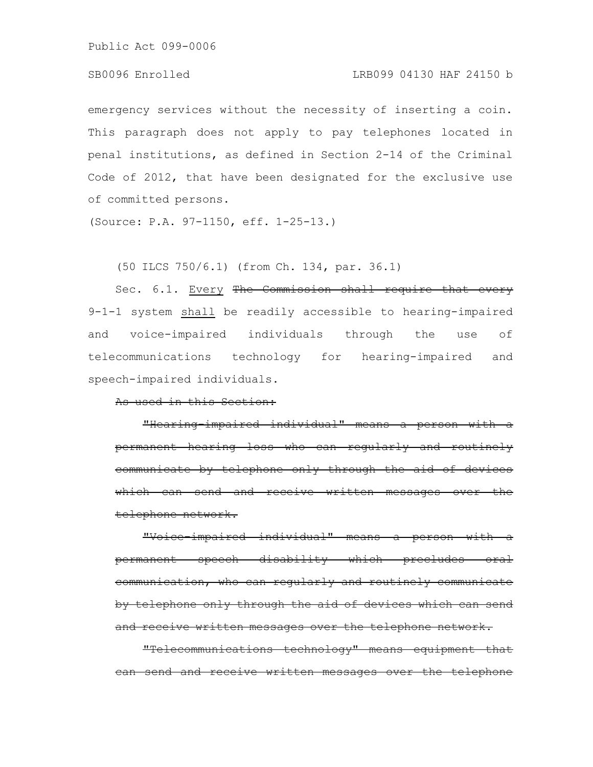## SB0096 Enrolled LRB099 04130 HAF 24150 b

emergency services without the necessity of inserting a coin. This paragraph does not apply to pay telephones located in penal institutions, as defined in Section 2-14 of the Criminal Code of 2012, that have been designated for the exclusive use of committed persons.

(Source: P.A. 97-1150, eff. 1-25-13.)

(50 ILCS 750/6.1) (from Ch. 134, par. 36.1)

Sec. 6.1. Every The Commission shall require that every 9-1-1 system shall be readily accessible to hearing-impaired and voice-impaired individuals through the use of telecommunications technology for hearing-impaired and speech-impaired individuals.

As used in this Section:

"Hearing-impaired individual" means a person permanent hearing loss who can regularly and communicate by telephone only through the aid which can send and receive written telephone network.

"Voice-impaired individual" means a person permanent speech disability which precludes communication, who can regularly and routinely communicate by telephone only through the aid of devices which can send and receive written messages over the telephone network.

"Telecommunications technology" means equipment can send and receive written messages over the telephone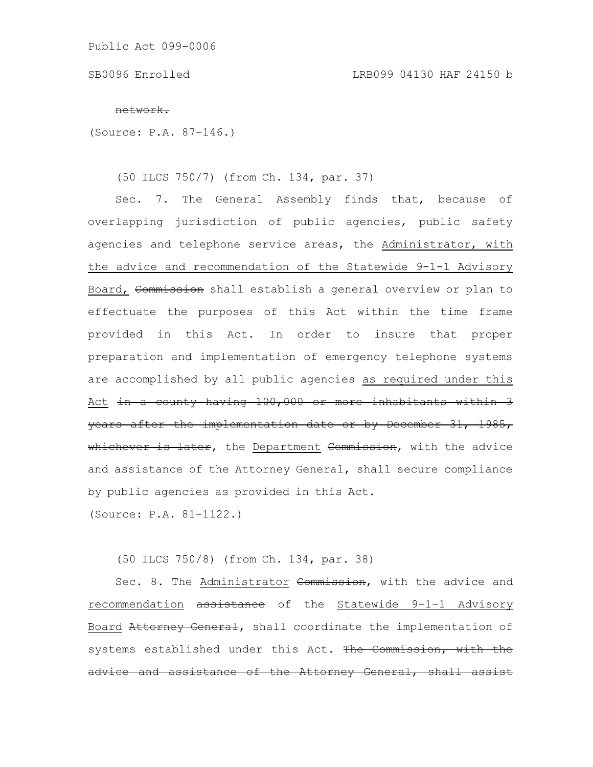SB0096 Enrolled LRB099 04130 HAF 24150 b

#### network.

(Source: P.A. 87-146.)

(50 ILCS 750/7) (from Ch. 134, par. 37)

Sec. 7. The General Assembly finds that, because of overlapping jurisdiction of public agencies, public safety agencies and telephone service areas, the Administrator, with the advice and recommendation of the Statewide 9-1-1 Advisory Board, Commission shall establish a general overview or plan to effectuate the purposes of this Act within the time frame provided in this Act. In order to insure that proper preparation and implementation of emergency telephone systems are accomplished by all public agencies as required under this Act in a county having 100,000 or more inhabitants within 3 years after the implementation date or by December 31, 1985, whichever is later, the Department Commission, with the advice and assistance of the Attorney General, shall secure compliance by public agencies as provided in this Act. (Source: P.A. 81-1122.)

(50 ILCS 750/8) (from Ch. 134, par. 38)

Sec. 8. The Administrator Commission, with the advice and recommendation assistance of the Statewide 9-1-1 Advisory Board Attorney General, shall coordinate the implementation of systems established under this Act. The Commission, with the advice and assistance of the Attorney General, shall assist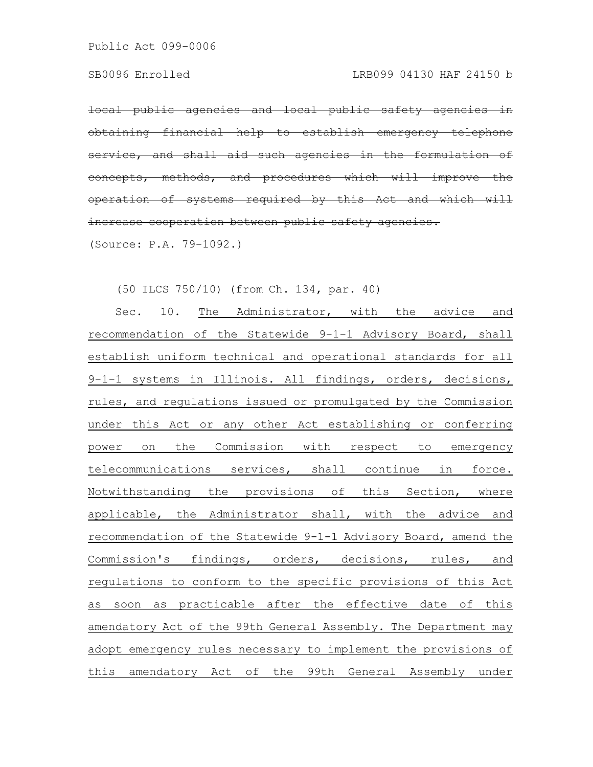local public agencies and local public safety agencies obtaining financial help to establish emergency telephone service, and shall aid such agencies in the formulation  $\alpha$  ) oncepts, methods, and procedures which will improve operation of systems required by this Act and which increase cooperation between public safety agencies. (Source: P.A. 79-1092.)

(50 ILCS 750/10) (from Ch. 134, par. 40)

Sec. 10. The Administrator, with the advice and recommendation of the Statewide 9-1-1 Advisory Board, shall establish uniform technical and operational standards for all 9-1-1 systems in Illinois. All findings, orders, decisions, rules, and regulations issued or promulgated by the Commission under this Act or any other Act establishing or conferring power on the Commission with respect to emergency telecommunications services, shall continue in force. Notwithstanding the provisions of this Section, where applicable, the Administrator shall, with the advice and recommendation of the Statewide 9-1-1 Advisory Board, amend the Commission's findings, orders, decisions, rules, and regulations to conform to the specific provisions of this Act as soon as practicable after the effective date of this amendatory Act of the 99th General Assembly. The Department may adopt emergency rules necessary to implement the provisions of this amendatory Act of the 99th General Assembly under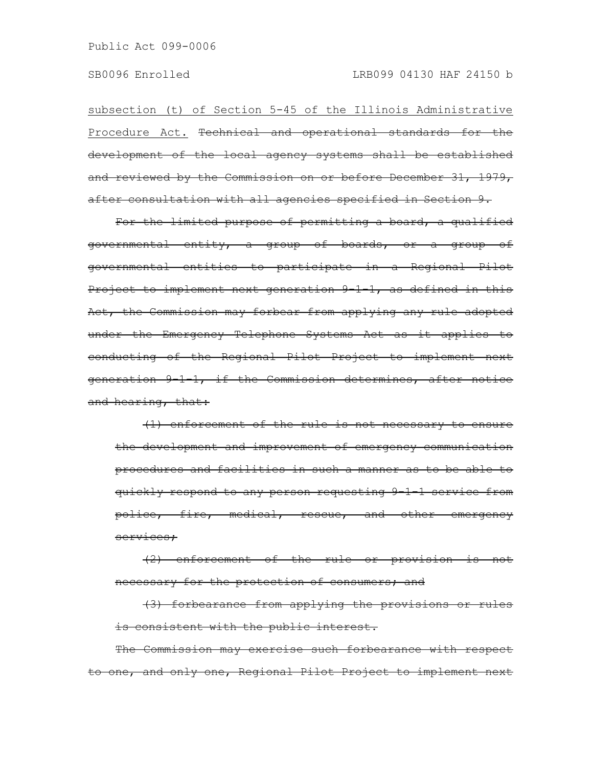subsection (t) of Section 5-45 of the Illinois Administrative Procedure Act. <del>Technical and operational standards for the</del> development of the local agency systems shall be established and reviewed by the Commission on or before December 31, 1979, after consultation with all agencies specified in Section 9.

For the limited purpose of permitting a board, a qualified governmental entity, a group of boards, or a group of governmental entities to participate in a Regional Pilot Project to implement next generation 9 1 1, as defined in this Act, the Commission may forbear from applying any rule adopted under the Emergency Telephone Systems Act as it applies to conducting of the Regional Pilot Project to implement next generation 9-1-1, if the Commission determines, after notice and hearing, that:

(1) enforcement of the rule is not necessary to ensure the development and improvement of emergency communication procedures and facilities in such a manner as to be able to quickly respond to any person requesting 9-1-1 service from police, fire, medical, rescue, and other emergency services;

 $(2)$  enforcement of the rule or provision necessary for the protection of consumers; and

(3) forbearance from applying the provisions or rules is consistent with the public interest.

The Commission may exercise such forbearance with respect o one, and only one, Regional Pilot Project to implement next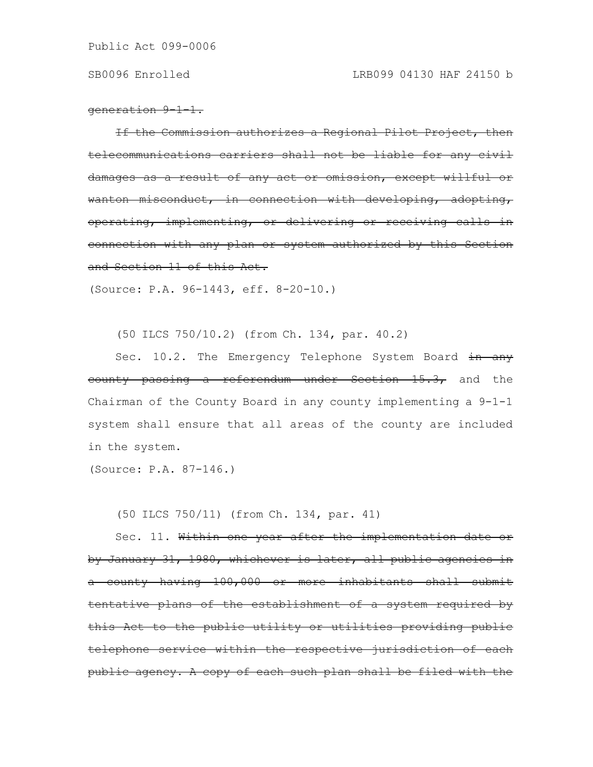generation 9-1-1.

If the Commission authorizes a Regional Pilot Project, then telecommunications carriers shall not be liable for any civil damages as a result of any act or omission, except willful wanton misconduct, in connection with developing, adopting, operating, implementing, or delivering or receiving calls connection with any plan or system authorized by this Section and Section 11 of this Act.

(Source: P.A. 96-1443, eff. 8-20-10.)

(50 ILCS 750/10.2) (from Ch. 134, par. 40.2)

Sec. 10.2. The Emergency Telephone System Board in any eounty passing a referendum under Section 15.3, and the Chairman of the County Board in any county implementing a 9-1-1 system shall ensure that all areas of the county are included in the system.

(Source: P.A. 87-146.)

(50 ILCS 750/11) (from Ch. 134, par. 41)

Sec. 11. Within one year after the implementation date or by January 31, 1980, whichever is later, all public agencies a county having 100,000 or more inhabitants shall submit tentative plans of the establishment of a system required by this Act to the public utility or utilities providing public telephone service within the respective jurisdiction of each public agency. A copy of each such plan shall be filed with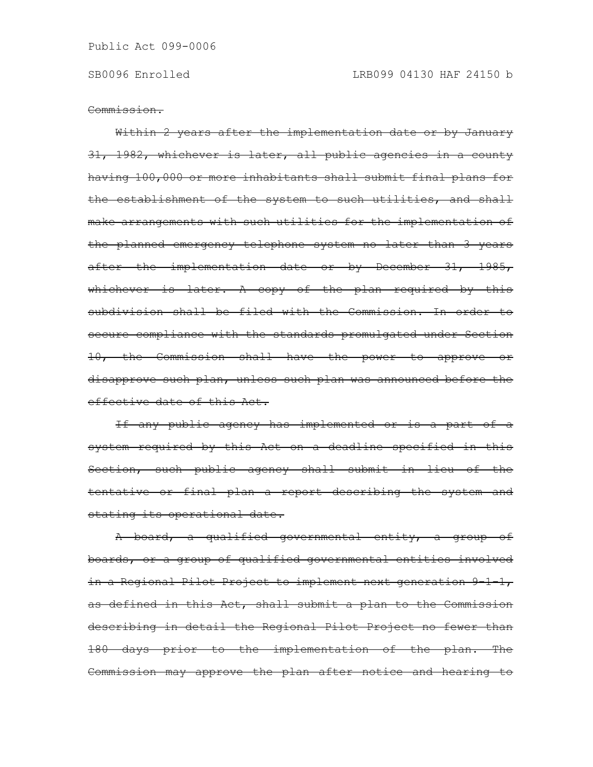Commission.

Within 2 years after the implementation date or by January 31, 1982, whichever is later, all public agencies in a county having 100,000 or more inhabitants shall submit final plans for the establishment of the system to such utilities, and shall make arrangements with such utilities for the implementation of the planned emergency telephone system no later than 3 years after the implementation date or by December 31, 1985, whichever is later. A copy of the plan required by this subdivision shall be filed with the Commission. In order to secure compliance with the standards promulgated under Section 10, the Commission shall have the power to approve or disapprove such plan, unless such plan was announced before the effective date of this Act.

If any public agency has implemented or is a part of a system required by this Act on a deadline specified in this Section, such public agency shall submit in lieu of the tentative or final plan a report describing the system and stating its operational date.

A board, a qualified governmental entity, a group of boards, or a group of qualified governmental entities involved in a Regional Pilot Project to implement next generation 9-1-1, as defined in this Act, shall submit a plan to the Commission describing in detail the Regional Pilot Project no fewer than 180 days prior to the implementation of the plan. The Commission may approve the plan after notice and hearing to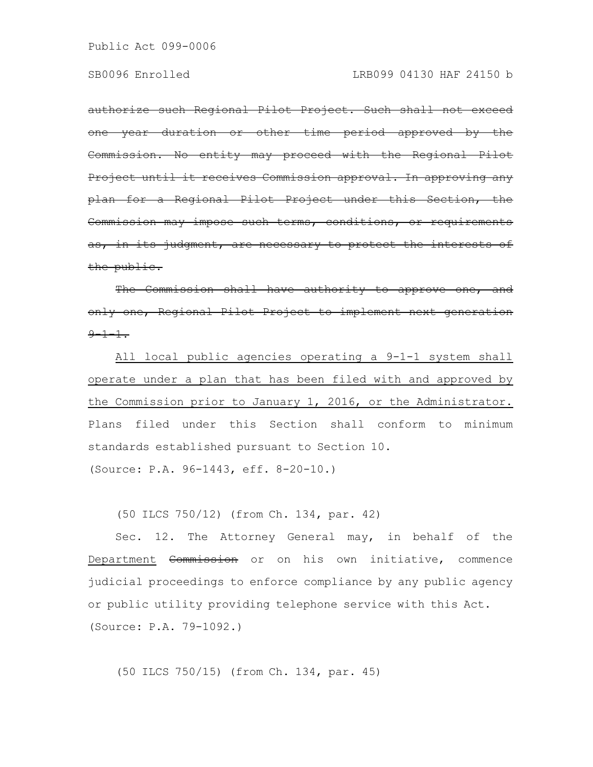authorize such Regional Pilot Project. Such shall not exceed <u>-year duration or other time period approved by the</u> Commission. No entity may proceed with the Regional Pilot Project until it receives Commission approval. In approving plan for a Regional Pilot Project under this Section, the Commission may impose such terms, conditions, or requirements as, in its judgment, are necessary to protect the public.

The Commission shall have authority to approve one, and only one, Regional Pilot Project to implement next  $9 - 1 - 1$ .

All local public agencies operating a 9-1-1 system shall operate under a plan that has been filed with and approved by the Commission prior to January 1, 2016, or the Administrator. Plans filed under this Section shall conform to minimum standards established pursuant to Section 10. (Source: P.A. 96-1443, eff. 8-20-10.)

(50 ILCS 750/12) (from Ch. 134, par. 42)

Sec. 12. The Attorney General may, in behalf of the Department Commission or on his own initiative, commence judicial proceedings to enforce compliance by any public agency or public utility providing telephone service with this Act. (Source: P.A. 79-1092.)

(50 ILCS 750/15) (from Ch. 134, par. 45)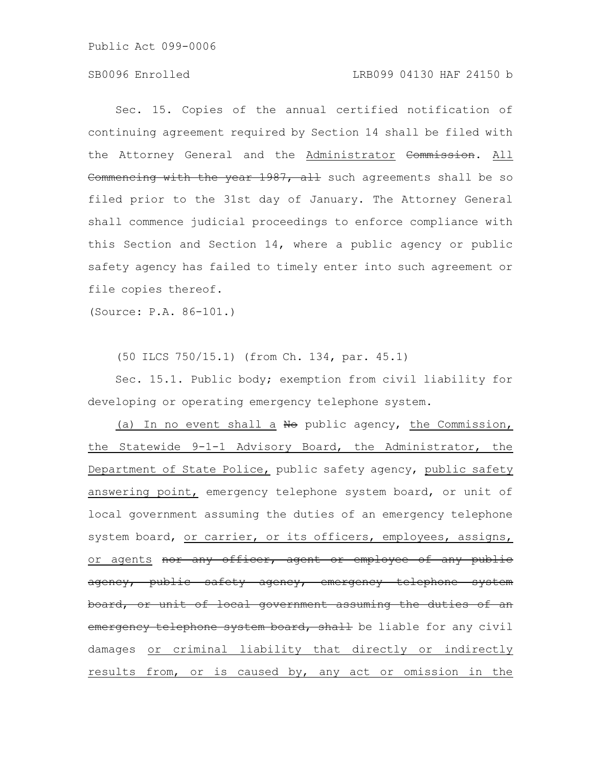## SB0096 Enrolled LRB099 04130 HAF 24150 b

Sec. 15. Copies of the annual certified notification of continuing agreement required by Section 14 shall be filed with the Attorney General and the Administrator Commission. All Commencing with the year 1987, all such agreements shall be so filed prior to the 31st day of January. The Attorney General shall commence judicial proceedings to enforce compliance with this Section and Section 14, where a public agency or public safety agency has failed to timely enter into such agreement or file copies thereof.

(Source: P.A. 86-101.)

(50 ILCS 750/15.1) (from Ch. 134, par. 45.1)

Sec. 15.1. Public body; exemption from civil liability for developing or operating emergency telephone system.

(a) In no event shall a No public agency, the Commission, the Statewide 9-1-1 Advisory Board, the Administrator, the Department of State Police, public safety agency, public safety answering point, emergency telephone system board, or unit of local government assuming the duties of an emergency telephone system board, or carrier, or its officers, employees, assigns, or agents nor any officer, agent or employee of any public agency, public safety agency, emergency telephone system board, or unit of local government assuming the duties emergency telephone system board, shall be liable for any civil damages or criminal liability that directly or indirectly results from, or is caused by, any act or omission in the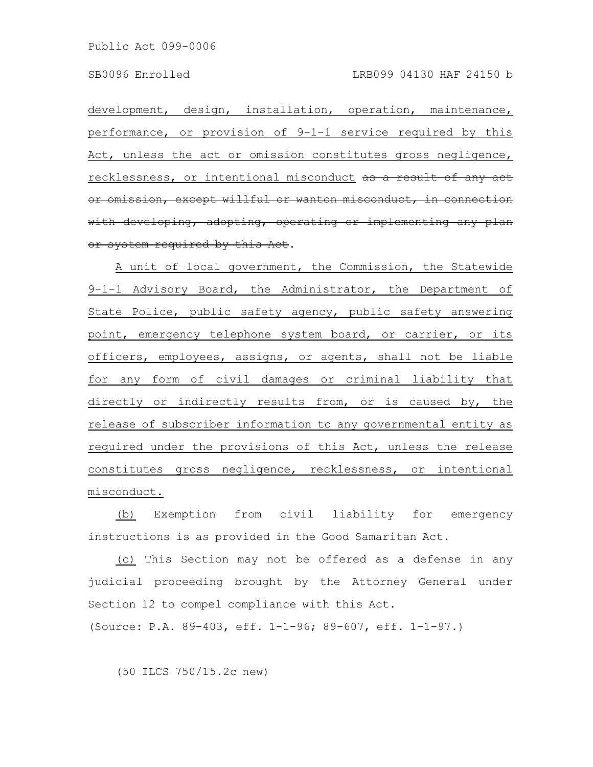development, design, installation, operation, maintenance, performance, or provision of 9-1-1 service required by this Act, unless the act or omission constitutes gross negligence, recklessness, or intentional misconduct as a result of any act or omission, except willful or wanton misconduct, in connection with developing, adopting, operating or implementing any plan or system required by this Act.

A unit of local government, the Commission, the Statewide 9-1-1 Advisory Board, the Administrator, the Department of State Police, public safety agency, public safety answering point, emergency telephone system board, or carrier, or its officers, employees, assigns, or agents, shall not be liable for any form of civil damages or criminal liability that directly or indirectly results from, or is caused by, the release of subscriber information to any governmental entity as required under the provisions of this Act, unless the release constitutes gross negligence, recklessness, or intentional misconduct.

(b) Exemption from civil liability for emergency instructions is as provided in the Good Samaritan Act.

(c) This Section may not be offered as a defense in any judicial proceeding brought by the Attorney General under Section 12 to compel compliance with this Act. (Source: P.A. 89-403, eff. 1-1-96; 89-607, eff. 1-1-97.)

(50 ILCS 750/15.2c new)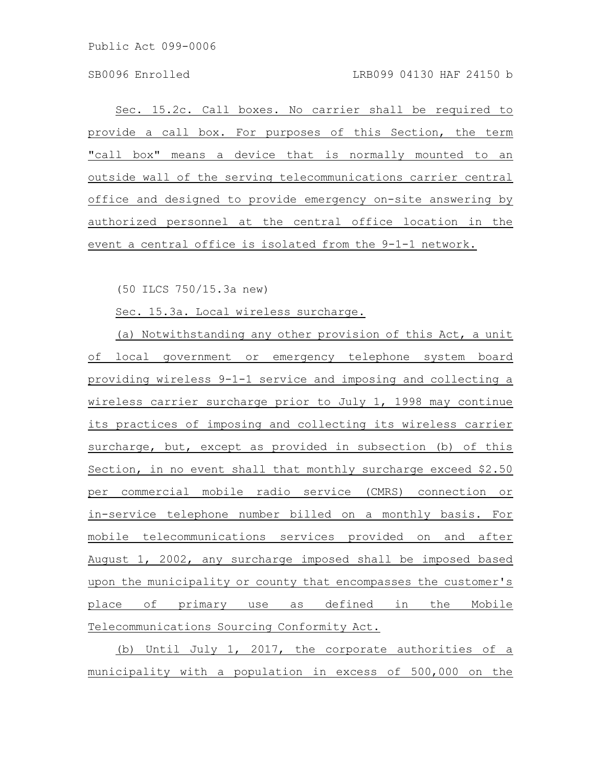Sec. 15.2c. Call boxes. No carrier shall be required to provide a call box. For purposes of this Section, the term "call box" means a device that is normally mounted to an outside wall of the serving telecommunications carrier central office and designed to provide emergency on-site answering by authorized personnel at the central office location in the event a central office is isolated from the 9-1-1 network.

(50 ILCS 750/15.3a new)

Sec. 15.3a. Local wireless surcharge.

(a) Notwithstanding any other provision of this Act, a unit of local government or emergency telephone system board providing wireless 9-1-1 service and imposing and collecting a wireless carrier surcharge prior to July 1, 1998 may continue its practices of imposing and collecting its wireless carrier surcharge, but, except as provided in subsection (b) of this Section, in no event shall that monthly surcharge exceed \$2.50 per commercial mobile radio service (CMRS) connection or in-service telephone number billed on a monthly basis. For mobile telecommunications services provided on and after August 1, 2002, any surcharge imposed shall be imposed based upon the municipality or county that encompasses the customer's place of primary use as defined in the Mobile Telecommunications Sourcing Conformity Act.

(b) Until July 1, 2017, the corporate authorities of a municipality with a population in excess of 500,000 on the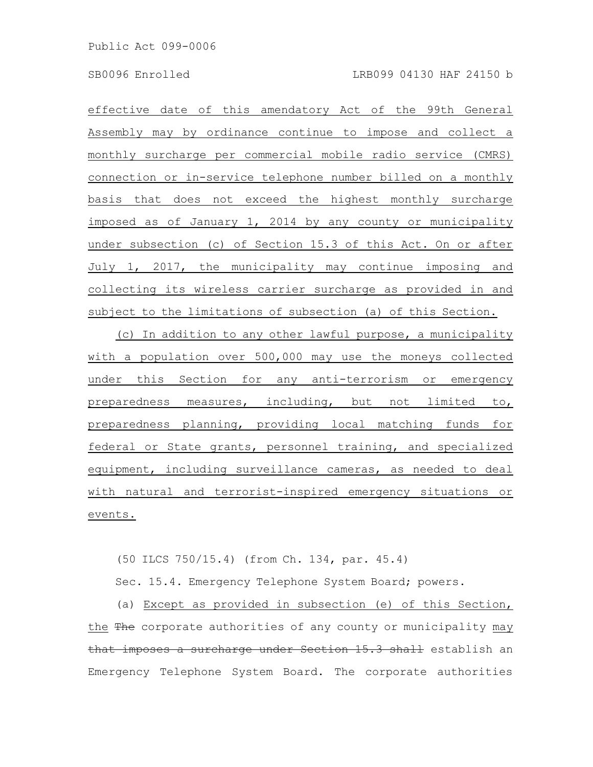effective date of this amendatory Act of the 99th General Assembly may by ordinance continue to impose and collect a monthly surcharge per commercial mobile radio service (CMRS) connection or in-service telephone number billed on a monthly basis that does not exceed the highest monthly surcharge imposed as of January 1, 2014 by any county or municipality under subsection (c) of Section 15.3 of this Act. On or after July 1, 2017, the municipality may continue imposing and collecting its wireless carrier surcharge as provided in and subject to the limitations of subsection (a) of this Section.

(c) In addition to any other lawful purpose, a municipality with a population over 500,000 may use the moneys collected under this Section for any anti-terrorism or emergency preparedness measures, including, but not limited to, preparedness planning, providing local matching funds for federal or State grants, personnel training, and specialized equipment, including surveillance cameras, as needed to deal with natural and terrorist-inspired emergency situations or events.

(50 ILCS 750/15.4) (from Ch. 134, par. 45.4)

Sec. 15.4. Emergency Telephone System Board; powers.

(a) Except as provided in subsection (e) of this Section, the The corporate authorities of any county or municipality may that imposes a surcharge under Section 15.3 shall establish an Emergency Telephone System Board. The corporate authorities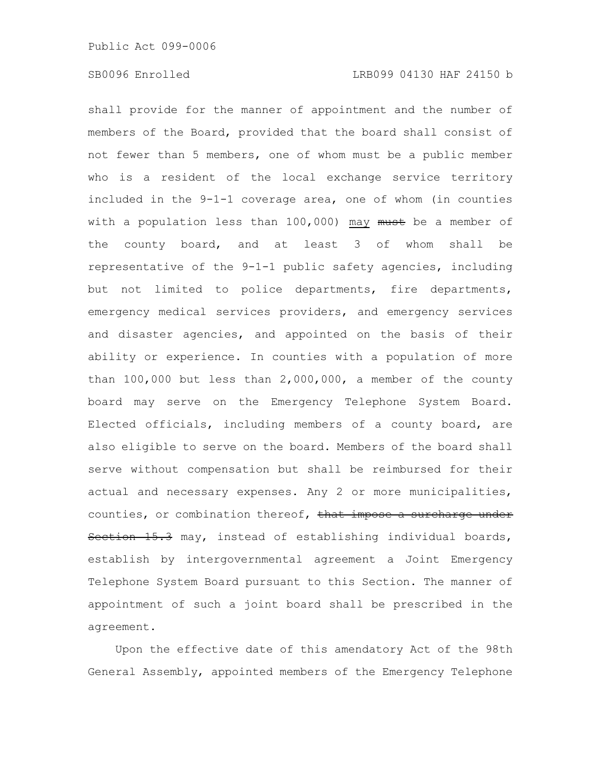shall provide for the manner of appointment and the number of members of the Board, provided that the board shall consist of not fewer than 5 members, one of whom must be a public member who is a resident of the local exchange service territory included in the 9-1-1 coverage area, one of whom (in counties with a population less than  $100,000$ ) may  $must$  be a member of the county board, and at least 3 of whom shall be representative of the 9-1-1 public safety agencies, including but not limited to police departments, fire departments, emergency medical services providers, and emergency services and disaster agencies, and appointed on the basis of their ability or experience. In counties with a population of more than 100,000 but less than 2,000,000, a member of the county board may serve on the Emergency Telephone System Board. Elected officials, including members of a county board, are also eligible to serve on the board. Members of the board shall serve without compensation but shall be reimbursed for their actual and necessary expenses. Any 2 or more municipalities, counties, or combination thereof, that impose a surcharge under Section 15.3 may, instead of establishing individual boards, establish by intergovernmental agreement a Joint Emergency Telephone System Board pursuant to this Section. The manner of appointment of such a joint board shall be prescribed in the agreement.

Upon the effective date of this amendatory Act of the 98th General Assembly, appointed members of the Emergency Telephone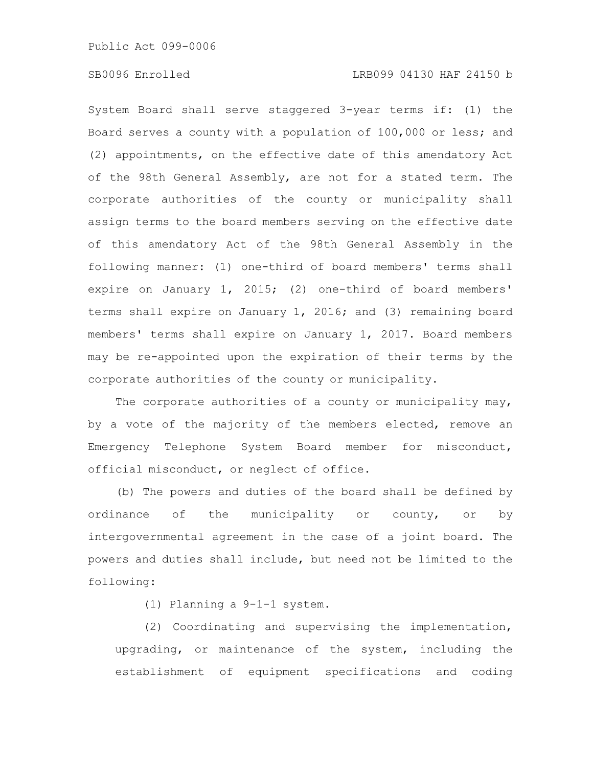System Board shall serve staggered 3-year terms if: (1) the Board serves a county with a population of 100,000 or less; and (2) appointments, on the effective date of this amendatory Act of the 98th General Assembly, are not for a stated term. The corporate authorities of the county or municipality shall assign terms to the board members serving on the effective date of this amendatory Act of the 98th General Assembly in the following manner: (1) one-third of board members' terms shall expire on January 1, 2015; (2) one-third of board members' terms shall expire on January 1, 2016; and (3) remaining board members' terms shall expire on January 1, 2017. Board members may be re-appointed upon the expiration of their terms by the corporate authorities of the county or municipality.

The corporate authorities of a county or municipality may, by a vote of the majority of the members elected, remove an Emergency Telephone System Board member for misconduct, official misconduct, or neglect of office.

(b) The powers and duties of the board shall be defined by ordinance of the municipality or county, or by intergovernmental agreement in the case of a joint board. The powers and duties shall include, but need not be limited to the following:

(1) Planning a 9-1-1 system.

(2) Coordinating and supervising the implementation, upgrading, or maintenance of the system, including the establishment of equipment specifications and coding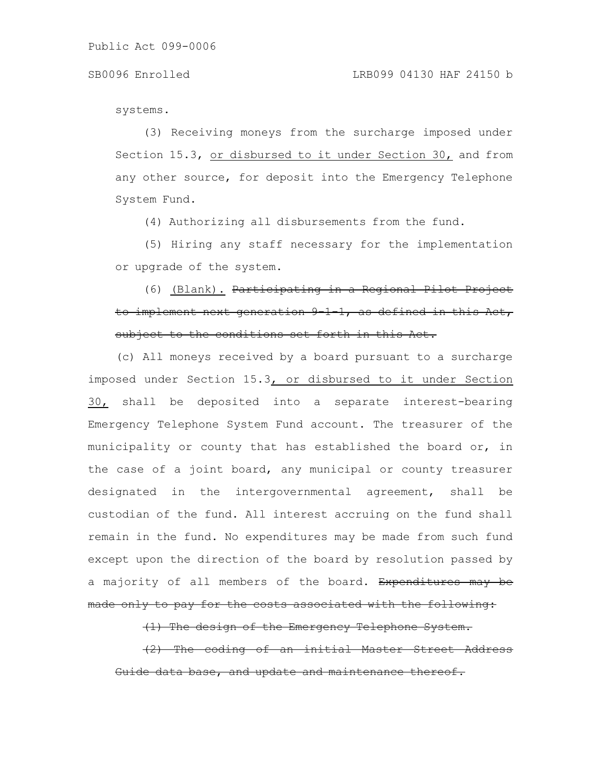systems.

(3) Receiving moneys from the surcharge imposed under Section 15.3, or disbursed to it under Section 30, and from any other source, for deposit into the Emergency Telephone System Fund.

(4) Authorizing all disbursements from the fund.

(5) Hiring any staff necessary for the implementation or upgrade of the system.

(6) (Blank). Participating in a Regional Pilot to implement next generation  $9\ 1\ 1$ , as defined in this subject to the conditions set forth in this Act.

(c) All moneys received by a board pursuant to a surcharge imposed under Section 15.3, or disbursed to it under Section 30, shall be deposited into a separate interest-bearing Emergency Telephone System Fund account. The treasurer of the municipality or county that has established the board or, in the case of a joint board, any municipal or county treasurer designated in the intergovernmental agreement, shall be custodian of the fund. All interest accruing on the fund shall remain in the fund. No expenditures may be made from such fund except upon the direction of the board by resolution passed by a majority of all members of the board. Expenditures may be made only to pay for the costs associated with the following:

(1) The design of the Emergency Telephone System.

(2) The coding of an initial Master Street Address ide data base, and update and maintenance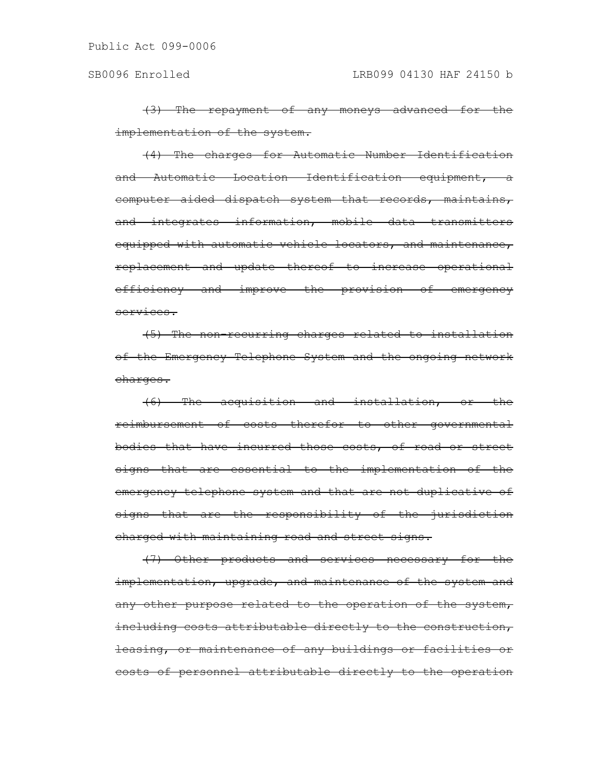(3) The repayment of any moneys advanced for the implementation of the system.

(4) The charges for Automatic Number Identification and Automatic Location Identification equipment, a computer aided dispatch system that records, maintains, and integrates information, mobile data transmitters equipped with automatic vehicle locators, and maintenance, replacement and update thereof to increase operational efficiency and improve the provision of emergency services.

(5) The non-recurring charges related to installation of the Emergency Telephone System and the ongoing network charges.

(6) The acquisition and installation, or the reimbursement of costs therefor to other governmental bodies that have incurred those costs, of road or street signs that are essential to the implementation of the emergency telephone system and that are not duplicative of signs that are the responsibility of the jurisdiction charged with maintaining road and street signs.

(7) Other products and services necessary for the implementation, upgrade, and maintenance of the system and any other purpose related to the operation of the system, including costs attributable directly to the construction, leasing, or maintenance of any buildings or facilities or costs of personnel attributable directly to the operation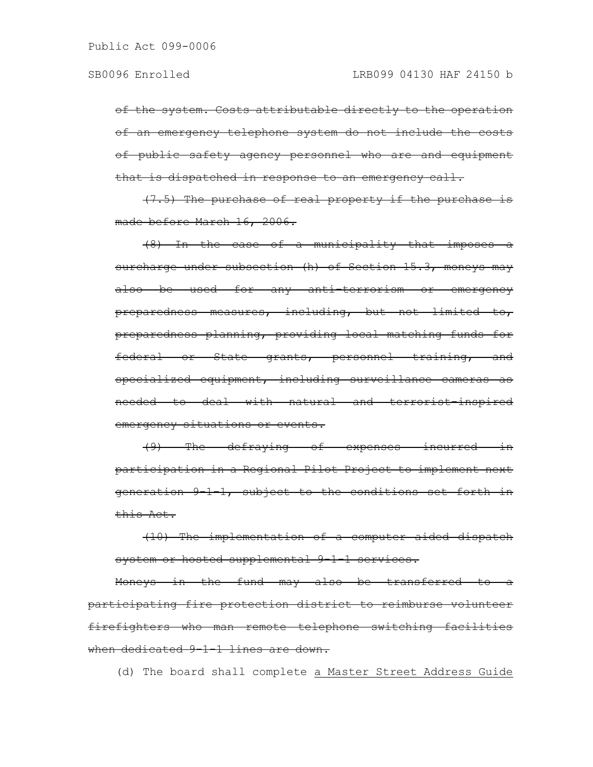of the system. Costs attributable directly to the operation of an emergency telephone system do not include the costs of public safety agency personnel who are and equipment that is dispatched in response to an emergency call.

(7.5) The purchase of real property if the purchase is made before March 16, 2006.

(8) In the case of a municipality that imposes a surcharge under subsection (h) of Section 15.3, moneys may also be used for any anti-terrorism or emergency preparedness measures, including, but not limited to, preparedness planning, providing local matching funds for federal or State grants, personnel training, and specialized equipment, including surveillance cameras as needed to deal with natural and terrorist-inspired emergency situations or events.

(9) The defraying of expenses incurred in participation in a Regional Pilot Project to implement next generation 9-1-1, subject to the conditions set forth in this Act.

(10) The implementation of a computer aided dispatch system or hosted supplemental 9-1-1 services.

Moneys in the fund may also be transferred to a participating fire protection district to reimburse volunteer firefighters who man remote telephone switching facilities when dedicated 9-1-1 lines are down.

(d) The board shall complete a Master Street Address Guide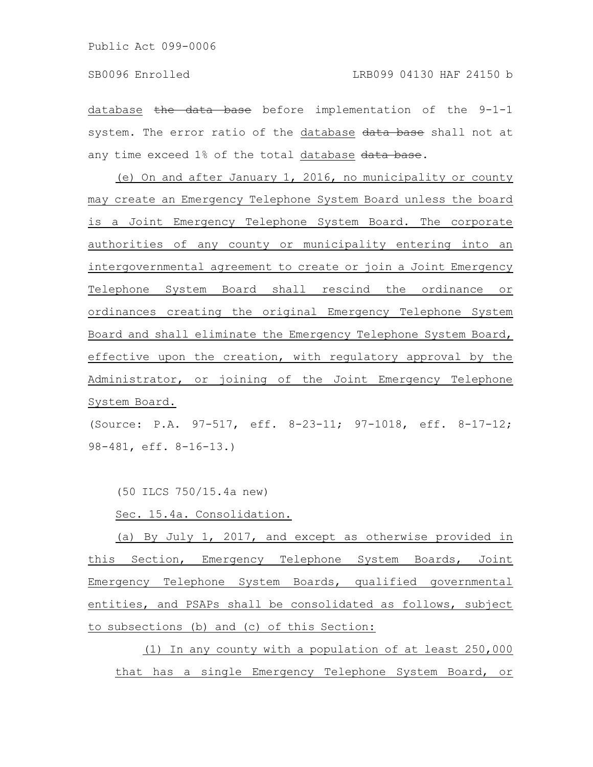database the data base before implementation of the 9-1-1 system. The error ratio of the database data base shall not at any time exceed 1% of the total database data base.

(e) On and after January 1, 2016, no municipality or county may create an Emergency Telephone System Board unless the board is a Joint Emergency Telephone System Board. The corporate authorities of any county or municipality entering into an intergovernmental agreement to create or join a Joint Emergency Telephone System Board shall rescind the ordinance or ordinances creating the original Emergency Telephone System Board and shall eliminate the Emergency Telephone System Board, effective upon the creation, with regulatory approval by the Administrator, or joining of the Joint Emergency Telephone System Board.

(Source: P.A. 97-517, eff. 8-23-11; 97-1018, eff. 8-17-12; 98-481, eff. 8-16-13.)

(50 ILCS 750/15.4a new)

Sec. 15.4a. Consolidation.

(a) By July 1, 2017, and except as otherwise provided in this Section, Emergency Telephone System Boards, Joint Emergency Telephone System Boards, qualified governmental entities, and PSAPs shall be consolidated as follows, subject to subsections (b) and (c) of this Section:

(1) In any county with a population of at least 250,000 that has a single Emergency Telephone System Board, or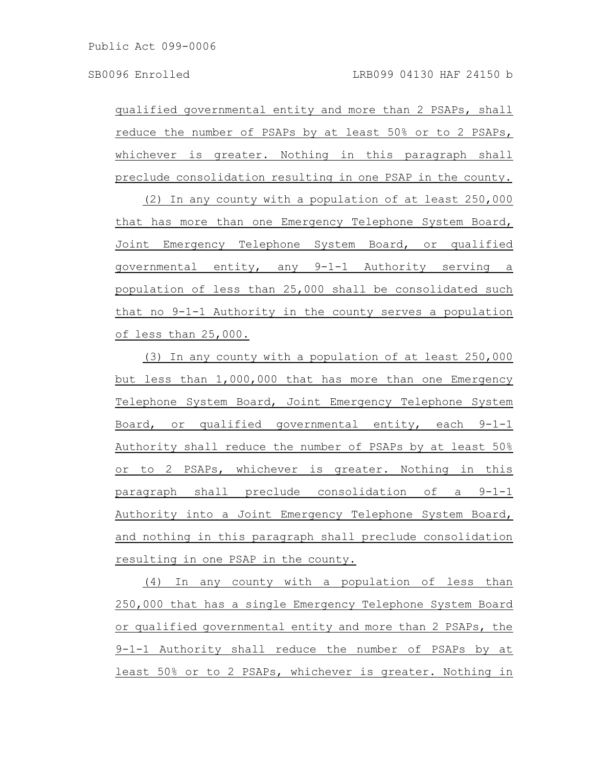qualified governmental entity and more than 2 PSAPs, shall reduce the number of PSAPs by at least 50% or to 2 PSAPs, whichever is greater. Nothing in this paragraph shall preclude consolidation resulting in one PSAP in the county.

(2) In any county with a population of at least 250,000 that has more than one Emergency Telephone System Board, Joint Emergency Telephone System Board, or qualified governmental entity, any 9-1-1 Authority serving a population of less than 25,000 shall be consolidated such that no 9-1-1 Authority in the county serves a population of less than 25,000.

(3) In any county with a population of at least 250,000 but less than 1,000,000 that has more than one Emergency Telephone System Board, Joint Emergency Telephone System Board, or qualified governmental entity, each 9-1-1 Authority shall reduce the number of PSAPs by at least 50% or to 2 PSAPs, whichever is greater. Nothing in this paragraph shall preclude consolidation of a 9-1-1 Authority into a Joint Emergency Telephone System Board, and nothing in this paragraph shall preclude consolidation resulting in one PSAP in the county.

(4) In any county with a population of less than 250,000 that has a single Emergency Telephone System Board or qualified governmental entity and more than 2 PSAPs, the 9-1-1 Authority shall reduce the number of PSAPs by at least 50% or to 2 PSAPs, whichever is greater. Nothing in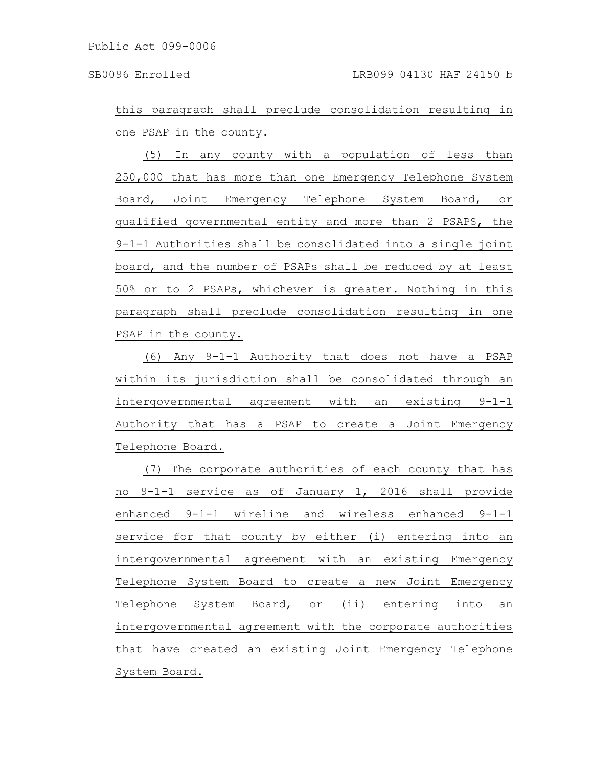this paragraph shall preclude consolidation resulting in one PSAP in the county.

(5) In any county with a population of less than 250,000 that has more than one Emergency Telephone System Board, Joint Emergency Telephone System Board, or qualified governmental entity and more than 2 PSAPS, the 9-1-1 Authorities shall be consolidated into a single joint board, and the number of PSAPs shall be reduced by at least 50% or to 2 PSAPs, whichever is greater. Nothing in this paragraph shall preclude consolidation resulting in one PSAP in the county.

(6) Any 9-1-1 Authority that does not have a PSAP within its jurisdiction shall be consolidated through an intergovernmental agreement with an existing 9-1-1 Authority that has a PSAP to create a Joint Emergency Telephone Board.

(7) The corporate authorities of each county that has no 9-1-1 service as of January 1, 2016 shall provide enhanced 9-1-1 wireline and wireless enhanced 9-1-1 service for that county by either (i) entering into an intergovernmental agreement with an existing Emergency Telephone System Board to create a new Joint Emergency Telephone System Board, or (ii) entering into an intergovernmental agreement with the corporate authorities that have created an existing Joint Emergency Telephone System Board.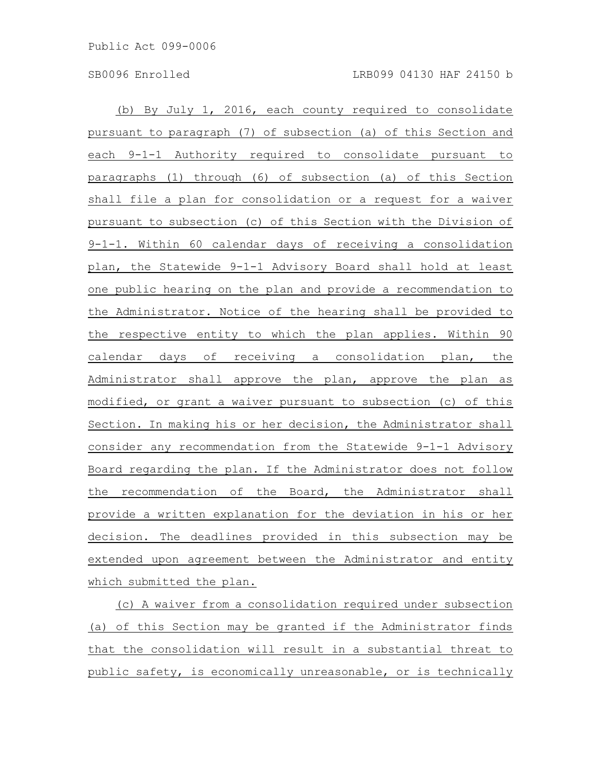(b) By July 1, 2016, each county required to consolidate pursuant to paragraph (7) of subsection (a) of this Section and each 9-1-1 Authority required to consolidate pursuant to paragraphs (1) through (6) of subsection (a) of this Section shall file a plan for consolidation or a request for a waiver pursuant to subsection (c) of this Section with the Division of 9-1-1. Within 60 calendar days of receiving a consolidation plan, the Statewide 9-1-1 Advisory Board shall hold at least one public hearing on the plan and provide a recommendation to the Administrator. Notice of the hearing shall be provided to the respective entity to which the plan applies. Within 90 calendar days of receiving a consolidation plan, the Administrator shall approve the plan, approve the plan as modified, or grant a waiver pursuant to subsection (c) of this Section. In making his or her decision, the Administrator shall consider any recommendation from the Statewide 9-1-1 Advisory Board regarding the plan. If the Administrator does not follow the recommendation of the Board, the Administrator shall provide a written explanation for the deviation in his or her decision. The deadlines provided in this subsection may be extended upon agreement between the Administrator and entity which submitted the plan.

(c) A waiver from a consolidation required under subsection (a) of this Section may be granted if the Administrator finds that the consolidation will result in a substantial threat to public safety, is economically unreasonable, or is technically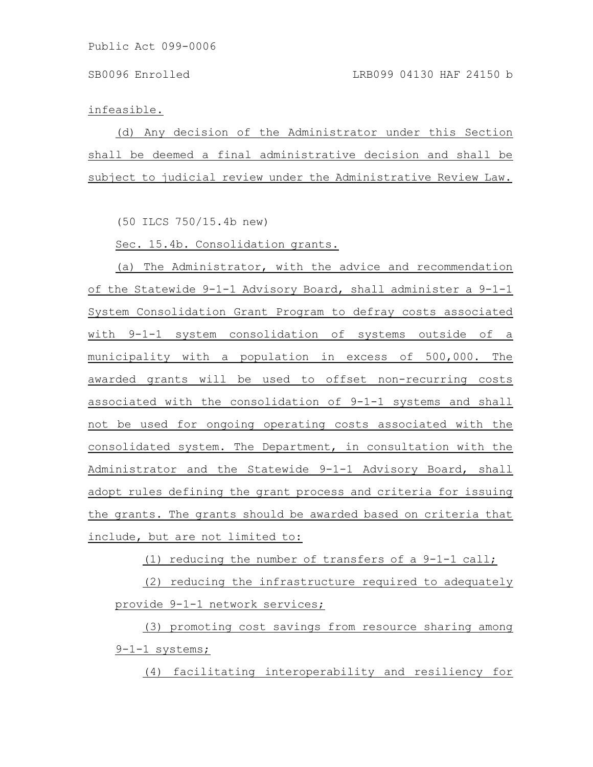infeasible.

(d) Any decision of the Administrator under this Section shall be deemed a final administrative decision and shall be subject to judicial review under the Administrative Review Law.

(50 ILCS 750/15.4b new)

Sec. 15.4b. Consolidation grants.

(a) The Administrator, with the advice and recommendation of the Statewide 9-1-1 Advisory Board, shall administer a 9-1-1 System Consolidation Grant Program to defray costs associated with 9-1-1 system consolidation of systems outside of a municipality with a population in excess of 500,000. The awarded grants will be used to offset non-recurring costs associated with the consolidation of 9-1-1 systems and shall not be used for ongoing operating costs associated with the consolidated system. The Department, in consultation with the Administrator and the Statewide 9-1-1 Advisory Board, shall adopt rules defining the grant process and criteria for issuing the grants. The grants should be awarded based on criteria that include, but are not limited to:

(1) reducing the number of transfers of a 9-1-1 call;

(2) reducing the infrastructure required to adequately provide 9-1-1 network services;

(3) promoting cost savings from resource sharing among 9-1-1 systems;

(4) facilitating interoperability and resiliency for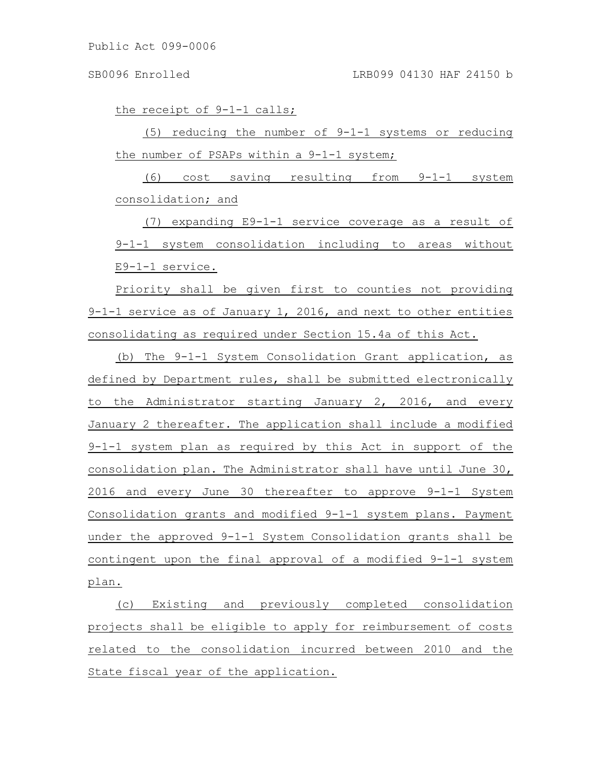the receipt of 9-1-1 calls;

(5) reducing the number of 9-1-1 systems or reducing the number of PSAPs within a 9-1-1 system;

(6) cost saving resulting from 9-1-1 system consolidation; and

(7) expanding E9-1-1 service coverage as a result of 9-1-1 system consolidation including to areas without E9-1-1 service.

Priority shall be given first to counties not providing 9-1-1 service as of January 1, 2016, and next to other entities consolidating as required under Section 15.4a of this Act.

(b) The 9-1-1 System Consolidation Grant application, as defined by Department rules, shall be submitted electronically to the Administrator starting January 2, 2016, and every January 2 thereafter. The application shall include a modified 9-1-1 system plan as required by this Act in support of the consolidation plan. The Administrator shall have until June 30, 2016 and every June 30 thereafter to approve 9-1-1 System Consolidation grants and modified 9-1-1 system plans. Payment under the approved 9-1-1 System Consolidation grants shall be contingent upon the final approval of a modified 9-1-1 system plan.

(c) Existing and previously completed consolidation projects shall be eligible to apply for reimbursement of costs related to the consolidation incurred between 2010 and the State fiscal year of the application.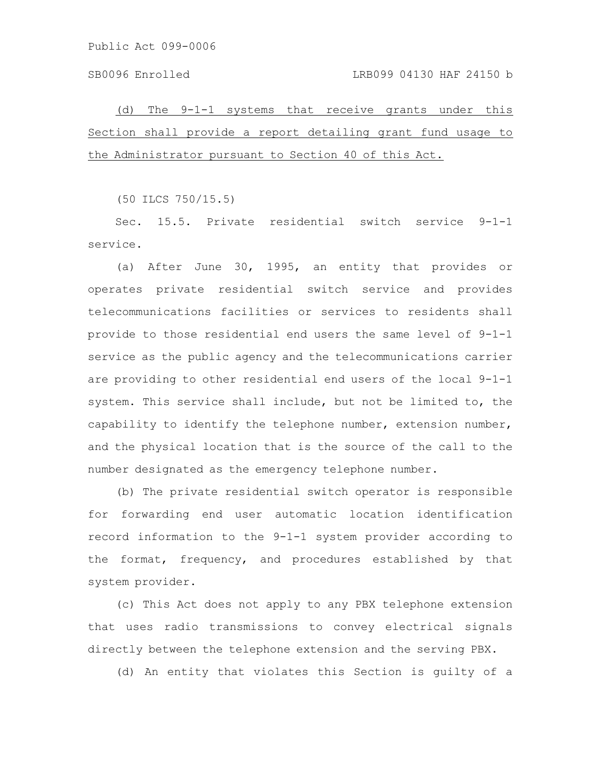Public Act 099-0006

(d) The 9-1-1 systems that receive grants under this Section shall provide a report detailing grant fund usage to the Administrator pursuant to Section 40 of this Act.

(50 ILCS 750/15.5)

Sec. 15.5. Private residential switch service 9-1-1 service.

(a) After June 30, 1995, an entity that provides or operates private residential switch service and provides telecommunications facilities or services to residents shall provide to those residential end users the same level of 9-1-1 service as the public agency and the telecommunications carrier are providing to other residential end users of the local 9-1-1 system. This service shall include, but not be limited to, the capability to identify the telephone number, extension number, and the physical location that is the source of the call to the number designated as the emergency telephone number.

(b) The private residential switch operator is responsible for forwarding end user automatic location identification record information to the 9-1-1 system provider according to the format, frequency, and procedures established by that system provider.

(c) This Act does not apply to any PBX telephone extension that uses radio transmissions to convey electrical signals directly between the telephone extension and the serving PBX.

(d) An entity that violates this Section is guilty of a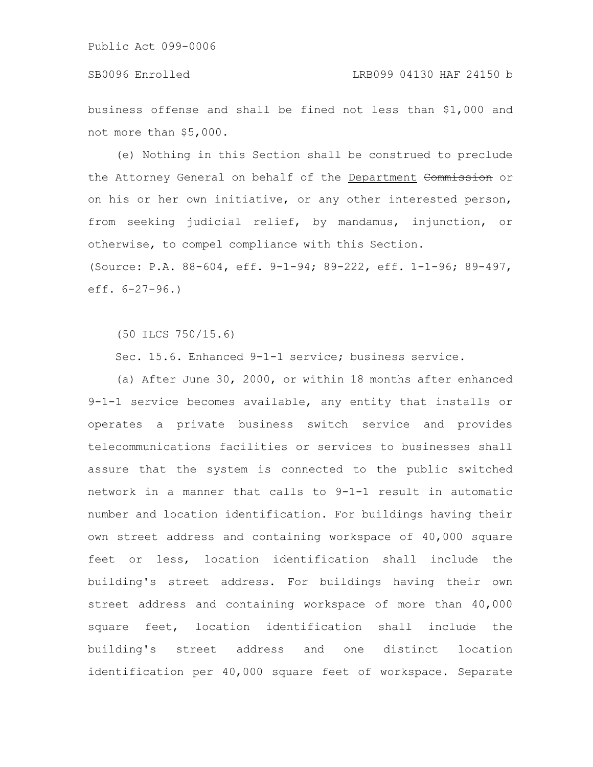Public Act 099-0006

business offense and shall be fined not less than \$1,000 and not more than \$5,000.

(e) Nothing in this Section shall be construed to preclude the Attorney General on behalf of the Department Commission or on his or her own initiative, or any other interested person, from seeking judicial relief, by mandamus, injunction, or otherwise, to compel compliance with this Section. (Source: P.A. 88-604, eff. 9-1-94; 89-222, eff. 1-1-96; 89-497, eff. 6-27-96.)

(50 ILCS 750/15.6)

Sec. 15.6. Enhanced 9-1-1 service; business service.

(a) After June 30, 2000, or within 18 months after enhanced 9-1-1 service becomes available, any entity that installs or operates a private business switch service and provides telecommunications facilities or services to businesses shall assure that the system is connected to the public switched network in a manner that calls to 9-1-1 result in automatic number and location identification. For buildings having their own street address and containing workspace of 40,000 square feet or less, location identification shall include the building's street address. For buildings having their own street address and containing workspace of more than 40,000 square feet, location identification shall include the building's street address and one distinct location identification per 40,000 square feet of workspace. Separate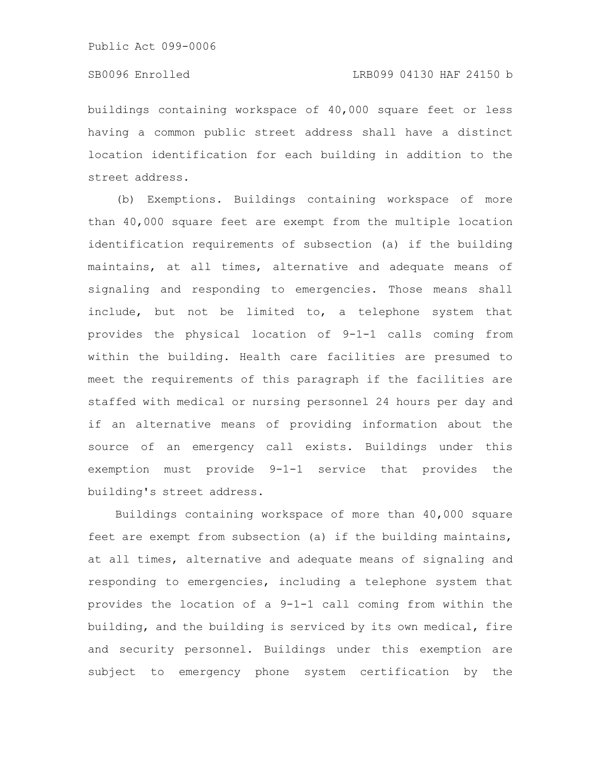# SB0096 Enrolled LRB099 04130 HAF 24150 b

buildings containing workspace of 40,000 square feet or less having a common public street address shall have a distinct location identification for each building in addition to the street address.

(b) Exemptions. Buildings containing workspace of more than 40,000 square feet are exempt from the multiple location identification requirements of subsection (a) if the building maintains, at all times, alternative and adequate means of signaling and responding to emergencies. Those means shall include, but not be limited to, a telephone system that provides the physical location of 9-1-1 calls coming from within the building. Health care facilities are presumed to meet the requirements of this paragraph if the facilities are staffed with medical or nursing personnel 24 hours per day and if an alternative means of providing information about the source of an emergency call exists. Buildings under this exemption must provide 9-1-1 service that provides the building's street address.

Buildings containing workspace of more than 40,000 square feet are exempt from subsection (a) if the building maintains, at all times, alternative and adequate means of signaling and responding to emergencies, including a telephone system that provides the location of a 9-1-1 call coming from within the building, and the building is serviced by its own medical, fire and security personnel. Buildings under this exemption are subject to emergency phone system certification by the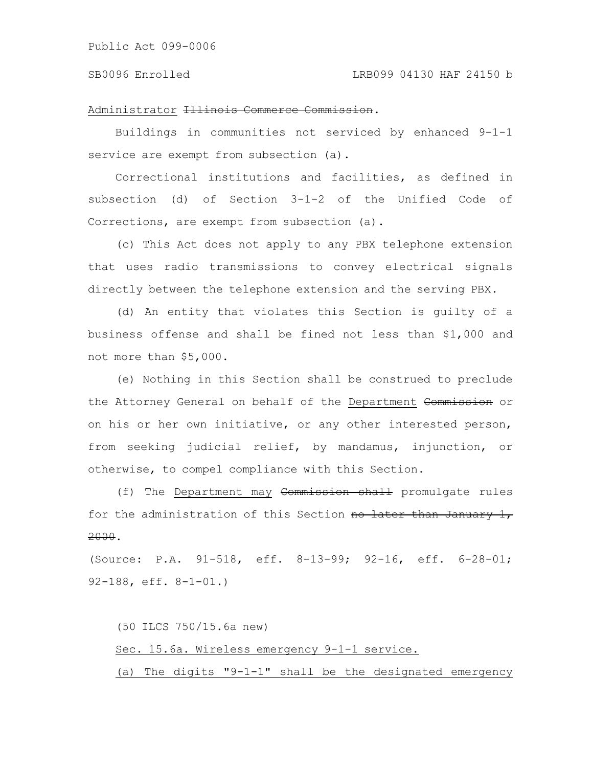### SB0096 Enrolled LRB099 04130 HAF 24150 b

### Administrator Illinois Commerce Commission.

Buildings in communities not serviced by enhanced 9-1-1 service are exempt from subsection (a).

Correctional institutions and facilities, as defined in subsection (d) of Section 3-1-2 of the Unified Code of Corrections, are exempt from subsection (a).

(c) This Act does not apply to any PBX telephone extension that uses radio transmissions to convey electrical signals directly between the telephone extension and the serving PBX.

(d) An entity that violates this Section is guilty of a business offense and shall be fined not less than \$1,000 and not more than \$5,000.

(e) Nothing in this Section shall be construed to preclude the Attorney General on behalf of the Department Commission or on his or her own initiative, or any other interested person, from seeking judicial relief, by mandamus, injunction, or otherwise, to compel compliance with this Section.

(f) The Department may Commission shall promulgate rules for the administration of this Section no later than January 1, 2000.

(Source: P.A. 91-518, eff. 8-13-99; 92-16, eff. 6-28-01; 92-188, eff. 8-1-01.)

(50 ILCS 750/15.6a new) Sec. 15.6a. Wireless emergency 9-1-1 service. (a) The digits "9-1-1" shall be the designated emergency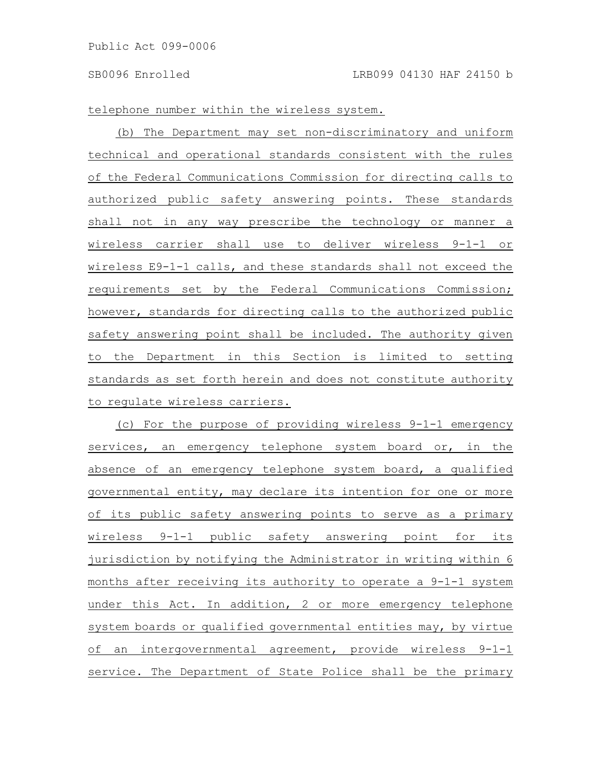telephone number within the wireless system.

(b) The Department may set non-discriminatory and uniform technical and operational standards consistent with the rules of the Federal Communications Commission for directing calls to authorized public safety answering points. These standards shall not in any way prescribe the technology or manner a wireless carrier shall use to deliver wireless 9-1-1 or wireless E9-1-1 calls, and these standards shall not exceed the requirements set by the Federal Communications Commission; however, standards for directing calls to the authorized public safety answering point shall be included. The authority given to the Department in this Section is limited to setting standards as set forth herein and does not constitute authority to regulate wireless carriers.

(c) For the purpose of providing wireless 9-1-1 emergency services, an emergency telephone system board or, in the absence of an emergency telephone system board, a qualified governmental entity, may declare its intention for one or more of its public safety answering points to serve as a primary wireless 9-1-1 public safety answering point for its jurisdiction by notifying the Administrator in writing within 6 months after receiving its authority to operate a 9-1-1 system under this Act. In addition, 2 or more emergency telephone system boards or qualified governmental entities may, by virtue of an intergovernmental agreement, provide wireless 9-1-1 service. The Department of State Police shall be the primary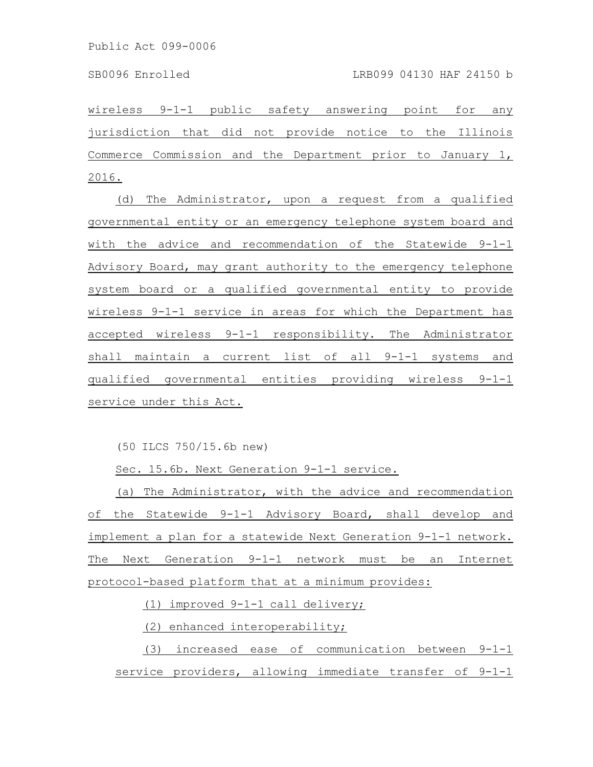wireless 9-1-1 public safety answering point for any jurisdiction that did not provide notice to the Illinois Commerce Commission and the Department prior to January 1, 2016.

(d) The Administrator, upon a request from a qualified governmental entity or an emergency telephone system board and with the advice and recommendation of the Statewide 9-1-1 Advisory Board, may grant authority to the emergency telephone system board or a qualified governmental entity to provide wireless 9-1-1 service in areas for which the Department has accepted wireless 9-1-1 responsibility. The Administrator shall maintain a current list of all 9-1-1 systems and qualified governmental entities providing wireless 9-1-1 service under this Act.

(50 ILCS 750/15.6b new)

Sec. 15.6b. Next Generation 9-1-1 service.

(a) The Administrator, with the advice and recommendation of the Statewide 9-1-1 Advisory Board, shall develop and implement a plan for a statewide Next Generation 9-1-1 network. The Next Generation 9-1-1 network must be an Internet protocol-based platform that at a minimum provides:

(1) improved 9-1-1 call delivery;

(2) enhanced interoperability;

(3) increased ease of communication between 9-1-1 service providers, allowing immediate transfer of 9-1-1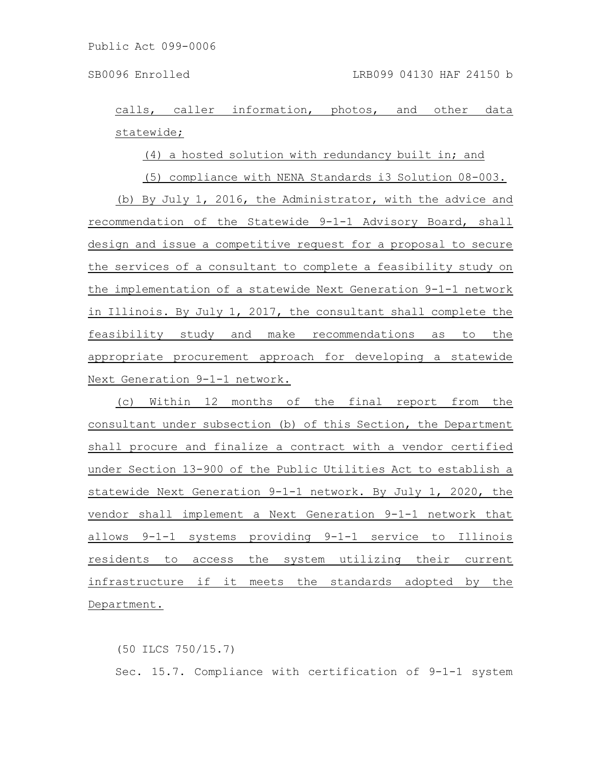calls, caller information, photos, and other data statewide;

(4) a hosted solution with redundancy built in; and

(5) compliance with NENA Standards i3 Solution 08-003.

(b) By July 1, 2016, the Administrator, with the advice and recommendation of the Statewide 9-1-1 Advisory Board, shall design and issue a competitive request for a proposal to secure the services of a consultant to complete a feasibility study on the implementation of a statewide Next Generation 9-1-1 network in Illinois. By July 1, 2017, the consultant shall complete the feasibility study and make recommendations as to the appropriate procurement approach for developing a statewide Next Generation 9-1-1 network.

(c) Within 12 months of the final report from the consultant under subsection (b) of this Section, the Department shall procure and finalize a contract with a vendor certified under Section 13-900 of the Public Utilities Act to establish a statewide Next Generation 9-1-1 network. By July 1, 2020, the vendor shall implement a Next Generation 9-1-1 network that allows 9-1-1 systems providing 9-1-1 service to Illinois residents to access the system utilizing their current infrastructure if it meets the standards adopted by the Department.

(50 ILCS 750/15.7) Sec. 15.7. Compliance with certification of 9-1-1 system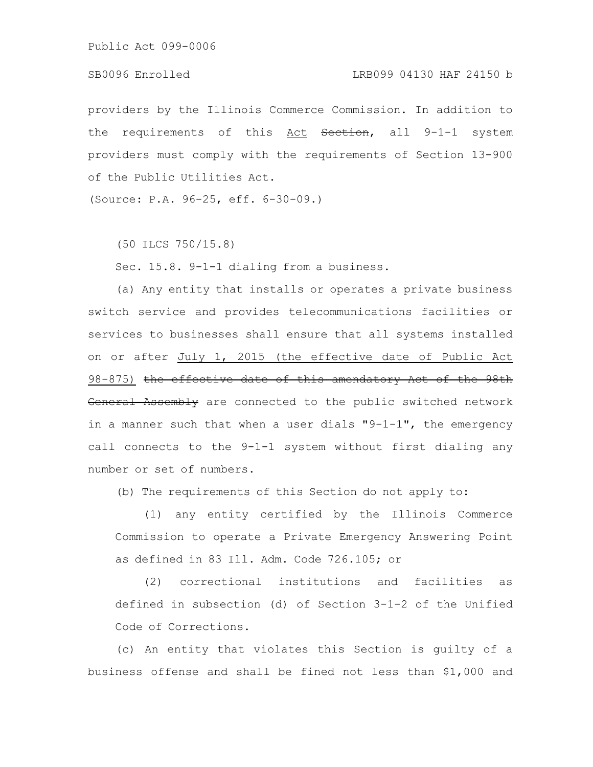Public Act 099-0006

## SB0096 Enrolled LRB099 04130 HAF 24150 b

providers by the Illinois Commerce Commission. In addition to the requirements of this Act Seetion, all 9-1-1 system providers must comply with the requirements of Section 13-900 of the Public Utilities Act.

(Source: P.A. 96-25, eff. 6-30-09.)

(50 ILCS 750/15.8)

Sec. 15.8. 9-1-1 dialing from a business.

(a) Any entity that installs or operates a private business switch service and provides telecommunications facilities or services to businesses shall ensure that all systems installed on or after July 1, 2015 (the effective date of Public Act 98-875) the effective date of this amendatory Act of the 98th General Assembly are connected to the public switched network in a manner such that when a user dials  $"9-1-1",$  the emergency call connects to the 9-1-1 system without first dialing any number or set of numbers.

(b) The requirements of this Section do not apply to:

(1) any entity certified by the Illinois Commerce Commission to operate a Private Emergency Answering Point as defined in 83 Ill. Adm. Code 726.105; or

(2) correctional institutions and facilities as defined in subsection (d) of Section 3-1-2 of the Unified Code of Corrections.

(c) An entity that violates this Section is guilty of a business offense and shall be fined not less than \$1,000 and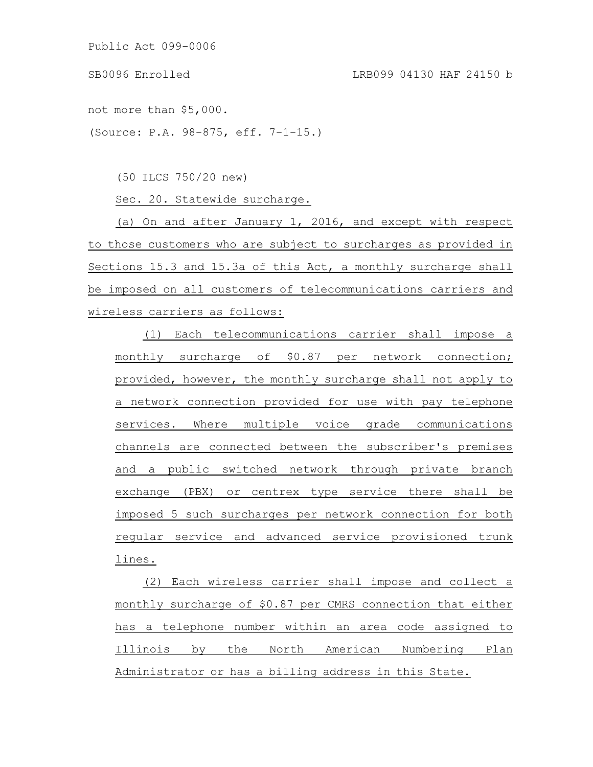Public Act 099-0006

not more than \$5,000.

(Source: P.A. 98-875, eff. 7-1-15.)

(50 ILCS 750/20 new)

Sec. 20. Statewide surcharge.

(a) On and after January 1, 2016, and except with respect to those customers who are subject to surcharges as provided in Sections 15.3 and 15.3a of this Act, a monthly surcharge shall be imposed on all customers of telecommunications carriers and wireless carriers as follows:

(1) Each telecommunications carrier shall impose a monthly surcharge of \$0.87 per network connection; provided, however, the monthly surcharge shall not apply to a network connection provided for use with pay telephone services. Where multiple voice grade communications channels are connected between the subscriber's premises and a public switched network through private branch exchange (PBX) or centrex type service there shall be imposed 5 such surcharges per network connection for both regular service and advanced service provisioned trunk lines.

(2) Each wireless carrier shall impose and collect a monthly surcharge of \$0.87 per CMRS connection that either has a telephone number within an area code assigned to Illinois by the North American Numbering Plan Administrator or has a billing address in this State.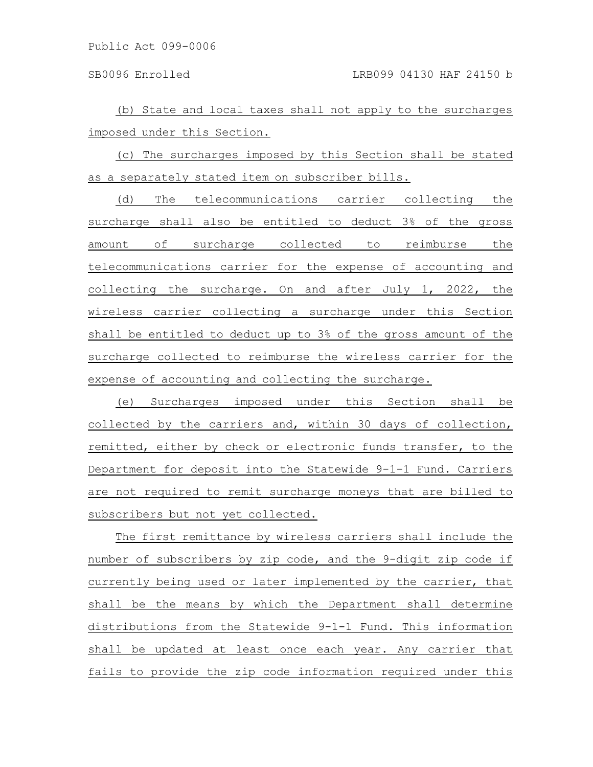(b) State and local taxes shall not apply to the surcharges imposed under this Section.

(c) The surcharges imposed by this Section shall be stated as a separately stated item on subscriber bills.

(d) The telecommunications carrier collecting the surcharge shall also be entitled to deduct 3% of the gross amount of surcharge collected to reimburse the telecommunications carrier for the expense of accounting and collecting the surcharge. On and after July 1, 2022, the wireless carrier collecting a surcharge under this Section shall be entitled to deduct up to 3% of the gross amount of the surcharge collected to reimburse the wireless carrier for the expense of accounting and collecting the surcharge.

(e) Surcharges imposed under this Section shall be collected by the carriers and, within 30 days of collection, remitted, either by check or electronic funds transfer, to the Department for deposit into the Statewide 9-1-1 Fund. Carriers are not required to remit surcharge moneys that are billed to subscribers but not yet collected.

The first remittance by wireless carriers shall include the number of subscribers by zip code, and the 9-digit zip code if currently being used or later implemented by the carrier, that shall be the means by which the Department shall determine distributions from the Statewide 9-1-1 Fund. This information shall be updated at least once each year. Any carrier that fails to provide the zip code information required under this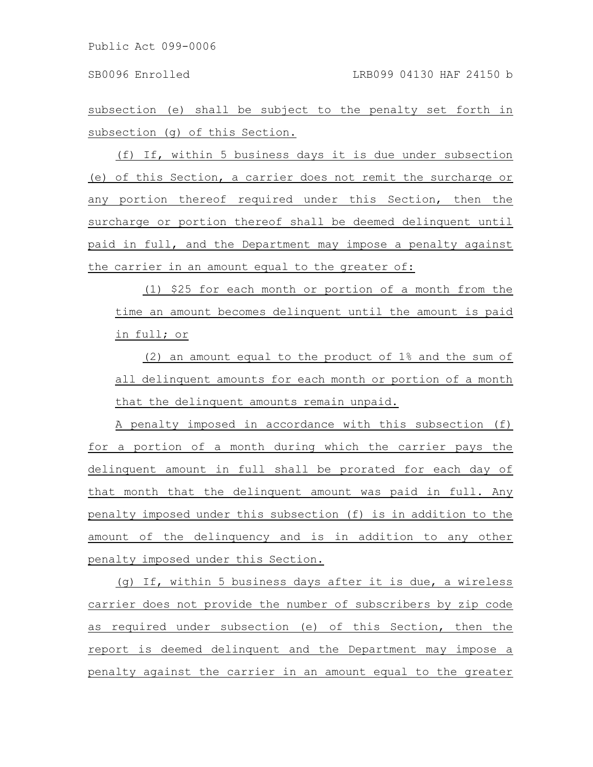subsection (e) shall be subject to the penalty set forth in subsection (g) of this Section.

(f) If, within 5 business days it is due under subsection (e) of this Section, a carrier does not remit the surcharge or any portion thereof required under this Section, then the surcharge or portion thereof shall be deemed delinquent until paid in full, and the Department may impose a penalty against the carrier in an amount equal to the greater of:

(1) \$25 for each month or portion of a month from the time an amount becomes delinquent until the amount is paid in full; or

(2) an amount equal to the product of 1% and the sum of all delinquent amounts for each month or portion of a month that the delinquent amounts remain unpaid.

A penalty imposed in accordance with this subsection (f) for a portion of a month during which the carrier pays the delinquent amount in full shall be prorated for each day of that month that the delinquent amount was paid in full. Any penalty imposed under this subsection (f) is in addition to the amount of the delinquency and is in addition to any other penalty imposed under this Section.

(g) If, within 5 business days after it is due, a wireless carrier does not provide the number of subscribers by zip code as required under subsection (e) of this Section, then the report is deemed delinquent and the Department may impose a penalty against the carrier in an amount equal to the greater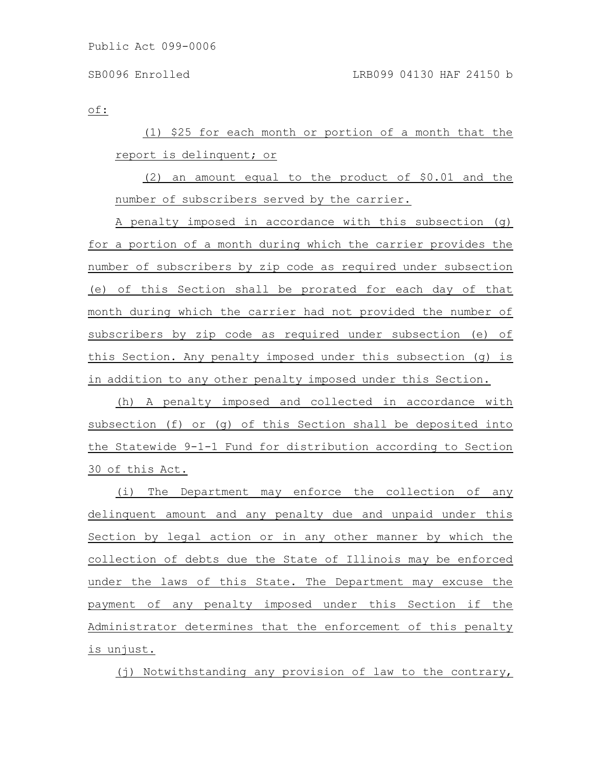of:

(1) \$25 for each month or portion of a month that the report is delinquent; or

(2) an amount equal to the product of \$0.01 and the number of subscribers served by the carrier.

A penalty imposed in accordance with this subsection (g) for a portion of a month during which the carrier provides the number of subscribers by zip code as required under subsection (e) of this Section shall be prorated for each day of that month during which the carrier had not provided the number of subscribers by zip code as required under subsection (e) of this Section. Any penalty imposed under this subsection (g) is in addition to any other penalty imposed under this Section.

(h) A penalty imposed and collected in accordance with subsection (f) or (g) of this Section shall be deposited into the Statewide 9-1-1 Fund for distribution according to Section 30 of this Act.

(i) The Department may enforce the collection of any delinquent amount and any penalty due and unpaid under this Section by legal action or in any other manner by which the collection of debts due the State of Illinois may be enforced under the laws of this State. The Department may excuse the payment of any penalty imposed under this Section if the Administrator determines that the enforcement of this penalty is unjust.

(j) Notwithstanding any provision of law to the contrary,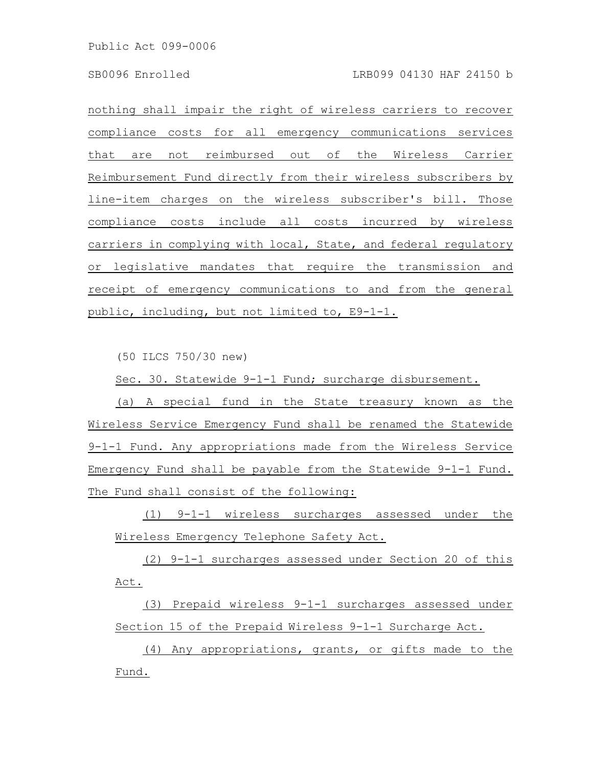Public Act 099-0006

nothing shall impair the right of wireless carriers to recover compliance costs for all emergency communications services that are not reimbursed out of the Wireless Carrier Reimbursement Fund directly from their wireless subscribers by line-item charges on the wireless subscriber's bill. Those compliance costs include all costs incurred by wireless carriers in complying with local, State, and federal regulatory or legislative mandates that require the transmission and receipt of emergency communications to and from the general public, including, but not limited to, E9-1-1.

(50 ILCS 750/30 new)

Sec. 30. Statewide 9-1-1 Fund; surcharge disbursement.

(a) A special fund in the State treasury known as the Wireless Service Emergency Fund shall be renamed the Statewide 9-1-1 Fund. Any appropriations made from the Wireless Service Emergency Fund shall be payable from the Statewide 9-1-1 Fund. The Fund shall consist of the following:

(1) 9-1-1 wireless surcharges assessed under the Wireless Emergency Telephone Safety Act.

(2) 9-1-1 surcharges assessed under Section 20 of this Act.

(3) Prepaid wireless 9-1-1 surcharges assessed under Section 15 of the Prepaid Wireless 9-1-1 Surcharge Act.

(4) Any appropriations, grants, or gifts made to the Fund.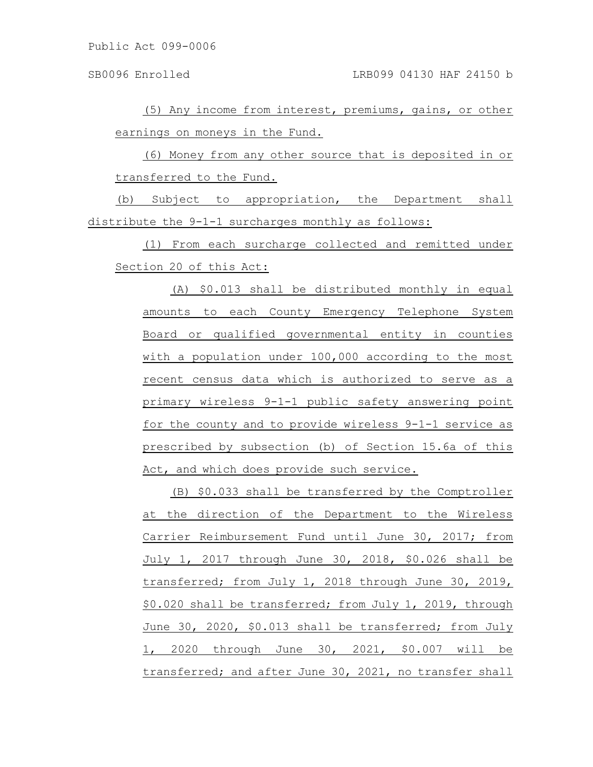(5) Any income from interest, premiums, gains, or other earnings on moneys in the Fund.

(6) Money from any other source that is deposited in or transferred to the Fund.

(b) Subject to appropriation, the Department shall distribute the 9-1-1 surcharges monthly as follows:

(1) From each surcharge collected and remitted under Section 20 of this Act:

(A) \$0.013 shall be distributed monthly in equal amounts to each County Emergency Telephone System Board or qualified governmental entity in counties with a population under 100,000 according to the most recent census data which is authorized to serve as a primary wireless 9-1-1 public safety answering point for the county and to provide wireless 9-1-1 service as prescribed by subsection (b) of Section 15.6a of this Act, and which does provide such service.

(B) \$0.033 shall be transferred by the Comptroller at the direction of the Department to the Wireless Carrier Reimbursement Fund until June 30, 2017; from July 1, 2017 through June 30, 2018, \$0.026 shall be transferred; from July 1, 2018 through June 30, 2019, \$0.020 shall be transferred; from July 1, 2019, through June 30, 2020, \$0.013 shall be transferred; from July 1, 2020 through June 30, 2021, \$0.007 will be transferred; and after June 30, 2021, no transfer shall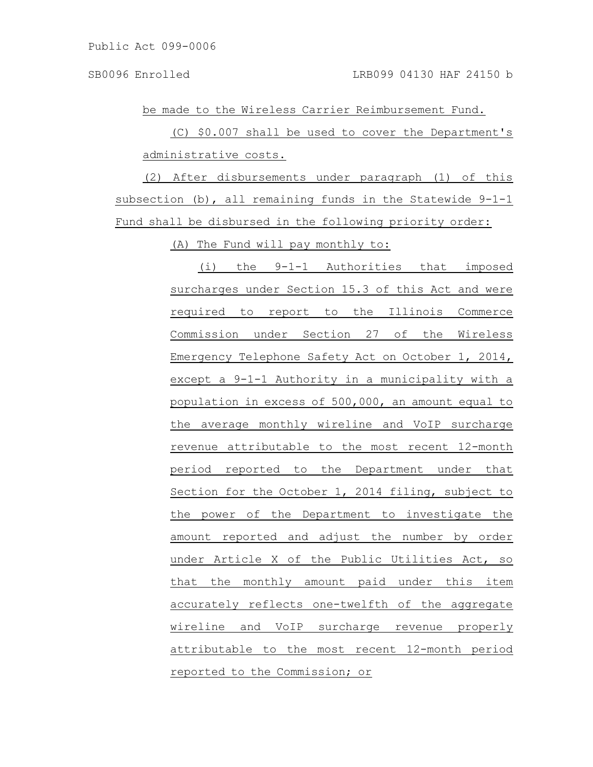be made to the Wireless Carrier Reimbursement Fund.

(C) \$0.007 shall be used to cover the Department's administrative costs.

(2) After disbursements under paragraph (1) of this subsection  $(b)$ , all remaining funds in the Statewide 9-1-1 Fund shall be disbursed in the following priority order:

(A) The Fund will pay monthly to:

(i) the 9-1-1 Authorities that imposed surcharges under Section 15.3 of this Act and were required to report to the Illinois Commerce Commission under Section 27 of the Wireless Emergency Telephone Safety Act on October 1, 2014, except a 9-1-1 Authority in a municipality with a population in excess of 500,000, an amount equal to the average monthly wireline and VoIP surcharge revenue attributable to the most recent 12-month period reported to the Department under that Section for the October 1, 2014 filing, subject to the power of the Department to investigate the amount reported and adjust the number by order under Article X of the Public Utilities Act, so that the monthly amount paid under this item accurately reflects one-twelfth of the aggregate wireline and VoIP surcharge revenue properly attributable to the most recent 12-month period reported to the Commission; or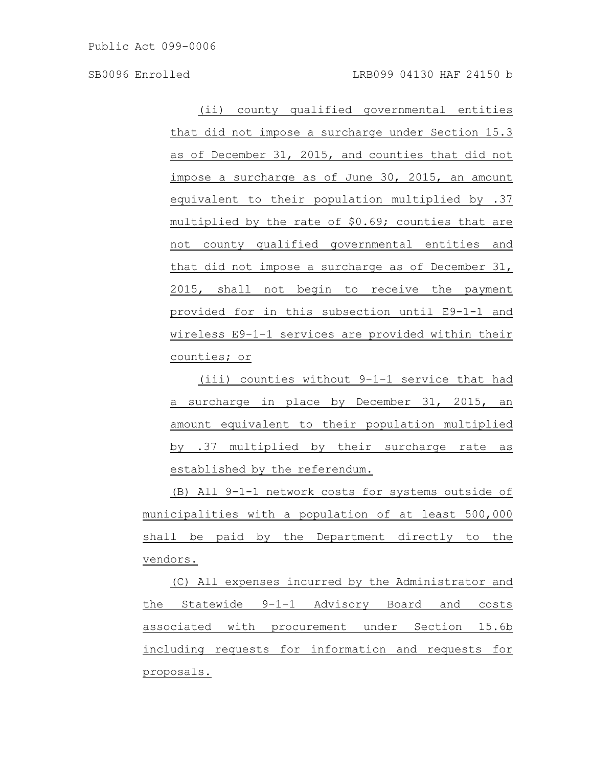SB0096 Enrolled LRB099 04130 HAF 24150 b

(ii) county qualified governmental entities that did not impose a surcharge under Section 15.3 as of December 31, 2015, and counties that did not impose a surcharge as of June 30, 2015, an amount equivalent to their population multiplied by .37 multiplied by the rate of \$0.69; counties that are not county qualified governmental entities and that did not impose a surcharge as of December 31, 2015, shall not begin to receive the payment provided for in this subsection until E9-1-1 and wireless E9-1-1 services are provided within their counties; or

(iii) counties without 9-1-1 service that had a surcharge in place by December 31, 2015, an amount equivalent to their population multiplied by .37 multiplied by their surcharge rate as established by the referendum.

(B) All 9-1-1 network costs for systems outside of municipalities with a population of at least 500,000 shall be paid by the Department directly to the vendors.

(C) All expenses incurred by the Administrator and the Statewide 9-1-1 Advisory Board and costs associated with procurement under Section 15.6b including requests for information and requests for proposals.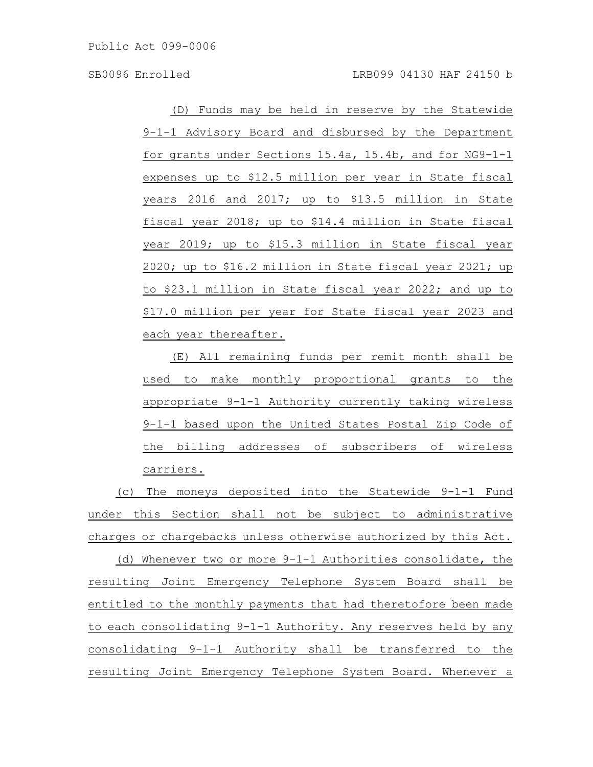Public Act 099-0006

(D) Funds may be held in reserve by the Statewide 9-1-1 Advisory Board and disbursed by the Department for grants under Sections 15.4a, 15.4b, and for NG9-1-1 expenses up to \$12.5 million per year in State fiscal years 2016 and 2017; up to \$13.5 million in State fiscal year 2018; up to \$14.4 million in State fiscal year 2019; up to \$15.3 million in State fiscal year 2020; up to \$16.2 million in State fiscal year 2021; up to \$23.1 million in State fiscal year 2022; and up to \$17.0 million per year for State fiscal year 2023 and each year thereafter.

(E) All remaining funds per remit month shall be used to make monthly proportional grants to the appropriate 9-1-1 Authority currently taking wireless 9-1-1 based upon the United States Postal Zip Code of the billing addresses of subscribers of wireless carriers.

(c) The moneys deposited into the Statewide 9-1-1 Fund under this Section shall not be subject to administrative charges or chargebacks unless otherwise authorized by this Act.

(d) Whenever two or more 9-1-1 Authorities consolidate, the resulting Joint Emergency Telephone System Board shall be entitled to the monthly payments that had theretofore been made to each consolidating 9-1-1 Authority. Any reserves held by any consolidating 9-1-1 Authority shall be transferred to the resulting Joint Emergency Telephone System Board. Whenever a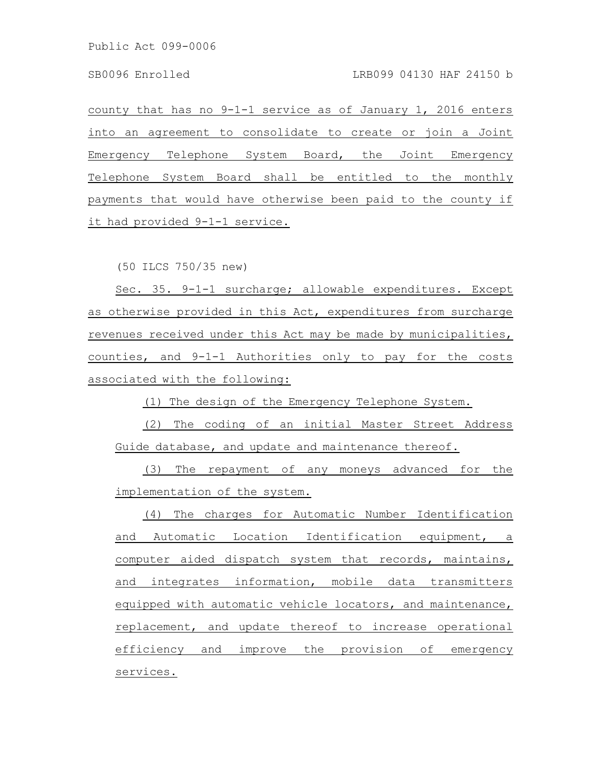Public Act 099-0006

county that has no 9-1-1 service as of January 1, 2016 enters into an agreement to consolidate to create or join a Joint Emergency Telephone System Board, the Joint Emergency Telephone System Board shall be entitled to the monthly payments that would have otherwise been paid to the county if it had provided 9-1-1 service.

(50 ILCS 750/35 new)

Sec. 35. 9-1-1 surcharge; allowable expenditures. Except as otherwise provided in this Act, expenditures from surcharge revenues received under this Act may be made by municipalities, counties, and 9-1-1 Authorities only to pay for the costs associated with the following:

(1) The design of the Emergency Telephone System.

(2) The coding of an initial Master Street Address Guide database, and update and maintenance thereof.

(3) The repayment of any moneys advanced for the implementation of the system.

(4) The charges for Automatic Number Identification and Automatic Location Identification equipment, a computer aided dispatch system that records, maintains, and integrates information, mobile data transmitters equipped with automatic vehicle locators, and maintenance, replacement, and update thereof to increase operational efficiency and improve the provision of emergency services.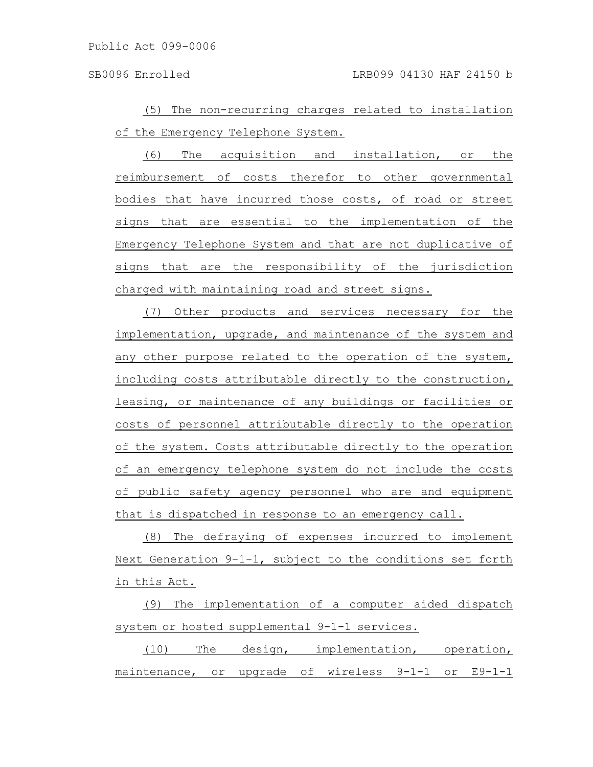(5) The non-recurring charges related to installation of the Emergency Telephone System.

(6) The acquisition and installation, or the reimbursement of costs therefor to other governmental bodies that have incurred those costs, of road or street signs that are essential to the implementation of the Emergency Telephone System and that are not duplicative of signs that are the responsibility of the jurisdiction charged with maintaining road and street signs.

(7) Other products and services necessary for the implementation, upgrade, and maintenance of the system and any other purpose related to the operation of the system, including costs attributable directly to the construction, leasing, or maintenance of any buildings or facilities or costs of personnel attributable directly to the operation of the system. Costs attributable directly to the operation of an emergency telephone system do not include the costs of public safety agency personnel who are and equipment that is dispatched in response to an emergency call.

(8) The defraying of expenses incurred to implement Next Generation 9-1-1, subject to the conditions set forth in this Act.

(9) The implementation of a computer aided dispatch system or hosted supplemental 9-1-1 services.

(10) The design, implementation, operation, maintenance, or upgrade of wireless 9-1-1 or E9-1-1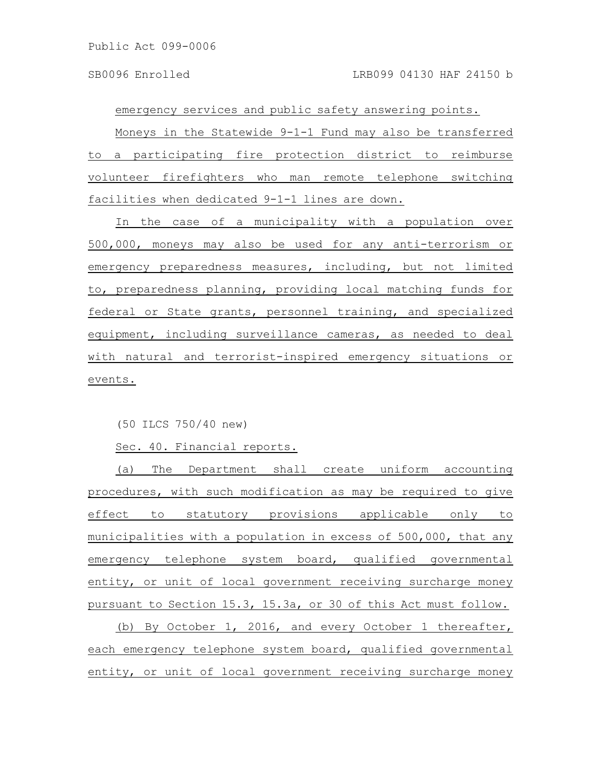emergency services and public safety answering points. Moneys in the Statewide 9-1-1 Fund may also be transferred to a participating fire protection district to reimburse volunteer firefighters who man remote telephone switching facilities when dedicated 9-1-1 lines are down.

In the case of a municipality with a population over 500,000, moneys may also be used for any anti-terrorism or emergency preparedness measures, including, but not limited to, preparedness planning, providing local matching funds for federal or State grants, personnel training, and specialized equipment, including surveillance cameras, as needed to deal with natural and terrorist-inspired emergency situations or events.

(50 ILCS 750/40 new)

Sec. 40. Financial reports.

(a) The Department shall create uniform accounting procedures, with such modification as may be required to give effect to statutory provisions applicable only to municipalities with a population in excess of 500,000, that any emergency telephone system board, qualified governmental entity, or unit of local government receiving surcharge money pursuant to Section 15.3, 15.3a, or 30 of this Act must follow.

(b) By October 1, 2016, and every October 1 thereafter, each emergency telephone system board, qualified governmental entity, or unit of local government receiving surcharge money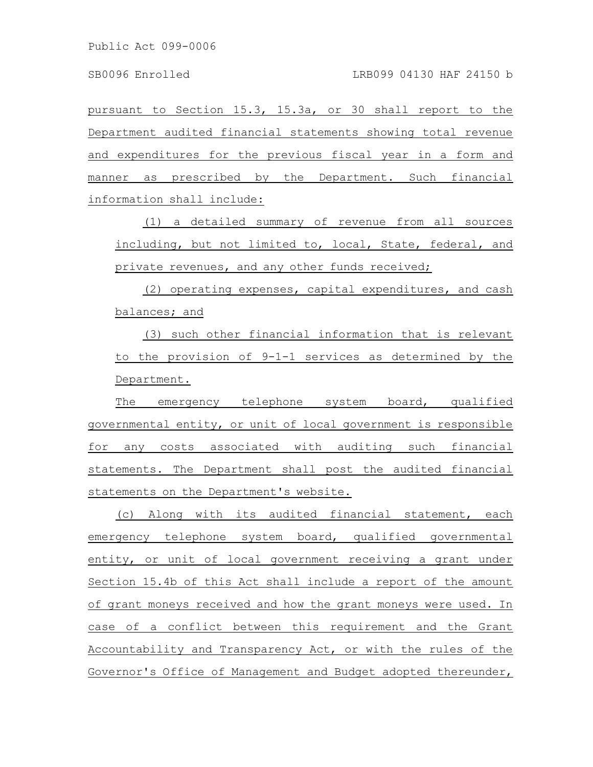pursuant to Section 15.3, 15.3a, or 30 shall report to the Department audited financial statements showing total revenue and expenditures for the previous fiscal year in a form and manner as prescribed by the Department. Such financial information shall include:

(1) a detailed summary of revenue from all sources including, but not limited to, local, State, federal, and private revenues, and any other funds received;

(2) operating expenses, capital expenditures, and cash balances; and

(3) such other financial information that is relevant to the provision of 9-1-1 services as determined by the Department.

The emergency telephone system board, qualified governmental entity, or unit of local government is responsible for any costs associated with auditing such financial statements. The Department shall post the audited financial statements on the Department's website.

(c) Along with its audited financial statement, each emergency telephone system board, qualified governmental entity, or unit of local government receiving a grant under Section 15.4b of this Act shall include a report of the amount of grant moneys received and how the grant moneys were used. In case of a conflict between this requirement and the Grant Accountability and Transparency Act, or with the rules of the Governor's Office of Management and Budget adopted thereunder,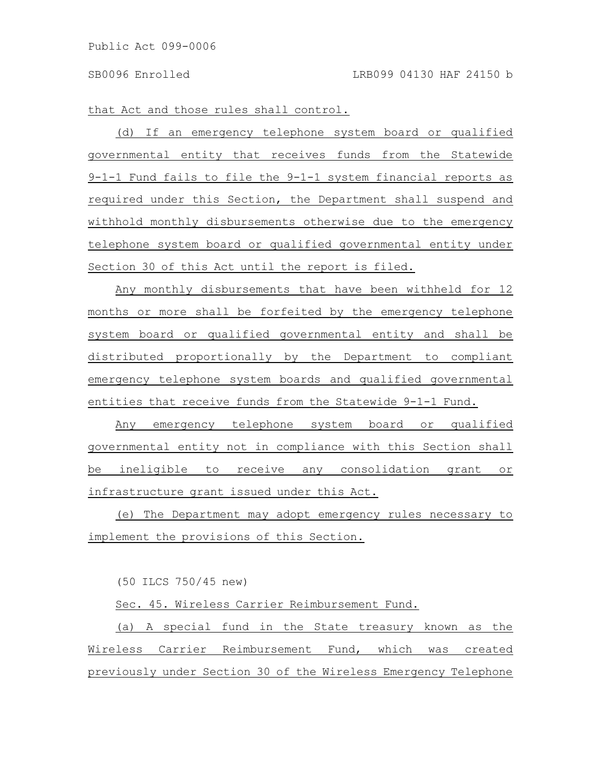that Act and those rules shall control.

(d) If an emergency telephone system board or qualified governmental entity that receives funds from the Statewide 9-1-1 Fund fails to file the 9-1-1 system financial reports as required under this Section, the Department shall suspend and withhold monthly disbursements otherwise due to the emergency telephone system board or qualified governmental entity under Section 30 of this Act until the report is filed.

Any monthly disbursements that have been withheld for 12 months or more shall be forfeited by the emergency telephone system board or qualified governmental entity and shall be distributed proportionally by the Department to compliant emergency telephone system boards and qualified governmental entities that receive funds from the Statewide 9-1-1 Fund.

Any emergency telephone system board or qualified governmental entity not in compliance with this Section shall be ineligible to receive any consolidation grant or infrastructure grant issued under this Act.

(e) The Department may adopt emergency rules necessary to implement the provisions of this Section.

(50 ILCS 750/45 new)

Sec. 45. Wireless Carrier Reimbursement Fund.

(a) A special fund in the State treasury known as the Wireless Carrier Reimbursement Fund, which was created previously under Section 30 of the Wireless Emergency Telephone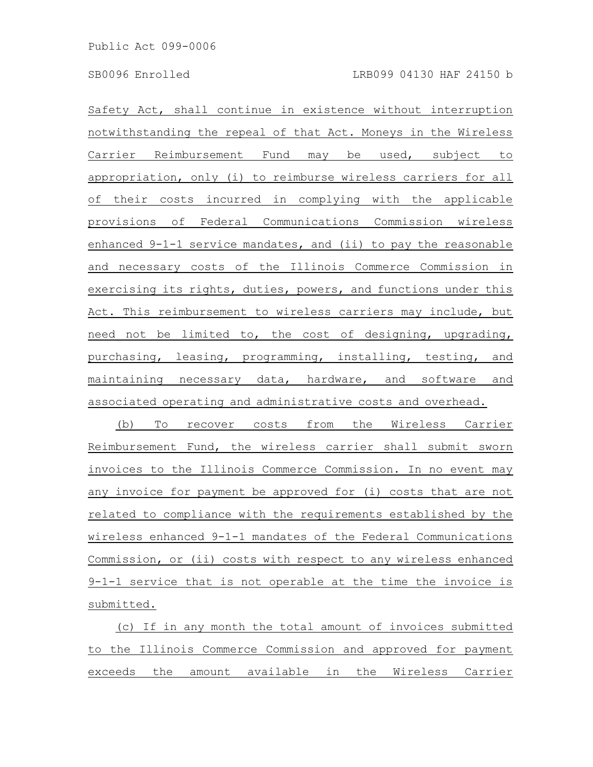Safety Act, shall continue in existence without interruption notwithstanding the repeal of that Act. Moneys in the Wireless Carrier Reimbursement Fund may be used, subject to appropriation, only (i) to reimburse wireless carriers for all of their costs incurred in complying with the applicable provisions of Federal Communications Commission wireless enhanced 9-1-1 service mandates, and (ii) to pay the reasonable and necessary costs of the Illinois Commerce Commission in exercising its rights, duties, powers, and functions under this Act. This reimbursement to wireless carriers may include, but need not be limited to, the cost of designing, upgrading, purchasing, leasing, programming, installing, testing, and maintaining necessary data, hardware, and software and associated operating and administrative costs and overhead.

(b) To recover costs from the Wireless Carrier Reimbursement Fund, the wireless carrier shall submit sworn invoices to the Illinois Commerce Commission. In no event may any invoice for payment be approved for (i) costs that are not related to compliance with the requirements established by the wireless enhanced 9-1-1 mandates of the Federal Communications Commission, or (ii) costs with respect to any wireless enhanced 9-1-1 service that is not operable at the time the invoice is submitted.

(c) If in any month the total amount of invoices submitted to the Illinois Commerce Commission and approved for payment exceeds the amount available in the Wireless Carrier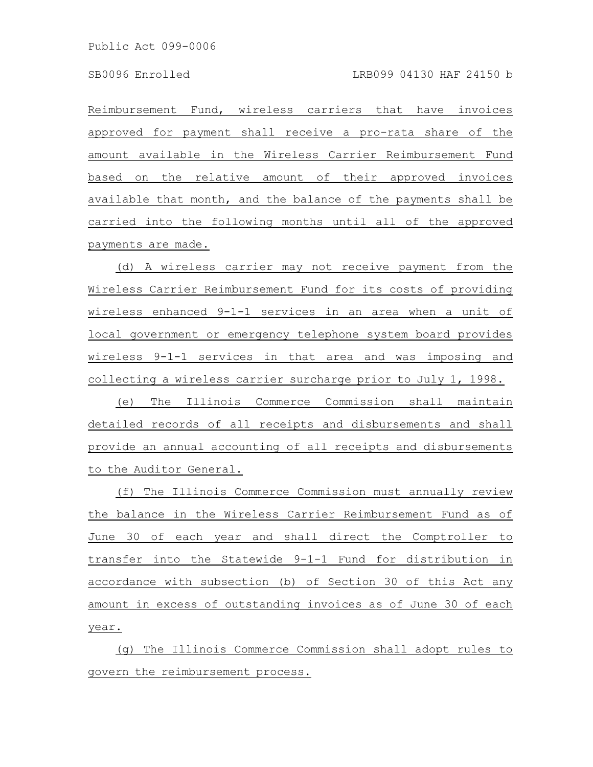Reimbursement Fund, wireless carriers that have invoices approved for payment shall receive a pro-rata share of the amount available in the Wireless Carrier Reimbursement Fund based on the relative amount of their approved invoices available that month, and the balance of the payments shall be carried into the following months until all of the approved payments are made.

(d) A wireless carrier may not receive payment from the Wireless Carrier Reimbursement Fund for its costs of providing wireless enhanced 9-1-1 services in an area when a unit of local government or emergency telephone system board provides wireless 9-1-1 services in that area and was imposing and collecting a wireless carrier surcharge prior to July 1, 1998.

(e) The Illinois Commerce Commission shall maintain detailed records of all receipts and disbursements and shall provide an annual accounting of all receipts and disbursements to the Auditor General.

(f) The Illinois Commerce Commission must annually review the balance in the Wireless Carrier Reimbursement Fund as of June 30 of each year and shall direct the Comptroller to transfer into the Statewide 9-1-1 Fund for distribution in accordance with subsection (b) of Section 30 of this Act any amount in excess of outstanding invoices as of June 30 of each year.

(g) The Illinois Commerce Commission shall adopt rules to govern the reimbursement process.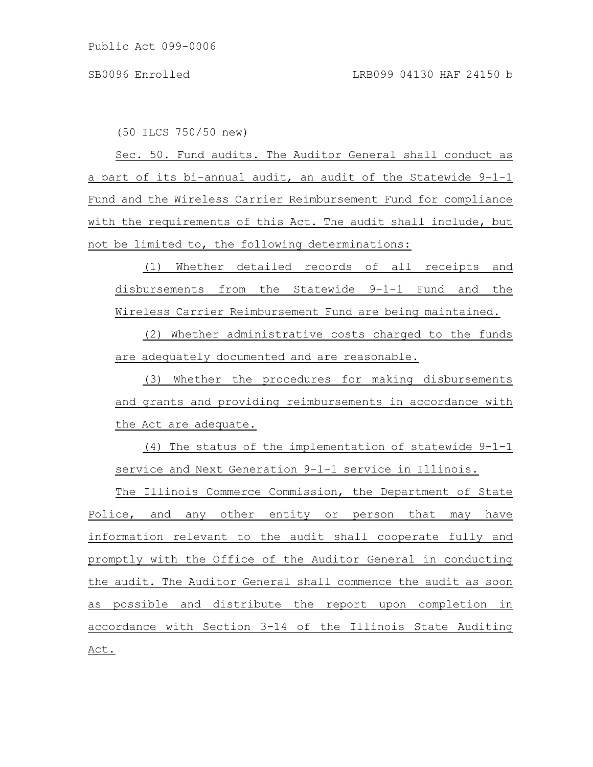(50 ILCS 750/50 new)

Sec. 50. Fund audits. The Auditor General shall conduct as a part of its bi-annual audit, an audit of the Statewide 9-1-1 Fund and the Wireless Carrier Reimbursement Fund for compliance with the requirements of this Act. The audit shall include, but not be limited to, the following determinations:

(1) Whether detailed records of all receipts and disbursements from the Statewide 9-1-1 Fund and the Wireless Carrier Reimbursement Fund are being maintained.

(2) Whether administrative costs charged to the funds are adequately documented and are reasonable.

(3) Whether the procedures for making disbursements and grants and providing reimbursements in accordance with the Act are adequate.

(4) The status of the implementation of statewide 9-1-1 service and Next Generation 9-1-1 service in Illinois.

The Illinois Commerce Commission, the Department of State Police, and any other entity or person that may have information relevant to the audit shall cooperate fully and promptly with the Office of the Auditor General in conducting the audit. The Auditor General shall commence the audit as soon as possible and distribute the report upon completion in accordance with Section 3-14 of the Illinois State Auditing Act.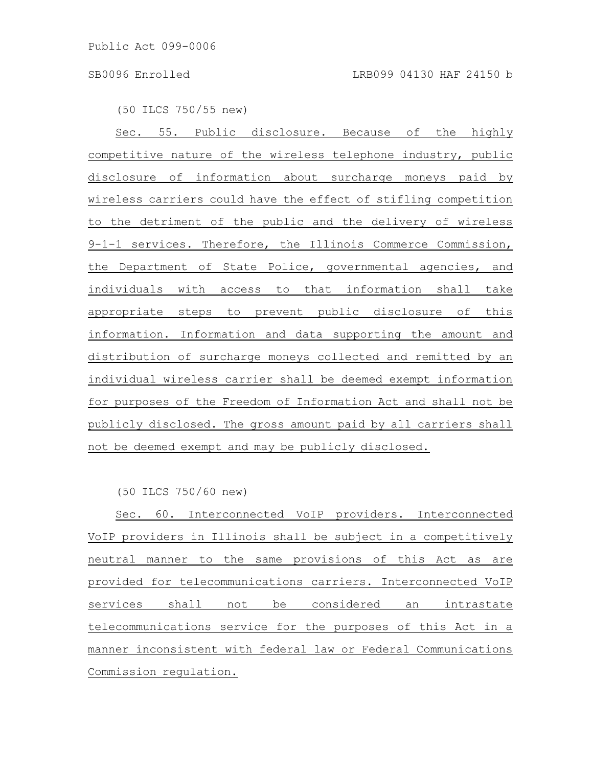(50 ILCS 750/55 new)

Sec. 55. Public disclosure. Because of the highly competitive nature of the wireless telephone industry, public disclosure of information about surcharge moneys paid by wireless carriers could have the effect of stifling competition to the detriment of the public and the delivery of wireless 9-1-1 services. Therefore, the Illinois Commerce Commission, the Department of State Police, governmental agencies, and individuals with access to that information shall take appropriate steps to prevent public disclosure of this information. Information and data supporting the amount and distribution of surcharge moneys collected and remitted by an individual wireless carrier shall be deemed exempt information for purposes of the Freedom of Information Act and shall not be publicly disclosed. The gross amount paid by all carriers shall not be deemed exempt and may be publicly disclosed.

(50 ILCS 750/60 new)

Sec. 60. Interconnected VoIP providers. Interconnected VoIP providers in Illinois shall be subject in a competitively neutral manner to the same provisions of this Act as are provided for telecommunications carriers. Interconnected VoIP services shall not be considered an intrastate telecommunications service for the purposes of this Act in a manner inconsistent with federal law or Federal Communications Commission regulation.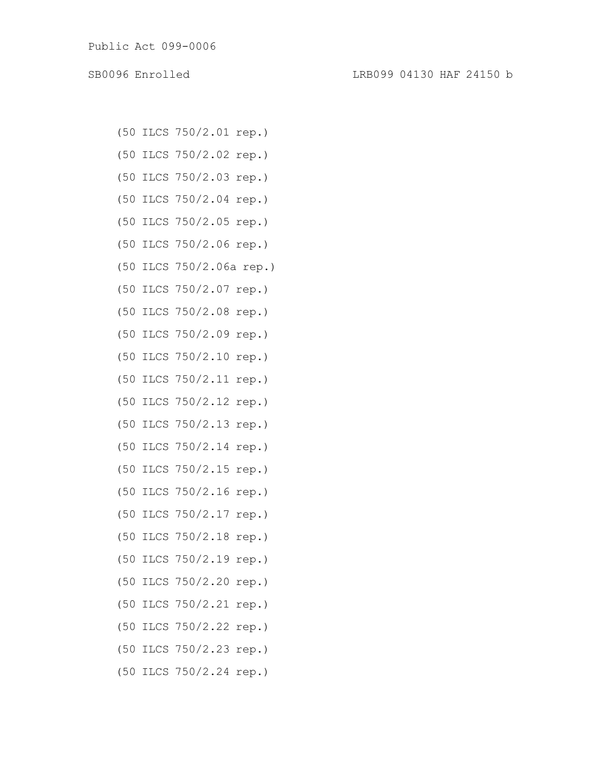- (50 ILCS 750/2.01 rep.)
- (50 ILCS 750/2.02 rep.)
- (50 ILCS 750/2.03 rep.)
- (50 ILCS 750/2.04 rep.)
- (50 ILCS 750/2.05 rep.)
- (50 ILCS 750/2.06 rep.)
- (50 ILCS 750/2.06a rep.)
- (50 ILCS 750/2.07 rep.)
- (50 ILCS 750/2.08 rep.)
- (50 ILCS 750/2.09 rep.)
- (50 ILCS 750/2.10 rep.)
- (50 ILCS 750/2.11 rep.)
- (50 ILCS 750/2.12 rep.)
- (50 ILCS 750/2.13 rep.)
- (50 ILCS 750/2.14 rep.)
- (50 ILCS 750/2.15 rep.)
- (50 ILCS 750/2.16 rep.)
- (50 ILCS 750/2.17 rep.)
- (50 ILCS 750/2.18 rep.)
- (50 ILCS 750/2.19 rep.)
- (50 ILCS 750/2.20 rep.)
- (50 ILCS 750/2.21 rep.)
- (50 ILCS 750/2.22 rep.)
- (50 ILCS 750/2.23 rep.)
- (50 ILCS 750/2.24 rep.)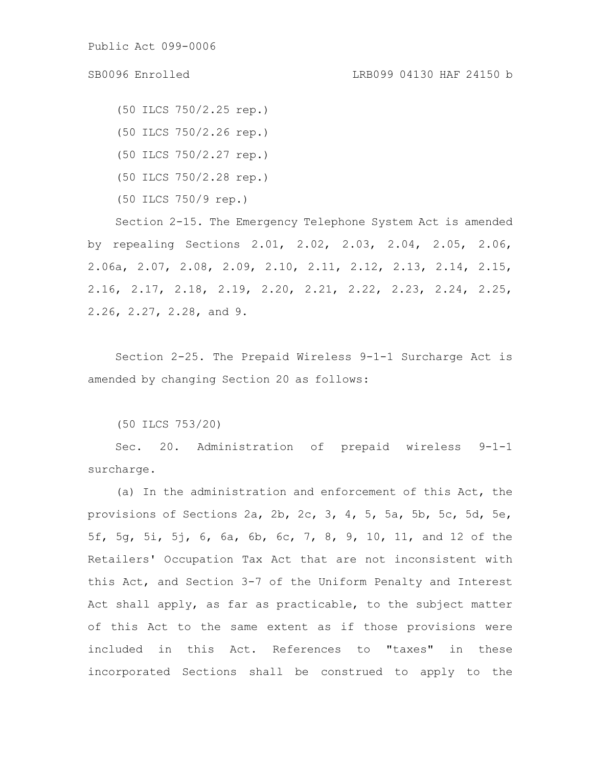(50 ILCS 750/2.25 rep.) (50 ILCS 750/2.26 rep.) (50 ILCS 750/2.27 rep.)

(50 ILCS 750/2.28 rep.)

(50 ILCS 750/9 rep.)

Section 2-15. The Emergency Telephone System Act is amended by repealing Sections 2.01, 2.02, 2.03, 2.04, 2.05, 2.06, 2.06a, 2.07, 2.08, 2.09, 2.10, 2.11, 2.12, 2.13, 2.14, 2.15, 2.16, 2.17, 2.18, 2.19, 2.20, 2.21, 2.22, 2.23, 2.24, 2.25, 2.26, 2.27, 2.28, and 9.

Section 2-25. The Prepaid Wireless 9-1-1 Surcharge Act is amended by changing Section 20 as follows:

(50 ILCS 753/20)

Sec. 20. Administration of prepaid wireless 9-1-1 surcharge.

(a) In the administration and enforcement of this Act, the provisions of Sections 2a, 2b, 2c, 3, 4, 5, 5a, 5b, 5c, 5d, 5e, 5f, 5g, 5i, 5j, 6, 6a, 6b, 6c, 7, 8, 9, 10, 11, and 12 of the Retailers' Occupation Tax Act that are not inconsistent with this Act, and Section 3-7 of the Uniform Penalty and Interest Act shall apply, as far as practicable, to the subject matter of this Act to the same extent as if those provisions were included in this Act. References to "taxes" in these incorporated Sections shall be construed to apply to the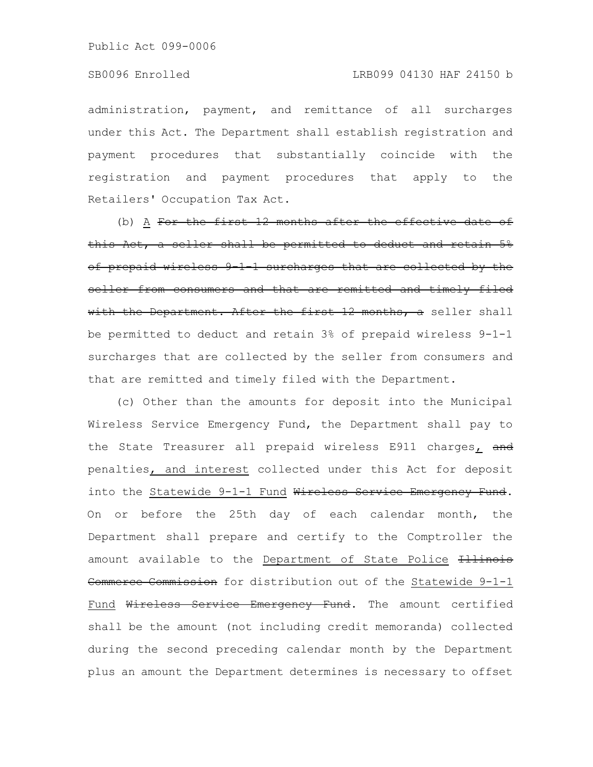administration, payment, and remittance of all surcharges under this Act. The Department shall establish registration and payment procedures that substantially coincide with the registration and payment procedures that apply to the Retailers' Occupation Tax Act.

(b) A For the first 12 months after the effective date of this Act, a seller shall be permitted to deduct and retain 5% of prepaid wireless 9-1-1 surcharges that are collected by the seller from consumers and that are remitted and timely filed with the Department. After the first 12 months, a seller shall be permitted to deduct and retain 3% of prepaid wireless 9-1-1 surcharges that are collected by the seller from consumers and that are remitted and timely filed with the Department.

(c) Other than the amounts for deposit into the Municipal Wireless Service Emergency Fund, the Department shall pay to the State Treasurer all prepaid wireless E911 charges, and penalties, and interest collected under this Act for deposit into the Statewide 9-1-1 Fund Wireless Service Emergency Fund. On or before the 25th day of each calendar month, the Department shall prepare and certify to the Comptroller the amount available to the Department of State Police Hilinois Commerce Commission for distribution out of the Statewide 9-1-1 Fund Wireless Service Emergency Fund. The amount certified shall be the amount (not including credit memoranda) collected during the second preceding calendar month by the Department plus an amount the Department determines is necessary to offset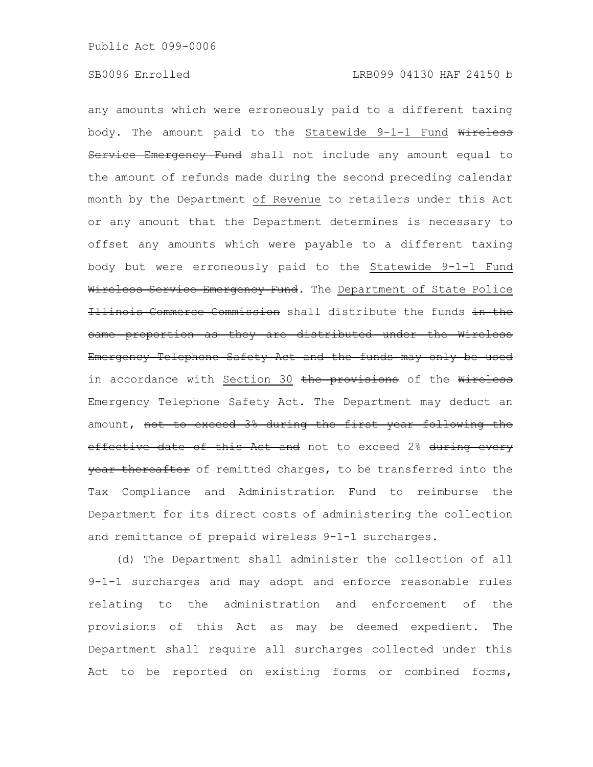any amounts which were erroneously paid to a different taxing body. The amount paid to the Statewide 9-1-1 Fund Wireless Service Emergency Fund shall not include any amount equal to the amount of refunds made during the second preceding calendar month by the Department of Revenue to retailers under this Act or any amount that the Department determines is necessary to offset any amounts which were payable to a different taxing body but were erroneously paid to the Statewide 9-1-1 Fund Wireless Service Emergency Fund. The Department of State Police Illinois Commerce Commission shall distribute the funds in the same proportion as they are distributed under the Wireless Emergency Telephone Safety Act and the funds may only be used in accordance with Section 30 the provisions of the Wireless Emergency Telephone Safety Act. The Department may deduct an amount, not to exceed 3% during the first year following the effective date of this Act and not to exceed 2% during every year thereafter of remitted charges, to be transferred into the Tax Compliance and Administration Fund to reimburse the Department for its direct costs of administering the collection and remittance of prepaid wireless 9-1-1 surcharges.

(d) The Department shall administer the collection of all 9-1-1 surcharges and may adopt and enforce reasonable rules relating to the administration and enforcement of the provisions of this Act as may be deemed expedient. The Department shall require all surcharges collected under this Act to be reported on existing forms or combined forms,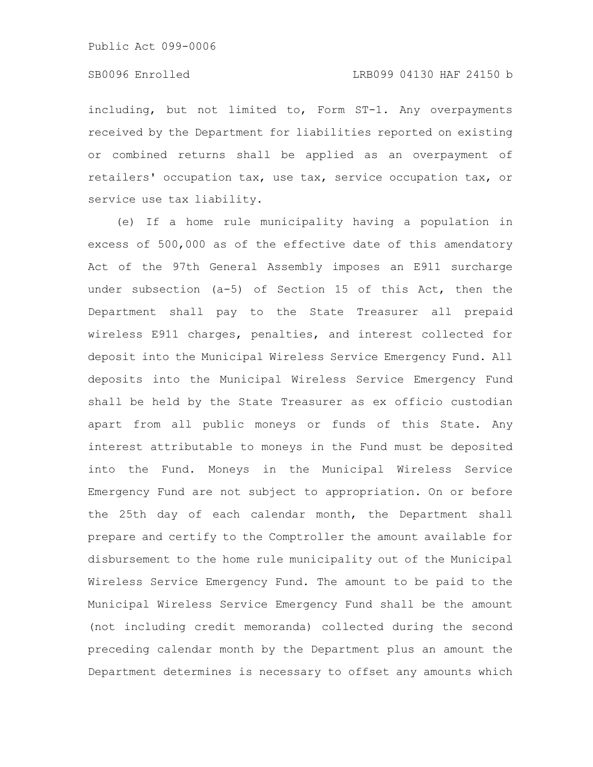including, but not limited to, Form ST-1. Any overpayments received by the Department for liabilities reported on existing or combined returns shall be applied as an overpayment of retailers' occupation tax, use tax, service occupation tax, or service use tax liability.

(e) If a home rule municipality having a population in excess of 500,000 as of the effective date of this amendatory Act of the 97th General Assembly imposes an E911 surcharge under subsection (a-5) of Section 15 of this Act, then the Department shall pay to the State Treasurer all prepaid wireless E911 charges, penalties, and interest collected for deposit into the Municipal Wireless Service Emergency Fund. All deposits into the Municipal Wireless Service Emergency Fund shall be held by the State Treasurer as ex officio custodian apart from all public moneys or funds of this State. Any interest attributable to moneys in the Fund must be deposited into the Fund. Moneys in the Municipal Wireless Service Emergency Fund are not subject to appropriation. On or before the 25th day of each calendar month, the Department shall prepare and certify to the Comptroller the amount available for disbursement to the home rule municipality out of the Municipal Wireless Service Emergency Fund. The amount to be paid to the Municipal Wireless Service Emergency Fund shall be the amount (not including credit memoranda) collected during the second preceding calendar month by the Department plus an amount the Department determines is necessary to offset any amounts which